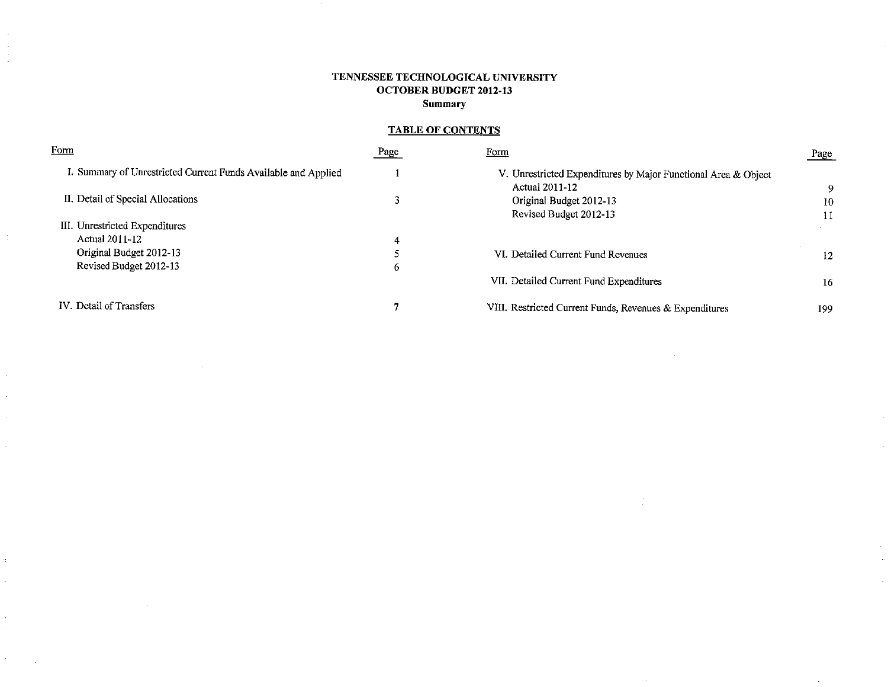# TENNESSEE TECHNOLOGICAL UNIVERSITY **OCTOBER BUDGET 2012-13 Summary**

 $\sim$ 

 $\sim$ 

 $\sim$ 

 $\ddot{\phantom{a}}$ 

# **TABLE OF CONTENTS**

| Form                                                           | Page | <u>Form</u>                                                                      | Page |
|----------------------------------------------------------------|------|----------------------------------------------------------------------------------|------|
| I. Summary of Unrestricted Current Funds Available and Applied |      | V. Unrestricted Expenditures by Major Functional Area & Object<br>Actual 2011-12 | 9.   |
| II. Detail of Special Allocations                              |      | Original Budget 2012-13                                                          | 10   |
|                                                                |      | Revised Budget 2012-13                                                           | 11   |
| III. Unrestricted Expenditures                                 |      |                                                                                  |      |
| Actual 2011-12                                                 | 4    |                                                                                  |      |
| Original Budget 2012-13                                        | 5    | VI. Detailed Current Fund Revenues                                               | 12   |
| Revised Budget 2012-13                                         | b.   |                                                                                  |      |
|                                                                |      | VII. Detailed Current Fund Expenditures                                          | 16   |
| IV. Detail of Transfers                                        |      | VIII. Restricted Current Funds, Revenues & Expenditures                          | 199  |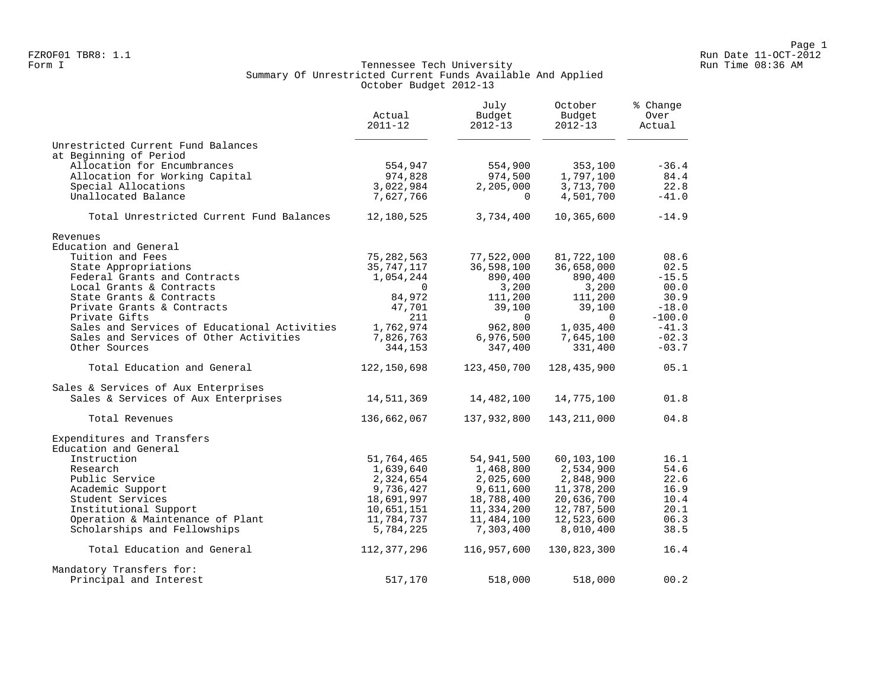#### Form I Georgian Communication of the Communication of Tennessee Tech University Communication Run Time 08:36 AM Summary Of Unrestricted Current Funds Available And Applied October Budget 2012-13

|                                              | Actual<br>$2011 - 12$ | July<br>Budget<br>$2012 - 13$ | October<br>Budget<br>$2012 - 13$ | % Change<br>Over<br>Actual |
|----------------------------------------------|-----------------------|-------------------------------|----------------------------------|----------------------------|
| Unrestricted Current Fund Balances           |                       |                               |                                  |                            |
| at Beginning of Period                       |                       |                               |                                  |                            |
| Allocation for Encumbrances                  | 554,947               | 554,900                       | 353,100                          | $-36.4$                    |
| Allocation for Working Capital               | 974,828<br>3,022,984  | 974,500                       | 1,797,100<br>3,713,700           | 84.4<br>22.8               |
| Special Allocations<br>Unallocated Balance   | 7,627,766             | 2,205,000<br>$\Omega$         | 4,501,700                        | $-41.0$                    |
| Total Unrestricted Current Fund Balances     | 12,180,525            | 3,734,400                     | 10,365,600                       | $-14.9$                    |
| Revenues                                     |                       |                               |                                  |                            |
| Education and General                        |                       |                               |                                  |                            |
| Tuition and Fees                             | 75, 282, 563          | 77,522,000                    | 81,722,100                       | 08.6                       |
| State Appropriations                         | 35,747,117            | 36,598,100                    | 36,658,000                       | 02.5                       |
| Federal Grants and Contracts                 | 1,054,244             | 890,400                       | 890,400                          | $-15.5$                    |
| Local Grants & Contracts                     | $\Omega$              | 3,200                         | 3,200                            | 00.0                       |
| State Grants & Contracts                     | 84,972                | 111,200                       | 111,200                          | 30.9                       |
| Private Grants & Contracts                   | 47,701                | 39,100                        | 39,100                           | $-18.0$                    |
| Private Gifts                                | 211                   | $\Omega$                      | $\Omega$                         | $-100.0$                   |
| Sales and Services of Educational Activities | 1,762,974             | 962,800                       | 1,035,400                        | $-41.3$                    |
| Sales and Services of Other Activities       | 7,826,763             | 6,976,500                     | 7,645,100                        | $-02.3$                    |
| Other Sources                                | 344,153               | 347,400                       | 331,400                          | $-03.7$                    |
| Total Education and General                  | 122,150,698           | 123,450,700                   | 128,435,900                      | 05.1                       |
| Sales & Services of Aux Enterprises          |                       |                               |                                  |                            |
| Sales & Services of Aux Enterprises          | 14,511,369            | 14,482,100                    | 14,775,100                       | 01.8                       |
| Total Revenues                               | 136,662,067           | 137,932,800                   | 143, 211, 000                    | 04.8                       |
| Expenditures and Transfers                   |                       |                               |                                  |                            |
| Education and General                        |                       |                               |                                  |                            |
| Instruction                                  | 51,764,465            | 54,941,500                    | 60,103,100                       | 16.1                       |
| Research                                     | 1,639,640             | 1,468,800                     | 2,534,900                        | 54.6                       |
| Public Service                               | 2,324,654             | 2,025,600                     | 2,848,900                        | 22.6                       |
| Academic Support                             | 9,736,427             | 9,611,600                     | 11,378,200                       | 16.9                       |
| Student Services                             | 18,691,997            | 18,788,400                    | 20,636,700                       | 10.4                       |
| Institutional Support                        | 10,651,151            | 11,334,200                    | 12,787,500                       | 20.1                       |
| Operation & Maintenance of Plant             | 11,784,737            | 11,484,100                    | 12,523,600                       | 06.3                       |
| Scholarships and Fellowships                 | 5,784,225             | 7,303,400                     | 8,010,400                        | 38.5                       |
| Total Education and General                  | 112,377,296           | 116,957,600                   | 130,823,300                      | 16.4                       |
| Mandatory Transfers for:                     |                       |                               |                                  |                            |
| Principal and Interest                       | 517,170               | 518,000                       | 518,000                          | 00.2                       |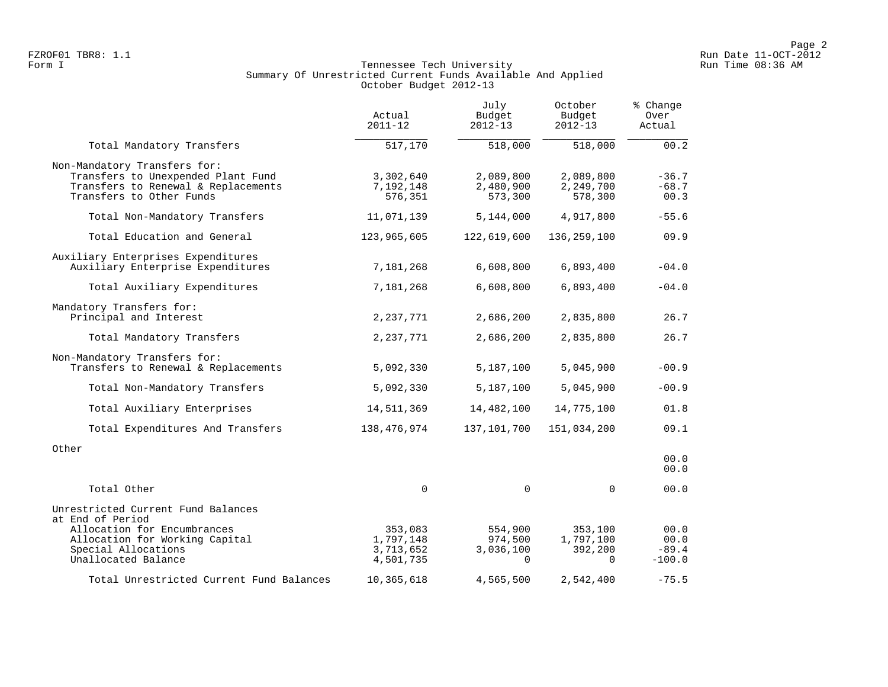### Form I Georgian Communication of the Communication of Tennessee Tech University Communication Run Time 08:36 AM Summary Of Unrestricted Current Funds Available And Applied October Budget 2012-13

|                                                                                                                                                                       | Actual<br>$2011 - 12$                          | July<br>Budget<br>$2012 - 13$               | October<br>Budget<br>$2012 - 13$            | % Change<br>Over<br>Actual          |
|-----------------------------------------------------------------------------------------------------------------------------------------------------------------------|------------------------------------------------|---------------------------------------------|---------------------------------------------|-------------------------------------|
| Total Mandatory Transfers                                                                                                                                             | 517,170                                        | 518,000                                     | 518,000                                     | 00.2                                |
| Non-Mandatory Transfers for:<br>Transfers to Unexpended Plant Fund<br>Transfers to Renewal & Replacements<br>Transfers to Other Funds                                 | 3,302,640<br>7,192,148<br>576,351              | 2,089,800<br>2,480,900<br>573,300           | 2,089,800<br>2,249,700<br>578,300           | $-36.7$<br>$-68.7$<br>00.3          |
| Total Non-Mandatory Transfers                                                                                                                                         | 11,071,139                                     | 5,144,000                                   | 4,917,800                                   | $-55.6$                             |
| Total Education and General                                                                                                                                           | 123,965,605                                    | 122,619,600                                 | 136, 259, 100                               | 09.9                                |
| Auxiliary Enterprises Expenditures<br>Auxiliary Enterprise Expenditures                                                                                               | 7,181,268                                      | 6,608,800                                   | 6,893,400                                   | $-04.0$                             |
| Total Auxiliary Expenditures                                                                                                                                          | 7,181,268                                      | 6,608,800                                   | 6,893,400                                   | $-04.0$                             |
| Mandatory Transfers for:<br>Principal and Interest                                                                                                                    | 2,237,771                                      | 2,686,200                                   | 2,835,800                                   | 26.7                                |
| Total Mandatory Transfers                                                                                                                                             | 2,237,771                                      | 2,686,200                                   | 2,835,800                                   | 26.7                                |
| Non-Mandatory Transfers for:<br>Transfers to Renewal & Replacements                                                                                                   | 5,092,330                                      | 5,187,100                                   | 5,045,900                                   | $-00.9$                             |
| Total Non-Mandatory Transfers                                                                                                                                         | 5,092,330                                      | 5,187,100                                   | 5,045,900                                   | $-00.9$                             |
| Total Auxiliary Enterprises                                                                                                                                           | 14,511,369                                     | 14,482,100                                  | 14,775,100                                  | 01.8                                |
| Total Expenditures And Transfers                                                                                                                                      | 138,476,974                                    | 137,101,700                                 | 151,034,200                                 | 09.1                                |
| Other                                                                                                                                                                 |                                                |                                             |                                             | 00.0<br>00.0                        |
| Total Other                                                                                                                                                           | 0                                              | $\mathbf 0$                                 | $\mathbf 0$                                 | 00.0                                |
| Unrestricted Current Fund Balances<br>at End of Period<br>Allocation for Encumbrances<br>Allocation for Working Capital<br>Special Allocations<br>Unallocated Balance | 353,083<br>1,797,148<br>3,713,652<br>4,501,735 | 554,900<br>974,500<br>3,036,100<br>$\Omega$ | 353,100<br>1,797,100<br>392,200<br>$\Omega$ | 00.0<br>00.0<br>$-89.4$<br>$-100.0$ |
| Total Unrestricted Current Fund Balances                                                                                                                              | 10,365,618                                     | 4,565,500                                   | 2,542,400                                   | $-75.5$                             |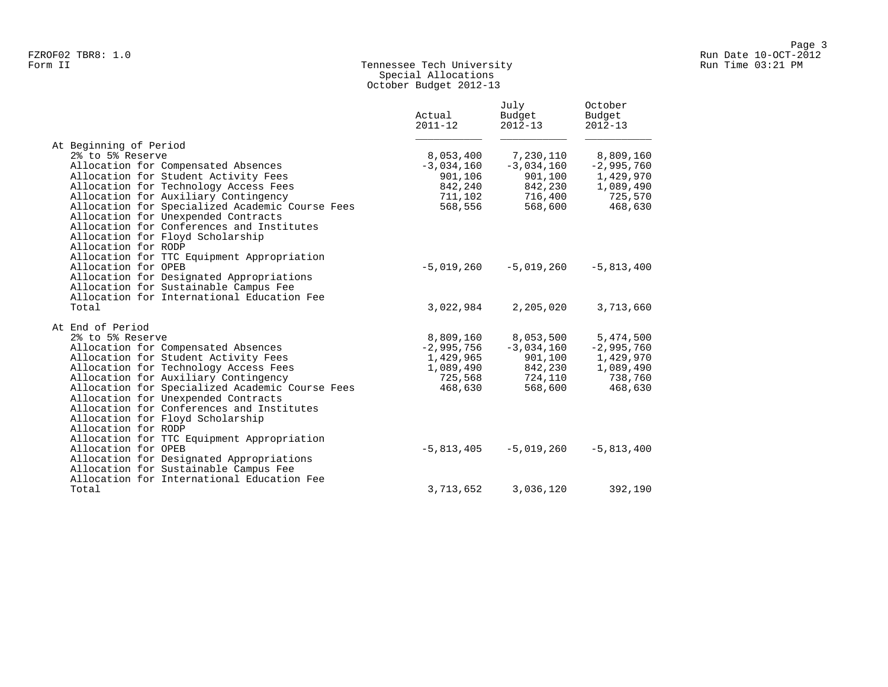# Form II Tennessee Tech University Run Time 03:21 PM Special Allocations October Budget 2012-13

|                                                                                                                                                                                                | Actual<br>$2011 - 12$ | July<br>Budget<br>$2012 - 13$ | October<br>Budget<br>$2012 - 13$ |
|------------------------------------------------------------------------------------------------------------------------------------------------------------------------------------------------|-----------------------|-------------------------------|----------------------------------|
| At Beginning of Period                                                                                                                                                                         |                       |                               |                                  |
| 2% to 5% Reserve                                                                                                                                                                               | 8,053,400             | 7,230,110                     | 8,809,160                        |
| Allocation for Compensated Absences                                                                                                                                                            | $-3,034,160$          | $-3,034,160$                  | $-2,995,760$                     |
| Allocation for Student Activity Fees                                                                                                                                                           | 901,106               | 901,100                       | 1,429,970                        |
| Allocation for Technology Access Fees                                                                                                                                                          | 842,240               | 842,230                       | 1,089,490                        |
| Allocation for Auxiliary Contingency                                                                                                                                                           | 711,102               | 716,400                       | 725,570                          |
| Allocation for Specialized Academic Course Fees<br>Allocation for Unexpended Contracts<br>Allocation for Conferences and Institutes<br>Allocation for Floyd Scholarship<br>Allocation for RODP | 568,556               | 568,600                       | 468,630                          |
| Allocation for TTC Equipment Appropriation                                                                                                                                                     |                       |                               |                                  |
| Allocation for OPEB                                                                                                                                                                            | $-5,019,260$          | $-5,019,260$                  | $-5,813,400$                     |
| Allocation for Designated Appropriations                                                                                                                                                       |                       |                               |                                  |
| Allocation for Sustainable Campus Fee                                                                                                                                                          |                       |                               |                                  |
| Allocation for International Education Fee                                                                                                                                                     |                       |                               |                                  |
| Total                                                                                                                                                                                          | 3,022,984             | 2,205,020                     | 3,713,660                        |
| At End of Period                                                                                                                                                                               |                       |                               |                                  |
| 2% to 5% Reserve                                                                                                                                                                               | 8,809,160             | 8,053,500                     | 5,474,500                        |
| Allocation for Compensated Absences                                                                                                                                                            | $-2,995,756$          | $-3,034,160$                  | $-2,995,760$                     |
| Allocation for Student Activity Fees                                                                                                                                                           | 1,429,965             | 901,100                       | 1,429,970                        |
| Allocation for Technology Access Fees                                                                                                                                                          | 1,089,490             | 842,230                       | 1,089,490                        |
| Allocation for Auxiliary Contingency                                                                                                                                                           | 725,568               | 724,110                       | 738,760                          |
| Allocation for Specialized Academic Course Fees                                                                                                                                                | 468,630               | 568,600                       | 468,630                          |
| Allocation for Unexpended Contracts                                                                                                                                                            |                       |                               |                                  |
| Allocation for Conferences and Institutes                                                                                                                                                      |                       |                               |                                  |
| Allocation for Floyd Scholarship                                                                                                                                                               |                       |                               |                                  |
| Allocation for RODP                                                                                                                                                                            |                       |                               |                                  |
| Allocation for TTC Equipment Appropriation                                                                                                                                                     |                       |                               |                                  |
| Allocation for OPEB                                                                                                                                                                            | $-5,813,405$          | $-5,019,260$                  | $-5,813,400$                     |
| Allocation for Designated Appropriations                                                                                                                                                       |                       |                               |                                  |
| Allocation for Sustainable Campus Fee                                                                                                                                                          |                       |                               |                                  |
| Allocation for International Education Fee                                                                                                                                                     |                       |                               |                                  |
| Total                                                                                                                                                                                          | 3,713,652             | 3,036,120                     | 392,190                          |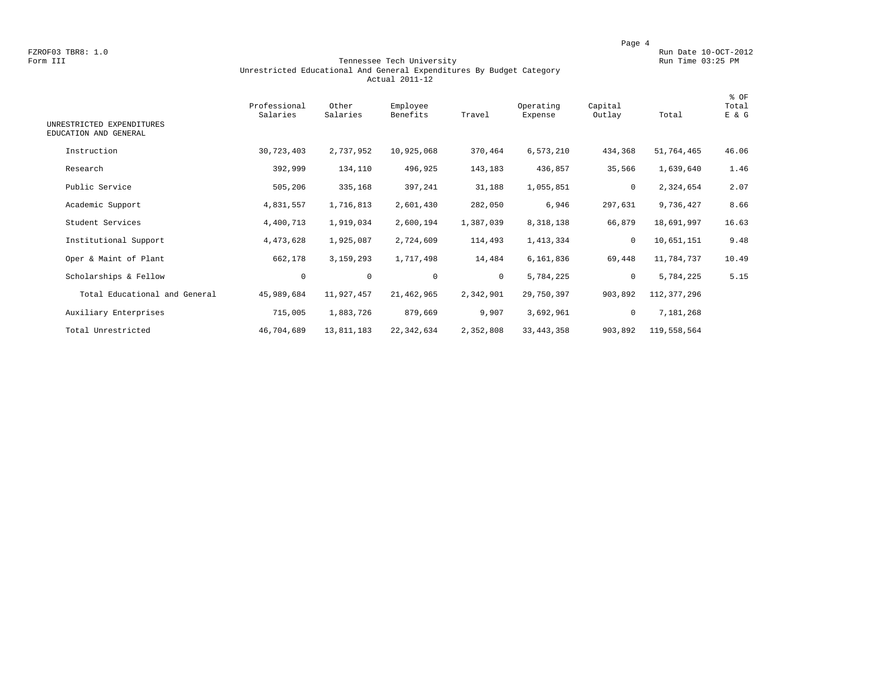FZROF03 TBR8: 1.0<br>Form III Run Date 10-OCT-2012<br>Form III Run Time 03:25 PM

#### Form III Tennessee Tech University Run Time 03:25 PM Unrestricted Educational And General Expenditures By Budget Category Actual 2011-12

| UNRESTRICTED EXPENDITURES<br>EDUCATION AND GENERAL | Professional<br>Salaries | Other<br>Salaries | Employee<br>Benefits | Travel    | Operating<br>Expense | Capital<br>Outlay | Total       | % OF<br>Total<br>E & G |
|----------------------------------------------------|--------------------------|-------------------|----------------------|-----------|----------------------|-------------------|-------------|------------------------|
| Instruction                                        | 30,723,403               | 2,737,952         | 10,925,068           | 370,464   | 6,573,210            | 434,368           | 51,764,465  | 46.06                  |
| Research                                           | 392,999                  | 134,110           | 496,925              | 143,183   | 436,857              | 35,566            | 1,639,640   | 1.46                   |
| Public Service                                     | 505,206                  | 335,168           | 397,241              | 31,188    | 1,055,851            | $\mathbf 0$       | 2,324,654   | 2.07                   |
| Academic Support                                   | 4,831,557                | 1,716,813         | 2,601,430            | 282,050   | 6,946                | 297,631           | 9,736,427   | 8.66                   |
| Student Services                                   | 4,400,713                | 1,919,034         | 2,600,194            | 1,387,039 | 8,318,138            | 66,879            | 18,691,997  | 16.63                  |
| Institutional Support                              | 4, 473, 628              | 1,925,087         | 2,724,609            | 114,493   | 1,413,334            | $\mathbf{0}$      | 10,651,151  | 9.48                   |
| Oper & Maint of Plant                              | 662,178                  | 3,159,293         | 1,717,498            | 14,484    | 6,161,836            | 69,448            | 11,784,737  | 10.49                  |
| Scholarships & Fellow                              | 0                        | $\mathbf 0$       | $\mathbf{0}$         | $\circ$   | 5,784,225            | $\circ$           | 5,784,225   | 5.15                   |
| Total Educational and General                      | 45,989,684               | 11,927,457        | 21, 462, 965         | 2,342,901 | 29,750,397           | 903,892           | 112,377,296 |                        |
| Auxiliary Enterprises                              | 715,005                  | 1,883,726         | 879,669              | 9,907     | 3,692,961            | $\mathbf 0$       | 7,181,268   |                        |
| Total Unrestricted                                 | 46,704,689               | 13,811,183        | 22, 342, 634         | 2,352,808 | 33, 443, 358         | 903,892           | 119,558,564 |                        |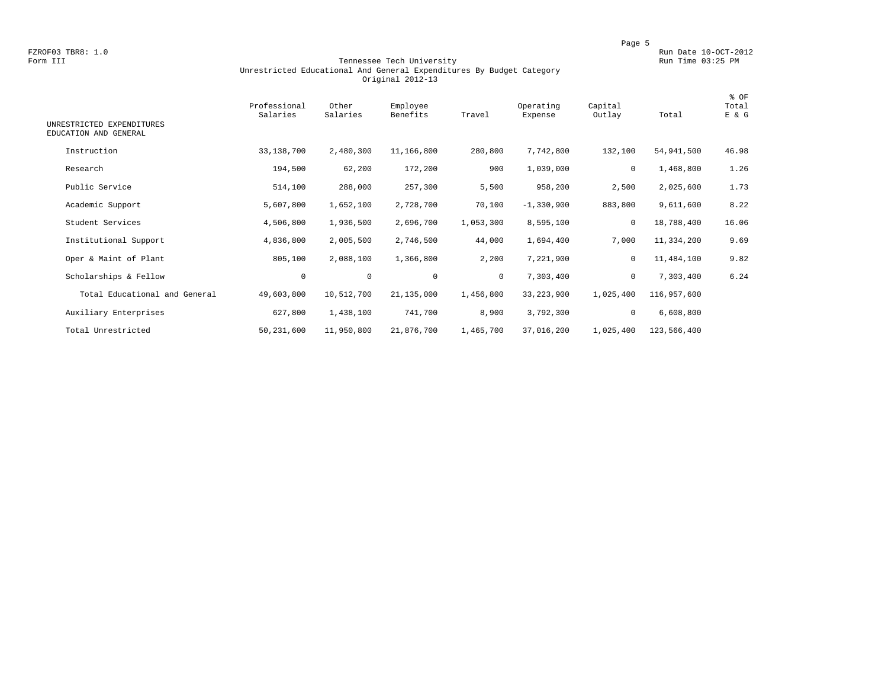FZROF03 TBR8: 1.0<br>Form III Run Date 10-OCT-2012<br>Form III Run Time 03:25 PM

#### Form III Tennessee Tech University Run Time 03:25 PM Unrestricted Educational And General Expenditures By Budget Category Original 2012-13

| UNRESTRICTED EXPENDITURES<br>EDUCATION AND GENERAL | Professional<br>Salaries | Other<br>Salaries | Employee<br>Benefits | Travel    | Operating<br>Expense | Capital<br>Outlay | Total       | % OF<br>Total<br>E & G |
|----------------------------------------------------|--------------------------|-------------------|----------------------|-----------|----------------------|-------------------|-------------|------------------------|
| Instruction                                        | 33,138,700               | 2,480,300         | 11,166,800           | 280,800   | 7,742,800            | 132,100           | 54,941,500  | 46.98                  |
| Research                                           | 194,500                  | 62,200            | 172,200              | 900       | 1,039,000            | $\mathbf 0$       | 1,468,800   | 1.26                   |
| Public Service                                     | 514,100                  | 288,000           | 257,300              | 5,500     | 958,200              | 2,500             | 2,025,600   | 1.73                   |
| Academic Support                                   | 5,607,800                | 1,652,100         | 2,728,700            | 70,100    | $-1,330,900$         | 883,800           | 9,611,600   | 8.22                   |
| Student Services                                   | 4,506,800                | 1,936,500         | 2,696,700            | 1,053,300 | 8,595,100            | $\mathbf 0$       | 18,788,400  | 16.06                  |
| Institutional Support                              | 4,836,800                | 2,005,500         | 2,746,500            | 44,000    | 1,694,400            | 7,000             | 11,334,200  | 9.69                   |
| Oper & Maint of Plant                              | 805,100                  | 2,088,100         | 1,366,800            | 2,200     | 7,221,900            | 0                 | 11,484,100  | 9.82                   |
| Scholarships & Fellow                              | 0                        | $\mathbf 0$       | $\mathbf{0}$         | $\circ$   | 7,303,400            | $\mathbf{0}$      | 7,303,400   | 6.24                   |
| Total Educational and General                      | 49,603,800               | 10,512,700        | 21, 135, 000         | 1,456,800 | 33, 223, 900         | 1,025,400         | 116,957,600 |                        |
| Auxiliary Enterprises                              | 627,800                  | 1,438,100         | 741,700              | 8,900     | 3,792,300            | $\mathbf 0$       | 6,608,800   |                        |
| Total Unrestricted                                 | 50,231,600               | 11,950,800        | 21,876,700           | 1,465,700 | 37,016,200           | 1,025,400         | 123,566,400 |                        |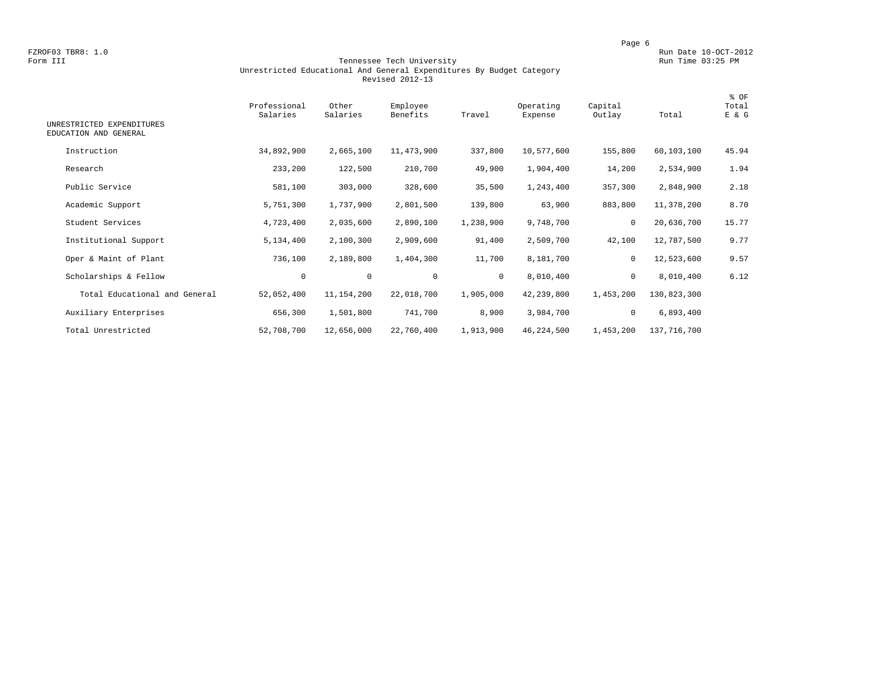FZROF03 TBR8: 1.0<br>Form III Run Date 10-OCT-2012<br>Form III Run Time 03:25 PM

#### Form III Tennessee Tech University Run Time 03:25 PM Unrestricted Educational And General Expenditures By Budget Category Revised 2012-13

| UNRESTRICTED EXPENDITURES<br>EDUCATION AND GENERAL | Professional<br>Salaries | Other<br>Salaries | Employee<br>Benefits | Travel       | Operating<br>Expense | Capital<br>Outlay | Total       | % OF<br>Total<br>E & G |
|----------------------------------------------------|--------------------------|-------------------|----------------------|--------------|----------------------|-------------------|-------------|------------------------|
|                                                    |                          |                   |                      |              |                      |                   |             |                        |
| Instruction                                        | 34,892,900               | 2,665,100         | 11,473,900           | 337,800      | 10,577,600           | 155,800           | 60,103,100  | 45.94                  |
| Research                                           | 233,200                  | 122,500           | 210,700              | 49,900       | 1,904,400            | 14,200            | 2,534,900   | 1.94                   |
| Public Service                                     | 581,100                  | 303,000           | 328,600              | 35,500       | 1,243,400            | 357,300           | 2,848,900   | 2.18                   |
| Academic Support                                   | 5,751,300                | 1,737,900         | 2,801,500            | 139,800      | 63,900               | 883,800           | 11,378,200  | 8.70                   |
| Student Services                                   | 4,723,400                | 2,035,600         | 2,890,100            | 1,238,900    | 9,748,700            | $\mathbf 0$       | 20,636,700  | 15.77                  |
| Institutional Support                              | 5,134,400                | 2,100,300         | 2,909,600            | 91,400       | 2,509,700            | 42,100            | 12,787,500  | 9.77                   |
| Oper & Maint of Plant                              | 736,100                  | 2,189,800         | 1,404,300            | 11,700       | 8,181,700            | $\mathbf 0$       | 12,523,600  | 9.57                   |
| Scholarships & Fellow                              | $\circ$                  | $\mathbf 0$       | $\mathbf 0$          | $\mathbf{0}$ | 8,010,400            | $\mathbf 0$       | 8,010,400   | 6.12                   |
| Total Educational and General                      | 52,052,400               | 11,154,200        | 22,018,700           | 1,905,000    | 42,239,800           | 1,453,200         | 130,823,300 |                        |
| Auxiliary Enterprises                              | 656,300                  | 1,501,800         | 741,700              | 8,900        | 3,984,700            | 0                 | 6,893,400   |                        |
| Total Unrestricted                                 | 52,708,700               | 12,656,000        | 22,760,400           | 1,913,900    | 46,224,500           | 1,453,200         | 137,716,700 |                        |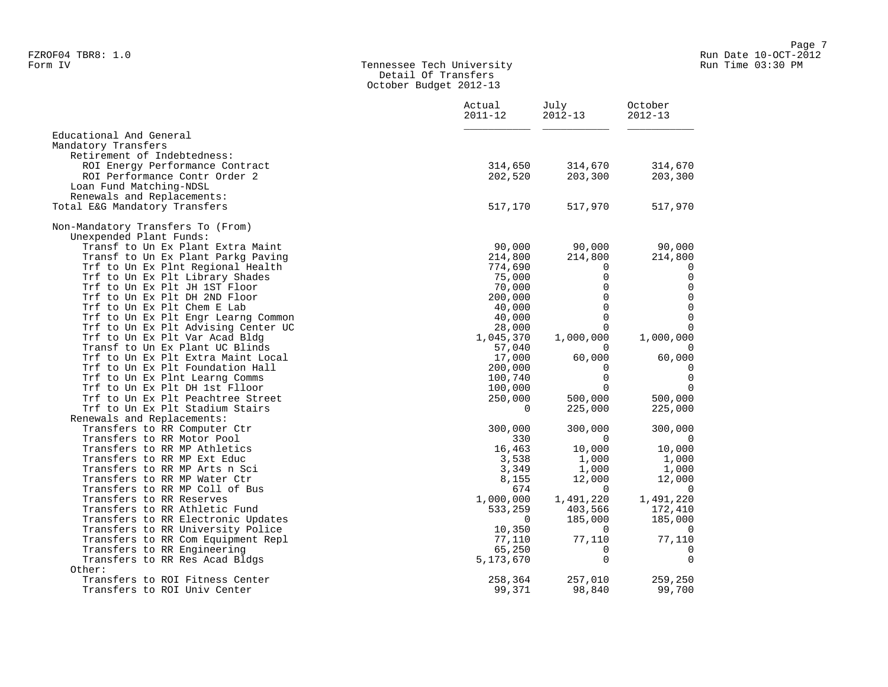#### Form IV Tennessee Tech University Run Time 03:30 PM Detail Of Transfers October Budget 2012-13

|                                     | Actual<br>$2011 - 12$ | July<br>$2012 - 13$ | October<br>$2012 - 13$ |  |
|-------------------------------------|-----------------------|---------------------|------------------------|--|
| Educational And General             |                       |                     |                        |  |
| Mandatory Transfers                 |                       |                     |                        |  |
| Retirement of Indebtedness:         |                       |                     |                        |  |
| ROI Energy Performance Contract     | 314,650               | 314,670             | 314,670                |  |
| ROI Performance Contr Order 2       | 202,520               | 203,300             | 203,300                |  |
| Loan Fund Matching-NDSL             |                       |                     |                        |  |
| Renewals and Replacements:          |                       |                     |                        |  |
| Total E&G Mandatory Transfers       | 517,170               | 517,970             | 517,970                |  |
| Non-Mandatory Transfers To (From)   |                       |                     |                        |  |
| Unexpended Plant Funds:             |                       |                     |                        |  |
| Transf to Un Ex Plant Extra Maint   | 90,000                | 90,000              | 90,000                 |  |
| Transf to Un Ex Plant Parkg Paving  | 214,800               | 214,800             | 214,800                |  |
| Trf to Un Ex Plnt Regional Health   | 774,690               | $\mathbf 0$         | 0                      |  |
| Trf to Un Ex Plt Library Shades     | 75,000                | 0                   | 0                      |  |
| Trf to Un Ex Plt JH 1ST Floor       | 70,000                | $\mathbf 0$         | $\mathbf 0$            |  |
| Trf to Un Ex Plt DH 2ND Floor       | 200,000               | $\mathbf 0$         | $\mathsf 0$            |  |
| Trf to Un Ex Plt Chem E Lab         | 40,000                | $\Omega$            | $\mathbf 0$            |  |
| Trf to Un Ex Plt Engr Learng Common | 40,000                | $\Omega$            | $\mathsf 0$            |  |
| Trf to Un Ex Plt Advising Center UC | 28,000                | $\Omega$            | $\mathbf 0$            |  |
| Trf to Un Ex Plt Var Acad Bldg      | 1,045,370             | 1,000,000           | 1,000,000              |  |
| Transf to Un Ex Plant UC Blinds     | 57,040                | $\Omega$            | $\Omega$               |  |
| Trf to Un Ex Plt Extra Maint Local  | 17,000                | 60,000              | 60,000                 |  |
| Trf to Un Ex Plt Foundation Hall    | 200,000               | $\Omega$            | $\Omega$               |  |
| Trf to Un Ex Plnt Learng Comms      | 100,740               | $\mathbf 0$         | 0                      |  |
| Trf to Un Ex Plt DH 1st Flloor      | 100,000               | $\Omega$            | $\mathbf 0$            |  |
| Trf to Un Ex Plt Peachtree Street   | 250,000               | 500,000             | 500,000                |  |
| Trf to Un Ex Plt Stadium Stairs     | $\Omega$              | 225,000             | 225,000                |  |
| Renewals and Replacements:          |                       |                     |                        |  |
| Transfers to RR Computer Ctr        | 300,000               | 300,000             | 300,000                |  |
| Transfers to RR Motor Pool          | 330                   | $\Omega$            | $\overline{0}$         |  |
| Transfers to RR MP Athletics        | 16,463                | 10,000              | 10,000                 |  |
| Transfers to RR MP Ext Educ         | 3,538                 | 1,000               | 1,000                  |  |
| Transfers to RR MP Arts n Sci       | 3,349                 | 1,000               | 1,000                  |  |
| Transfers to RR MP Water Ctr        | 8,155                 | 12,000              | 12,000                 |  |
| Transfers to RR MP Coll of Bus      | 674                   | $\overline{0}$      | $\overline{0}$         |  |
| Transfers to RR Reserves            | 1,000,000             | 1,491,220           | 1,491,220              |  |
| Transfers to RR Athletic Fund       | 533,259               | 403,566             | 172,410                |  |
| Transfers to RR Electronic Updates  | $\Omega$              | 185,000             | 185,000                |  |
| Transfers to RR University Police   | 10,350                | $\overline{0}$      | $\overline{0}$         |  |
| Transfers to RR Com Equipment Repl  | 77,110                | 77,110              | 77,110                 |  |
| Transfers to RR Engineering         | 65,250                | $\Omega$            | $\overline{0}$         |  |
| Transfers to RR Res Acad Bldgs      | 5,173,670             | $\Omega$            | $\mathbf 0$            |  |
| Other:                              |                       |                     |                        |  |
| Transfers to ROI Fitness Center     | 258,364               | 257,010             | 259,250                |  |
| Transfers to ROI Univ Center        | 99,371                | 98,840              | 99,700                 |  |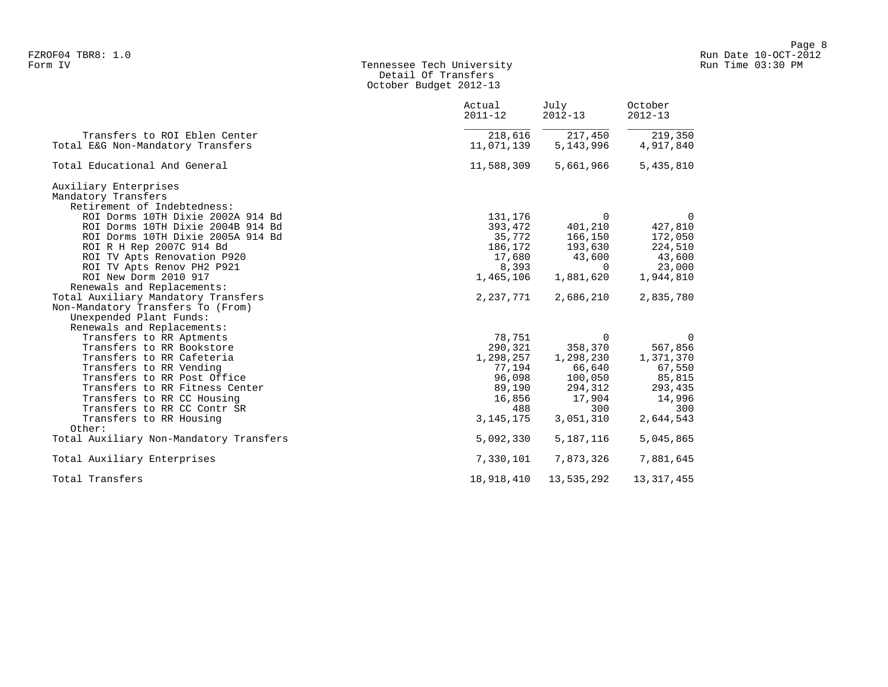### Form IV Tennessee Tech University Run Time 03:30 PM Detail Of Transfers October Budget 2012-13

|                                                                    | Actual<br>$2011 - 12$ | July<br>$2012 - 13$    | October<br>$2012 - 13$ |
|--------------------------------------------------------------------|-----------------------|------------------------|------------------------|
| Transfers to ROI Eblen Center<br>Total E&G Non-Mandatory Transfers | 218,616<br>11,071,139 | 217,450<br>5, 143, 996 | 219,350<br>4,917,840   |
|                                                                    |                       |                        |                        |
| Total Educational And General                                      | 11,588,309            | 5,661,966              | 5,435,810              |
| Auxiliary Enterprises                                              |                       |                        |                        |
| Mandatory Transfers                                                |                       |                        |                        |
| Retirement of Indebtedness:                                        |                       |                        |                        |
| ROI Dorms 10TH Dixie 2002A 914 Bd                                  | 131,176               | $\Omega$               | $\Omega$               |
| ROI Dorms 10TH Dixie 2004B 914 Bd                                  | 393,472               | 401,210                | 427,810                |
| ROI Dorms 10TH Dixie 2005A 914 Bd                                  | 35,772                | 166,150                | 172,050                |
| ROI R H Rep 2007C 914 Bd                                           | 186,172               | 193,630                | 224,510                |
| ROI TV Apts Renovation P920                                        | 17,680                | 43,600                 | 43,600                 |
| ROI TV Apts Renov PH2 P921                                         | 8,393                 | $\Omega$               | 23,000                 |
| ROI New Dorm 2010 917                                              | 1,465,106             | 1,881,620              | 1,944,810              |
| Renewals and Replacements:                                         |                       |                        |                        |
| Total Auxiliary Mandatory Transfers                                | 2,237,771             | 2,686,210              | 2,835,780              |
| Non-Mandatory Transfers To (From)                                  |                       |                        |                        |
| Unexpended Plant Funds:                                            |                       |                        |                        |
| Renewals and Replacements:                                         |                       |                        |                        |
| Transfers to RR Aptments                                           | 78,751                | $\Omega$               | $\overline{0}$         |
| Transfers to RR Bookstore                                          | 290,321               | 358,370                | 567,856                |
| Transfers to RR Cafeteria                                          | 1,298,257             | 1,298,230              | 1,371,370              |
| Transfers to RR Vending                                            | 77,194                | 66,640                 | 67,550                 |
| Transfers to RR Post Office                                        | 96,098                | 100,050                | 85,815                 |
| Transfers to RR Fitness Center                                     | 89,190                | 294,312                | 293,435                |
| Transfers to RR CC Housing                                         | 16,856                | 17,904                 | 14,996                 |
| Transfers to RR CC Contr SR                                        | 488                   | 300                    | 300                    |
| Transfers to RR Housing                                            | 3, 145, 175           | 3,051,310              | 2,644,543              |
| Other:                                                             |                       |                        |                        |
| Total Auxiliary Non-Mandatory Transfers                            | 5,092,330             | 5,187,116              | 5,045,865              |
| Total Auxiliary Enterprises                                        | 7,330,101             | 7,873,326              | 7,881,645              |
| Total Transfers                                                    | 18,918,410            | 13,535,292             | 13, 317, 455           |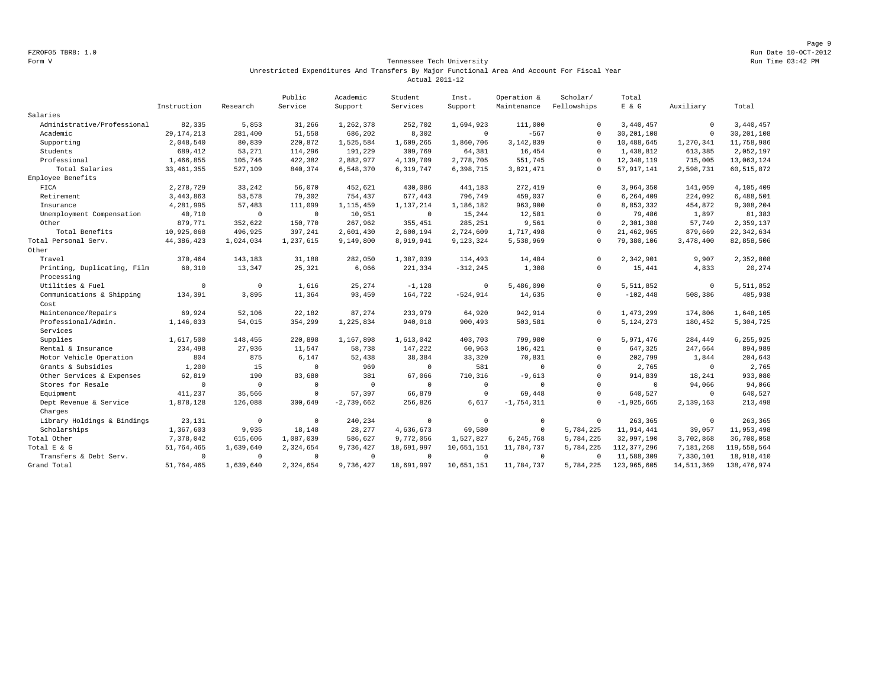Page 9 FZROF05 TBR8: 1.0 Run Date 10-OCT-2012

#### Form V Tennessee Tech University Run Time 03:42 PM Unrestricted Expenditures And Transfers By Major Functional Area And Account For Fiscal Year Actual 2011-12

|                             |              |              | Public      | Academic     | Student     | Inst.       | Operation &  | Scholar/     | Total          |             |               |
|-----------------------------|--------------|--------------|-------------|--------------|-------------|-------------|--------------|--------------|----------------|-------------|---------------|
|                             | Instruction  | Research     | Service     | Support      | Services    | Support     | Maintenance  | Fellowships  | E & G          | Auxiliary   | Total         |
| Salaries                    |              |              |             |              |             |             |              |              |                |             |               |
| Administrative/Professional | 82,335       | 5,853        | 31,266      | 1,262,378    | 252,702     | 1,694,923   | 111,000      | $\Omega$     | 3,440,457      | $\mathbf 0$ | 3,440,457     |
| Academic                    | 29, 174, 213 | 281,400      | 51,558      | 686,202      | 8,302       | $\circ$     | $-567$       | $\mathbf{0}$ | 30, 201, 108   | $\mathbf 0$ | 30, 201, 108  |
| Supporting                  | 2,048,540    | 80,839       | 220,872     | 1,525,584    | 1,609,265   | 1,860,706   | 3, 142, 839  | $\Omega$     | 10,488,645     | 1,270,341   | 11,758,986    |
| Students                    | 689,412      | 53,271       | 114,296     | 191,229      | 309,769     | 64,381      | 16,454       | $\Omega$     | 1,438,812      | 613,385     | 2,052,197     |
| Professional                | 1,466,855    | 105,746      | 422,382     | 2,882,977    | 4,139,709   | 2,778,705   | 551,745      | $\Omega$     | 12, 348, 119   | 715,005     | 13,063,124    |
| Total Salaries              | 33, 461, 355 | 527,109      | 840,374     | 6,548,370    | 6, 319, 747 | 6,398,715   | 3,821,471    | $\mathbf{0}$ | 57, 917, 141   | 2,598,731   | 60, 515, 872  |
| Employee Benefits           |              |              |             |              |             |             |              |              |                |             |               |
| FICA                        | 2, 278, 729  | 33,242       | 56,070      | 452,621      | 430,086     | 441,183     | 272,419      | $\Omega$     | 3,964,350      | 141,059     | 4,105,409     |
| Retirement                  | 3, 443, 863  | 53,578       | 79,302      | 754.437      | 677,443     | 796,749     | 459,037      | $\circ$      | 6,264,409      | 224,092     | 6,488,501     |
| Insurance                   | 4,281,995    | 57,483       | 111,099     | 1,115,459    | 1,137,214   | 1,186,182   | 963,900      | $\circ$      | 8,853,332      | 454,872     | 9,308,204     |
| Unemployment Compensation   | 40,710       | $\mathsf{O}$ | $\mathbf 0$ | 10,951       | $\mathbb O$ | 15,244      | 12,581       | $\Omega$     | 79,486         | 1,897       | 81,383        |
| Other                       | 879,771      | 352,622      | 150,770     | 267,962      | 355,451     | 285,251     | 9,561        | $\circ$      | 2,301,388      | 57,749      | 2,359,137     |
| Total Benefits              | 10,925,068   | 496,925      | 397,241     | 2,601,430    | 2,600,194   | 2,724,609   | 1,717,498    | $\Omega$     | 21, 462, 965   | 879,669     | 22, 342, 634  |
| Total Personal Serv.        | 44, 386, 423 | 1,024,034    | 1,237,615   | 9,149,800    | 8,919,941   | 9,123,324   | 5,538,969    | $\Omega$     | 79,380,106     | 3,478,400   | 82, 858, 506  |
| Other                       |              |              |             |              |             |             |              |              |                |             |               |
| Travel                      | 370,464      | 143,183      | 31,188      | 282,050      | 1,387,039   | 114,493     | 14,484       | $\Omega$     | 2,342,901      | 9,907       | 2,352,808     |
| Printing, Duplicating, Film | 60,310       | 13,347       | 25,321      | 6,066        | 221,334     | $-312, 245$ | 1,308        | $\circ$      | 15,441         | 4,833       | 20,274        |
| Processing                  |              |              |             |              |             |             |              |              |                |             |               |
| Utilities & Fuel            | $\Omega$     | $\mathbf 0$  | 1,616       | 25, 274      | $-1,128$    | $\circ$     | 5,486,090    | $\Omega$     | 5,511,852      | $\mathbb O$ | 5, 511, 852   |
| Communications & Shipping   | 134,391      | 3,895        | 11,364      | 93,459       | 164,722     | $-524, 914$ | 14,635       | $\circ$      | $-102, 448$    | 508,386     | 405,938       |
| Cost                        |              |              |             |              |             |             |              |              |                |             |               |
| Maintenance/Repairs         | 69,924       | 52,106       | 22,182      | 87,274       | 233,979     | 64,920      | 942,914      | $\Omega$     | 1,473,299      | 174,806     | 1,648,105     |
| Professional/Admin.         | 1,146,033    | 54,015       | 354,299     | 1,225,834    | 940,018     | 900,493     | 503,581      | $\Omega$     | 5, 124, 273    | 180,452     | 5,304,725     |
| Services                    |              |              |             |              |             |             |              |              |                |             |               |
| Supplies                    | 1,617,500    | 148,455      | 220,898     | 1,167,898    | 1,613,042   | 403,703     | 799,980      | $\Omega$     | 5,971,476      | 284,449     | 6,255,925     |
| Rental & Insurance          | 234,498      | 27,936       | 11,547      | 58,738       | 147,222     | 60,963      | 106,421      | $\Omega$     | 647,325        | 247,664     | 894,989       |
| Motor Vehicle Operation     | 804          | 875          | 6,147       | 52,438       | 38,384      | 33,320      | 70,831       | $\circ$      | 202,799        | 1,844       | 204,643       |
| Grants & Subsidies          | 1,200        | 15           | $\Omega$    | 969          | $\Omega$    | 581         | $\mathbf{0}$ | $\Omega$     | 2,765          | $\Omega$    | 2,765         |
| Other Services & Expenses   | 62,819       | 190          | 83,680      | 381          | 67,066      | 710,316     | $-9,613$     | $\mathbf{0}$ | 914,839        | 18,241      | 933,080       |
| Stores for Resale           | $\Omega$     | $^{\circ}$   | $\Omega$    | $\circ$      | $\mathbf 0$ | $\mathbf 0$ | $\circ$      | $\Omega$     | $\mathbf 0$    | 94,066      | 94,066        |
| Equipment                   | 411,237      | 35,566       | $\mathbf 0$ | 57,397       | 66,879      | $\mathbf 0$ | 69,448       | $\Omega$     | 640,527        | $\mathbf 0$ | 640,527       |
| Dept Revenue & Service      | 1,878,128    | 126,088      | 300,649     | $-2,739,662$ | 256,826     | 6,617       | $-1,754,311$ | $\Omega$     | $-1, 925, 665$ | 2,139,163   | 213,498       |
| Charges                     |              |              |             |              |             |             |              |              |                |             |               |
| Library Holdings & Bindings | 23,131       | $\mathbf 0$  | $^{\circ}$  | 240,234      | $\mathbf 0$ | $^{\circ}$  | $^{\circ}$   | $^{\circ}$   | 263,365        | $\mathbf 0$ | 263,365       |
| Scholarships                | 1,367,603    | 9,935        | 18,148      | 28,277       | 4,636,673   | 69,580      | $\circ$      | 5,784,225    | 11,914,441     | 39,057      | 11,953,498    |
| Total Other                 | 7,378,042    | 615,606      | 1,087,039   | 586,627      | 9,772,056   | 1,527,827   | 6,245,768    | 5,784,225    | 32,997,190     | 3,702,868   | 36,700,058    |
| Total E & G                 | 51,764,465   | 1,639,640    | 2,324,654   | 9,736,427    | 18,691,997  | 10,651,151  | 11,784,737   | 5,784,225    | 112, 377, 296  | 7,181,268   | 119,558,564   |
| Transfers & Debt Serv.      | $\Omega$     | $\mathbf 0$  | $\Omega$    | $^{\circ}$   | $\Omega$    | $\Omega$    | $^{\circ}$   | $\Omega$     | 11,588,309     | 7,330,101   | 18,918,410    |
| Grand Total                 | 51,764,465   | 1,639,640    | 2,324,654   | 9,736,427    | 18,691,997  | 10,651,151  | 11,784,737   | 5,784,225    | 123,965,605    | 14,511,369  | 138, 476, 974 |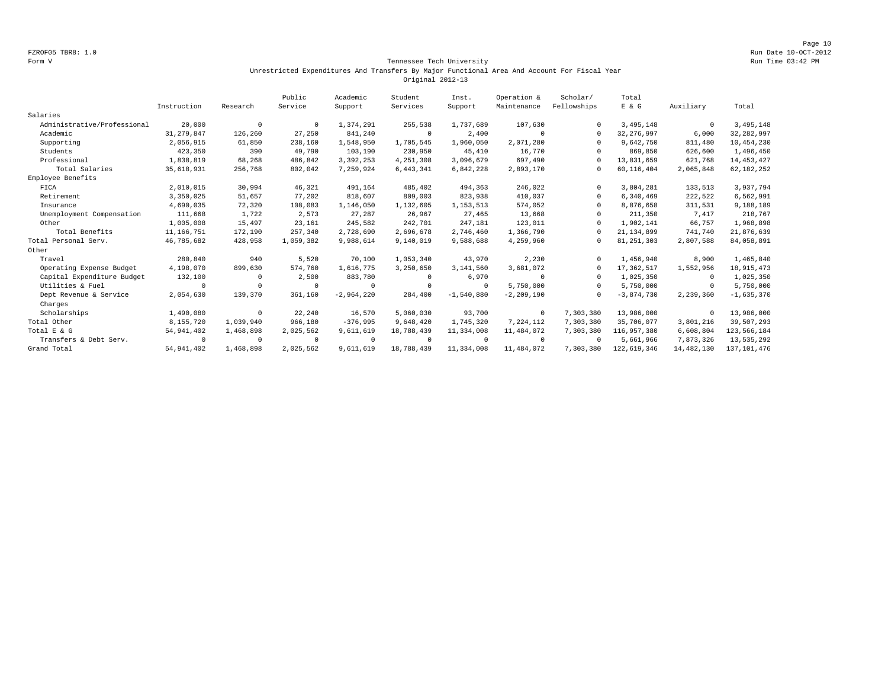Page 10 FZROF05 TBR8: 1.0 Run Date 10-OCT-2012

#### Form V Tennessee Tech University Run Time 03:42 PM Unrestricted Expenditures And Transfers By Major Functional Area And Account For Fiscal Year Original 2012-13

|                             |              |            | Public     | Academic     | Student     | Inst.        | Operation &    | Scholar/    | Total        |              |               |
|-----------------------------|--------------|------------|------------|--------------|-------------|--------------|----------------|-------------|--------------|--------------|---------------|
|                             | Instruction  | Research   | Service    | Support      | Services    | Support      | Maintenance    | Fellowships | E & G        | Auxiliary    | Total         |
| Salaries                    |              |            |            |              |             |              |                |             |              |              |               |
| Administrative/Professional | 20,000       | $^{\circ}$ | $^{\circ}$ | 1,374,291    | 255,538     | 1,737,689    | 107,630        |             | 3,495,148    | $\mathbf 0$  | 3, 495, 148   |
| Academic                    | 31, 279, 847 | 126,260    | 27,250     | 841,240      | $\circ$     | 2,400        |                | $\Omega$    | 32, 276, 997 | 6,000        | 32, 282, 997  |
| Supporting                  | 2,056,915    | 61,850     | 238,160    | 1,548,950    | 1,705,545   | 1,960,050    | 2,071,280      |             | 9,642,750    | 811,480      | 10,454,230    |
| Students                    | 423,350      | 390        | 49,790     | 103,190      | 230,950     | 45,410       | 16,770         |             | 869,850      | 626,600      | 1,496,450     |
| Professional                | 1,838,819    | 68,268     | 486,842    | 3,392,253    | 4,251,308   | 3,096,679    | 697,490        |             | 13,831,659   | 621,768      | 14, 453, 427  |
| Total Salaries              | 35,618,931   | 256,768    | 802,042    | 7,259,924    | 6, 443, 341 | 6,842,228    | 2,893,170      | $\Omega$    | 60,116,404   | 2,065,848    | 62, 182, 252  |
| Employee Benefits           |              |            |            |              |             |              |                |             |              |              |               |
| FICA                        | 2,010,015    | 30,994     | 46,321     | 491,164      | 485,402     | 494,363      | 246,022        |             | 3,804,281    | 133,513      | 3,937,794     |
| Retirement                  | 3,350,025    | 51,657     | 77,202     | 818,607      | 809,003     | 823,938      | 410,037        | $\Omega$    | 6,340,469    | 222,522      | 6,562,991     |
| Insurance                   | 4,690,035    | 72,320     | 108,083    | 1,146,050    | 1,132,605   | 1, 153, 513  | 574,052        |             | 8,876,658    | 311,531      | 9,188,189     |
| Unemployment Compensation   | 111,668      | 1,722      | 2.573      | 27,287       | 26.967      | 27,465       | 13,668         |             | 211,350      | 7,417        | 218,767       |
| Other                       | 1,005,008    | 15,497     | 23,161     | 245,582      | 242,701     | 247,181      | 123,011        |             | 1,902,141    | 66,757       | 1,968,898     |
| Total Benefits              | 11,166,751   | 172,190    | 257,340    | 2,728,690    | 2,696,678   | 2,746,460    | 1,366,790      |             | 21, 134, 899 | 741,740      | 21,876,639    |
| Total Personal Serv.        | 46,785,682   | 428,958    | 1,059,382  | 9,988,614    | 9,140,019   | 9,588,688    | 4,259,960      |             | 81, 251, 303 | 2,807,588    | 84,058,891    |
| Other                       |              |            |            |              |             |              |                |             |              |              |               |
| Travel                      | 280,840      | 940        | 5,520      | 70,100       | 1,053,340   | 43,970       | 2,230          |             | 1,456,940    | 8,900        | 1,465,840     |
| Operating Expense Budget    | 4,198,070    | 899,630    | 574,760    | 1,616,775    | 3,250,650   | 3,141,560    | 3,681,072      |             | 17,362,517   | 1,552,956    | 18, 915, 473  |
| Capital Expenditure Budget  | 132,100      | $\Omega$   | 2,500      | 883,780      | $\Omega$    | 6,970        | $\Omega$       | $\Omega$    | 1,025,350    | $\circ$      | 1,025,350     |
| Utilities & Fuel            | $\Omega$     | $\Omega$   | $\cap$     | $\Omega$     | $\cup$      | $\Omega$     | 5,750,000      | $\Omega$    | 5,750,000    | $^{\circ}$   | 5,750,000     |
| Dept Revenue & Service      | 2,054,630    | 139,370    | 361,160    | $-2,964,220$ | 284,400     | $-1,540,880$ | $-2, 209, 190$ |             | $-3,874,730$ | 2,239,360    | $-1,635,370$  |
| Charges                     |              |            |            |              |             |              |                |             |              |              |               |
| Scholarships                | 1,490,080    | $^{\circ}$ | 22,240     | 16,570       | 5,060,030   | 93,700       | $\mathbf 0$    | 7,303,380   | 13,986,000   | $^{\circ}$   | 13,986,000    |
| Total Other                 | 8,155,720    | 1,039,940  | 966,180    | $-376,995$   | 9,648,420   | 1,745,320    | 7,224,112      | 7,303,380   | 35,706,077   | 3,801,216    | 39,507,293    |
| Total E & G                 | 54, 941, 402 | 1,468,898  | 2,025,562  | 9,611,619    | 18,788,439  | 11,334,008   | 11,484,072     | 7,303,380   | 116,957,380  | 6,608,804    | 123,566,184   |
| Transfers & Debt Serv.      | $\mathbf 0$  | $^{\circ}$ | $^{\circ}$ | $\Omega$     | $\Omega$    | $^{\circ}$   | $^{\circ}$     | $\Omega$    | 5,661,966    | 7,873,326    | 13,535,292    |
| Grand Total                 | 54, 941, 402 | 1,468,898  | 2,025,562  | 9,611,619    | 18,788,439  | 11,334,008   | 11,484,072     | 7,303,380   | 122,619,346  | 14, 482, 130 | 137, 101, 476 |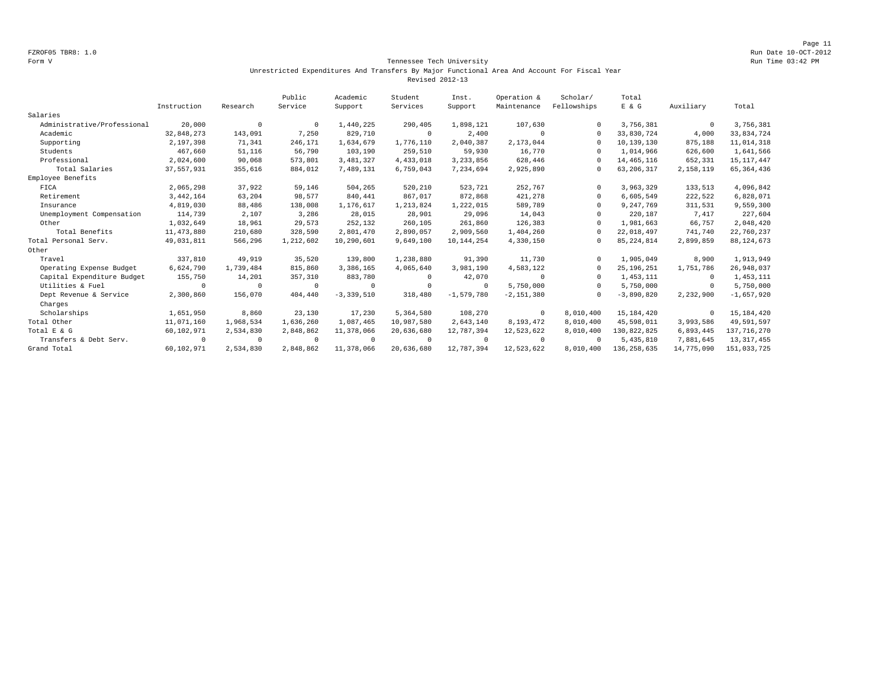#### Form V Tennessee Tech University Run Time 03:42 PM Unrestricted Expenditures And Transfers By Major Functional Area And Account For Fiscal Year Revised 2012-13

|                             |              |            | Public    | Academic     | Student    | Inst.        | Operation &  | Scholar/     | Total         |              |               |
|-----------------------------|--------------|------------|-----------|--------------|------------|--------------|--------------|--------------|---------------|--------------|---------------|
|                             | Instruction  | Research   | Service   | Support      | Services   | Support      | Maintenance  | Fellowships  | E & G         | Auxiliary    | Total         |
| Salaries                    |              |            |           |              |            |              |              |              |               |              |               |
| Administrative/Professional | 20,000       | $^{\circ}$ | $\Omega$  | 1,440,225    | 290,405    | 1,898,121    | 107,630      | $\Omega$     | 3,756,381     | $\circ$      | 3,756,381     |
| Academic                    | 32,848,273   | 143,091    | 7,250     | 829,710      | $^{\circ}$ | 2,400        |              | $\Omega$     | 33,830,724    | 4,000        | 33,834,724    |
| Supporting                  | 2,197,398    | 71,341     | 246,171   | 1,634,679    | 1,776,110  | 2,040,387    | 2,173,044    |              | 10,139,130    | 875,188      | 11,014,318    |
| Students                    | 467,660      | 51,116     | 56,790    | 103,190      | 259,510    | 59,930       | 16,770       |              | 1,014,966     | 626,600      | 1,641,566     |
| Professional                | 2,024,600    | 90,068     | 573,801   | 3, 481, 327  | 4,433,018  | 3,233,856    | 628,446      | $\Omega$     | 14, 465, 116  | 652,331      | 15, 117, 447  |
| Total Salaries              | 37,557,931   | 355,616    | 884,012   | 7,489,131    | 6,759,043  | 7,234,694    | 2,925,890    | $\mathbf{0}$ | 63, 206, 317  | 2,158,119    | 65, 364, 436  |
| Employee Benefits           |              |            |           |              |            |              |              |              |               |              |               |
| FICA                        | 2,065,298    | 37,922     | 59,146    | 504,265      | 520,210    | 523,721      | 252,767      |              | 3,963,329     | 133,513      | 4,096,842     |
| Retirement                  | 3, 442, 164  | 63,204     | 98,577    | 840,441      | 867,017    | 872,868      | 421,278      | $\Omega$     | 6,605,549     | 222,522      | 6,828,071     |
| Insurance                   | 4,819,030    | 88,486     | 138,008   | 1,176,617    | 1,213,824  | 1,222,015    | 589,789      | $\Omega$     | 9,247,769     | 311,531      | 9,559,300     |
| Unemployment Compensation   | 114,739      | 2,107      | 3,286     | 28,015       | 28,901     | 29,096       | 14,043       | $\Omega$     | 220,187       | 7,417        | 227,604       |
| Other                       | 1,032,649    | 18,961     | 29,573    | 252,132      | 260,105    | 261,860      | 126,383      | $\Omega$     | 1,981,663     | 66,757       | 2,048,420     |
| Total Benefits              | 11, 473, 880 | 210,680    | 328,590   | 2,801,470    | 2,890,057  | 2,909,560    | 1,404,260    | $\Omega$     | 22,018,497    | 741,740      | 22,760,237    |
| Total Personal Serv.        | 49,031,811   | 566,296    | 1,212,602 | 10,290,601   | 9,649,100  | 10,144,254   | 4,330,150    | $\Omega$     | 85, 224, 814  | 2,899,859    | 88, 124, 673  |
| Other                       |              |            |           |              |            |              |              |              |               |              |               |
| Travel                      | 337,810      | 49,919     | 35,520    | 139,800      | 1,238,880  | 91,390       | 11,730       |              | 1,905,049     | 8,900        | 1,913,949     |
| Operating Expense Budget    | 6,624,790    | 1,739,484  | 815,860   | 3,386,165    | 4,065,640  | 3,981,190    | 4,583,122    | $\Omega$     | 25, 196, 251  | 1,751,786    | 26,948,037    |
| Capital Expenditure Budget  | 155,750      | 14,201     | 357,310   | 883,780      | 0          | 42,070       | $\Omega$     | $^{\circ}$   | 1,453,111     | $^{\circ}$   | 1,453,111     |
| Utilities & Fuel            | $\Omega$     | $\Omega$   | $\Omega$  | $\Omega$     | $\Omega$   | $\Omega$     | 5,750,000    | $\Omega$     | 5,750,000     | $\Omega$     | 5,750,000     |
| Dept Revenue & Service      | 2,300,860    | 156,070    | 404,440   | $-3,339,510$ | 318,480    | $-1.579.780$ | $-2,151,380$ |              | $-3,890,820$  | 2,232,900    | $-1,657,920$  |
| Charges                     |              |            |           |              |            |              |              |              |               |              |               |
| Scholarships                | 1,651,950    | 8,860      | 23,130    | 17,230       | 5,364,580  | 108,270      | $^{\circ}$   | 8,010,400    | 15,184,420    | $\mathbf{0}$ | 15, 184, 420  |
| Total Other                 | 11,071,160   | 1,968,534  | 1,636,260 | 1,087,465    | 10,987,580 | 2,643,140    | 8,193,472    | 8,010,400    | 45,598,011    | 3,993,586    | 49,591,597    |
| Total E & G                 | 60,102,971   | 2,534,830  | 2,848,862 | 11,378,066   | 20,636,680 | 12,787,394   | 12,523,622   | 8,010,400    | 130,822,825   | 6,893,445    | 137, 716, 270 |
| Transfers & Debt Serv.      | $\mathbf 0$  | $^{\circ}$ | $\Omega$  | $^{\circ}$   | $^{\circ}$ | $\Omega$     | $\Omega$     | $\Omega$     | 5,435,810     | 7,881,645    | 13, 317, 455  |
| Grand Total                 | 60,102,971   | 2,534,830  | 2,848,862 | 11,378,066   | 20,636,680 | 12,787,394   | 12,523,622   | 8,010,400    | 136, 258, 635 | 14,775,090   | 151,033,725   |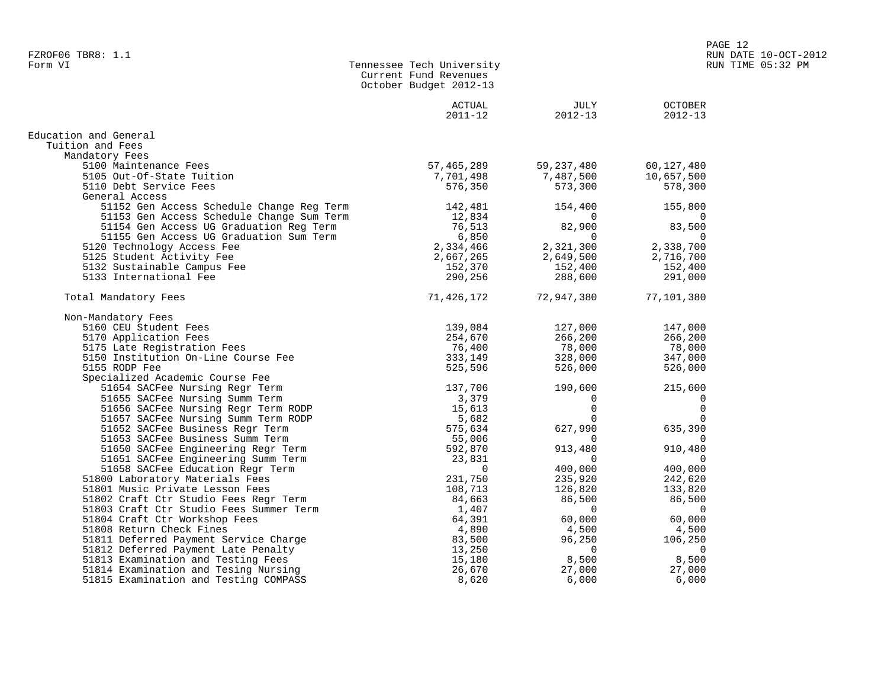|                                           | Current Fund Revenues<br>October Budget 2012-13 |                     |                               |
|-------------------------------------------|-------------------------------------------------|---------------------|-------------------------------|
|                                           | ACTUAL<br>$2011 - 12$                           | JULY<br>$2012 - 13$ | <b>OCTOBER</b><br>$2012 - 13$ |
| Education and General                     |                                                 |                     |                               |
| Tuition and Fees                          |                                                 |                     |                               |
| Mandatory Fees                            |                                                 |                     |                               |
| 5100 Maintenance Fees                     | 57,465,289                                      | 59, 237, 480        | 60,127,480                    |
| 5105 Out-Of-State Tuition                 | 7,701,498                                       | 7,487,500           | 10,657,500                    |
| 5110 Debt Service Fees                    | 576,350                                         | 573,300             | 578,300                       |
| General Access                            |                                                 |                     |                               |
| 51152 Gen Access Schedule Change Reg Term | 142,481                                         | 154,400             | 155,800                       |
| 51153 Gen Access Schedule Change Sum Term | 12,834                                          | $\Omega$            | $\Omega$                      |
| 51154 Gen Access UG Graduation Reg Term   | 76,513                                          | 82,900              | 83,500                        |
| 51155 Gen Access UG Graduation Sum Term   | 6,850                                           | $\Omega$            | $\Omega$                      |
| 5120 Technology Access Fee                | 2,334,466                                       | 2,321,300           | 2,338,700                     |
| 5125 Student Activity Fee                 | 2,667,265                                       | 2,649,500           | 2,716,700                     |
| 5132 Sustainable Campus Fee               | 152,370                                         | 152,400             | 152,400                       |
| 5133 International Fee                    | 290,256                                         | 288,600             | 291,000                       |
| Total Mandatory Fees                      | 71,426,172                                      | 72,947,380          | 77,101,380                    |
| Non-Mandatory Fees                        |                                                 |                     |                               |
| 5160 CEU Student Fees                     | 139,084                                         | 127,000             | 147,000                       |
| 5170 Application Fees                     | 254,670                                         | 266,200             | 266,200                       |
| 5175 Late Registration Fees               | 76,400                                          | 78,000              | 78,000                        |
| 5150 Institution On-Line Course Fee       | 333,149                                         | 328,000             | 347,000                       |
| 5155 RODP Fee                             | 525,596                                         | 526,000             | 526,000                       |
| Specialized Academic Course Fee           |                                                 |                     |                               |
| 51654 SACFee Nursing Regr Term            | 137,706                                         | 190,600             | 215,600                       |
| 51655 SACFee Nursing Summ Term            | 3,379                                           | $\Omega$            | 0                             |
| 51656 SACFee Nursing Regr Term RODP       | 15,613                                          | $\mathbf 0$         | 0                             |
| 51657 SACFee Nursing Summ Term RODP       | 5,682                                           | $\Omega$            | 0                             |
| 51652 SACFee Business Regr Term           | 575,634                                         | 627,990             | 635,390                       |
| 51653 SACFee Business Summ Term           | 55,006                                          | $\Omega$            | $\Omega$                      |
| 51650 SACFee Engineering Regr Term        | 592,870                                         | 913,480             | 910,480                       |
| 51651 SACFee Engineering Summ Term        | 23,831                                          | 0                   | 0                             |
| 51658 SACFee Education Regr Term          | $\Omega$                                        | 400,000             | 400,000                       |
| 51800 Laboratory Materials Fees           | 231,750                                         | 235,920             | 242,620                       |
| 51801 Music Private Lesson Fees           | 108,713                                         | 126,820             | 133,820                       |
| 51802 Craft Ctr Studio Fees Regr Term     | 84,663                                          | 86,500              | 86,500                        |
| 51803 Craft Ctr Studio Fees Summer Term   | 1,407                                           | $\Omega$            | 0                             |
| 51804 Craft Ctr Workshop Fees             | 64,391                                          | 60,000              | 60,000                        |
| 51808 Return Check Fines                  | 4,890                                           | 4,500               | 4,500                         |
| 51811 Deferred Payment Service Charge     | 83,500                                          | 96,250              | 106,250                       |
| 51812 Deferred Payment Late Penalty       | 13,250                                          | $\Omega$            | 0                             |
| 51813 Examination and Testing Fees        | 15,180                                          | 8,500               | 8,500                         |
| 51814 Examination and Tesing Nursing      | 26,670                                          | 27,000              | 27,000                        |

51815 Examination and Testing COMPASS 8,620 6,000 6,000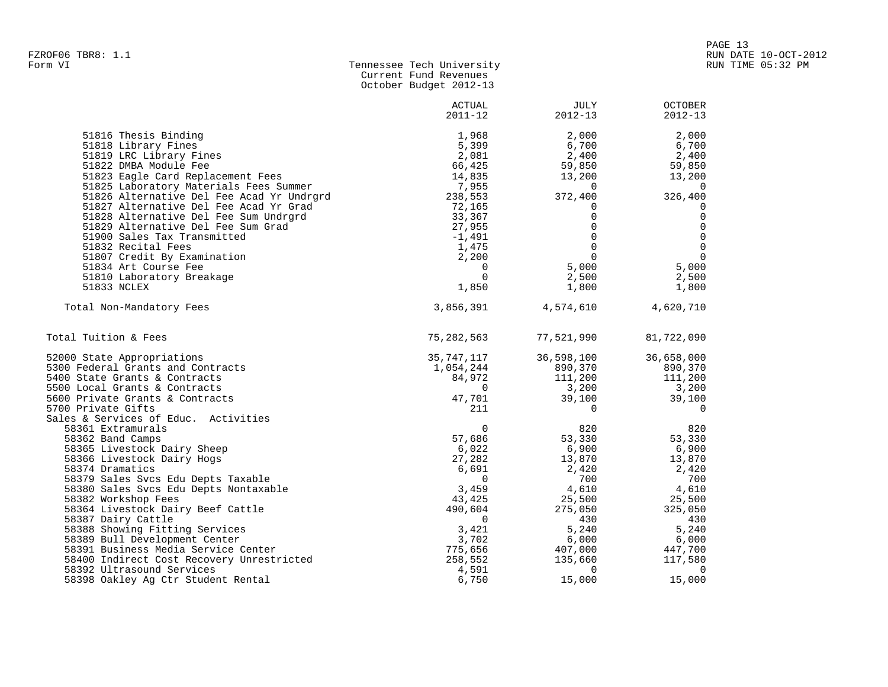| Form VI | Tennessee Tech University |
|---------|---------------------------|
|         | Current Fund Revenues     |
|         | October Budget 2012-13    |

|                                               | ACTUAL<br>$2011 - 12$ | <b>JULY</b><br>$2012 - 13$ | <b>OCTOBER</b><br>$2012 - 13$ |
|-----------------------------------------------|-----------------------|----------------------------|-------------------------------|
| 51816 Thesis Binding                          | 1,968                 | 2,000                      | 2,000                         |
| 51818 Library Fines                           | 5,399                 | 6,700                      | 6,700                         |
| 51819 LRC Library Fines                       | 2,081                 | 2,400                      | 2,400                         |
| 51822 DMBA Module Fee                         | 66,425                | 59,850                     | 59,850                        |
| 51823 Eagle Card Replacement Fees             | 14,835                | 13,200                     | 13,200                        |
| 51825 Laboratory Materials Fees Summer        | 7,955                 | $\Omega$                   | $\Omega$                      |
| 51826 Alternative Del Fee Acad Yr Undrgrd     | 238,553               | 372,400                    | 326,400                       |
| 51827 Alternative Del Fee Acad Yr Grad        | 72,165                | 0                          | 0                             |
| 51828 Alternative Del Fee Sum Undrgrd         | 33,367                | $\Omega$                   | $\Omega$                      |
| 51829 Alternative Del Fee Sum Grad            | 27,955                | $\Omega$                   | $\Omega$                      |
| 51900 Sales Tax Transmitted                   | $-1,491$              | $\Omega$                   | $\Omega$                      |
| 51832 Recital Fees                            | 1,475                 | $\Omega$                   | $\Omega$                      |
| 51807 Credit By Examination                   | 2,200                 | $\Omega$                   | $\Omega$                      |
| 51834 Art Course Fee                          | $\Omega$              | 5,000                      | 5,000                         |
| 51810 Laboratory Breakage                     | $\Omega$              | 2,500                      | 2,500                         |
| 51833 NCLEX                                   | 1,850                 | 1,800                      | 1,800                         |
| Total Non-Mandatory Fees                      | 3,856,391             | 4,574,610                  | 4,620,710                     |
| Total Tuition & Fees                          | 75, 282, 563          | 77,521,990                 | 81,722,090                    |
| 52000 State Appropriations                    | 35,747,117            | 36,598,100                 | 36,658,000                    |
| 5300 Federal Grants and Contracts             | 1,054,244             | 890,370                    | 890,370                       |
| 5400 State Grants & Contracts                 | 84,972                | 111,200                    | 111,200                       |
| 5500 Local Grants & Contracts                 | $\Omega$              | 3,200                      | 3,200                         |
| 5600 Private Grants & Contracts               | 47,701                | 39,100                     | 39,100                        |
| 5700 Private Gifts                            | 211                   | $\Omega$                   | $\Omega$                      |
| Sales & Services of Educ. Activities          |                       |                            |                               |
| 58361 Extramurals                             | $\Omega$              | 820                        | 820                           |
| 58362 Band Camps                              | 57,686                | 53,330                     | 53,330                        |
| 58365 Livestock Dairy Sheep                   | 6,022                 | 6,900                      | 6,900                         |
| 58366 Livestock Dairy Hogs<br>58374 Dramatics | 27,282<br>6,691       | 13,870<br>2,420            | 13,870<br>2,420               |
| 58379 Sales Svcs Edu Depts Taxable            | $\overline{0}$        | 700                        | 700                           |
| 58380 Sales Svcs Edu Depts Nontaxable         | 3,459                 | 4,610                      | 4,610                         |
| 58382 Workshop Fees                           | 43,425                | 25,500                     | 25,500                        |
| 58364 Livestock Dairy Beef Cattle             | 490,604               | 275,050                    | 325,050                       |
| 58387 Dairy Cattle                            | $\Omega$              | 430                        | 430                           |
| 58388 Showing Fitting Services                | 3,421                 | 5,240                      | 5,240                         |
| 58389 Bull Development Center                 | 3,702                 | 6,000                      | 6,000                         |
| 58391 Business Media Service Center           | 775,656               | 407,000                    | 447,700                       |
| 58400 Indirect Cost Recovery Unrestricted     | 258,552               | 135,660                    | 117,580                       |
| 58392 Ultrasound Services                     | 4,591                 | $\Omega$                   | $\Omega$                      |
| 58398 Oakley Ag Ctr Student Rental            | 6,750                 | 15,000                     | 15,000                        |
|                                               |                       |                            |                               |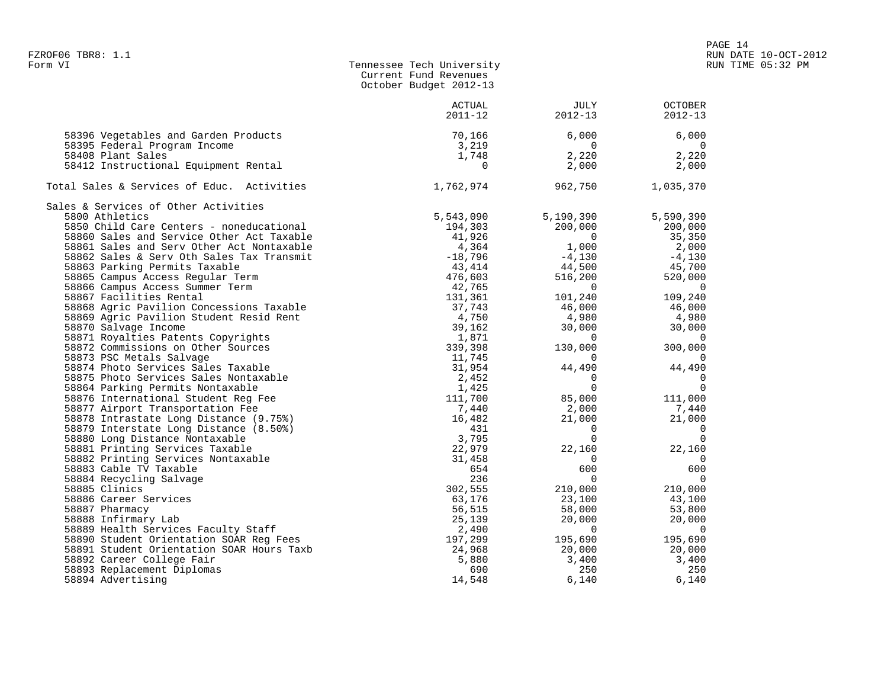| FZROF06 TBR8: 1.1                                    |                                                                              |                                                     | $\cdots$                                                                           | RUN DATE 10-OCT-2012 |
|------------------------------------------------------|------------------------------------------------------------------------------|-----------------------------------------------------|------------------------------------------------------------------------------------|----------------------|
| Form VI                                              | Tennessee Tech University<br>Current Fund Revenues<br>October Budget 2012-13 |                                                     |                                                                                    | RUN TIME 05:32 PM    |
|                                                      | ACTUAL<br>$2011 - 12$                                                        | JULY<br>2012-13                                     | <b>OCTOBER</b><br>$2012 - 13$                                                      |                      |
| 58396 Vegetables and Garden Products                 | 70,166                                                                       | 6,000                                               | 6.000                                                                              |                      |
| 58395 Federal Program Income                         | 3,219                                                                        | $\overline{0}$                                      | $\overline{0}$                                                                     |                      |
| 58408 Plant Sales                                    | 1,748                                                                        | 2,220                                               | 2,220                                                                              |                      |
| 58412 Instructional Equipment Rental                 | $\overline{0}$                                                               | 2,000                                               | 2,000                                                                              |                      |
| Total Sales & Services of Educ. Activities 1,762,974 |                                                                              | 962,750                                             | 1,035,370                                                                          |                      |
| Sales & Services of Other Activities                 |                                                                              |                                                     |                                                                                    |                      |
|                                                      |                                                                              | 5,190,390                                           | 5,590,390                                                                          |                      |
|                                                      |                                                                              | 200,000                                             | 200,000                                                                            |                      |
|                                                      |                                                                              | $\begin{array}{c} 0 \\ 1,000 \\ -4,130 \end{array}$ | 35,350                                                                             |                      |
|                                                      |                                                                              |                                                     | $2,000$<br>-4,130                                                                  |                      |
|                                                      |                                                                              |                                                     |                                                                                    |                      |
|                                                      |                                                                              | $44,500$<br>516,200                                 |                                                                                    |                      |
|                                                      |                                                                              | 516,200                                             | $-4,130$<br>$45,700$<br>$520$                                                      |                      |
|                                                      |                                                                              | $\overline{0}$                                      | $\overline{0}$                                                                     |                      |
|                                                      |                                                                              | 101,240                                             | 109,240                                                                            |                      |
|                                                      |                                                                              | 46,000                                              | 46,000                                                                             |                      |
|                                                      |                                                                              | $4,980$<br>30,000                                   |                                                                                    |                      |
|                                                      |                                                                              |                                                     |                                                                                    |                      |
|                                                      |                                                                              | $\sim$ 0                                            | $4,980$<br>$30,000$<br>$300,000$                                                   |                      |
|                                                      |                                                                              | 130,000                                             |                                                                                    |                      |
|                                                      |                                                                              | $\overline{0}$                                      | $\sim$ 0                                                                           |                      |
|                                                      |                                                                              |                                                     | $\begin{bmatrix} 44 & 490 \\ 0 & 44 & 490 \\ 0 & 0 & 0 \\ 0 & 0 & 0 \end{bmatrix}$ |                      |
|                                                      |                                                                              |                                                     |                                                                                    |                      |
|                                                      |                                                                              | 000, 85, 000                                        | $\begin{smallmatrix}&&&0\0&111\, ,\,000\end{smallmatrix}$                          |                      |
|                                                      |                                                                              |                                                     |                                                                                    |                      |
|                                                      |                                                                              | $2,000$<br>$21,000$                                 | 7,440<br>21.000                                                                    |                      |
|                                                      |                                                                              | 21,000                                              |                                                                                    |                      |
|                                                      |                                                                              | $\begin{bmatrix} 0 \\ 0 \end{bmatrix}$              | 000, 100                                                                           |                      |
|                                                      |                                                                              | $\overline{0}$                                      |                                                                                    |                      |
|                                                      |                                                                              | 22,160                                              | 22,160                                                                             |                      |
|                                                      |                                                                              | $\overline{0}$                                      | $\overline{0}$                                                                     |                      |
|                                                      |                                                                              | 600                                                 | 600                                                                                |                      |
|                                                      |                                                                              | $\overline{0}$                                      | $\overline{\phantom{0}}$<br>210,000                                                |                      |
|                                                      |                                                                              | 210,000                                             | $43,100$<br>$53,000$                                                               |                      |
|                                                      |                                                                              | 23,100<br>$\frac{25,100}{58,000}$                   |                                                                                    |                      |
|                                                      |                                                                              |                                                     |                                                                                    |                      |
|                                                      |                                                                              | 20,000<br>$\sim$ $\sim$ $\sim$ 0                    | 20,000<br>$\overline{0}$                                                           |                      |
|                                                      |                                                                              |                                                     |                                                                                    |                      |
|                                                      |                                                                              | 195,690                                             | 195,690                                                                            |                      |
|                                                      |                                                                              | 20,000                                              | 20,000                                                                             |                      |
| 58892 Career College Fair                            | 5,880                                                                        | 3,400                                               | 3,400                                                                              |                      |
| 58893 Replacement Diplomas                           | 690                                                                          | 250                                                 | 250                                                                                |                      |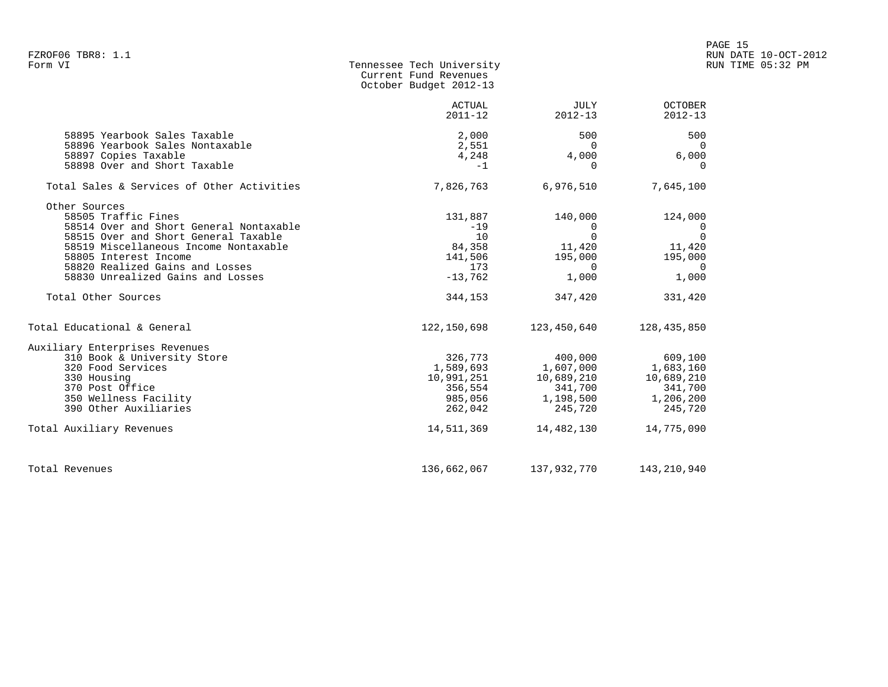| FZROF06 TBR8: 1.1<br>Form VI                                                                                                                                                                                                                                                             | Tennessee Tech University<br>Current Fund Revenues<br>October Budget 2012-13 |                                                                                                        |                                                                                                  | PAGE 15<br>RUN DATE 10-OCT-2012<br>RUN TIME 05:32 PM |
|------------------------------------------------------------------------------------------------------------------------------------------------------------------------------------------------------------------------------------------------------------------------------------------|------------------------------------------------------------------------------|--------------------------------------------------------------------------------------------------------|--------------------------------------------------------------------------------------------------|------------------------------------------------------|
|                                                                                                                                                                                                                                                                                          | ACTUAL<br>$2011 - 12$                                                        | JULY<br>$2012 - 13$                                                                                    | OCTOBER<br>$2012 - 13$                                                                           |                                                      |
| 58895 Yearbook Sales Taxable<br>58896 Yearbook Sales Nontaxable<br>58897 Copies Taxable<br>58898 Over and Short Taxable                                                                                                                                                                  | 2,000<br>2,551<br>4,248<br>$-1$                                              | 500<br>$\Omega$<br>4,000<br>$\Omega$                                                                   | 500<br>$\Omega$<br>6,000<br>$\Omega$                                                             |                                                      |
| Total Sales & Services of Other Activities                                                                                                                                                                                                                                               | 7,826,763                                                                    | 6,976,510                                                                                              | 7,645,100                                                                                        |                                                      |
| Other Sources<br>58505 Traffic Fines<br>58514 Over and Short General Nontaxable<br>58515 Over and Short General Taxable<br>58519 Miscellaneous Income Nontaxable<br>58805 Interest Income<br>58820 Realized Gains and Losses<br>58830 Unrealized Gains and Losses<br>Total Other Sources | 131,887<br>$-19$<br>10<br>84,358<br>141,506<br>173<br>$-13,762$<br>344,153   | 140,000<br>$\overline{0}$<br>$\overline{0}$<br>11,420<br>195,000<br>$\overline{0}$<br>1,000<br>347,420 | 124,000<br>$\overline{0}$<br>$\Omega$<br>11,420<br>195,000<br>$\overline{0}$<br>1,000<br>331,420 |                                                      |
| Total Educational & General                                                                                                                                                                                                                                                              |                                                                              | 122,150,698 123,450,640                                                                                | 128,435,850                                                                                      |                                                      |
| Auxiliary Enterprises Revenues<br>310 Book & University Store<br>320 Food Services<br>330 Housing<br>370 Post Office<br>350 Wellness Facility<br>390 Other Auxiliaries<br>Total Auxiliary Revenues                                                                                       | 326,773<br>10,991,251<br>356,554<br>985,056<br>262,042<br>14,511,369         | 400,000<br>1,589,693 1,607,000<br>10,689,210<br>341,700<br>1,198,500<br>245,720<br>14,482,130          | 609,100<br>1,683,160<br>10,689,210<br>341,700<br>1,206,200<br>245,720<br>14,775,090              |                                                      |
| Total Revenues                                                                                                                                                                                                                                                                           | 136,662,067                                                                  | 137,932,770                                                                                            | 143,210,940                                                                                      |                                                      |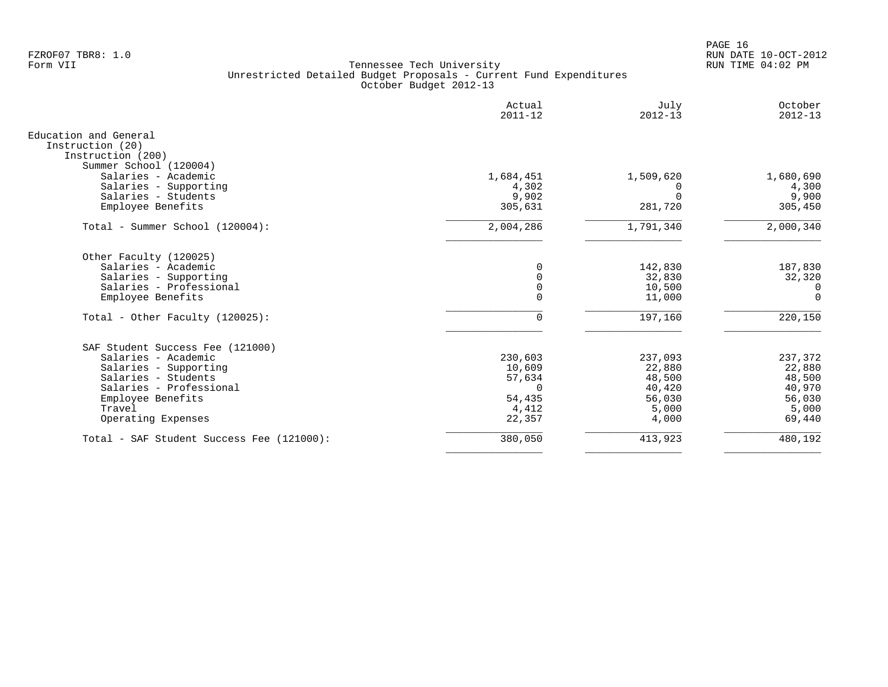PAGE 16 FZROF07 TBR8: 1.0 RUN DATE 10-OCT-2012

|                                                                                                                                                                                         | Actual<br>$2011 - 12$                                                | July<br>$2012 - 13$                                               | October<br>$2012 - 13$                                             |
|-----------------------------------------------------------------------------------------------------------------------------------------------------------------------------------------|----------------------------------------------------------------------|-------------------------------------------------------------------|--------------------------------------------------------------------|
| Education and General<br>Instruction (20)<br>Instruction (200)                                                                                                                          |                                                                      |                                                                   |                                                                    |
| Summer School (120004)<br>Salaries - Academic<br>Salaries - Supporting<br>Salaries - Students<br>Employee Benefits                                                                      | 1,684,451<br>4,302<br>9,902<br>305,631                               | 1,509,620<br>$\Omega$<br>281,720                                  | 1,680,690<br>4,300<br>9,900<br>305,450                             |
| Total - Summer School (120004):                                                                                                                                                         | 2,004,286                                                            | 1,791,340                                                         | 2,000,340                                                          |
| Other Faculty (120025)<br>Salaries - Academic<br>Salaries - Supporting<br>Salaries - Professional<br>Employee Benefits                                                                  | $\Omega$<br>$\Omega$<br>$\mathbf 0$<br>$\Omega$                      | 142,830<br>32,830<br>10,500<br>11,000                             | 187,830<br>32,320<br>0<br>$\Omega$                                 |
| Total - Other Faculty $(120025)$ :                                                                                                                                                      | $\mathbf 0$                                                          | 197,160                                                           | 220,150                                                            |
| SAF Student Success Fee (121000)<br>Salaries - Academic<br>Salaries - Supporting<br>Salaries - Students<br>Salaries - Professional<br>Employee Benefits<br>Travel<br>Operating Expenses | 230,603<br>10,609<br>57,634<br>$\Omega$<br>54,435<br>4,412<br>22,357 | 237,093<br>22,880<br>48,500<br>40,420<br>56,030<br>5,000<br>4,000 | 237,372<br>22,880<br>48,500<br>40,970<br>56,030<br>5,000<br>69,440 |
| Total - SAF Student Success Fee (121000):                                                                                                                                               | 380,050                                                              | 413,923                                                           | 480,192                                                            |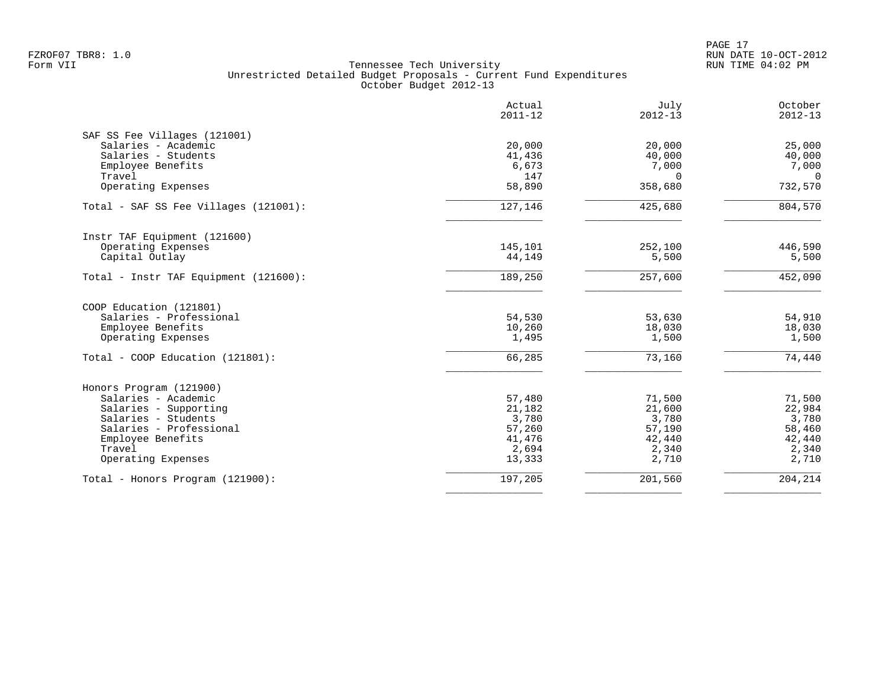| Actual<br>$2011 - 12$ | July<br>$2012 - 13$                                                                                           | October<br>$2012 - 13$                                                                                                       |
|-----------------------|---------------------------------------------------------------------------------------------------------------|------------------------------------------------------------------------------------------------------------------------------|
|                       |                                                                                                               |                                                                                                                              |
|                       |                                                                                                               | 25,000                                                                                                                       |
|                       |                                                                                                               | 40,000                                                                                                                       |
|                       |                                                                                                               | 7,000<br>$\Omega$                                                                                                            |
| 58,890                | 358,680                                                                                                       | 732,570                                                                                                                      |
| 127,146               | 425,680                                                                                                       | 804,570                                                                                                                      |
|                       |                                                                                                               |                                                                                                                              |
| 145,101               | 252,100                                                                                                       | 446,590                                                                                                                      |
|                       |                                                                                                               | 5,500                                                                                                                        |
| 189,250               | 257,600                                                                                                       | 452,090                                                                                                                      |
|                       |                                                                                                               |                                                                                                                              |
| 54,530                | 53,630                                                                                                        | 54,910                                                                                                                       |
|                       |                                                                                                               | 18,030                                                                                                                       |
|                       |                                                                                                               | 1,500                                                                                                                        |
| 66,285                | 73,160                                                                                                        | 74,440                                                                                                                       |
|                       |                                                                                                               |                                                                                                                              |
| 57,480                | 71,500                                                                                                        | 71,500                                                                                                                       |
|                       |                                                                                                               | 22,984                                                                                                                       |
|                       |                                                                                                               | 3,780                                                                                                                        |
|                       |                                                                                                               | 58,460<br>42,440                                                                                                             |
|                       |                                                                                                               | 2,340                                                                                                                        |
| 13,333                | 2,710                                                                                                         | 2,710                                                                                                                        |
| 197,205               |                                                                                                               | 204, 214                                                                                                                     |
|                       | 20,000<br>41,436<br>6,673<br>147<br>44,149<br>10,260<br>1,495<br>21,182<br>3,780<br>57,260<br>41,476<br>2,694 | 20,000<br>40,000<br>7,000<br>$\Omega$<br>5,500<br>18,030<br>1,500<br>21,600<br>3,780<br>57,190<br>42,440<br>2,340<br>201,560 |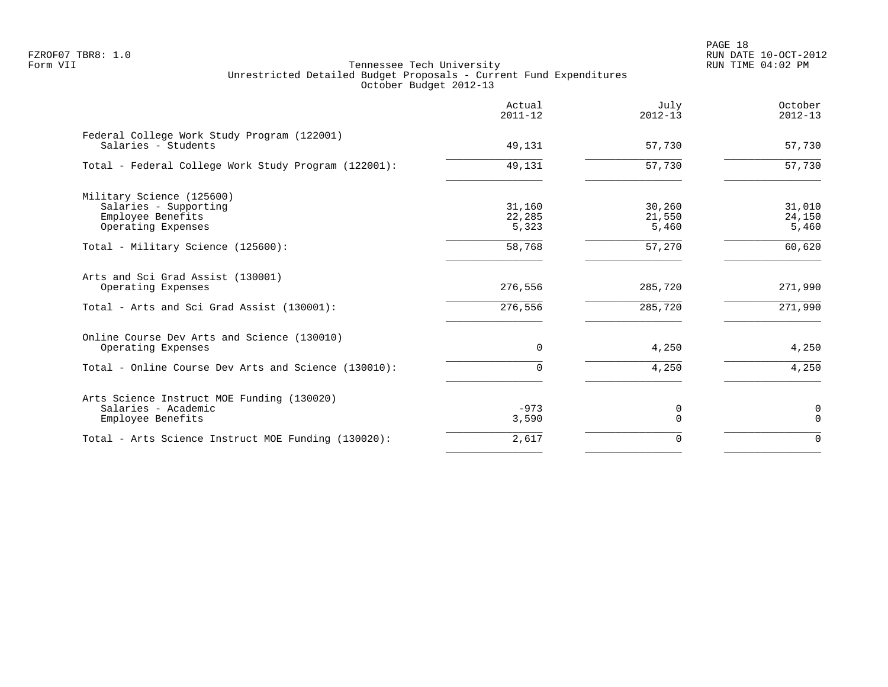| Actual<br>$2011 - 12$     | July<br>$2012 - 13$       | October<br>$2012 - 13$    |
|---------------------------|---------------------------|---------------------------|
| 49,131                    | 57,730                    | 57,730                    |
| 49,131                    | 57,730                    | 57,730                    |
| 31,160<br>22,285<br>5,323 | 30,260<br>21,550<br>5,460 | 31,010<br>24,150<br>5,460 |
| 58,768                    | 57,270                    | 60,620                    |
| 276,556                   | 285,720                   | 271,990                   |
| 276,556                   | 285,720                   | 271,990                   |
| $\Omega$                  | 4,250                     | 4,250                     |
| $\Omega$                  | 4,250                     | 4,250                     |
| $-973$<br>3,590           | 0<br>$\Omega$             | 0<br>$\Omega$             |
| 2,617                     | $\Omega$                  | $\Omega$                  |
|                           |                           |                           |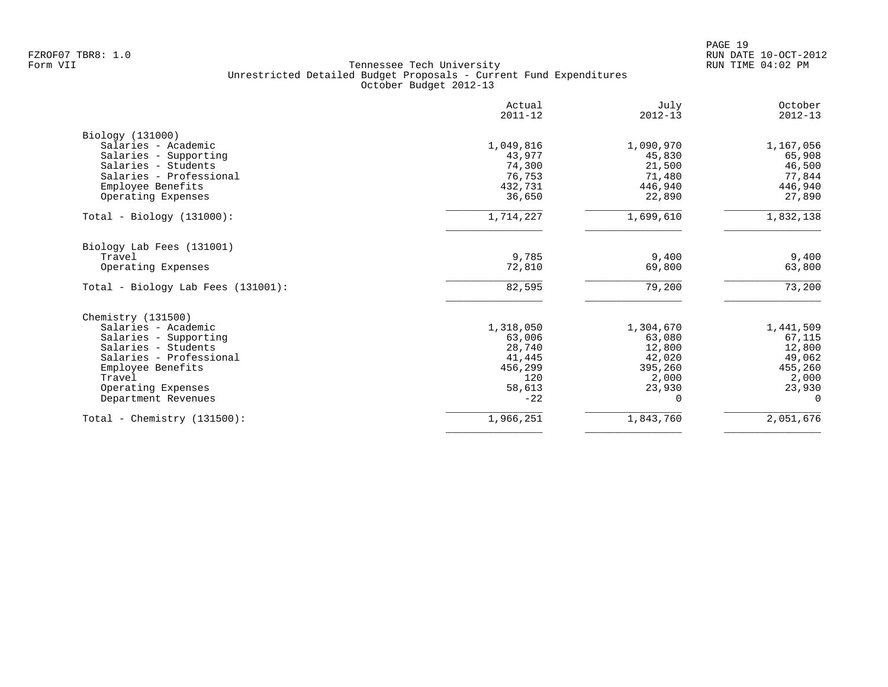|                                       | Actual<br>$2011 - 12$ | July<br>$2012 - 13$ | October<br>$2012 - 13$ |
|---------------------------------------|-----------------------|---------------------|------------------------|
| Biology (131000)                      |                       |                     |                        |
| Salaries - Academic                   | 1,049,816             | 1,090,970           | 1,167,056              |
| Salaries - Supporting                 | 43,977                | 45,830              | 65,908                 |
| Salaries - Students                   | 74,300                | 21,500              | 46,500                 |
| Salaries - Professional               | 76,753                | 71,480              | 77,844                 |
| Employee Benefits                     | 432,731               | 446,940             | 446,940                |
| Operating Expenses                    | 36,650                | 22,890              | 27,890                 |
| $Total - Biology (131000):$           | 1,714,227             | 1,699,610           | 1,832,138              |
| Biology Lab Fees (131001)             |                       |                     |                        |
| Travel                                | 9,785                 | 9,400               | 9,400                  |
| Operating Expenses                    | 72,810                | 69,800              | 63,800                 |
| Total - Biology Lab Fees $(131001)$ : | 82,595                | 79,200              | 73,200                 |
| Chemistry (131500)                    |                       |                     |                        |
| Salaries - Academic                   | 1,318,050             | 1,304,670           | 1,441,509              |
| Salaries - Supporting                 | 63,006                | 63,080              | 67,115                 |
| Salaries - Students                   | 28,740                | 12,800              | 12,800                 |
| Salaries - Professional               | 41,445                | 42,020              | 49,062                 |
| Employee Benefits                     | 456,299               | 395,260             | 455,260                |
| Travel                                | 120                   | 2,000               | 2,000                  |
| Operating Expenses                    | 58,613                | 23,930              | 23,930                 |
| Department Revenues                   | $-22$                 | 0                   | $\Omega$               |
| Total - Chemistry $(131500)$ :        | 1,966,251             | 1,843,760           | 2,051,676              |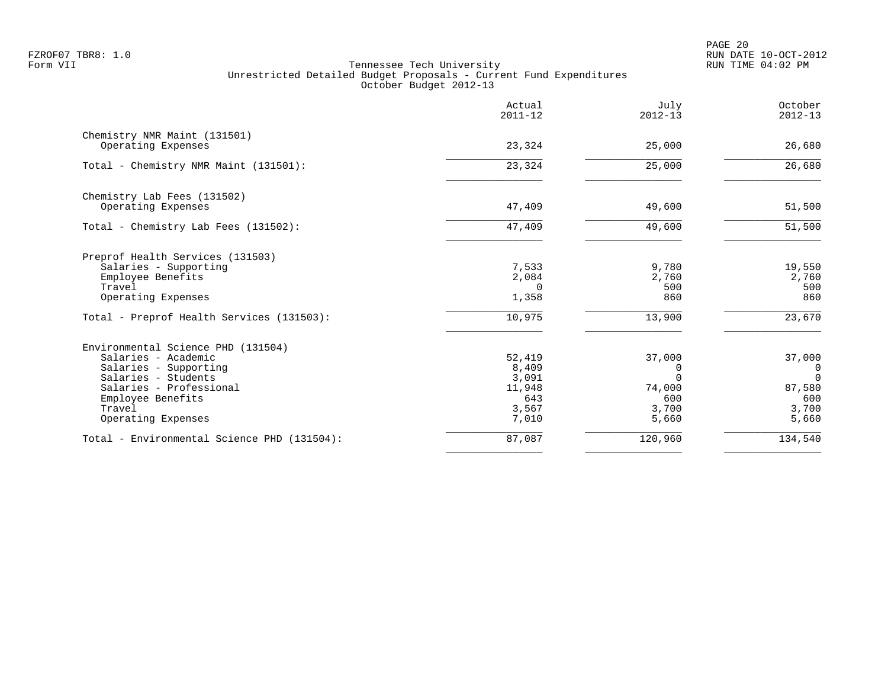PAGE 20 FZROF07 TBR8: 1.0 RUN DATE 10-OCT-2012

|                                             | Actual<br>$2011 - 12$ | July<br>$2012 - 13$ | October<br>$2012 - 13$ |
|---------------------------------------------|-----------------------|---------------------|------------------------|
| Chemistry NMR Maint (131501)                |                       |                     |                        |
| Operating Expenses                          | 23,324                | 25,000              | 26,680                 |
| Total - Chemistry NMR Maint (131501):       | 23,324                | 25,000              | 26,680                 |
| Chemistry Lab Fees (131502)                 |                       |                     |                        |
| Operating Expenses                          | 47,409                | 49,600              | 51,500                 |
| Total - Chemistry Lab Fees (131502):        | 47,409                | 49,600              | 51,500                 |
| Preprof Health Services (131503)            |                       |                     |                        |
| Salaries - Supporting                       | 7,533                 | 9,780               | 19,550                 |
| Employee Benefits                           | 2,084                 | 2,760               | 2,760<br>500           |
| Travel<br>Operating Expenses                | $\Omega$<br>1,358     | 500<br>860          | 860                    |
| Total - Preprof Health Services (131503):   | 10,975                | 13,900              | 23,670                 |
| Environmental Science PHD (131504)          |                       |                     |                        |
| Salaries - Academic                         | 52,419                | 37,000              | 37,000                 |
| Salaries - Supporting                       | 8,409                 | 0                   | $\overline{0}$         |
| Salaries - Students                         | 3,091                 | $\Omega$            | $\Omega$               |
| Salaries - Professional                     | 11,948<br>643         | 74,000<br>600       | 87,580<br>600          |
| Employee Benefits<br>Travel                 | 3,567                 | 3,700               | 3,700                  |
| Operating Expenses                          | 7,010                 | 5,660               | 5,660                  |
| Total - Environmental Science PHD (131504): | 87,087                | 120,960             | 134,540                |
|                                             |                       |                     |                        |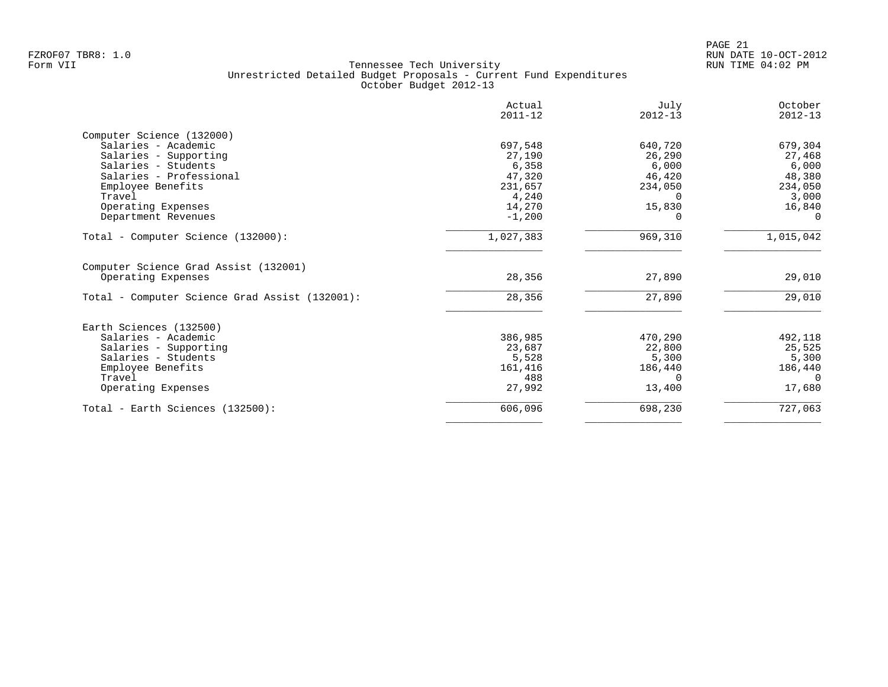|                                                             | Actual<br>$2011 - 12$ | July<br>$2012 - 13$ | October<br>$2012 - 13$ |
|-------------------------------------------------------------|-----------------------|---------------------|------------------------|
| Computer Science (132000)                                   |                       |                     |                        |
| Salaries - Academic                                         | 697,548               | 640,720             | 679,304                |
| Salaries - Supporting                                       | 27,190                | 26,290              | 27,468                 |
| Salaries - Students                                         | 6,358                 | 6,000               | 6,000                  |
| Salaries - Professional                                     | 47,320                | 46,420              | 48,380                 |
| Employee Benefits                                           | 231,657               | 234,050             | 234,050                |
| Travel                                                      | 4,240                 | 0                   | 3,000                  |
| Operating Expenses                                          | 14,270                | 15,830              | 16,840                 |
| Department Revenues                                         | $-1,200$              |                     | $\Omega$               |
| Total - Computer Science (132000):                          | 1,027,383             | 969,310             | 1,015,042              |
| Computer Science Grad Assist (132001)<br>Operating Expenses | 28,356                | 27,890              | 29,010                 |
| Total - Computer Science Grad Assist (132001):              | 28,356                | 27,890              | 29,010                 |
| Earth Sciences (132500)                                     |                       |                     |                        |
| Salaries - Academic                                         | 386,985               | 470,290             | 492,118                |
| Salaries - Supporting                                       | 23,687                | 22,800              | 25,525                 |
| Salaries - Students                                         | 5,528                 | 5,300               | 5,300                  |
| Employee Benefits                                           | 161,416               | 186,440             | 186,440                |
| Travel                                                      | 488                   | $\Omega$            | $\Omega$               |
| Operating Expenses                                          | 27,992                | 13,400              | 17,680                 |
|                                                             |                       |                     |                        |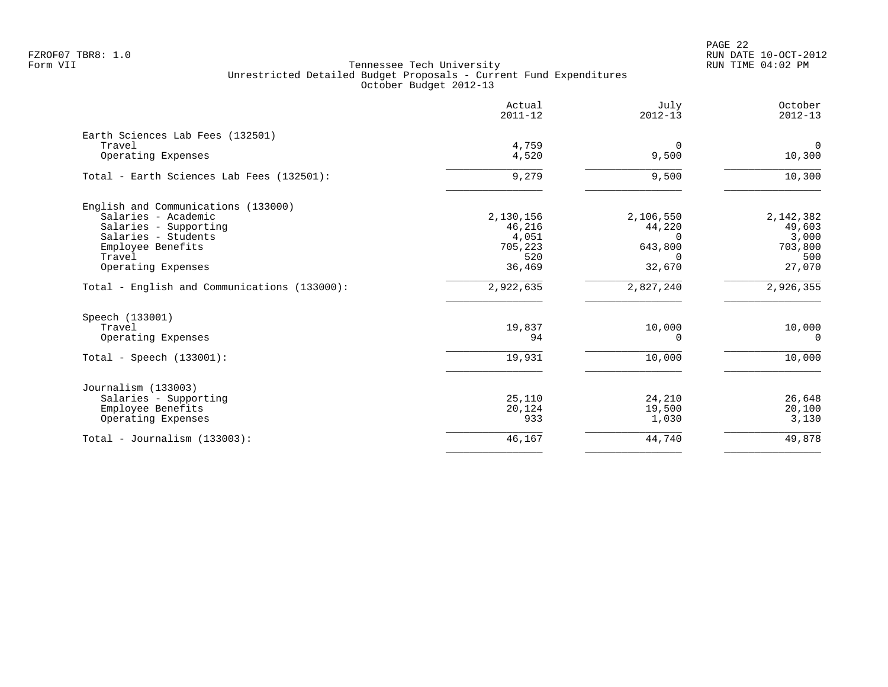|                                              | Actual<br>$2011 - 12$ | July<br>$2012 - 13$ | October<br>$2012 - 13$ |
|----------------------------------------------|-----------------------|---------------------|------------------------|
| Earth Sciences Lab Fees (132501)             |                       |                     |                        |
| Travel<br>Operating Expenses                 | 4,759<br>4,520        | $\Omega$<br>9,500   | 0<br>10,300            |
| Total - Earth Sciences Lab Fees (132501):    | 9,279                 | 9,500               | 10,300                 |
| English and Communications (133000)          |                       |                     |                        |
| Salaries - Academic                          | 2,130,156             | 2,106,550           | 2,142,382              |
| Salaries - Supporting                        | 46,216                | 44,220              | 49,603                 |
| Salaries - Students<br>Employee Benefits     | 4,051<br>705,223      | $\Omega$<br>643,800 | 3,000<br>703,800       |
| Travel                                       | 520                   | $\Omega$            | 500                    |
| Operating Expenses                           | 36,469                | 32,670              | 27,070                 |
| Total - English and Communications (133000): | 2,922,635             | 2,827,240           | 2,926,355              |
| Speech (133001)                              |                       |                     |                        |
| Travel                                       | 19,837                | 10,000              | 10,000                 |
| Operating Expenses                           | 94                    | $\Omega$            | $\Omega$               |
| Total - Speech $(133001)$ :                  | 19,931                | 10,000              | 10,000                 |
| Journalism (133003)                          |                       |                     |                        |
| Salaries - Supporting                        | 25,110                | 24,210              | 26,648                 |
| Employee Benefits                            | 20,124                | 19,500              | 20,100                 |
| Operating Expenses                           | 933                   | 1,030               | 3,130                  |
| Total - Journalism $(133003)$ :              | 46,167                | 44,740              | 49,878                 |
|                                              |                       |                     |                        |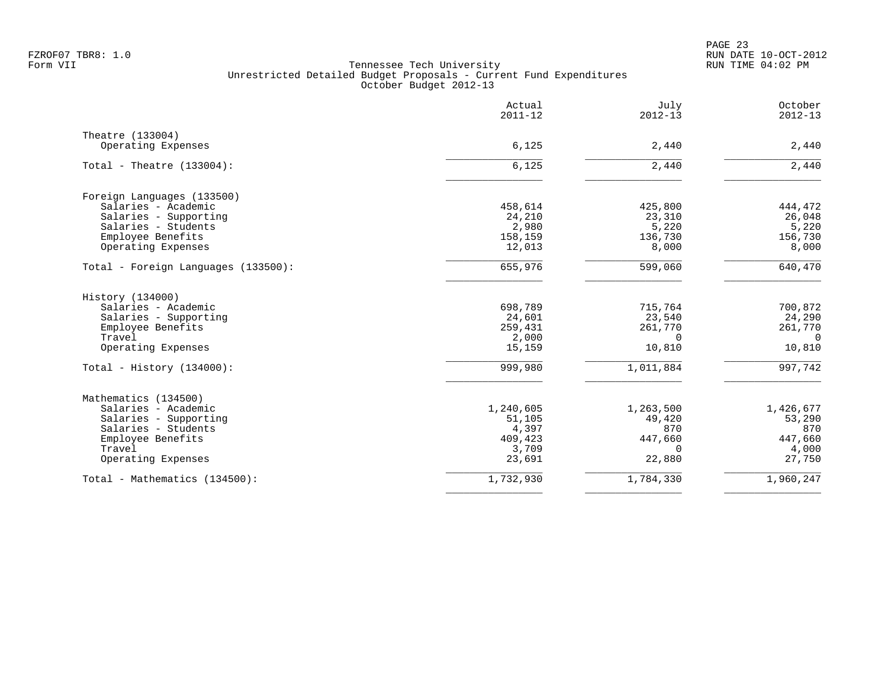|                                     | Actual<br>$2011 - 12$ | July<br>$2012 - 13$ | October<br>$2012 - 13$ |
|-------------------------------------|-----------------------|---------------------|------------------------|
| Theatre (133004)                    |                       |                     |                        |
| Operating Expenses                  | 6,125                 | 2,440               | 2,440                  |
| Total - Theatre $(133004)$ :        | 6,125                 | 2,440               | $2,440$                |
| Foreign Languages (133500)          |                       |                     |                        |
| Salaries - Academic                 | 458,614               | 425,800             | 444,472                |
| Salaries - Supporting               | 24,210                | 23,310              | 26,048                 |
| Salaries - Students                 | 2,980                 | 5,220               | 5,220                  |
| Employee Benefits                   | 158,159               | 136,730             | 156,730                |
| Operating Expenses                  | 12,013                | 8,000               | 8,000                  |
| Total - Foreign Languages (133500): | 655,976               | 599,060             | 640,470                |
| History (134000)                    |                       |                     |                        |
| Salaries - Academic                 | 698,789               | 715,764             | 700,872                |
| Salaries - Supporting               | 24,601                | 23,540              | 24,290                 |
| Employee Benefits                   | 259,431               | 261,770             | 261,770                |
| Travel                              | 2,000                 | $\Omega$            | $\Omega$               |
| Operating Expenses                  | 15,159                | 10,810              | 10,810                 |
| Total - History $(134000)$ :        | 999,980               | 1,011,884           | 997,742                |
| Mathematics (134500)                |                       |                     |                        |
| Salaries - Academic                 | 1,240,605             | 1,263,500           | 1,426,677              |
| Salaries - Supporting               | 51,105                | 49,420              | 53,290                 |
| Salaries - Students                 | 4,397                 | 870                 | 870                    |
| Employee Benefits                   | 409,423               | 447,660             | 447,660                |
| Travel                              | 3,709                 | $\Omega$            | 4,000                  |
| Operating Expenses                  | 23,691                | 22,880              | 27,750                 |
| Total - Mathematics (134500):       | 1,732,930             | 1,784,330           | 1,960,247              |
|                                     |                       |                     |                        |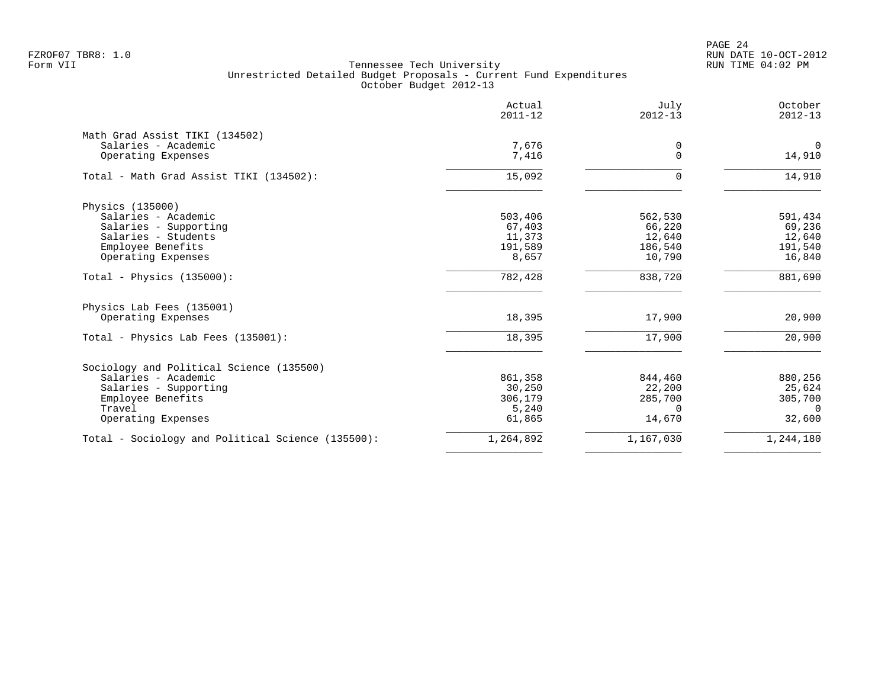PAGE 24 FZROF07 TBR8: 1.0 RUN DATE 10-OCT-2012

| Actual<br>$2011 - 12$ | July<br>$2012 - 13$                             | October<br>$2012 - 13$                                      |
|-----------------------|-------------------------------------------------|-------------------------------------------------------------|
|                       |                                                 |                                                             |
| 7,676                 | 0                                               | $\Omega$                                                    |
| 7,416                 | 0                                               | 14,910                                                      |
| 15,092                | $\Omega$                                        | 14,910                                                      |
|                       |                                                 |                                                             |
| 503,406               | 562,530                                         | 591,434                                                     |
| 67,403                | 66,220                                          | 69,236                                                      |
|                       |                                                 | 12,640                                                      |
|                       |                                                 | 191,540                                                     |
|                       |                                                 | 16,840                                                      |
| 782,428               | 838,720                                         | 881,690                                                     |
|                       |                                                 |                                                             |
| 18,395                | 17,900                                          | 20,900                                                      |
| 18,395                | 17,900                                          | 20,900                                                      |
|                       |                                                 |                                                             |
|                       |                                                 | 880,256                                                     |
|                       |                                                 | 25,624                                                      |
| 306,179               |                                                 | 305,700                                                     |
| 5,240                 | $\Omega$                                        | $\Omega$                                                    |
| 61,865                | 14,670                                          | 32,600                                                      |
| 1,264,892             | 1,167,030                                       | 1,244,180                                                   |
|                       | 11,373<br>191,589<br>8,657<br>861,358<br>30,250 | 12,640<br>186,540<br>10,790<br>844,460<br>22,200<br>285,700 |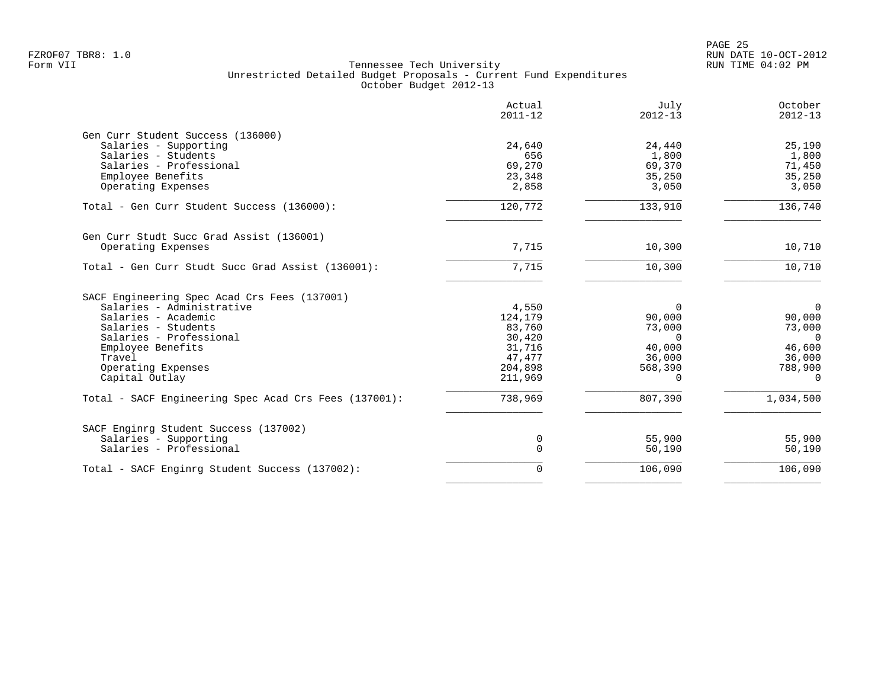|                                                       | Actual<br>$2011 - 12$ | July<br>$2012 - 13$ | October<br>$2012 - 13$ |
|-------------------------------------------------------|-----------------------|---------------------|------------------------|
| Gen Curr Student Success (136000)                     |                       |                     |                        |
| Salaries - Supporting                                 | 24,640                | 24,440              | 25,190                 |
| Salaries - Students                                   | 656                   | 1,800               | 1,800                  |
| Salaries - Professional                               | 69,270                | 69,370              | 71,450                 |
| Employee Benefits                                     | 23,348                | 35,250              | 35,250                 |
| Operating Expenses                                    | 2,858                 | 3,050               | 3,050                  |
| Total - Gen Curr Student Success (136000):            | 120,772               | 133,910             | 136,740                |
| Gen Curr Studt Succ Grad Assist (136001)              |                       |                     |                        |
| Operating Expenses                                    | 7,715                 | 10,300              | 10,710                 |
| Total - Gen Curr Studt Succ Grad Assist (136001):     | 7,715                 | 10,300              | 10,710                 |
| SACF Engineering Spec Acad Crs Fees (137001)          |                       |                     |                        |
| Salaries - Administrative                             | 4,550                 | $\Omega$            | $\overline{0}$         |
| Salaries - Academic                                   | 124,179               | 90,000              | 90,000                 |
| Salaries - Students                                   | 83,760                | 73,000              | 73,000                 |
| Salaries - Professional                               | 30,420                | $\Omega$            | $\Omega$               |
| Employee Benefits                                     | 31,716                | 40,000              | 46,600                 |
| Travel                                                | 47,477                | 36,000              | 36,000                 |
| Operating Expenses                                    | 204,898               | 568,390             | 788,900                |
| Capital Outlay                                        | 211,969               | $\Omega$            | $\Omega$               |
| Total - SACF Engineering Spec Acad Crs Fees (137001): | 738,969               | 807,390             | 1,034,500              |
| SACF Enginrg Student Success (137002)                 |                       |                     |                        |
| Salaries - Supporting                                 | 0                     | 55,900              | 55,900                 |
| Salaries - Professional                               | $\mathbf 0$           | 50,190              | 50,190                 |
| Total - SACF Enginrg Student Success (137002):        | 0                     | 106,090             | 106,090                |
|                                                       |                       |                     |                        |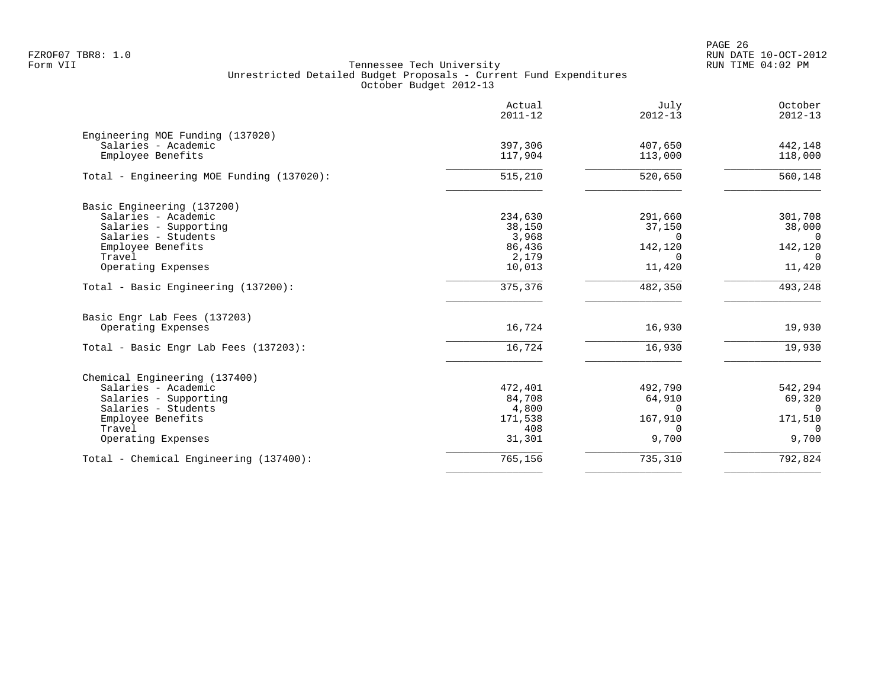PAGE 26 FZROF07 TBR8: 1.0 RUN DATE 10-OCT-2012

|                                           | Actual<br>$2011 - 12$ | July<br>$2012 - 13$ | October<br>$2012 - 13$ |
|-------------------------------------------|-----------------------|---------------------|------------------------|
| Engineering MOE Funding (137020)          |                       |                     |                        |
| Salaries - Academic                       | 397,306               | 407,650             | 442,148                |
| Employee Benefits                         | 117,904               | 113,000             | 118,000                |
| Total - Engineering MOE Funding (137020): | 515,210               | 520,650             | 560, 148               |
| Basic Engineering (137200)                |                       |                     |                        |
| Salaries - Academic                       | 234,630               | 291,660             | 301,708                |
| Salaries - Supporting                     | 38,150                | 37,150              | 38,000                 |
| Salaries - Students                       | 3,968                 | $\Omega$            | $\Omega$               |
| Employee Benefits<br>Travel               | 86,436<br>2,179       | 142,120<br>$\Omega$ | 142,120<br>$\Omega$    |
| Operating Expenses                        | 10,013                | 11,420              | 11,420                 |
| Total - Basic Engineering (137200):       | 375, 376              | 482,350             | 493,248                |
| Basic Engr Lab Fees (137203)              |                       |                     |                        |
| Operating Expenses                        | 16,724                | 16,930              | 19,930                 |
| Total - Basic Engr Lab Fees (137203):     | 16,724                | 16,930              | 19,930                 |
| Chemical Engineering (137400)             |                       |                     |                        |
| Salaries - Academic                       | 472,401               | 492,790             | 542,294                |
| Salaries - Supporting                     | 84,708                | 64,910              | 69,320                 |
| Salaries - Students                       | 4,800                 | $\Omega$            | $\Omega$               |
| Employee Benefits<br>Travel               | 171,538<br>408        | 167,910<br>$\Omega$ | 171,510<br>$\Omega$    |
| Operating Expenses                        | 31,301                | 9,700               | 9,700                  |
| Total - Chemical Engineering (137400):    | 765,156               | 735,310             | 792,824                |
|                                           |                       |                     |                        |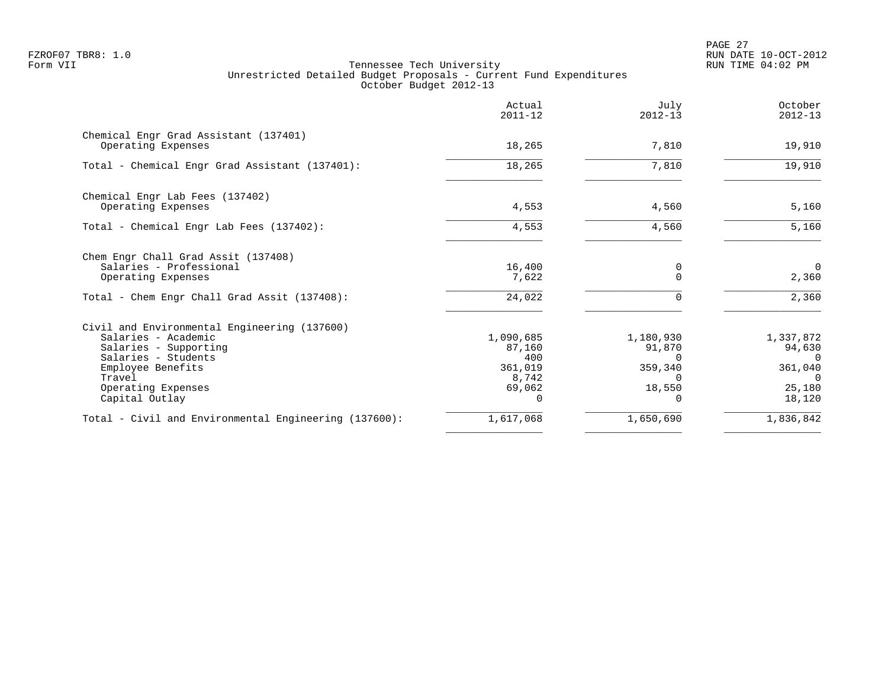PAGE 27 FZROF07 TBR8: 1.0 RUN DATE 10-OCT-2012

|                                                                                                                                                                                            | Actual<br>$2011 - 12$                                    | July<br>$2012 - 13$                                       | October<br>$2012 - 13$                                                     |
|--------------------------------------------------------------------------------------------------------------------------------------------------------------------------------------------|----------------------------------------------------------|-----------------------------------------------------------|----------------------------------------------------------------------------|
| Chemical Engr Grad Assistant (137401)<br>Operating Expenses                                                                                                                                | 18,265                                                   | 7,810                                                     | 19,910                                                                     |
| Total - Chemical Engr Grad Assistant (137401):                                                                                                                                             | 18,265                                                   | 7,810                                                     | 19,910                                                                     |
| Chemical Engr Lab Fees (137402)<br>Operating Expenses                                                                                                                                      | 4,553                                                    | 4,560                                                     | 5,160                                                                      |
| Total - Chemical Engr Lab Fees (137402):                                                                                                                                                   | 4,553                                                    | 4,560                                                     | 5,160                                                                      |
| Chem Engr Chall Grad Assit (137408)<br>Salaries - Professional<br>Operating Expenses                                                                                                       | 16,400<br>7,622                                          | 0<br>$\Omega$                                             | $\Omega$<br>2,360                                                          |
| Total - Chem Engr Chall Grad Assit (137408):                                                                                                                                               | 24,022                                                   | $\Omega$                                                  | 2,360                                                                      |
| Civil and Environmental Engineering (137600)<br>Salaries - Academic<br>Salaries - Supporting<br>Salaries - Students<br>Employee Benefits<br>Travel<br>Operating Expenses<br>Capital Outlay | 1,090,685<br>87,160<br>400<br>361,019<br>8,742<br>69,062 | 1,180,930<br>91,870<br>0<br>359,340<br>$\Omega$<br>18,550 | 1,337,872<br>94,630<br>$\Omega$<br>361,040<br>$\Omega$<br>25,180<br>18,120 |
| Total - Civil and Environmental Engineering (137600):                                                                                                                                      | 1,617,068                                                | 1,650,690                                                 | 1,836,842                                                                  |
|                                                                                                                                                                                            |                                                          |                                                           |                                                                            |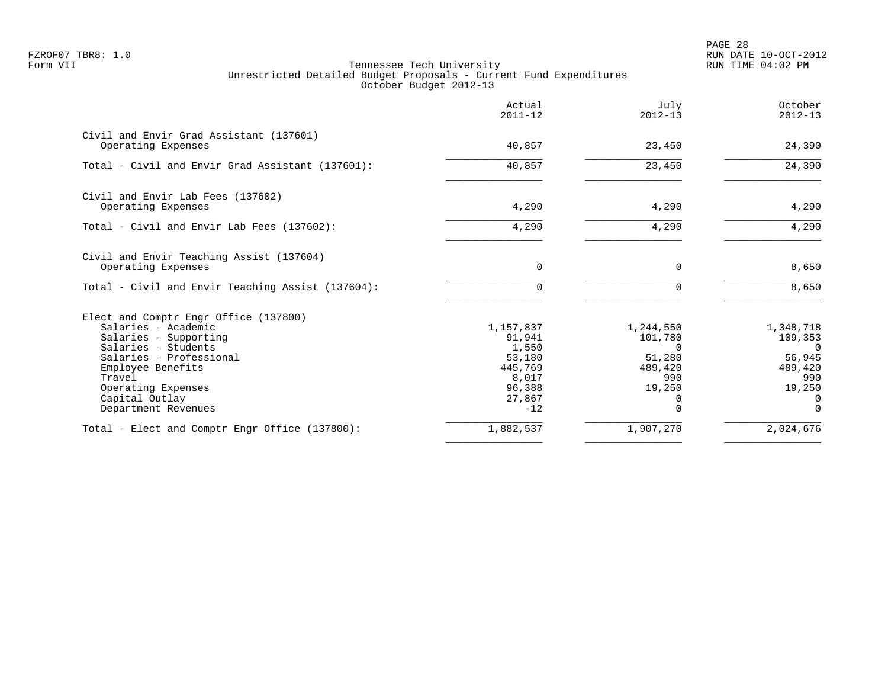PAGE 28 FZROF07 TBR8: 1.0 RUN DATE 10-OCT-2012

|                                                                                                                                                                                                                                       | Actual<br>$2011 - 12$                                                                   | July<br>$2012 - 13$                                                                     | October<br>$2012 - 13$                                                                               |
|---------------------------------------------------------------------------------------------------------------------------------------------------------------------------------------------------------------------------------------|-----------------------------------------------------------------------------------------|-----------------------------------------------------------------------------------------|------------------------------------------------------------------------------------------------------|
| Civil and Envir Grad Assistant (137601)<br>Operating Expenses                                                                                                                                                                         | 40,857                                                                                  | 23,450                                                                                  | 24,390                                                                                               |
| Total - Civil and Envir Grad Assistant (137601):                                                                                                                                                                                      | 40,857                                                                                  | 23,450                                                                                  | 24,390                                                                                               |
| Civil and Envir Lab Fees (137602)<br>Operating Expenses                                                                                                                                                                               | 4,290                                                                                   | 4,290                                                                                   | 4,290                                                                                                |
| Total - Civil and Envir Lab Fees (137602):                                                                                                                                                                                            | 4,290                                                                                   | 4,290                                                                                   | 4,290                                                                                                |
| Civil and Envir Teaching Assist (137604)<br>Operating Expenses                                                                                                                                                                        | $\Omega$                                                                                | $\Omega$                                                                                | 8,650                                                                                                |
| Total - Civil and Envir Teaching Assist (137604):                                                                                                                                                                                     | $\Omega$                                                                                |                                                                                         | 8,650                                                                                                |
| Elect and Comptr Engr Office (137800)<br>Salaries - Academic<br>Salaries - Supporting<br>Salaries - Students<br>Salaries - Professional<br>Employee Benefits<br>Travel<br>Operating Expenses<br>Capital Outlay<br>Department Revenues | 1,157,837<br>91,941<br>1,550<br>53,180<br>445,769<br>8,017<br>96,388<br>27,867<br>$-12$ | 1,244,550<br>101,780<br>$\Omega$<br>51,280<br>489,420<br>990<br>19,250<br>0<br>$\Omega$ | 1,348,718<br>109,353<br>$\overline{0}$<br>56,945<br>489,420<br>990<br>19,250<br>$\Omega$<br>$\Omega$ |
| Total - Elect and Comptr Engr Office (137800):                                                                                                                                                                                        | 1,882,537                                                                               | 1,907,270                                                                               | 2,024,676                                                                                            |
|                                                                                                                                                                                                                                       |                                                                                         |                                                                                         |                                                                                                      |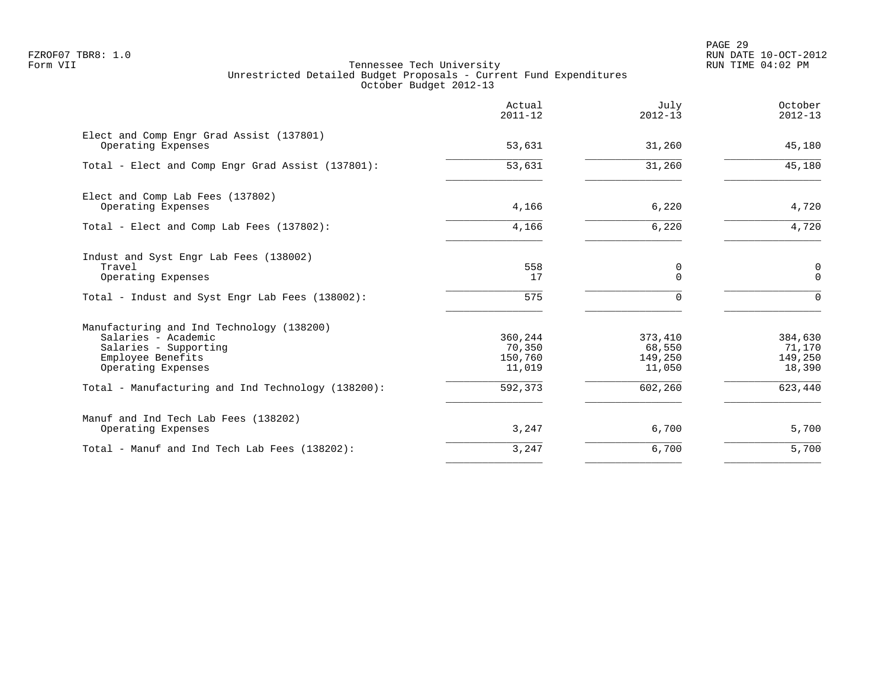PAGE 29 FZROF07 TBR8: 1.0 RUN DATE 10-OCT-2012

|                                                                                                                                      | Actual<br>$2011 - 12$                  | July<br>$2012 - 13$                    | October<br>$2012 - 13$                 |
|--------------------------------------------------------------------------------------------------------------------------------------|----------------------------------------|----------------------------------------|----------------------------------------|
| Elect and Comp Engr Grad Assist (137801)<br>Operating Expenses                                                                       | 53,631                                 | 31,260                                 | 45,180                                 |
| Total - Elect and Comp Engr Grad Assist (137801):                                                                                    | 53,631                                 | 31,260                                 | 45,180                                 |
| Elect and Comp Lab Fees (137802)<br>Operating Expenses                                                                               | 4,166                                  | 6,220                                  | 4,720                                  |
| Total - Elect and Comp Lab Fees (137802):                                                                                            | 4,166                                  | 6,220                                  | 4,720                                  |
| Indust and Syst Engr Lab Fees (138002)<br>Travel<br>Operating Expenses                                                               | 558<br>17                              | 0<br>$\Omega$                          | 0<br>$\mathbf{0}$                      |
| Total - Indust and Syst Engr Lab Fees (138002):                                                                                      | 575                                    | $\Omega$                               | $\Omega$                               |
| Manufacturing and Ind Technology (138200)<br>Salaries - Academic<br>Salaries - Supporting<br>Employee Benefits<br>Operating Expenses | 360,244<br>70,350<br>150,760<br>11,019 | 373,410<br>68,550<br>149,250<br>11,050 | 384,630<br>71,170<br>149,250<br>18,390 |
| Total - Manufacturing and Ind Technology (138200):                                                                                   | 592,373                                | 602,260                                | 623,440                                |
| Manuf and Ind Tech Lab Fees (138202)<br>Operating Expenses                                                                           | 3,247                                  | 6,700                                  | 5,700                                  |
| Total - Manuf and Ind Tech Lab Fees (138202):                                                                                        | 3,247                                  | 6,700                                  | 5,700                                  |
|                                                                                                                                      |                                        |                                        |                                        |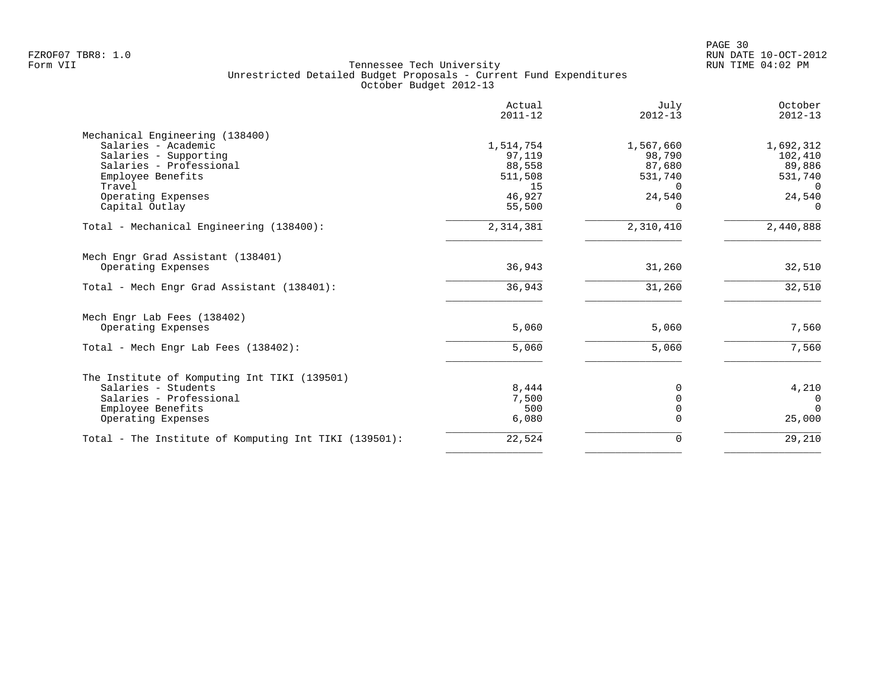PAGE 30 FZROF07 TBR8: 1.0 RUN DATE 10-OCT-2012

| Actual<br>$2011 - 12$ | July<br>$2012 - 13$                                                            | October<br>$2012 - 13$                                                    |
|-----------------------|--------------------------------------------------------------------------------|---------------------------------------------------------------------------|
|                       |                                                                                |                                                                           |
| 1,514,754             | 1,567,660                                                                      | 1,692,312                                                                 |
|                       |                                                                                | 102,410                                                                   |
|                       |                                                                                | 89,886                                                                    |
|                       |                                                                                | 531,740                                                                   |
|                       |                                                                                | $\overline{0}$                                                            |
|                       |                                                                                | 24,540                                                                    |
|                       |                                                                                | $\Omega$                                                                  |
| 2,314,381             | 2,310,410                                                                      | 2,440,888                                                                 |
|                       |                                                                                |                                                                           |
| 36,943                | 31,260                                                                         | 32,510                                                                    |
| 36,943                | 31,260                                                                         | 32,510                                                                    |
|                       |                                                                                |                                                                           |
| 5,060                 | 5,060                                                                          | 7,560                                                                     |
| 5,060                 | 5,060                                                                          | 7,560                                                                     |
|                       |                                                                                |                                                                           |
|                       |                                                                                | 4,210                                                                     |
|                       |                                                                                | $\Omega$                                                                  |
|                       |                                                                                | $\Omega$                                                                  |
| 6,080                 |                                                                                | 25,000                                                                    |
| 22,524                | $\Omega$                                                                       | 29,210                                                                    |
|                       | 97,119<br>88,558<br>511,508<br>15<br>46,927<br>55,500<br>8,444<br>7,500<br>500 | 98,790<br>87,680<br>531,740<br>$\Omega$<br>24,540<br>$\Omega$<br>$\Omega$ |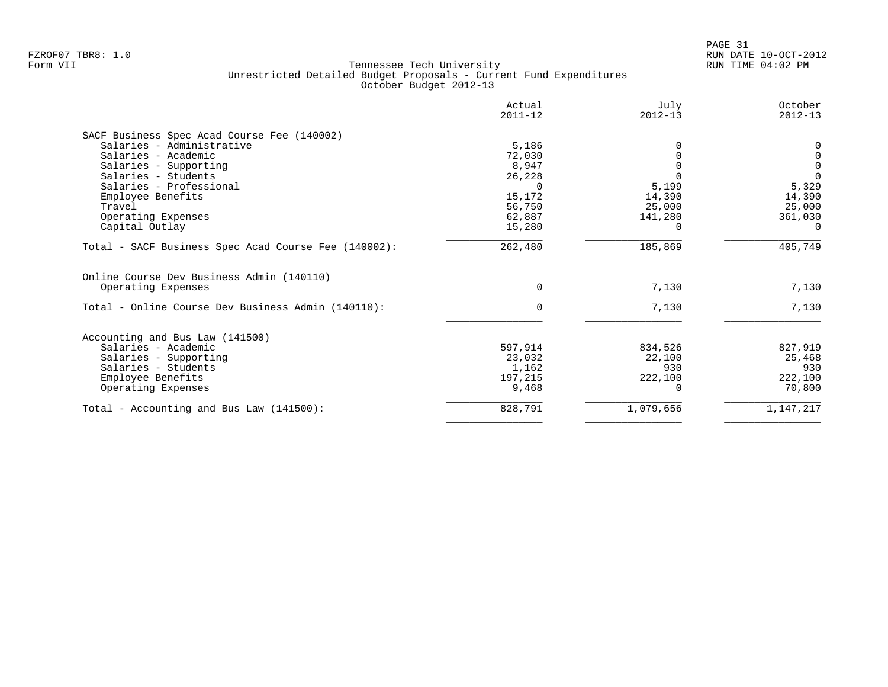|                                                      | Actual<br>$2011 - 12$ | July<br>$2012 - 13$ | October<br>$2012 - 13$ |
|------------------------------------------------------|-----------------------|---------------------|------------------------|
| SACF Business Spec Acad Course Fee (140002)          |                       |                     |                        |
| Salaries - Administrative                            | 5,186                 |                     | $\Omega$               |
| Salaries - Academic                                  | 72,030                |                     | $\mathbf 0$            |
| Salaries - Supporting                                | 8,947                 |                     | $\overline{0}$         |
| Salaries - Students                                  | 26,228                |                     | $\Omega$               |
| Salaries - Professional                              | $\Omega$              | 5,199               | 5,329                  |
| Employee Benefits                                    | 15,172                | 14,390              | 14,390                 |
| Travel                                               | 56,750                | 25,000              | 25,000                 |
| Operating Expenses                                   | 62,887                | 141,280             | 361,030                |
| Capital Outlay                                       | 15,280                |                     | $\Omega$               |
| Total - SACF Business Spec Acad Course Fee (140002): | 262,480               | 185,869             | 405,749                |
| Online Course Dev Business Admin (140110)            |                       |                     |                        |
| Operating Expenses                                   | $\mathbf 0$           | 7,130               | 7,130                  |
| Total - Online Course Dev Business Admin (140110):   | $\Omega$              | 7,130               | 7,130                  |
| Accounting and Bus Law (141500)                      |                       |                     |                        |
| Salaries - Academic                                  | 597,914               | 834,526             | 827,919                |
| Salaries - Supporting                                | 23,032                | 22,100              | 25,468                 |
| Salaries - Students                                  | 1,162                 | 930                 | 930                    |
| Employee Benefits                                    | 197,215               | 222,100             | 222,100                |
| Operating Expenses                                   | 9,468                 |                     | 70,800                 |
| Total - Accounting and Bus Law $(141500)$ :          | 828,791               | 1,079,656           | 1,147,217              |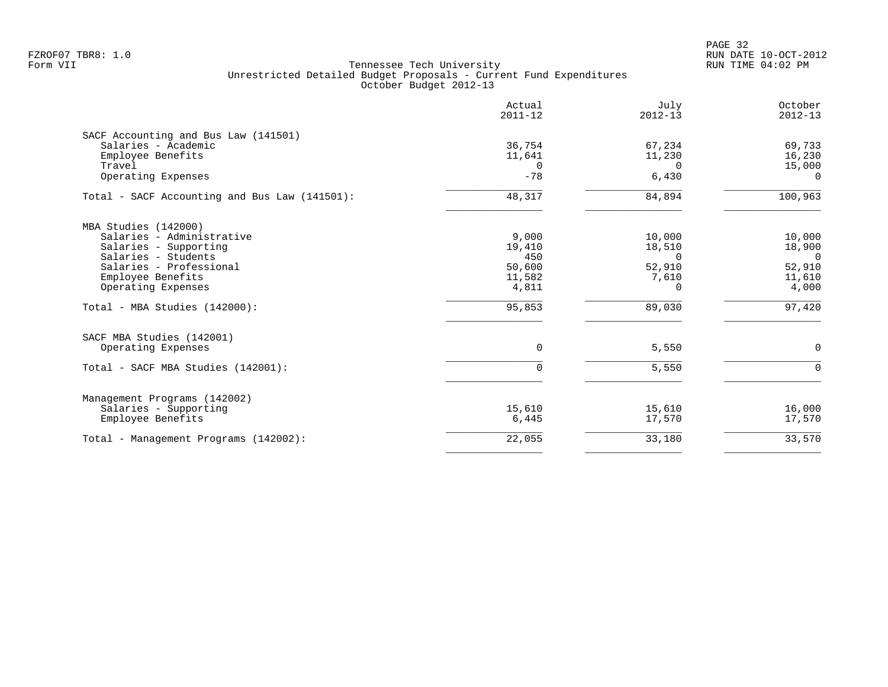|                                                             | Actual<br>$2011 - 12$ | July<br>$2012 - 13$ | October<br>$2012 - 13$ |
|-------------------------------------------------------------|-----------------------|---------------------|------------------------|
| SACF Accounting and Bus Law (141501)<br>Salaries - Academic | 36,754                |                     | 69,733                 |
| Employee Benefits                                           | 11,641                | 67,234<br>11,230    | 16,230                 |
| Travel                                                      | $\mathbf 0$           | $\Omega$            | 15,000                 |
| Operating Expenses                                          | $-78$                 | 6,430               | $\Omega$               |
| Total - SACF Accounting and Bus Law (141501):               | 48,317                | 84,894              | 100,963                |
| MBA Studies (142000)                                        |                       |                     |                        |
| Salaries - Administrative                                   | 9,000                 | 10,000              | 10,000                 |
| Salaries - Supporting                                       | 19,410                | 18,510              | 18,900                 |
| Salaries - Students<br>Salaries - Professional              | 450<br>50,600         | $\Omega$            | $\Omega$               |
| Employee Benefits                                           | 11,582                | 52,910<br>7,610     | 52,910<br>11,610       |
| Operating Expenses                                          | 4,811                 | 0                   | 4,000                  |
| Total - MBA Studies (142000):                               | 95,853                | 89,030              | 97,420                 |
| SACF MBA Studies (142001)                                   |                       |                     |                        |
| Operating Expenses                                          | $\Omega$              | 5,550               | 0                      |
| Total - SACF MBA Studies (142001):                          | $\Omega$              | 5,550               | $\Omega$               |
| Management Programs (142002)                                |                       |                     |                        |
| Salaries - Supporting                                       | 15,610                | 15,610              | 16,000                 |
| Employee Benefits                                           | 6,445                 | 17,570              | 17,570                 |
| Total - Management Programs (142002):                       | 22,055                | 33,180              | 33,570                 |
|                                                             |                       |                     |                        |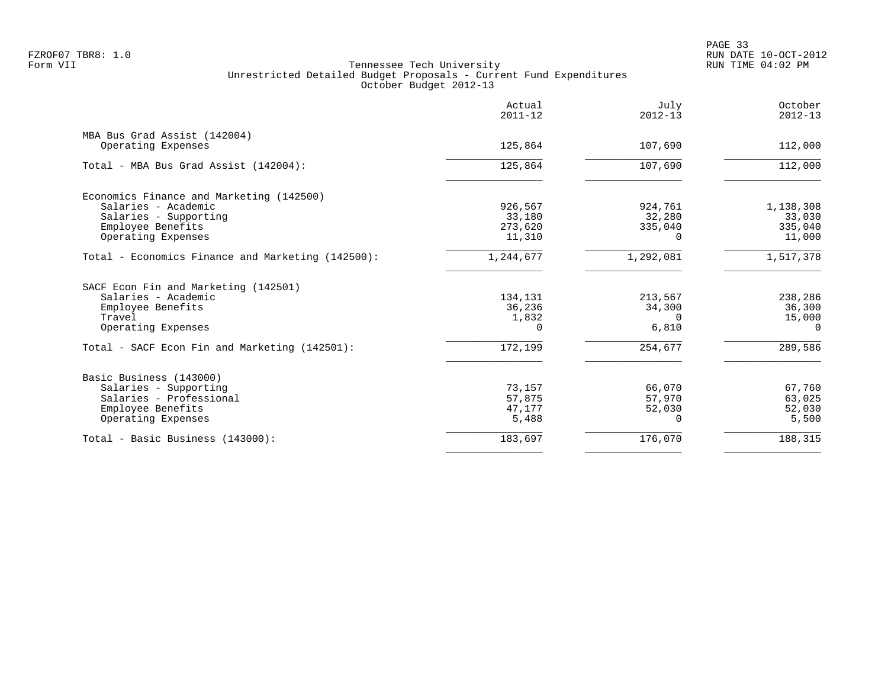|                                                    | Actual<br>$2011 - 12$ | July<br>$2012 - 13$ | October<br>$2012 - 13$ |
|----------------------------------------------------|-----------------------|---------------------|------------------------|
| MBA Bus Grad Assist (142004)<br>Operating Expenses | 125,864               | 107,690             | 112,000                |
|                                                    |                       |                     |                        |
| Total - MBA Bus Grad Assist (142004):              | 125,864               | 107,690             | 112,000                |
| Economics Finance and Marketing (142500)           |                       |                     |                        |
| Salaries - Academic                                | 926,567               | 924,761             | 1,138,308              |
| Salaries - Supporting                              | 33,180                | 32,280              | 33,030                 |
| Employee Benefits                                  | 273,620               | 335,040             | 335,040                |
| Operating Expenses                                 | 11,310                | <sup>n</sup>        | 11,000                 |
| Total - Economics Finance and Marketing (142500):  | 1,244,677             | 1,292,081           | 1,517,378              |
| SACF Econ Fin and Marketing (142501)               |                       |                     |                        |
| Salaries - Academic                                | 134,131               | 213,567             | 238,286                |
| Employee Benefits                                  | 36,236                | 34,300              | 36,300                 |
| Travel                                             | 1,832                 | $\Omega$            | 15,000                 |
| Operating Expenses                                 | $\cap$                | 6,810               | $\Omega$               |
| Total - SACF Econ Fin and Marketing (142501):      | 172,199               | 254,677             | 289,586                |
| Basic Business (143000)                            |                       |                     |                        |
| Salaries - Supporting                              | 73,157                | 66,070              | 67,760                 |
| Salaries - Professional                            | 57,875                | 57,970              | 63,025                 |
| Employee Benefits                                  | 47,177                | 52,030              | 52,030                 |
| Operating Expenses                                 | 5,488                 | 0                   | 5,500                  |
| Total - Basic Business (143000):                   | 183,697               | 176,070             | 188,315                |
|                                                    |                       |                     |                        |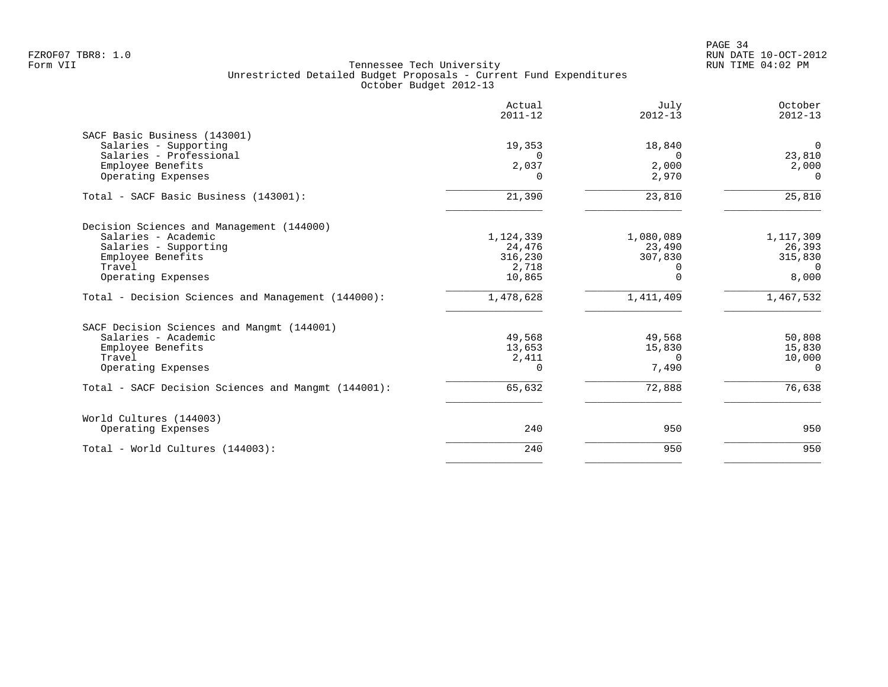|                                                     | Actual<br>$2011 - 12$ | July<br>$2012 - 13$ | October<br>$2012 - 13$ |
|-----------------------------------------------------|-----------------------|---------------------|------------------------|
| SACF Basic Business (143001)                        |                       |                     |                        |
| Salaries - Supporting                               | 19,353                | 18,840              | $\overline{0}$         |
| Salaries - Professional                             | $\Omega$              | $\Omega$            | 23,810                 |
| Employee Benefits<br>Operating Expenses             | 2,037<br>$\Omega$     | 2,000<br>2,970      | 2,000<br>$\Omega$      |
|                                                     |                       |                     |                        |
| Total - SACF Basic Business (143001):               | 21,390                | 23,810              | 25,810                 |
| Decision Sciences and Management (144000)           |                       |                     |                        |
| Salaries - Academic                                 | 1,124,339             | 1,080,089           | 1,117,309              |
| Salaries - Supporting                               | 24,476                | 23,490              | 26,393                 |
| Employee Benefits                                   | 316,230               | 307,830             | 315,830                |
| Travel                                              | 2,718                 | $\Omega$            | $\Omega$               |
| Operating Expenses                                  | 10,865                | $\Omega$            | 8,000                  |
| Total - Decision Sciences and Management (144000):  | 1,478,628             | 1,411,409           | 1,467,532              |
| SACF Decision Sciences and Mangmt (144001)          |                       |                     |                        |
| Salaries - Academic                                 | 49,568                | 49,568              | 50,808                 |
| Employee Benefits                                   | 13,653                | 15,830              | 15,830                 |
| Travel                                              | 2,411                 | $\Omega$            | 10,000                 |
| Operating Expenses                                  | $\Omega$              | 7,490               | $\Omega$               |
| Total - SACF Decision Sciences and Mangmt (144001): | 65,632                | 72,888              | 76,638                 |
| World Cultures (144003)                             |                       |                     |                        |
| Operating Expenses                                  | 240                   | 950                 | 950                    |
| Total - World Cultures (144003):                    | 240                   | 950                 | 950                    |
|                                                     |                       |                     |                        |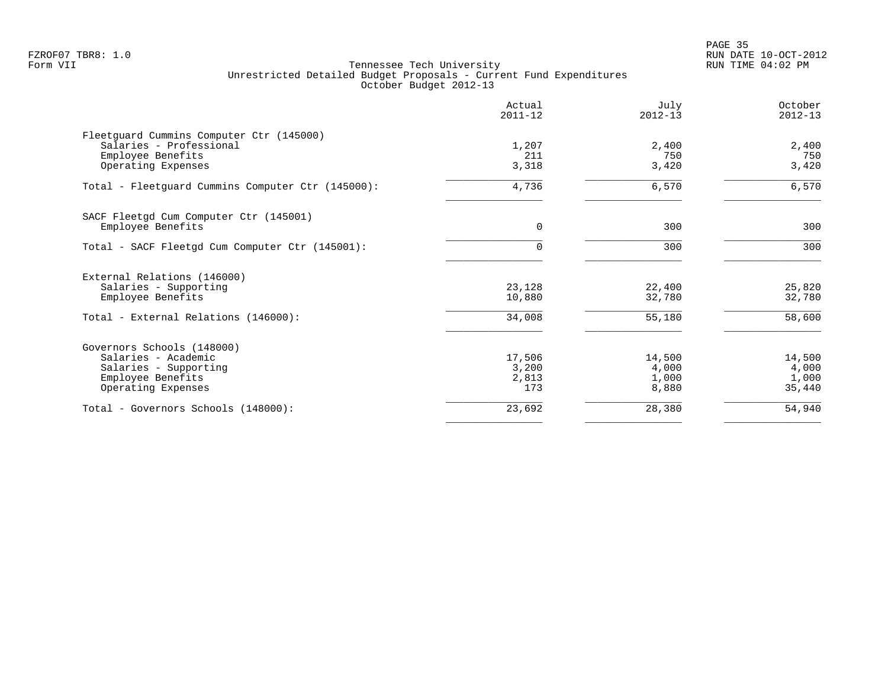en and the state of the state of the state of the state of the state of the state of the state of the state of the state of the state of the state of the state of the state of the state of the state of the state of the sta FZROF07 TBR8: 1.0 RUN DATE 10-OCT-2012

|                                                   | Actual<br>$2011 - 12$ | July<br>$2012 - 13$ | October<br>$2012 - 13$ |
|---------------------------------------------------|-----------------------|---------------------|------------------------|
| Fleetguard Cummins Computer Ctr (145000)          |                       |                     |                        |
| Salaries - Professional                           | 1,207                 | 2,400               | 2,400                  |
| Employee Benefits                                 | 211                   | 750                 | 750                    |
| Operating Expenses                                | 3,318                 | 3,420               | 3,420                  |
| Total - Fleetguard Cummins Computer Ctr (145000): | 4,736                 | 6,570               | 6,570                  |
| SACF Fleetgd Cum Computer Ctr (145001)            |                       |                     |                        |
| Employee Benefits                                 | $\mathbf 0$           | 300                 | 300                    |
| Total - SACF Fleetgd Cum Computer Ctr (145001):   |                       | 300                 | 300                    |
| External Relations (146000)                       |                       |                     |                        |
| Salaries - Supporting                             | 23,128                | 22,400              | 25,820                 |
| Employee Benefits                                 | 10,880                | 32,780              | 32,780                 |
| Total - External Relations (146000):              | 34,008                | 55,180              | 58,600                 |
| Governors Schools (148000)                        |                       |                     |                        |
| Salaries - Academic                               | 17,506                | 14,500              | 14,500                 |
| Salaries - Supporting                             | 3,200                 | 4,000               | 4,000                  |
| Employee Benefits                                 | 2,813                 | 1,000               | 1,000                  |
| Operating Expenses                                | 173                   | 8,880               | 35,440                 |
| Total - Governors Schools (148000):               | 23,692                | 28,380              | 54,940                 |
|                                                   |                       |                     |                        |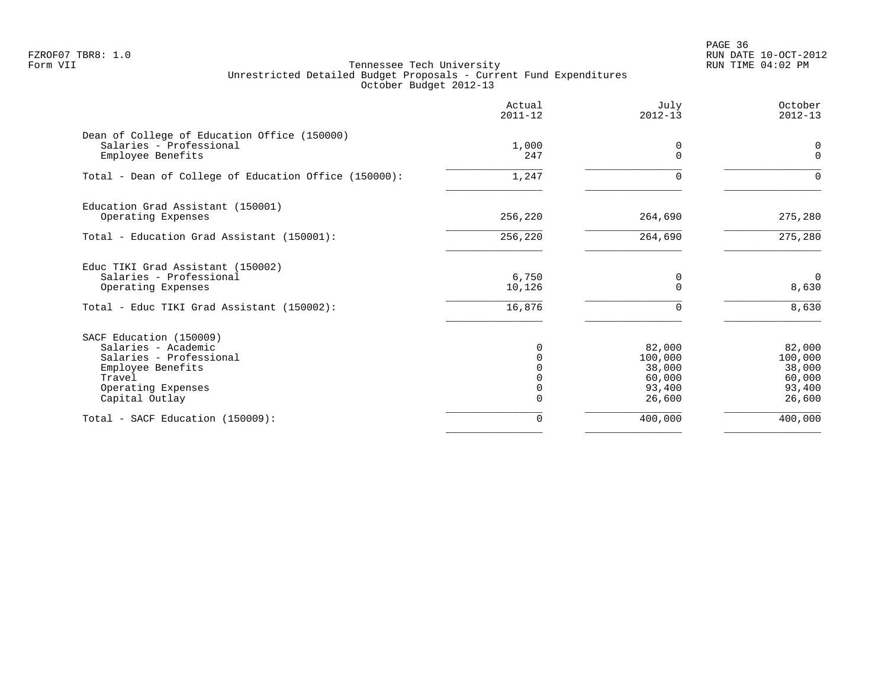en and the state of the state of the state of the state of the state of the state of the state of the state of the state of the state of the state of the state of the state of the state of the state of the state of the sta FZROF07 TBR8: 1.0 RUN DATE 10-OCT-2012

|                                                                         | Actual<br>$2011 - 12$ | July<br>$2012 - 13$ | October<br>$2012 - 13$ |
|-------------------------------------------------------------------------|-----------------------|---------------------|------------------------|
| Dean of College of Education Office (150000)<br>Salaries - Professional | 1,000                 | 0                   | 0                      |
| Employee Benefits                                                       | 247                   | $\Omega$            | $\Omega$               |
| Total - Dean of College of Education Office (150000):                   | 1,247                 | $\Omega$            | $\Omega$               |
| Education Grad Assistant (150001)                                       |                       |                     |                        |
| Operating Expenses                                                      | 256,220               | 264,690             | 275,280                |
| Total - Education Grad Assistant (150001):                              | 256,220               | 264,690             | 275,280                |
| Educ TIKI Grad Assistant (150002)                                       |                       |                     |                        |
| Salaries - Professional<br>Operating Expenses                           | 6,750<br>10,126       | 0<br>$\Omega$       | 0<br>8,630             |
| Total - Educ TIKI Grad Assistant (150002):                              | 16,876                | $\Omega$            | 8,630                  |
| SACF Education (150009)                                                 |                       |                     |                        |
| Salaries - Academic                                                     | 0                     | 82,000              | 82,000                 |
| Salaries - Professional                                                 |                       | 100,000             | 100,000                |
| Employee Benefits                                                       |                       | 38,000              | 38,000                 |
| Travel                                                                  | 0                     | 60,000<br>93,400    | 60,000<br>93,400       |
| Operating Expenses<br>Capital Outlay                                    | 0                     | 26,600              | 26,600                 |
| Total - SACF Education (150009):                                        | $\Omega$              | 400,000             | 400,000                |
|                                                                         |                       |                     |                        |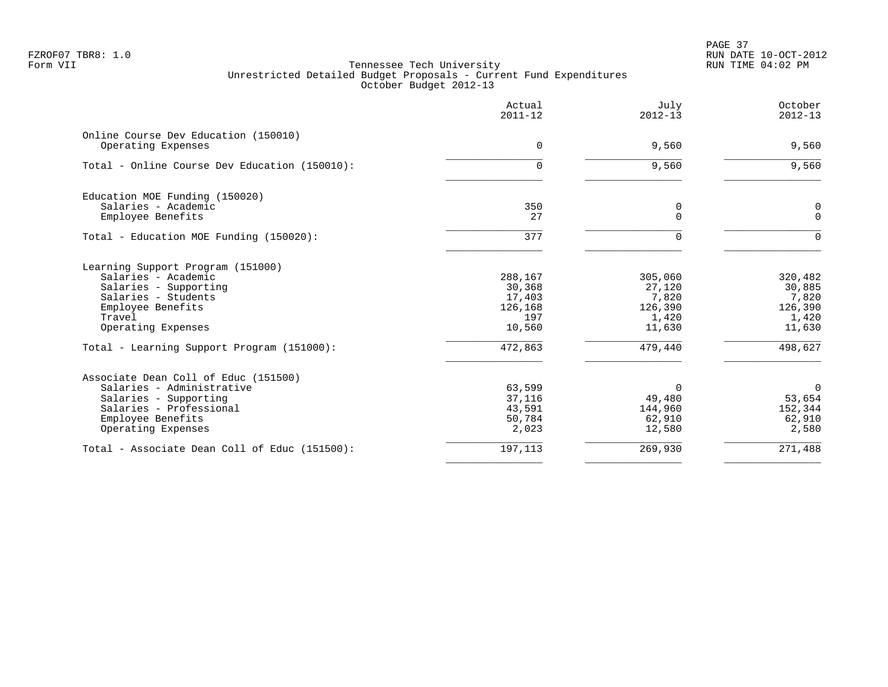PAGE 37 FZROF07 TBR8: 1.0 RUN DATE 10-OCT-2012

|                                                                                                                                                                                                             | Actual<br>$2011 - 12$                                              | July<br>$2012 - 13$                                                 | October<br>$2012 - 13$                                              |
|-------------------------------------------------------------------------------------------------------------------------------------------------------------------------------------------------------------|--------------------------------------------------------------------|---------------------------------------------------------------------|---------------------------------------------------------------------|
| Online Course Dev Education (150010)<br>Operating Expenses                                                                                                                                                  | $\mathbf 0$                                                        | 9,560                                                               | 9,560                                                               |
| Total - Online Course Dev Education (150010):                                                                                                                                                               | 0                                                                  | 9,560                                                               | 9,560                                                               |
| Education MOE Funding (150020)<br>Salaries - Academic<br>Employee Benefits                                                                                                                                  | 350<br>27                                                          | 0<br>$\Omega$                                                       | 0<br>$\Omega$                                                       |
| Total - Education MOE Funding (150020):                                                                                                                                                                     | 377                                                                | $\Omega$                                                            | $\Omega$                                                            |
| Learning Support Program (151000)<br>Salaries - Academic<br>Salaries - Supporting<br>Salaries - Students<br>Employee Benefits<br>Travel<br>Operating Expenses<br>Total - Learning Support Program (151000): | 288,167<br>30,368<br>17,403<br>126,168<br>197<br>10,560<br>472,863 | 305,060<br>27,120<br>7,820<br>126,390<br>1,420<br>11,630<br>479,440 | 320,482<br>30,885<br>7,820<br>126,390<br>1,420<br>11,630<br>498,627 |
| Associate Dean Coll of Educ (151500)<br>Salaries - Administrative<br>Salaries - Supporting<br>Salaries - Professional<br>Employee Benefits<br>Operating Expenses                                            | 63,599<br>37,116<br>43,591<br>50,784<br>2,023                      | $\Omega$<br>49,480<br>144,960<br>62,910<br>12,580                   | $\Omega$<br>53,654<br>152,344<br>62,910<br>2,580                    |
| Total - Associate Dean Coll of Educ (151500):                                                                                                                                                               | 197,113                                                            | 269,930                                                             | 271,488                                                             |
|                                                                                                                                                                                                             |                                                                    |                                                                     |                                                                     |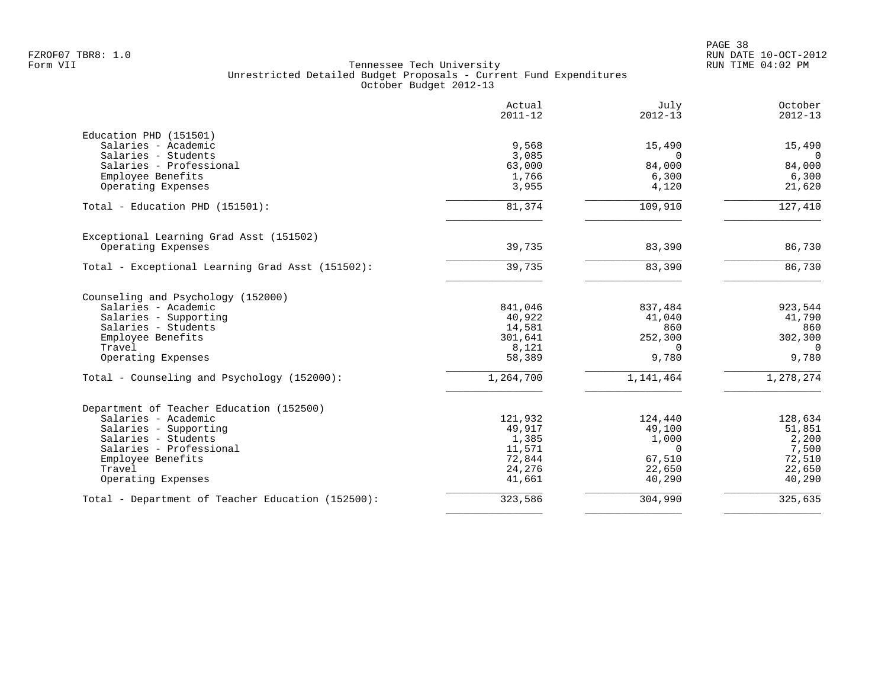|                                                   | Actual<br>$2011 - 12$ | July<br>$2012 - 13$ | October<br>$2012 - 13$ |
|---------------------------------------------------|-----------------------|---------------------|------------------------|
| Education PHD (151501)                            |                       |                     |                        |
| Salaries - Academic                               | 9,568                 | 15,490              | 15,490                 |
| Salaries - Students                               | 3,085                 | $\Omega$            | 0                      |
| Salaries - Professional                           | 63,000                | 84,000              | 84,000                 |
| Employee Benefits                                 | 1,766                 | 6,300               | 6,300                  |
| Operating Expenses                                | 3,955                 | 4,120               | 21,620                 |
| Total - Education PHD (151501):                   | 81,374                | 109,910             | 127,410                |
| Exceptional Learning Grad Asst (151502)           |                       |                     |                        |
| Operating Expenses                                | 39,735                | 83,390              | 86,730                 |
| Total - Exceptional Learning Grad Asst (151502):  | 39,735                | 83,390              | 86,730                 |
| Counseling and Psychology (152000)                |                       |                     |                        |
| Salaries - Academic                               | 841,046               | 837,484             | 923,544                |
| Salaries - Supporting                             | 40,922                | 41,040              | 41,790                 |
| Salaries - Students                               | 14,581                | 860                 | 860                    |
| Employee Benefits                                 | 301,641               | 252,300             | 302,300                |
| Travel                                            | 8,121                 | $\Omega$            | $\Omega$               |
| Operating Expenses                                | 58,389                | 9,780               | 9,780                  |
| Total - Counseling and Psychology (152000):       | 1,264,700             | 1,141,464           | 1,278,274              |
| Department of Teacher Education (152500)          |                       |                     |                        |
| Salaries - Academic                               | 121,932               | 124,440             | 128,634                |
| Salaries - Supporting                             | 49,917                | 49,100              | 51,851                 |
| Salaries - Students                               | 1,385                 | 1,000               | 2,200                  |
| Salaries - Professional                           | 11,571                | $\Omega$            | 7,500                  |
| Employee Benefits                                 | 72,844                | 67,510              | 72,510                 |
| Travel                                            | 24,276                | 22,650              | 22,650                 |
| Operating Expenses                                | 41,661                | 40,290              | 40,290                 |
| Total - Department of Teacher Education (152500): | 323,586               | 304,990             | 325,635                |
|                                                   |                       |                     |                        |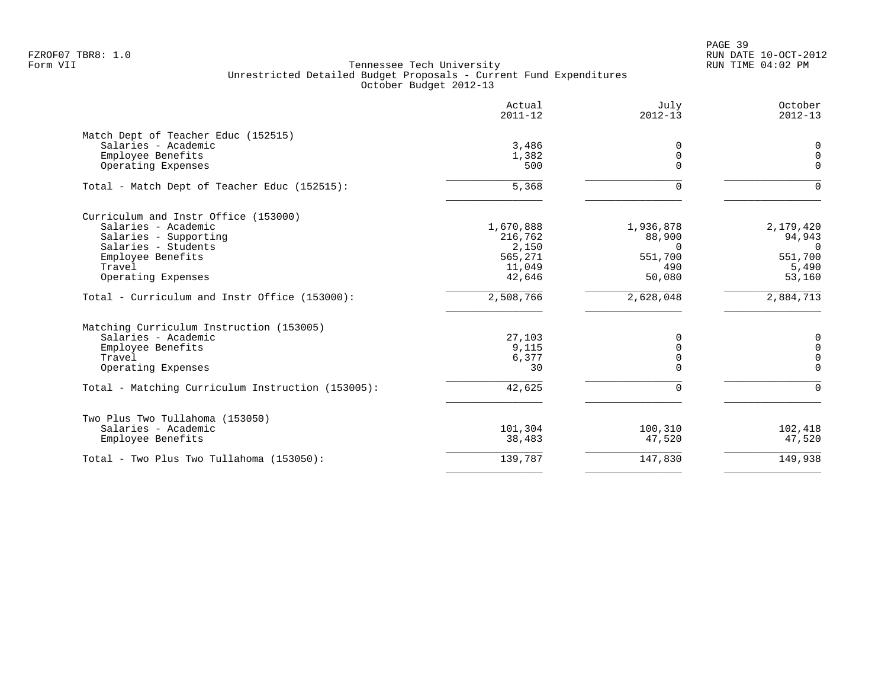|                                                   | Actual<br>$2011 - 12$ | July<br>$2012 - 13$ | October<br>$2012 - 13$ |
|---------------------------------------------------|-----------------------|---------------------|------------------------|
| Match Dept of Teacher Educ (152515)               |                       |                     |                        |
| Salaries - Academic                               | 3,486                 | 0                   | $\mathbf 0$            |
| Employee Benefits                                 | 1,382                 | $\mathbf 0$         | $\Omega$               |
| Operating Expenses                                | 500                   | $\Omega$            | $\Omega$               |
| Total - Match Dept of Teacher Educ (152515):      | 5,368                 | $\Omega$            | $\Omega$               |
| Curriculum and Instr Office (153000)              |                       |                     |                        |
| Salaries - Academic                               | 1,670,888             | 1,936,878           | 2,179,420              |
| Salaries - Supporting                             | 216,762               | 88,900              | 94,943                 |
| Salaries - Students                               | 2,150                 | $\Omega$            | $\Omega$               |
| Employee Benefits                                 | 565,271               | 551,700             | 551,700                |
| Travel                                            | 11,049                | 490                 | 5,490                  |
| Operating Expenses                                | 42,646                | 50,080              | 53,160                 |
| Total - Curriculum and Instr Office (153000):     | 2,508,766             | 2,628,048           | 2,884,713              |
| Matching Curriculum Instruction (153005)          |                       |                     |                        |
| Salaries - Academic                               | 27,103                | 0                   | $\mathbf 0$            |
| Employee Benefits                                 | 9,115                 | 0                   | $\mathbf 0$            |
| Travel                                            | 6,377                 | 0                   | $\mathbf 0$            |
| Operating Expenses                                | 30                    | $\Omega$            | $\Omega$               |
| Total - Matching Curriculum Instruction (153005): | 42,625                | $\mathbf 0$         | $\Omega$               |
| Two Plus Two Tullahoma (153050)                   |                       |                     |                        |
| Salaries - Academic                               | 101,304               | 100,310             | 102,418                |
| Employee Benefits                                 | 38,483                | 47,520              | 47,520                 |
| Total - Two Plus Two Tullahoma (153050):          | 139,787               | 147,830             | 149,938                |
|                                                   |                       |                     |                        |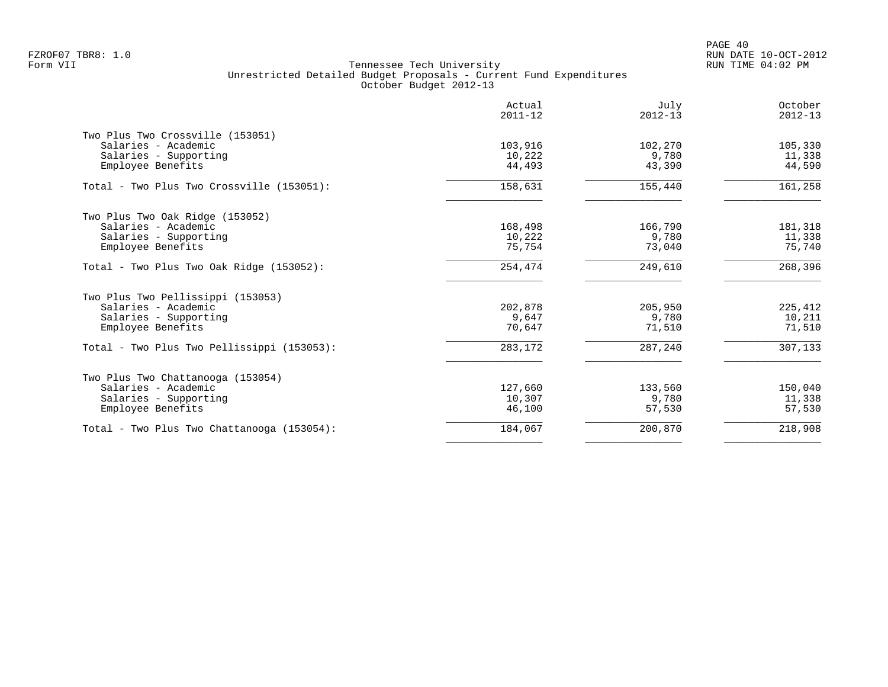|                                            | Actual<br>$2011 - 12$ | July<br>$2012 - 13$ | October<br>$2012 - 13$ |
|--------------------------------------------|-----------------------|---------------------|------------------------|
| Two Plus Two Crossville (153051)           |                       |                     |                        |
| Salaries - Academic                        | 103,916               | 102,270             | 105,330                |
| Salaries - Supporting                      | 10,222                | 9,780               | 11,338                 |
| Employee Benefits                          | 44,493                | 43,390              | 44,590                 |
| Total - Two Plus Two Crossville (153051):  | 158,631               | 155,440             | 161,258                |
| Two Plus Two Oak Ridge (153052)            |                       |                     |                        |
| Salaries - Academic                        | 168,498               | 166,790             | 181,318                |
| Salaries - Supporting                      | 10,222                | 9,780               | 11,338                 |
| Employee Benefits                          | 75,754                | 73,040              | 75,740                 |
| Total - Two Plus Two Oak Ridge (153052):   | 254,474               | 249,610             | 268, 396               |
| Two Plus Two Pellissippi (153053)          |                       |                     |                        |
| Salaries - Academic                        | 202,878               | 205,950             | 225,412                |
| Salaries - Supporting                      | 9,647                 | 9,780               | 10,211                 |
| Employee Benefits                          | 70.647                | 71,510              | 71,510                 |
| Total - Two Plus Two Pellissippi (153053): | 283,172               | 287,240             | 307,133                |
| Two Plus Two Chattanooga (153054)          |                       |                     |                        |
| Salaries - Academic                        | 127,660               | 133,560             | 150,040                |
| Salaries - Supporting                      | 10,307                | 9,780               | 11,338                 |
| Employee Benefits                          | 46,100                | 57,530              | 57,530                 |
| Total - Two Plus Two Chattanooga (153054): | 184,067               | 200,870             | 218,908                |
|                                            |                       |                     |                        |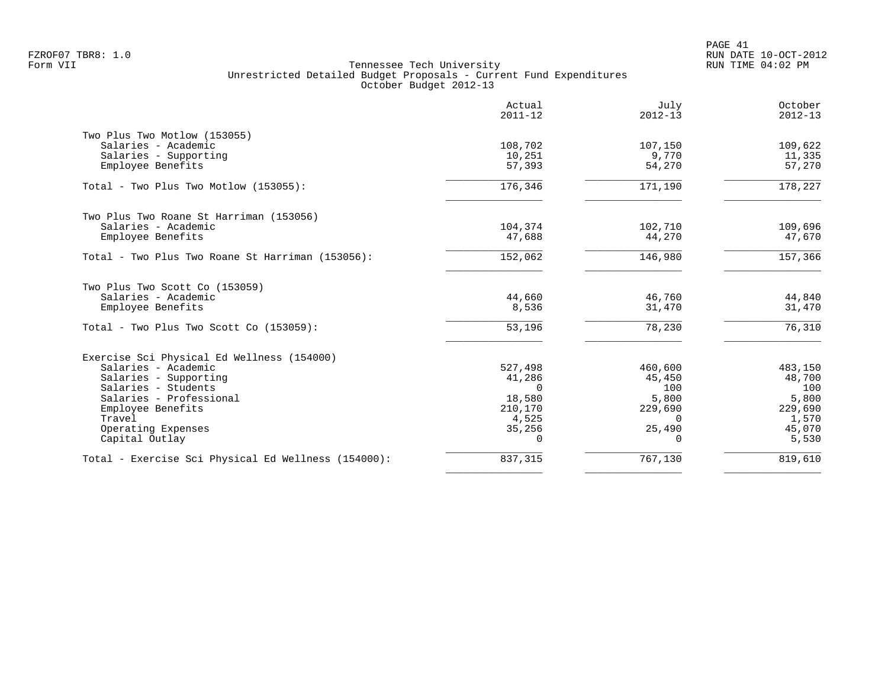PAGE 41 FZROF07 TBR8: 1.0 RUN DATE 10-OCT-2012

|                                                     | Actual<br>$2011 - 12$ | July<br>$2012 - 13$ | October<br>$2012 - 13$ |
|-----------------------------------------------------|-----------------------|---------------------|------------------------|
| Two Plus Two Motlow (153055)                        |                       |                     |                        |
| Salaries - Academic                                 | 108,702               | 107,150             | 109,622                |
| Salaries - Supporting                               | 10,251                | 9,770               | 11,335                 |
| Employee Benefits                                   | 57,393                | 54,270              | 57,270                 |
| Total - Two Plus Two Motlow (153055):               | 176,346               | 171,190             | 178,227                |
| Two Plus Two Roane St Harriman (153056)             |                       |                     |                        |
| Salaries - Academic                                 | 104,374               | 102,710             | 109,696                |
| Employee Benefits                                   | 47,688                | 44,270              | 47,670                 |
| Total - Two Plus Two Roane St Harriman (153056):    | 152,062               | 146,980             | 157,366                |
| Two Plus Two Scott Co (153059)                      |                       |                     |                        |
| Salaries - Academic                                 | 44,660                | 46,760              | 44,840                 |
| Employee Benefits                                   | 8,536                 | 31,470              | 31,470                 |
| Total - Two Plus Two Scott Co (153059):             | 53,196                | 78,230              | 76,310                 |
| Exercise Sci Physical Ed Wellness (154000)          |                       |                     |                        |
| Salaries - Academic                                 | 527,498               | 460,600             | 483,150                |
| Salaries - Supporting                               | 41,286                | 45,450              | 48,700                 |
| Salaries - Students                                 | $\Omega$              | 100                 | 100                    |
| Salaries - Professional                             | 18,580                | 5,800               | 5,800                  |
| Employee Benefits                                   | 210,170               | 229,690             | 229,690                |
| Travel                                              | 4,525                 | $\Omega$            | 1,570                  |
| Operating Expenses                                  | 35,256                | 25,490              | 45,070                 |
| Capital Outlay                                      | $\Omega$              | 0                   | 5,530                  |
| Total - Exercise Sci Physical Ed Wellness (154000): | 837,315               | 767,130             | 819,610                |
|                                                     |                       |                     |                        |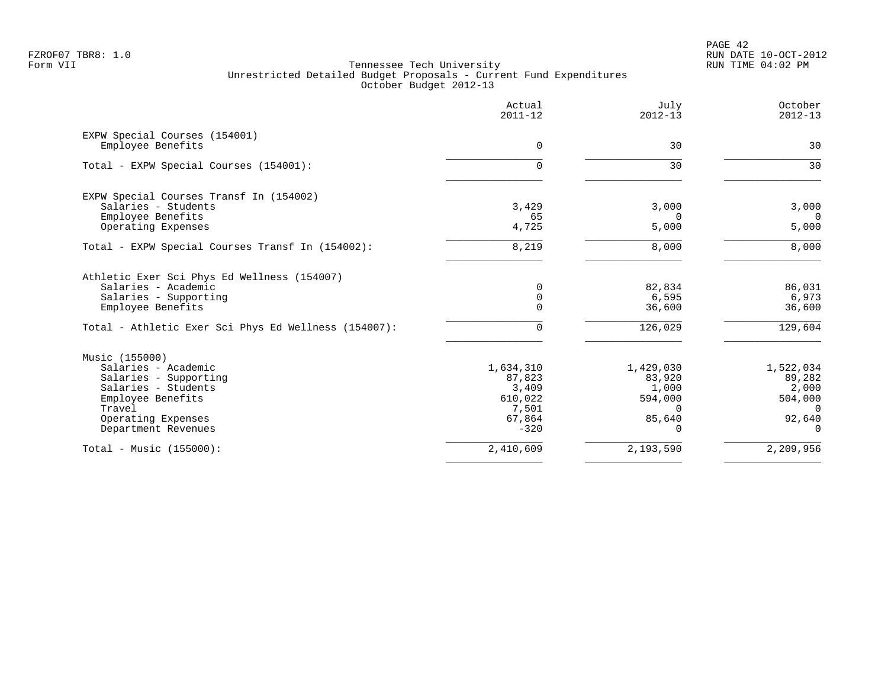|                                                                    | Actual<br>$2011 - 12$ | July<br>$2012 - 13$ | October<br>$2012 - 13$ |
|--------------------------------------------------------------------|-----------------------|---------------------|------------------------|
| EXPW Special Courses (154001)<br>Employee Benefits                 | $\Omega$              | 30                  | 30                     |
|                                                                    |                       |                     |                        |
| Total - EXPW Special Courses (154001):                             | $\Omega$              | 30                  | 30                     |
| EXPW Special Courses Transf In (154002)                            |                       |                     |                        |
| Salaries - Students                                                | 3,429                 | 3,000               | 3,000                  |
| Employee Benefits<br>Operating Expenses                            | 65<br>4,725           | $\Omega$<br>5,000   | $\Omega$<br>5,000      |
| Total - EXPW Special Courses Transf In (154002):                   | 8,219                 | 8,000               | 8,000                  |
| Athletic Exer Sci Phys Ed Wellness (154007)<br>Salaries - Academic | 0<br>$\mathbf 0$      | 82,834              | 86,031                 |
| Salaries - Supporting<br>Employee Benefits                         | $\Omega$              | 6,595<br>36,600     | 6,973<br>36,600        |
| Total - Athletic Exer Sci Phys Ed Wellness (154007):               | $\Omega$              | 126,029             | 129,604                |
| Music (155000)                                                     |                       |                     |                        |
| Salaries - Academic                                                | 1,634,310             | 1,429,030           | 1,522,034              |
| Salaries - Supporting                                              | 87,823                | 83,920              | 89,282                 |
| Salaries - Students                                                | 3,409                 | 1,000               | 2,000                  |
| Employee Benefits<br>Travel                                        | 610,022<br>7,501      | 594,000<br>$\Omega$ | 504,000<br>$\Omega$    |
| Operating Expenses                                                 | 67,864                | 85,640              | 92,640                 |
| Department Revenues                                                | $-320$                | 0                   | $\overline{0}$         |
| Total - Music $(155000)$ :                                         | 2,410,609             | 2,193,590           | 2,209,956              |
|                                                                    |                       |                     |                        |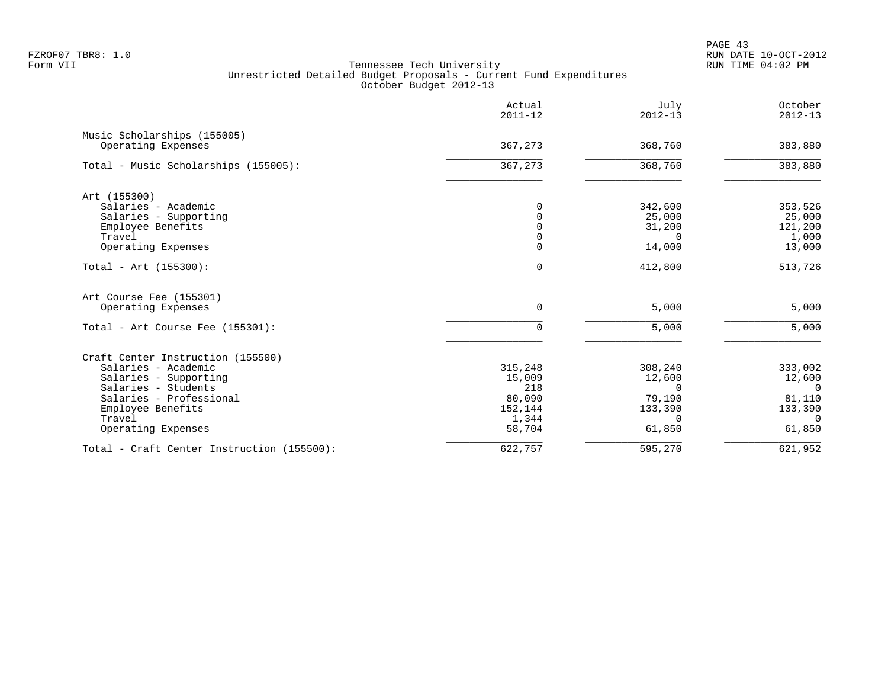PAGE 43 FZROF07 TBR8: 1.0 RUN DATE 10-OCT-2012

|                                                   | Actual<br>$2011 - 12$ | July<br>$2012 - 13$ | October<br>$2012 - 13$ |
|---------------------------------------------------|-----------------------|---------------------|------------------------|
| Music Scholarships (155005)<br>Operating Expenses | 367,273               | 368,760             | 383,880                |
| Total - Music Scholarships (155005):              | 367,273               | 368,760             | 383,880                |
| Art (155300)                                      |                       |                     |                        |
| Salaries - Academic                               | $\Omega$              | 342,600             | 353,526                |
| Salaries - Supporting                             | $\Omega$              | 25,000              | 25,000                 |
| Employee Benefits                                 | $\cap$                | 31,200              | 121,200                |
| Travel                                            | $\Omega$              | $\Omega$            | 1,000                  |
| Operating Expenses                                | $\Omega$              | 14,000              | 13,000                 |
| Total - Art $(155300)$ :                          | $\Omega$              | 412,800             | 513,726                |
| Art Course Fee (155301)                           |                       |                     |                        |
| Operating Expenses                                | $\mathbf 0$           | 5,000               | 5,000                  |
| Total - Art Course Fee (155301):                  | $\Omega$              | 5,000               | 5,000                  |
| Craft Center Instruction (155500)                 |                       |                     |                        |
| Salaries - Academic                               | 315,248               | 308,240             | 333,002                |
| Salaries - Supporting                             | 15,009                | 12,600              | 12,600                 |
| Salaries - Students                               | 218                   | $\Omega$            | $\Omega$               |
| Salaries - Professional                           | 80,090                | 79,190              | 81,110                 |
| Employee Benefits                                 | 152,144               | 133,390             | 133,390                |
| Travel                                            | 1,344                 | $\Omega$            | $\Omega$               |
| Operating Expenses                                | 58,704                | 61,850              | 61,850                 |
| Total - Craft Center Instruction (155500):        | 622,757               | 595,270             | 621,952                |
|                                                   |                       |                     |                        |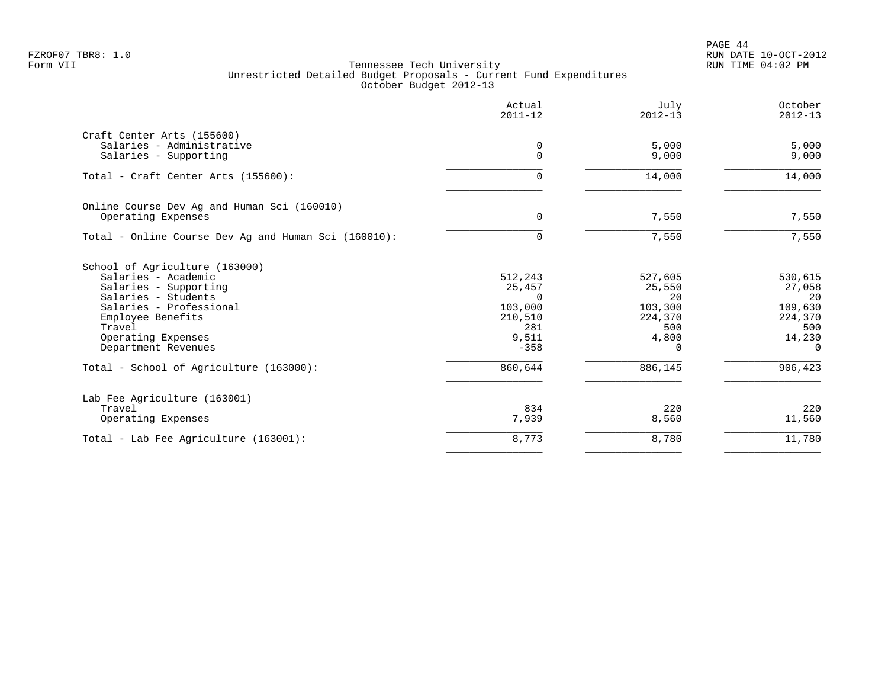|                                                      | Actual<br>$2011 - 12$ | July<br>$2012 - 13$ | October<br>$2012 - 13$ |
|------------------------------------------------------|-----------------------|---------------------|------------------------|
| Craft Center Arts (155600)                           |                       |                     |                        |
| Salaries - Administrative<br>Salaries - Supporting   | 0<br>$\Omega$         | 5,000<br>9,000      | 5,000<br>9,000         |
| Total - Craft Center Arts (155600):                  | $\Omega$              | 14,000              | 14,000                 |
| Online Course Dev Ag and Human Sci (160010)          |                       |                     |                        |
| Operating Expenses                                   | 0                     | 7,550               | 7,550                  |
| Total - Online Course Dev Ag and Human Sci (160010): | <sup>n</sup>          | 7,550               | 7,550                  |
| School of Agriculture (163000)                       |                       |                     |                        |
| Salaries - Academic                                  | 512,243               | 527,605             | 530,615                |
| Salaries - Supporting                                | 25,457<br>$\Omega$    | 25,550<br>20        | 27,058<br>20           |
| Salaries - Students<br>Salaries - Professional       | 103,000               | 103,300             | 109,630                |
| Employee Benefits                                    | 210,510               | 224,370             | 224,370                |
| Travel                                               | 281                   | 500                 | 500                    |
| Operating Expenses                                   | 9,511                 | 4,800               | 14,230                 |
| Department Revenues                                  | $-358$                | <sup>n</sup>        | $\Omega$               |
| Total - School of Agriculture (163000):              | 860,644               | 886,145             | 906,423                |
| Lab Fee Agriculture (163001)                         |                       |                     |                        |
| Travel                                               | 834                   | 220                 | 220                    |
| Operating Expenses                                   | 7,939                 | 8,560               | 11,560                 |
| Total - Lab Fee Agriculture (163001):                | 8,773                 | 8,780               | 11,780                 |
|                                                      |                       |                     |                        |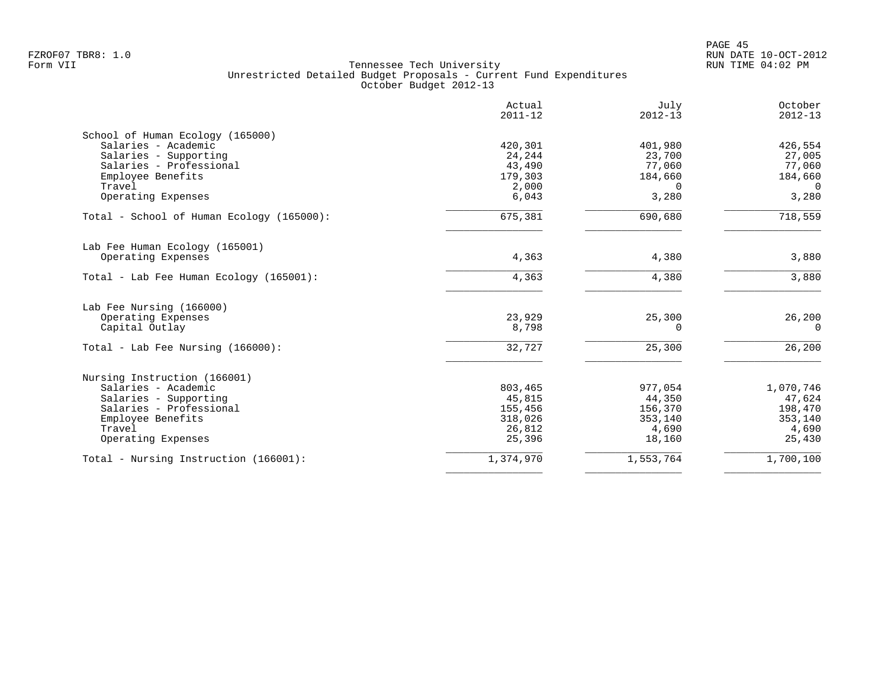PAGE 45 FZROF07 TBR8: 1.0 RUN DATE 10-OCT-2012

|                                           | Actual<br>$2011 - 12$ | July<br>$2012 - 13$ | October<br>$2012 - 13$ |
|-------------------------------------------|-----------------------|---------------------|------------------------|
| School of Human Ecology (165000)          |                       |                     |                        |
| Salaries - Academic                       | 420,301               | 401,980             | 426,554                |
| Salaries - Supporting                     | 24,244                | 23,700              | 27,005                 |
| Salaries - Professional                   | 43,490                | 77,060              | 77,060                 |
| Employee Benefits                         | 179,303               | 184,660             | 184,660                |
| Travel                                    | 2,000                 |                     | $\Omega$               |
| Operating Expenses                        | 6,043                 | 3,280               | 3,280                  |
| Total - School of Human Ecology (165000): | 675,381               | 690,680             | 718,559                |
| Lab Fee Human Ecology (165001)            |                       |                     |                        |
| Operating Expenses                        | 4,363                 | 4,380               | 3,880                  |
| Total - Lab Fee Human Ecology (165001):   | 4,363                 | 4,380               | 3,880                  |
| Lab Fee Nursing (166000)                  |                       |                     |                        |
| Operating Expenses                        | 23,929                | 25,300              | 26,200                 |
| Capital Outlay                            | 8,798                 | 0                   | $\mathbf 0$            |
|                                           |                       |                     |                        |
| Total - Lab Fee Nursing $(166000)$ :      | 32,727                | 25,300              | 26,200                 |
| Nursing Instruction (166001)              |                       |                     |                        |
| Salaries - Academic                       | 803,465               | 977,054             | 1,070,746              |
| Salaries - Supporting                     | 45,815                | 44,350              | 47,624                 |
| Salaries - Professional                   | 155,456               | 156,370             | 198,470                |
| Employee Benefits                         | 318,026               | 353,140             | 353,140                |
| Travel                                    | 26,812                | 4,690               | 4,690                  |
| Operating Expenses                        | 25,396                | 18,160              | 25,430                 |
| Total - Nursing Instruction (166001):     | 1,374,970             | 1,553,764           | 1,700,100              |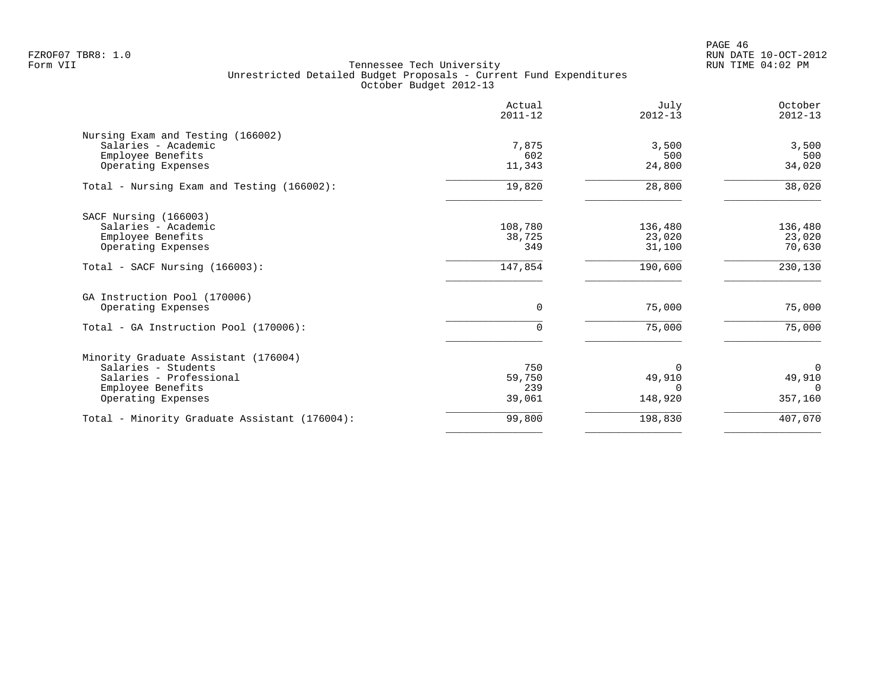|                                               | Actual<br>$2011 - 12$ | July<br>$2012 - 13$ | October<br>$2012 - 13$ |
|-----------------------------------------------|-----------------------|---------------------|------------------------|
| Nursing Exam and Testing (166002)             |                       |                     |                        |
| Salaries - Academic                           | 7,875                 | 3,500               | 3,500                  |
| Employee Benefits                             | 602                   | 500                 | 500                    |
| Operating Expenses                            | 11,343                | 24,800              | 34,020                 |
| Total - Nursing Exam and Testing (166002):    | 19,820                | 28,800              | 38,020                 |
| SACF Nursing (166003)                         |                       |                     |                        |
| Salaries - Academic                           | 108,780               | 136,480             | 136,480                |
| Employee Benefits                             | 38,725                | 23,020              | 23,020                 |
| Operating Expenses                            | 349                   | 31,100              | 70,630                 |
| Total - SACF Nursing (166003):                | 147,854               | 190,600             | 230,130                |
| GA Instruction Pool (170006)                  |                       |                     |                        |
| Operating Expenses                            | 0                     | 75,000              | 75,000                 |
| Total - GA Instruction Pool (170006):         | $\Omega$              | 75,000              | 75,000                 |
| Minority Graduate Assistant (176004)          |                       |                     |                        |
| Salaries - Students                           | 750                   | $\Omega$            | 0                      |
| Salaries - Professional                       | 59,750                | 49,910              | 49,910                 |
| Employee Benefits                             | 239                   | ∩                   | $\Omega$               |
| Operating Expenses                            | 39,061                | 148,920             | 357,160                |
| Total - Minority Graduate Assistant (176004): | 99,800                | 198,830             | 407,070                |
|                                               |                       |                     |                        |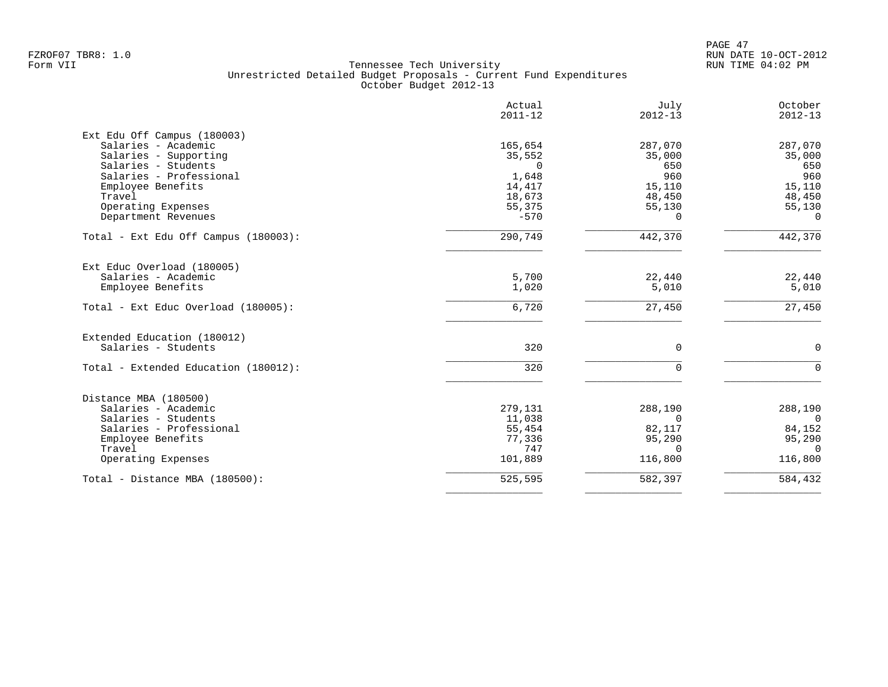|                                      | Actual<br>$2011 - 12$ | July<br>$2012 - 13$ | October<br>$2012 - 13$ |
|--------------------------------------|-----------------------|---------------------|------------------------|
| Ext Edu Off Campus (180003)          |                       |                     |                        |
| Salaries - Academic                  | 165,654               | 287,070             | 287,070                |
| Salaries - Supporting                | 35,552                | 35,000              | 35,000                 |
| Salaries - Students                  | $\Omega$              | 650                 | 650                    |
| Salaries - Professional              | 1,648                 | 960                 | 960                    |
| Employee Benefits                    | 14,417                | 15,110              | 15,110                 |
| Travel                               | 18,673                | 48,450              | 48,450                 |
| Operating Expenses                   | 55,375                | 55,130              | 55,130                 |
| Department Revenues                  | $-570$                | 0                   | $\Omega$               |
| Total - Ext Edu Off Campus (180003): | 290,749               | 442,370             | 442,370                |
| Ext Educ Overload (180005)           |                       |                     |                        |
| Salaries - Academic                  | 5,700                 | 22,440              | 22,440                 |
| Employee Benefits                    | 1,020                 | 5,010               | 5,010                  |
| Total - Ext Educ Overload (180005):  | 6,720                 | 27,450              | 27,450                 |
| Extended Education (180012)          |                       |                     |                        |
| Salaries - Students                  | 320                   | $\mathbf 0$         | $\mathbf 0$            |
| Total - Extended Education (180012): | 320                   | $\Omega$            | $\Omega$               |
| Distance MBA (180500)                |                       |                     |                        |
| Salaries - Academic                  | 279,131               | 288,190             | 288,190                |
| Salaries - Students                  | 11,038                | $\Omega$            | $\Omega$               |
| Salaries - Professional              | 55,454                | 82,117              | 84,152                 |
| Employee Benefits                    | 77,336                | 95,290              | 95,290                 |
| Travel                               | 747                   | $\Omega$            | $\Omega$               |
| Operating Expenses                   | 101,889               | 116,800             | 116,800                |
| Total - Distance MBA (180500):       | 525,595               | 582,397             | 584,432                |
|                                      |                       |                     |                        |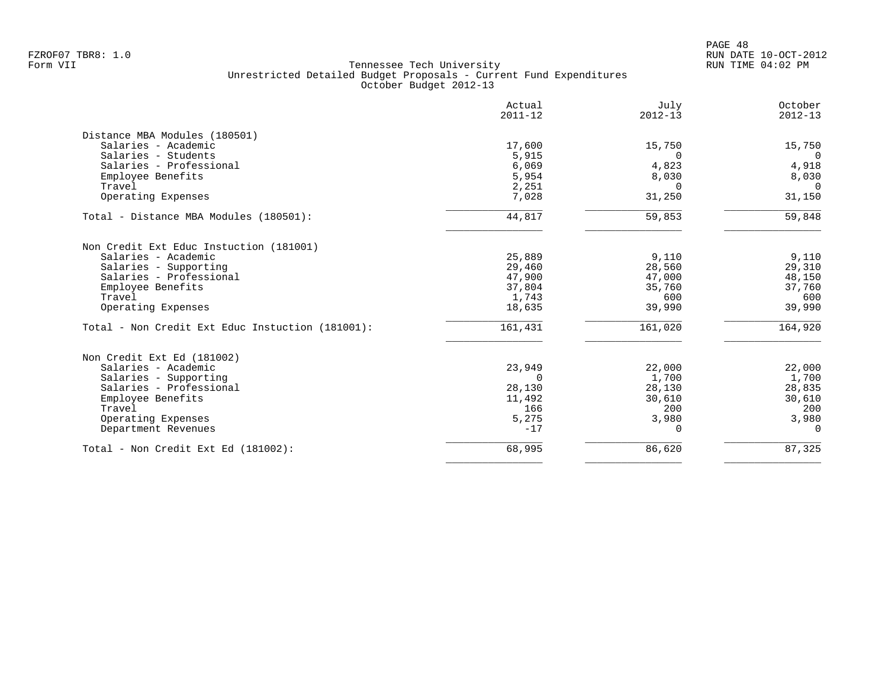|                                                  | Actual<br>$2011 - 12$ | July<br>$2012 - 13$ | October<br>$2012 - 13$ |
|--------------------------------------------------|-----------------------|---------------------|------------------------|
| Distance MBA Modules (180501)                    |                       |                     |                        |
| Salaries - Academic                              | 17,600                | 15,750              | 15,750                 |
| Salaries - Students<br>Salaries - Professional   | 5,915<br>6,069        | $\Omega$<br>4,823   | $\Omega$<br>4,918      |
| Employee Benefits                                | 5,954                 | 8,030               | 8,030                  |
| Travel                                           | 2,251                 | $\Omega$            | $\overline{0}$         |
| Operating Expenses                               | 7,028                 | 31,250              | 31,150                 |
| Total - Distance MBA Modules (180501):           | 44,817                | 59,853              | 59,848                 |
| Non Credit Ext Educ Instuction (181001)          |                       |                     |                        |
| Salaries - Academic                              | 25,889                | 9,110               | 9,110                  |
| Salaries - Supporting                            | 29,460                | 28,560              | 29,310                 |
| Salaries - Professional                          | 47,900                | 47,000              | 48,150                 |
| Employee Benefits                                | 37,804                | 35,760              | 37,760                 |
| Travel                                           | 1,743                 | 600                 | 600                    |
| Operating Expenses                               | 18,635                | 39,990              | 39,990                 |
| Total - Non Credit Ext Educ Instuction (181001): | 161,431               | 161,020             | 164,920                |
| Non Credit Ext Ed (181002)                       |                       |                     |                        |
| Salaries - Academic                              | 23,949                | 22,000              | 22,000                 |
| Salaries - Supporting                            | $\Omega$              | 1,700               | 1,700                  |
| Salaries - Professional                          | 28,130                | 28,130              | 28,835                 |
| Employee Benefits                                | 11,492                | 30,610              | 30,610                 |
| Travel                                           | 166                   | 200                 | 200                    |
| Operating Expenses<br>Department Revenues        | 5,275<br>$-17$        | 3,980<br>0          | 3,980<br>$\mathbf 0$   |
|                                                  |                       |                     |                        |
| Total - Non Credit Ext Ed (181002):              | 68,995                | 86,620              | 87,325                 |
|                                                  |                       |                     |                        |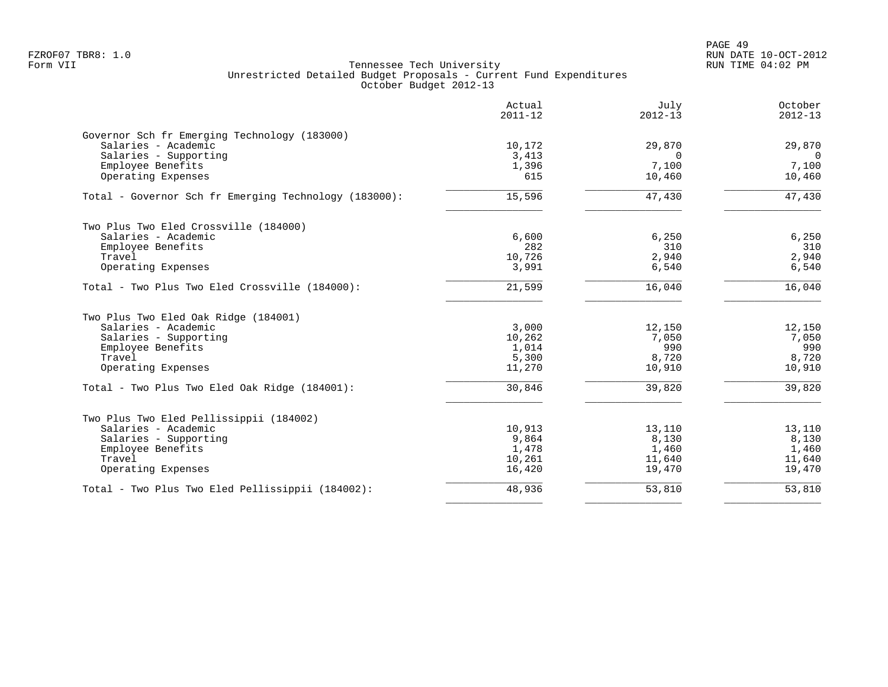|                                                       | Actual<br>$2011 - 12$ | July<br>$2012 - 13$ | October<br>$2012 - 13$ |
|-------------------------------------------------------|-----------------------|---------------------|------------------------|
| Governor Sch fr Emerging Technology (183000)          |                       |                     |                        |
| Salaries - Academic                                   | 10,172                | 29,870              | 29,870                 |
| Salaries - Supporting                                 | 3,413                 | $\Omega$<br>7,100   | $\Omega$<br>7,100      |
| Employee Benefits<br>Operating Expenses               | 1,396<br>615          | 10,460              | 10,460                 |
| Total - Governor Sch fr Emerging Technology (183000): | 15,596                | 47,430              | 47,430                 |
| Two Plus Two Eled Crossville (184000)                 |                       |                     |                        |
| Salaries - Academic                                   | 6,600                 | 6,250               | 6,250                  |
| Employee Benefits                                     | 282                   | 310                 | 310                    |
| Travel                                                | 10,726                | 2,940               | 2,940                  |
| Operating Expenses                                    | 3,991                 | 6,540               | 6,540                  |
| Total - Two Plus Two Eled Crossville (184000):        | 21,599                | 16,040              | 16,040                 |
| Two Plus Two Eled Oak Ridge (184001)                  |                       |                     |                        |
| Salaries - Academic                                   | 3,000                 | 12,150              | 12,150                 |
| Salaries - Supporting                                 | 10,262                | 7,050               | 7,050                  |
| Employee Benefits                                     | 1,014                 | 990                 | 990                    |
| Travel                                                | 5,300                 | 8,720               | 8,720                  |
| Operating Expenses                                    | 11,270                | 10,910              | 10,910                 |
| Total - Two Plus Two Eled Oak Ridge (184001):         | 30,846                | 39,820              | 39,820                 |
| Two Plus Two Eled Pellissippii (184002)               |                       |                     |                        |
| Salaries - Academic                                   | 10,913                | 13,110              | 13,110                 |
| Salaries - Supporting                                 | 9,864                 | 8,130               | 8,130                  |
| Employee Benefits                                     | 1,478                 | 1,460               | 1,460                  |
| Travel                                                | 10,261                | 11,640              | 11,640                 |
| Operating Expenses                                    | 16,420                | 19,470              | 19,470                 |
| Total - Two Plus Two Eled Pellissippii (184002):      | 48,936                | 53,810              | 53,810                 |
|                                                       |                       |                     |                        |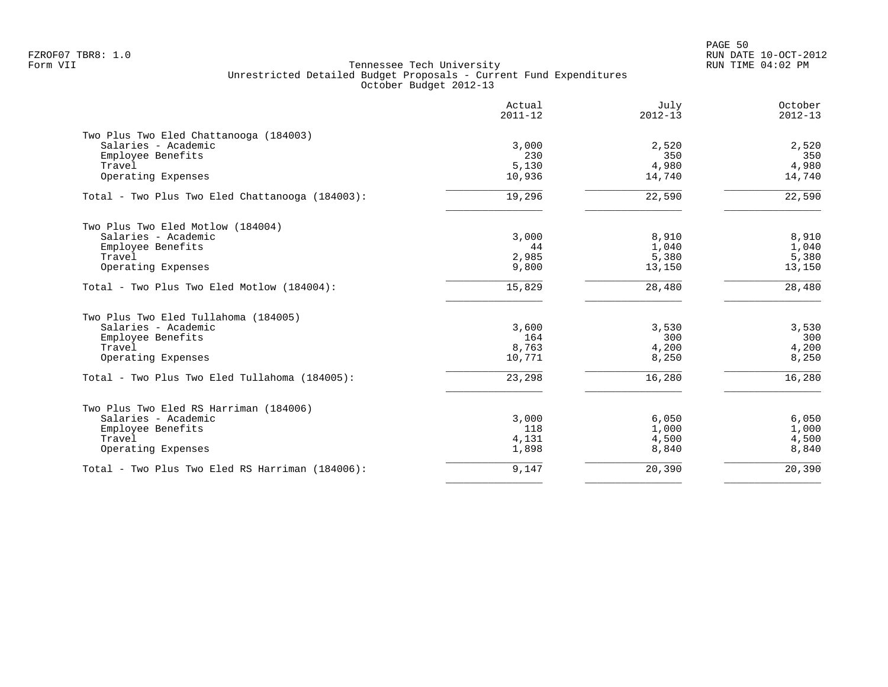PAGE 50 FZROF07 TBR8: 1.0 RUN DATE 10-OCT-2012

|                                                 | Actual<br>$2011 - 12$ | July<br>$2012 - 13$ | October<br>$2012 - 13$ |
|-------------------------------------------------|-----------------------|---------------------|------------------------|
| Two Plus Two Eled Chattanooga (184003)          |                       |                     |                        |
| Salaries - Academic                             | 3,000                 | 2,520               | 2,520                  |
| Employee Benefits                               | 230                   | 350                 | 350                    |
| Travel                                          | 5,130                 | 4,980               | 4,980                  |
| Operating Expenses                              | 10,936                | 14,740              | 14,740                 |
| Total - Two Plus Two Eled Chattanooga (184003): | 19,296                | 22,590              | 22,590                 |
| Two Plus Two Eled Motlow (184004)               |                       |                     |                        |
| Salaries - Academic                             | 3,000                 | 8,910               | 8,910                  |
| Employee Benefits                               | 44                    | 1,040               | 1,040                  |
| Travel                                          | 2,985                 | 5,380               | 5,380                  |
| Operating Expenses                              | 9,800                 | 13,150              | 13,150                 |
| Total - Two Plus Two Eled Motlow (184004):      | 15,829                | 28,480              | 28,480                 |
| Two Plus Two Eled Tullahoma (184005)            |                       |                     |                        |
| Salaries - Academic                             | 3,600                 | 3,530               | 3,530                  |
| Employee Benefits                               | 164                   | 300                 | 300                    |
| Travel                                          | 8,763                 | 4,200               | 4,200                  |
| Operating Expenses                              | 10,771                | 8,250               | 8,250                  |
| Total - Two Plus Two Eled Tullahoma (184005):   | 23,298                | 16,280              | 16,280                 |
| Two Plus Two Eled RS Harriman (184006)          |                       |                     |                        |
| Salaries - Academic                             | 3,000                 | 6,050               | 6,050                  |
| Employee Benefits                               | 118                   | 1,000               | 1,000                  |
| Travel                                          | 4,131                 | 4,500               | 4,500                  |
| Operating Expenses                              | 1,898                 | 8,840               | 8,840                  |
| Total - Two Plus Two Eled RS Harriman (184006): | 9,147                 | 20,390              | 20,390                 |
|                                                 |                       |                     |                        |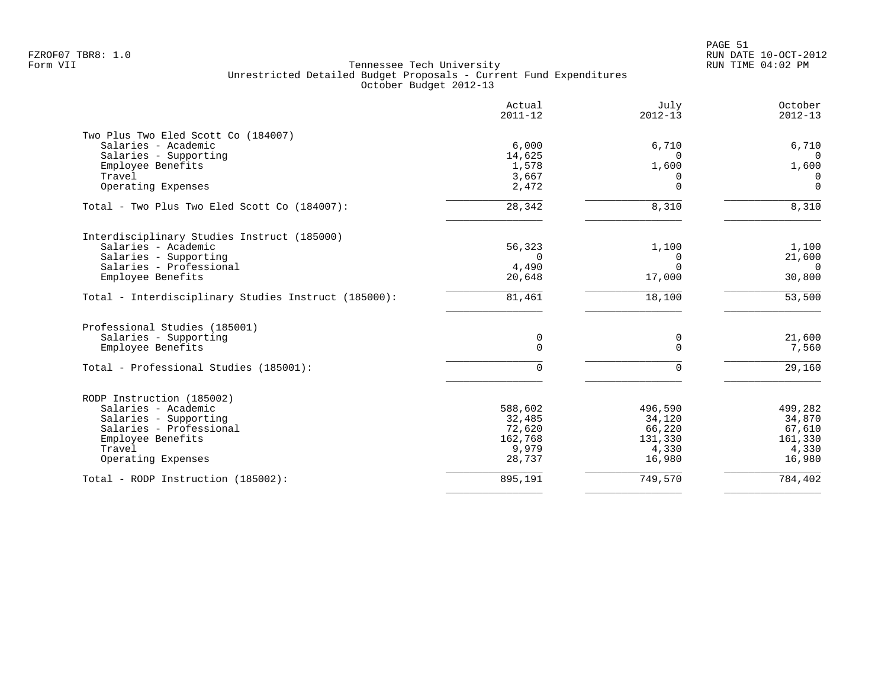| Actual<br>$2011 - 12$ | July<br>$2012 - 13$                                                                         | October<br>$2012 - 13$                                         |
|-----------------------|---------------------------------------------------------------------------------------------|----------------------------------------------------------------|
|                       |                                                                                             |                                                                |
|                       |                                                                                             | 6,710                                                          |
|                       | $\Omega$                                                                                    | $\Omega$                                                       |
|                       |                                                                                             | 1,600                                                          |
|                       | O                                                                                           | 0                                                              |
|                       |                                                                                             | $\Omega$                                                       |
| 28, 342               | 8,310                                                                                       | 8,310                                                          |
|                       |                                                                                             |                                                                |
|                       |                                                                                             | 1,100                                                          |
| $\Omega$              | $\Omega$                                                                                    | 21,600                                                         |
|                       |                                                                                             | $\overline{0}$                                                 |
|                       |                                                                                             | 30,800                                                         |
| 81,461                | 18,100                                                                                      | 53,500                                                         |
|                       |                                                                                             |                                                                |
|                       |                                                                                             | 21,600                                                         |
| $\Omega$              | $\Omega$                                                                                    | 7,560                                                          |
|                       |                                                                                             | 29,160                                                         |
|                       |                                                                                             |                                                                |
|                       |                                                                                             |                                                                |
| 588,602               | 496,590                                                                                     | 499,282                                                        |
| 32,485                | 34,120                                                                                      | 34,870                                                         |
|                       | 66,220                                                                                      | 67,610                                                         |
| 162,768               | 131,330                                                                                     | 161,330                                                        |
| 9,979                 | 4,330                                                                                       | 4,330                                                          |
| 28,737                | 16,980                                                                                      | 16,980                                                         |
| 895,191               | 749,570                                                                                     | 784,402                                                        |
|                       | 6,000<br>14,625<br>1,578<br>3,667<br>2,472<br>56,323<br>4,490<br>20,648<br>0<br>U<br>72,620 | 6,710<br>1,600<br>$\Omega$<br>1,100<br>$\Omega$<br>17,000<br>0 |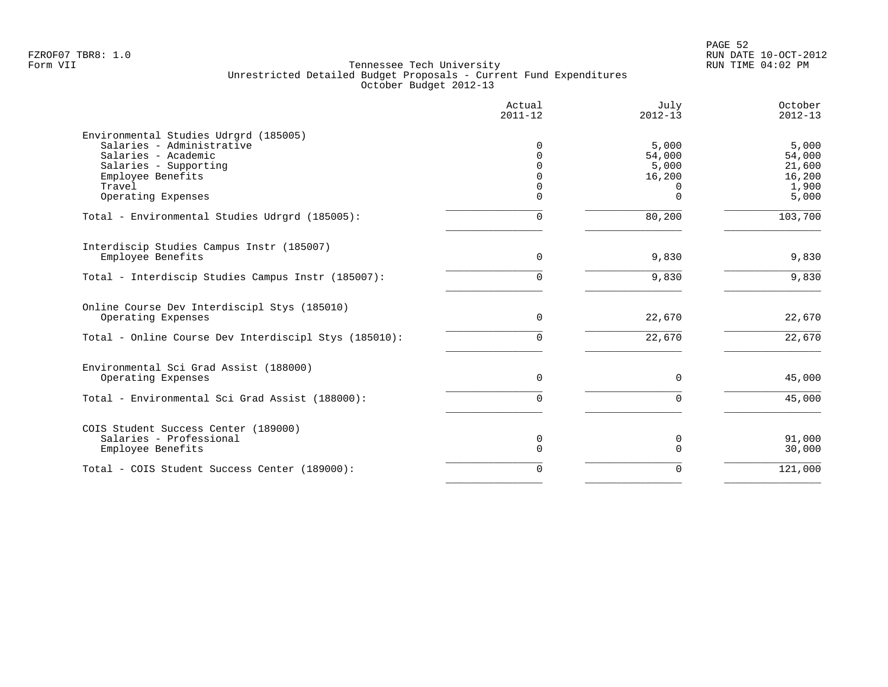|                                                                                           | Actual<br>$2011 - 12$ | July<br>$2012 - 13$ | October<br>$2012 - 13$ |
|-------------------------------------------------------------------------------------------|-----------------------|---------------------|------------------------|
| Environmental Studies Udrgrd (185005)<br>Salaries - Administrative<br>Salaries - Academic |                       | 5,000               | 5,000                  |
| Salaries - Supporting                                                                     |                       | 54,000<br>5,000     | 54,000<br>21,600       |
| Employee Benefits                                                                         |                       | 16,200              | 16,200                 |
| Travel                                                                                    |                       |                     | 1,900                  |
| Operating Expenses                                                                        | U                     | $\cap$              | 5,000                  |
| Total - Environmental Studies Udrgrd (185005):                                            | U                     | 80,200              | 103,700                |
| Interdiscip Studies Campus Instr (185007)                                                 |                       |                     |                        |
| Employee Benefits                                                                         | $\Omega$              | 9,830               | 9,830                  |
| Total - Interdiscip Studies Campus Instr (185007):                                        | U                     | 9,830               | 9,830                  |
| Online Course Dev Interdiscipl Stys (185010)                                              |                       |                     |                        |
| Operating Expenses                                                                        | $\Omega$              | 22,670              | 22,670                 |
| Total - Online Course Dev Interdiscipl Stys (185010):                                     | <sup>n</sup>          | 22,670              | 22,670                 |
| Environmental Sci Grad Assist (188000)                                                    |                       |                     |                        |
| Operating Expenses                                                                        | $\Omega$              | $\Omega$            | 45,000                 |
| Total - Environmental Sci Grad Assist (188000):                                           | 0                     | $\Omega$            | 45,000                 |
| COIS Student Success Center (189000)                                                      |                       |                     |                        |
| Salaries - Professional<br>Employee Benefits                                              | 0<br>$\Omega$         | O                   | 91,000<br>30,000       |
|                                                                                           |                       |                     |                        |
| Total - COIS Student Success Center (189000):                                             | $\Omega$              |                     | 121,000                |
|                                                                                           |                       |                     |                        |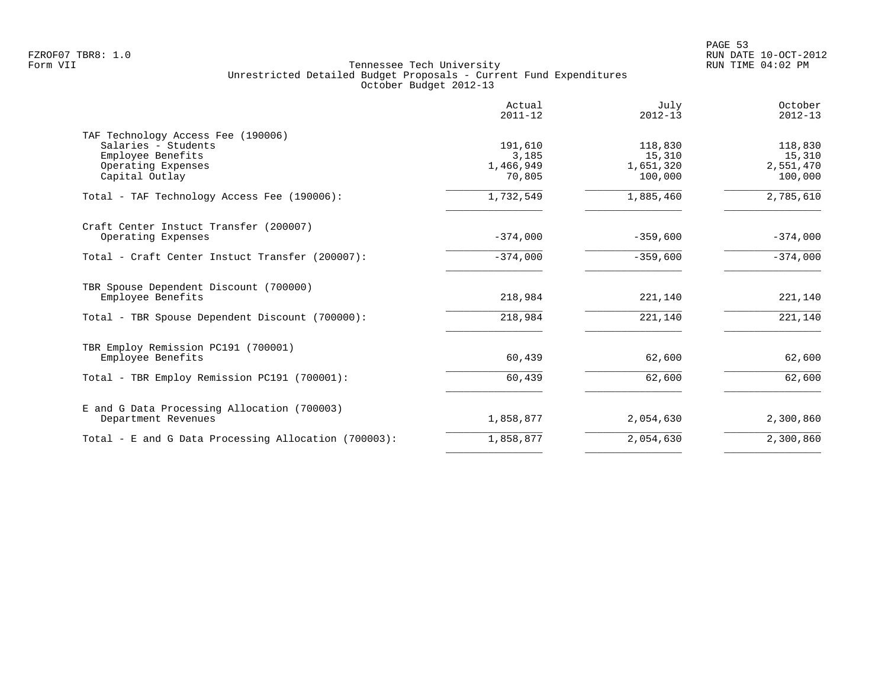|                                                                                                                        | Actual<br>$2011 - 12$                   | July<br>$2012 - 13$                       | October<br>$2012 - 13$                    |
|------------------------------------------------------------------------------------------------------------------------|-----------------------------------------|-------------------------------------------|-------------------------------------------|
| TAF Technology Access Fee (190006)<br>Salaries - Students<br>Employee Benefits<br>Operating Expenses<br>Capital Outlay | 191,610<br>3,185<br>1,466,949<br>70,805 | 118,830<br>15,310<br>1,651,320<br>100,000 | 118,830<br>15,310<br>2,551,470<br>100,000 |
| Total - TAF Technology Access Fee (190006):                                                                            | 1,732,549                               | 1,885,460                                 | 2,785,610                                 |
| Craft Center Instuct Transfer (200007)<br>Operating Expenses                                                           | $-374,000$                              | $-359,600$                                | $-374,000$                                |
| Total - Craft Center Instuct Transfer (200007):                                                                        | $-374,000$                              | $-359,600$                                | $-374,000$                                |
| TBR Spouse Dependent Discount (700000)<br>Employee Benefits                                                            | 218,984                                 | 221,140                                   | 221,140                                   |
| Total - TBR Spouse Dependent Discount (700000):                                                                        | 218,984                                 | 221,140                                   | 221,140                                   |
| TBR Employ Remission PC191 (700001)<br>Employee Benefits                                                               | 60,439                                  | 62,600                                    | 62,600                                    |
| Total - TBR Employ Remission PC191 (700001):                                                                           | 60,439                                  | 62,600                                    | 62,600                                    |
| E and G Data Processing Allocation (700003)<br>Department Revenues                                                     | 1,858,877                               | 2,054,630                                 | 2,300,860                                 |
| Total - E and G Data Processing Allocation (700003):                                                                   | 1,858,877                               | 2,054,630                                 | 2,300,860                                 |
|                                                                                                                        |                                         |                                           |                                           |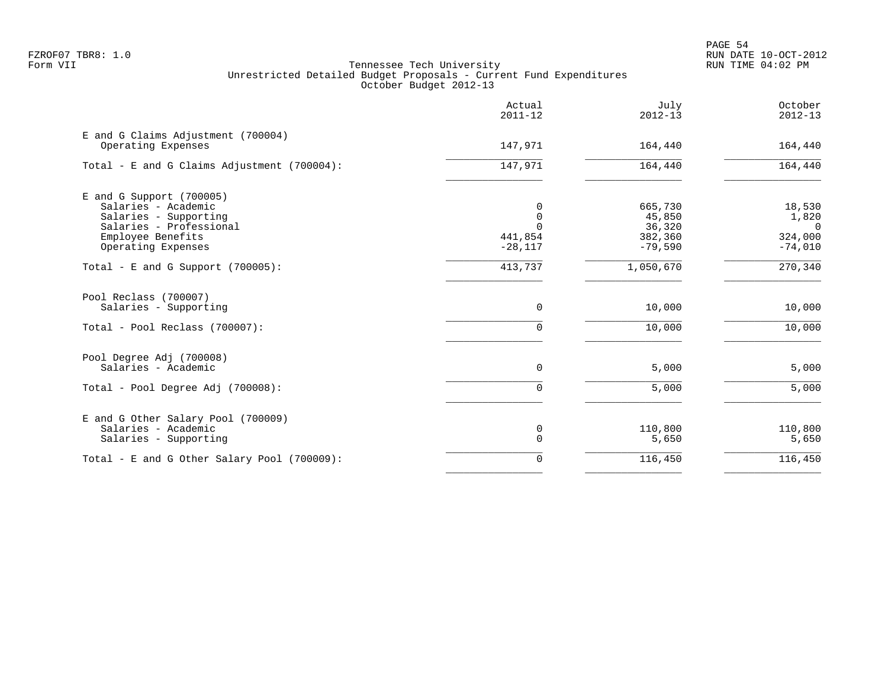|                                                                                                                                                  | Actual<br>$2011 - 12$                      | July<br>$2012 - 13$                                 | October<br>$2012 - 13$                                    |
|--------------------------------------------------------------------------------------------------------------------------------------------------|--------------------------------------------|-----------------------------------------------------|-----------------------------------------------------------|
| E and G Claims Adjustment (700004)<br>Operating Expenses                                                                                         | 147,971                                    | 164,440                                             | 164,440                                                   |
| Total - E and G Claims Adjustment (700004):                                                                                                      | 147,971                                    | 164,440                                             | 164,440                                                   |
| $E$ and G Support (700005)<br>Salaries - Academic<br>Salaries - Supporting<br>Salaries - Professional<br>Employee Benefits<br>Operating Expenses | 0<br>0<br>$\Omega$<br>441,854<br>$-28,117$ | 665,730<br>45,850<br>36,320<br>382,360<br>$-79,590$ | 18,530<br>1,820<br>$\overline{0}$<br>324,000<br>$-74,010$ |
| Total - E and G Support $(700005)$ :                                                                                                             | 413,737                                    | 1,050,670                                           | 270,340                                                   |
| Pool Reclass (700007)<br>Salaries - Supporting<br>Total - Pool Reclass (700007):                                                                 | 0<br>0                                     | 10,000<br>10,000                                    | 10,000<br>10,000                                          |
| Pool Degree Adj (700008)<br>Salaries - Academic                                                                                                  | 0                                          | 5,000                                               | 5,000                                                     |
| Total - Pool Degree Adj (700008):                                                                                                                | 0                                          | 5,000                                               | 5,000                                                     |
| E and G Other Salary Pool (700009)<br>Salaries - Academic<br>Salaries - Supporting                                                               | 0<br>$\mathbf 0$                           | 110,800<br>5,650                                    | 110,800<br>5,650                                          |
| Total - E and G Other Salary Pool (700009):                                                                                                      | 0                                          | 116,450                                             | 116,450                                                   |
|                                                                                                                                                  |                                            |                                                     |                                                           |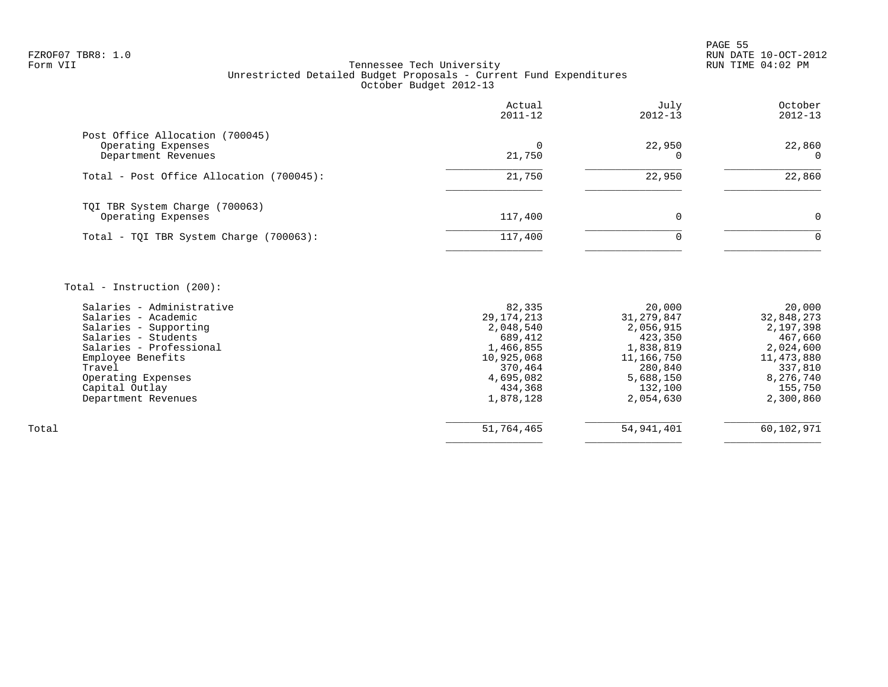en and the state of the state of the state of the state of the state of the state of the state of the state of the state of the state of the state of the state of the state of the state of the state of the state of the sta FZROF07 TBR8: 1.0 RUN DATE 10-OCT-2012

|                                                                                                                                                                                                                   | Actual<br>$2011 - 12$                                                                             | July<br>$2012 - 13$                                                                                          | October<br>$2012 - 13$                                                                          |
|-------------------------------------------------------------------------------------------------------------------------------------------------------------------------------------------------------------------|---------------------------------------------------------------------------------------------------|--------------------------------------------------------------------------------------------------------------|-------------------------------------------------------------------------------------------------|
| Post Office Allocation (700045)<br>Operating Expenses<br>Department Revenues                                                                                                                                      | $\Omega$<br>21,750                                                                                | 22,950<br><sup>n</sup>                                                                                       | 22,860<br>$\Omega$                                                                              |
| Total - Post Office Allocation (700045):                                                                                                                                                                          | 21,750                                                                                            | 22,950                                                                                                       | 22,860                                                                                          |
| TQI TBR System Charge (700063)<br>Operating Expenses<br>Total - TQI TBR System Charge (700063):                                                                                                                   | 117,400<br>117,400                                                                                | 0<br>$\Omega$                                                                                                | 0<br>0                                                                                          |
| Total - Instruction $(200)$ :<br>Salaries - Administrative<br>Salaries - Academic<br>Salaries - Supporting<br>Salaries - Students<br>Salaries - Professional<br>Employee Benefits<br>Travel<br>Operating Expenses | 82,335<br>29, 174, 213<br>2,048,540<br>689,412<br>1,466,855<br>10,925,068<br>370,464<br>4,695,082 | 20,000<br>31, 279, 847<br>2,056,915<br>423,350<br>1,838,819<br>11,166,750<br>280,840<br>5,688,150<br>132,100 | 20,000<br>32,848,273<br>2,197,398<br>467,660<br>2,024,600<br>11,473,880<br>337,810<br>8,276,740 |
| Capital Outlay<br>Department Revenues                                                                                                                                                                             | 434,368<br>1,878,128                                                                              | 2,054,630                                                                                                    | 155,750<br>2,300,860                                                                            |
| Total                                                                                                                                                                                                             | 51,764,465                                                                                        | 54, 941, 401                                                                                                 | 60,102,971                                                                                      |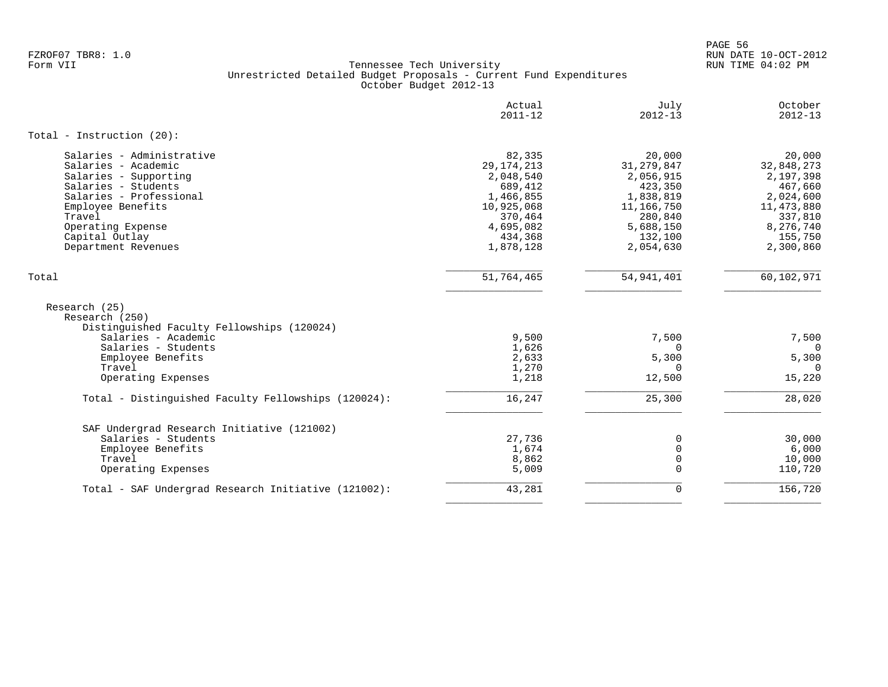PAGE 56 FZROF07 TBR8: 1.0 RUN DATE 10-OCT-2012

|                                                                                                                                                                                                                          | Actual<br>$2011 - 12$                                                                                                     | July<br>$2012 - 13$                                                                                                       | October<br>$2012 - 13$                                                                                                  |
|--------------------------------------------------------------------------------------------------------------------------------------------------------------------------------------------------------------------------|---------------------------------------------------------------------------------------------------------------------------|---------------------------------------------------------------------------------------------------------------------------|-------------------------------------------------------------------------------------------------------------------------|
| Total - Instruction $(20)$ :                                                                                                                                                                                             |                                                                                                                           |                                                                                                                           |                                                                                                                         |
| Salaries - Administrative<br>Salaries - Academic<br>Salaries - Supporting<br>Salaries - Students<br>Salaries - Professional<br>Employee Benefits<br>Travel<br>Operating Expense<br>Capital Outlay<br>Department Revenues | 82,335<br>29, 174, 213<br>2,048,540<br>689,412<br>1,466,855<br>10,925,068<br>370,464<br>4,695,082<br>434,368<br>1,878,128 | 20,000<br>31, 279, 847<br>2,056,915<br>423,350<br>1,838,819<br>11,166,750<br>280,840<br>5,688,150<br>132,100<br>2,054,630 | 20,000<br>32,848,273<br>2,197,398<br>467,660<br>2,024,600<br>11,473,880<br>337,810<br>8,276,740<br>155,750<br>2,300,860 |
| Total                                                                                                                                                                                                                    | 51,764,465                                                                                                                | 54, 941, 401                                                                                                              | 60,102,971                                                                                                              |
| Research (25)<br>Research (250)<br>Distinguished Faculty Fellowships (120024)<br>Salaries - Academic                                                                                                                     | 9,500                                                                                                                     | 7,500                                                                                                                     | 7,500                                                                                                                   |
| Salaries - Students                                                                                                                                                                                                      | 1,626                                                                                                                     | $\Omega$                                                                                                                  | $\Omega$                                                                                                                |
| Employee Benefits                                                                                                                                                                                                        | 2,633                                                                                                                     | 5,300                                                                                                                     | 5,300                                                                                                                   |
| Travel                                                                                                                                                                                                                   | 1,270                                                                                                                     | $\Omega$                                                                                                                  | $\Omega$                                                                                                                |
| Operating Expenses                                                                                                                                                                                                       | 1,218                                                                                                                     | 12,500                                                                                                                    | 15,220                                                                                                                  |
| Total - Distinguished Faculty Fellowships (120024):                                                                                                                                                                      | 16,247                                                                                                                    | 25,300                                                                                                                    | 28,020                                                                                                                  |
| SAF Undergrad Research Initiative (121002)                                                                                                                                                                               |                                                                                                                           |                                                                                                                           |                                                                                                                         |
| Salaries - Students                                                                                                                                                                                                      | 27,736                                                                                                                    | $\Omega$                                                                                                                  | 30,000                                                                                                                  |
| Employee Benefits<br>Travel                                                                                                                                                                                              | 1,674<br>8,862                                                                                                            | 0<br>0                                                                                                                    | 6,000<br>10,000                                                                                                         |
| Operating Expenses                                                                                                                                                                                                       | 5,009                                                                                                                     | $\Omega$                                                                                                                  | 110,720                                                                                                                 |
| Total - SAF Undergrad Research Initiative (121002):                                                                                                                                                                      | 43,281                                                                                                                    | $\mathbf 0$                                                                                                               | 156,720                                                                                                                 |
|                                                                                                                                                                                                                          |                                                                                                                           |                                                                                                                           |                                                                                                                         |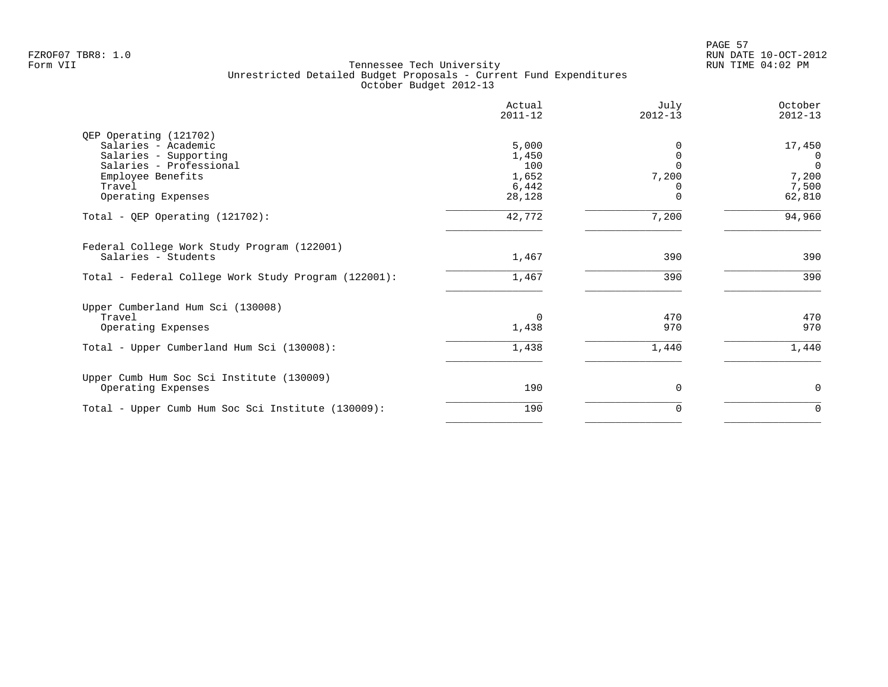|                                                                                                                                  | Actual<br>$2011 - 12$                   | July<br>$2012 - 13$ | October<br>$2012 - 13$                          |
|----------------------------------------------------------------------------------------------------------------------------------|-----------------------------------------|---------------------|-------------------------------------------------|
| QEP Operating (121702)<br>Salaries - Academic<br>Salaries - Supporting<br>Salaries - Professional<br>Employee Benefits<br>Travel | 5,000<br>1,450<br>100<br>1,652<br>6,442 | 7,200               | 17,450<br>0<br>$\overline{0}$<br>7,200<br>7,500 |
| Operating Expenses<br>Total - QEP Operating $(121702)$ :                                                                         | 28,128<br>42,772                        | $\Omega$<br>7,200   | 62,810<br>94,960                                |
| Federal College Work Study Program (122001)<br>Salaries - Students                                                               | 1,467                                   | 390                 | 390                                             |
| Total - Federal College Work Study Program (122001):                                                                             | 1,467                                   | 390                 | 390                                             |
| Upper Cumberland Hum Sci (130008)<br>Travel<br>Operating Expenses                                                                | $\Omega$<br>1,438                       | 470<br>970          | 470<br>970                                      |
| Total - Upper Cumberland Hum Sci (130008):                                                                                       | 1,438                                   | 1,440               | 1,440                                           |
| Upper Cumb Hum Soc Sci Institute (130009)<br>Operating Expenses                                                                  | 190                                     | $\Omega$            | 0                                               |
| Total - Upper Cumb Hum Soc Sci Institute (130009):                                                                               | 190                                     | $\Omega$            | $\Omega$                                        |
|                                                                                                                                  |                                         |                     |                                                 |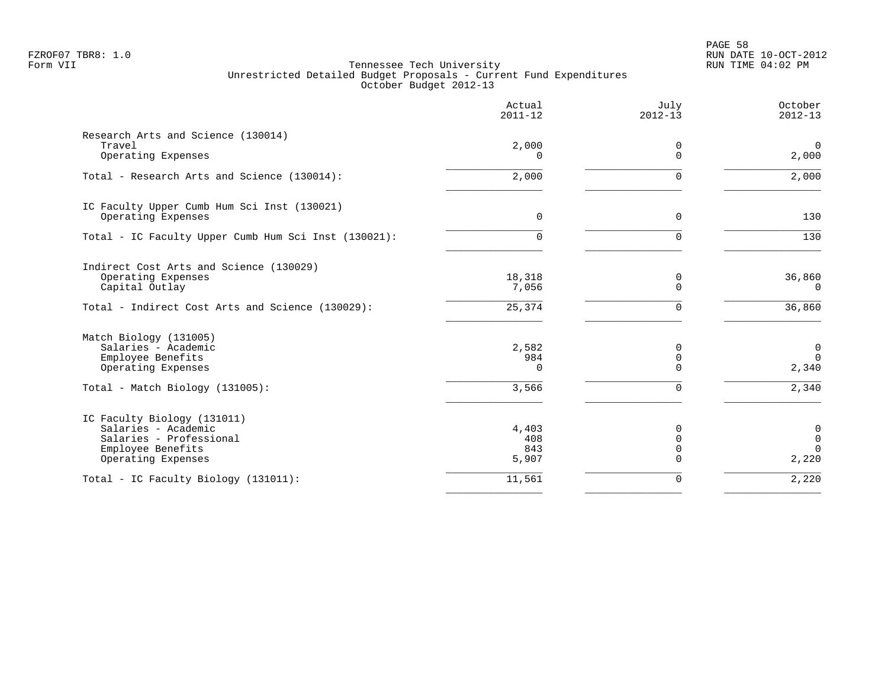PAGE 58 FZROF07 TBR8: 1.0 RUN DATE 10-OCT-2012

|                                                      | Actual<br>$2011 - 12$ | July<br>$2012 - 13$     | October<br>$2012 - 13$  |
|------------------------------------------------------|-----------------------|-------------------------|-------------------------|
| Research Arts and Science (130014)                   |                       |                         |                         |
| Travel<br>Operating Expenses                         | 2,000<br>$\Omega$     | 0<br>$\Omega$           | $\overline{0}$<br>2,000 |
| Total - Research Arts and Science (130014):          | 2,000                 | $\Omega$                | 2,000                   |
| IC Faculty Upper Cumb Hum Sci Inst (130021)          |                       |                         |                         |
| Operating Expenses                                   | $\mathbf 0$           | 0                       | 130                     |
| Total - IC Faculty Upper Cumb Hum Sci Inst (130021): | <sup>n</sup>          | $\Omega$                | 130                     |
| Indirect Cost Arts and Science (130029)              |                       |                         |                         |
| Operating Expenses                                   | 18,318                | 0                       | 36,860                  |
| Capital Outlay                                       | 7,056                 | $\overline{0}$          | 0                       |
| Total - Indirect Cost Arts and Science (130029):     | 25,374                | $\mathbf 0$             | 36,860                  |
| Match Biology (131005)                               |                       |                         |                         |
| Salaries - Academic                                  | 2,582                 | 0                       | $\mathbf 0$             |
| Employee Benefits<br>Operating Expenses              | 984<br>$\Omega$       | $\mathbf 0$<br>$\Omega$ | $\Omega$<br>2,340       |
|                                                      |                       |                         |                         |
| Total - Match Biology (131005):                      | 3,566                 | $\Omega$                | 2,340                   |
| IC Faculty Biology (131011)                          |                       |                         |                         |
| Salaries - Academic                                  | 4,403                 | 0                       | 0                       |
| Salaries - Professional<br>Employee Benefits         | 408<br>843            | $\Omega$<br>$\mathbf 0$ | $\mathbf 0$<br>$\Omega$ |
| Operating Expenses                                   | 5,907                 | $\Omega$                | 2,220                   |
| Total - IC Faculty Biology (131011):                 | 11,561                | 0                       | 2,220                   |
|                                                      |                       |                         |                         |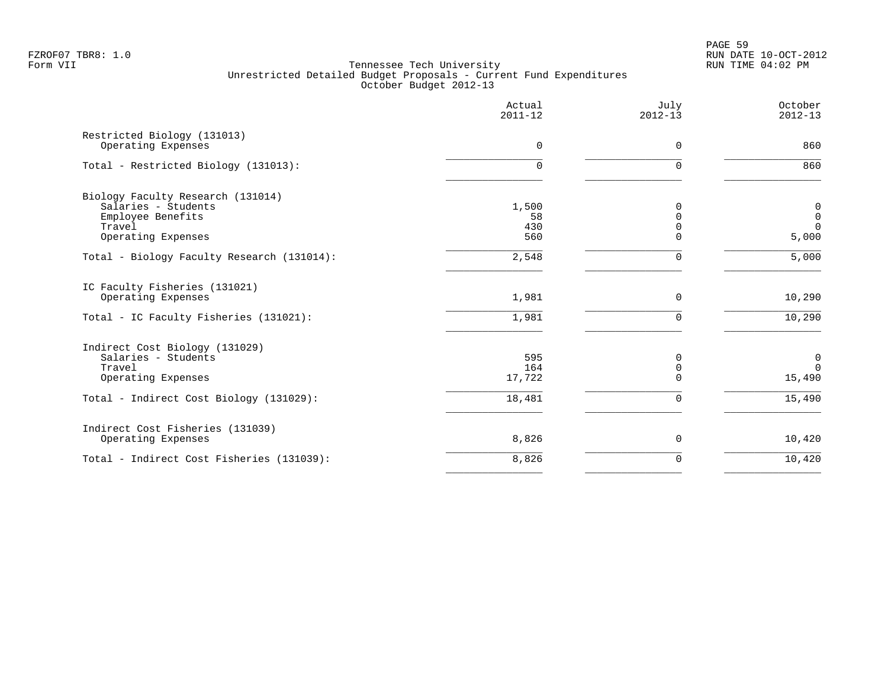PAGE 59 FZROF07 TBR8: 1.0 RUN DATE 10-OCT-2012

|                                                                                         | Actual<br>$2011 - 12$ | July<br>$2012 - 13$             | October<br>$2012 - 13$                 |
|-----------------------------------------------------------------------------------------|-----------------------|---------------------------------|----------------------------------------|
| Restricted Biology (131013)<br>Operating Expenses                                       | $\mathbf 0$           | $\mathbf 0$                     | 860                                    |
| Total - Restricted Biology (131013):                                                    | 0                     | $\Omega$                        | 860                                    |
| Biology Faculty Research (131014)<br>Salaries - Students<br>Employee Benefits<br>Travel | 1,500<br>58<br>430    | 0<br>$\Omega$<br>$\Omega$       | $\mathbf 0$<br>$\mathbf 0$<br>$\Omega$ |
| Operating Expenses                                                                      | 560                   | $\Omega$                        | 5,000                                  |
| Total - Biology Faculty Research (131014):                                              | 2,548                 | 0                               | 5,000                                  |
| IC Faculty Fisheries (131021)<br>Operating Expenses                                     | 1,981                 | $\mathbf 0$                     | 10,290                                 |
| Total - IC Faculty Fisheries (131021):                                                  | 1,981                 | $\mathbf 0$                     | 10,290                                 |
| Indirect Cost Biology (131029)<br>Salaries - Students<br>Travel<br>Operating Expenses   | 595<br>164<br>17,722  | 0<br>$\mathbf 0$<br>$\mathbf 0$ | 0<br>$\Omega$<br>15,490                |
| Total - Indirect Cost Biology (131029):                                                 | 18,481                | $\mathbf 0$                     | 15,490                                 |
| Indirect Cost Fisheries (131039)<br>Operating Expenses                                  | 8,826                 | $\mathbf 0$                     | 10,420                                 |
| Total - Indirect Cost Fisheries (131039):                                               | 8,826                 | $\mathbf 0$                     | 10,420                                 |
|                                                                                         |                       |                                 |                                        |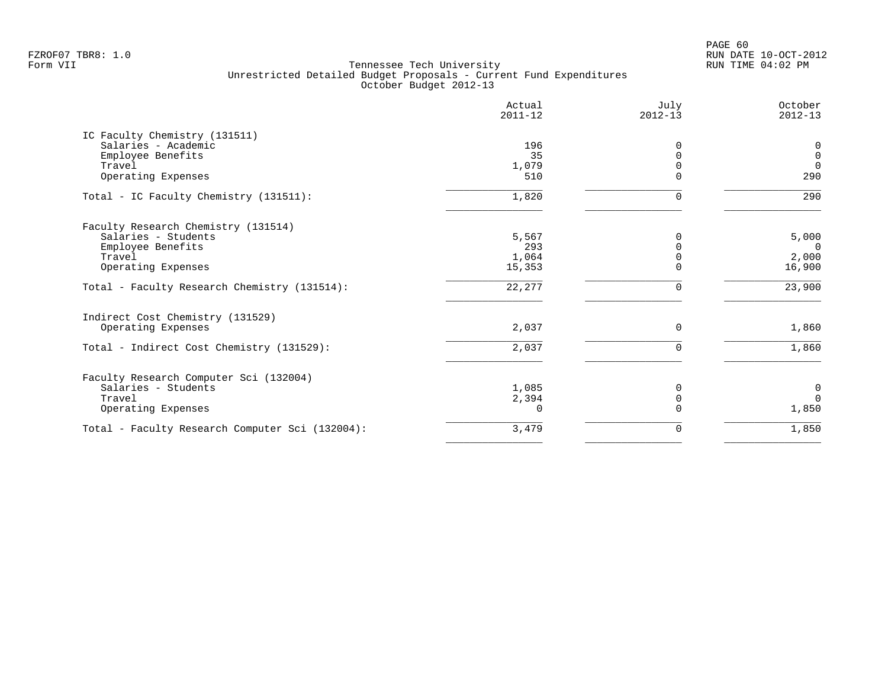PAGE 60 FZROF07 TBR8: 1.0 RUN DATE 10-OCT-2012

| Actual<br>$2011 - 12$ | July<br>$2012 - 13$             | October<br>$2012 - 13$ |
|-----------------------|---------------------------------|------------------------|
|                       |                                 |                        |
| 196                   | $\Omega$                        | $\mathbf 0$            |
| 35                    |                                 | $\mathbf 0$            |
| 1,079                 |                                 | $\overline{0}$         |
|                       |                                 | 290                    |
| 1,820                 | U                               | 290                    |
|                       |                                 |                        |
| 5,567                 | 0                               | 5,000                  |
| 293                   |                                 | $\overline{0}$         |
| 1,064                 |                                 | 2,000                  |
|                       |                                 | 16,900                 |
| 22,277                |                                 | 23,900                 |
|                       |                                 |                        |
| 2,037                 | 0                               | 1,860                  |
| 2,037                 | $\Omega$                        | 1,860                  |
|                       |                                 |                        |
|                       | 0                               | $\mathbf 0$            |
|                       | $\Omega$                        | $\Omega$               |
| $\Omega$              |                                 | 1,850                  |
| 3,479                 | 0                               | 1,850                  |
|                       | 510<br>15,353<br>1,085<br>2,394 |                        |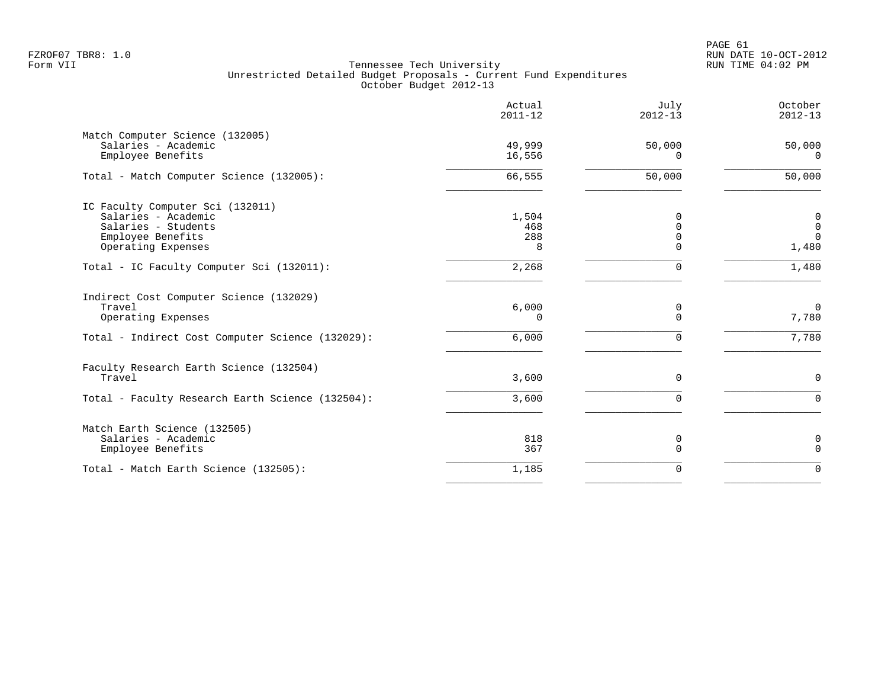|                                                                                                                             | Actual<br>$2011 - 12$      | July<br>$2012 - 13$                      | October<br>$2012 - 13$                               |
|-----------------------------------------------------------------------------------------------------------------------------|----------------------------|------------------------------------------|------------------------------------------------------|
| Match Computer Science (132005)<br>Salaries - Academic<br>Employee Benefits                                                 | 49,999<br>16,556           | 50,000<br>∩                              | 50,000<br>$\Omega$                                   |
| Total - Match Computer Science (132005):                                                                                    | 66,555                     | 50,000                                   | 50,000                                               |
| IC Faculty Computer Sci (132011)<br>Salaries - Academic<br>Salaries - Students<br>Employee Benefits<br>Operating Expenses   | 1,504<br>468<br>288<br>8   | $\Omega$<br>0<br>$\mathbf 0$<br>$\Omega$ | $\boldsymbol{0}$<br>$\mathbf 0$<br>$\Omega$<br>1,480 |
| Total - IC Faculty Computer Sci (132011):                                                                                   | 2,268                      | $\Omega$                                 | 1,480                                                |
| Indirect Cost Computer Science (132029)<br>Travel<br>Operating Expenses<br>Total - Indirect Cost Computer Science (132029): | 6,000<br>$\Omega$<br>6,000 | 0<br>$\Omega$<br>$\Omega$                | $\mathbf 0$<br>7,780<br>7,780                        |
| Faculty Research Earth Science (132504)<br>Travel<br>Total - Faculty Research Earth Science (132504):                       | 3,600<br>3,600             | $\Omega$<br>$\Omega$                     | $\Omega$<br>$\Omega$                                 |
| Match Earth Science (132505)<br>Salaries - Academic<br>Employee Benefits                                                    | 818<br>367                 | 0<br>$\Omega$                            | $\mathbf 0$<br>$\mathbf 0$                           |
| Total - Match Earth Science (132505):                                                                                       | 1,185                      | $\mathbf 0$                              | $\Omega$                                             |
|                                                                                                                             |                            |                                          |                                                      |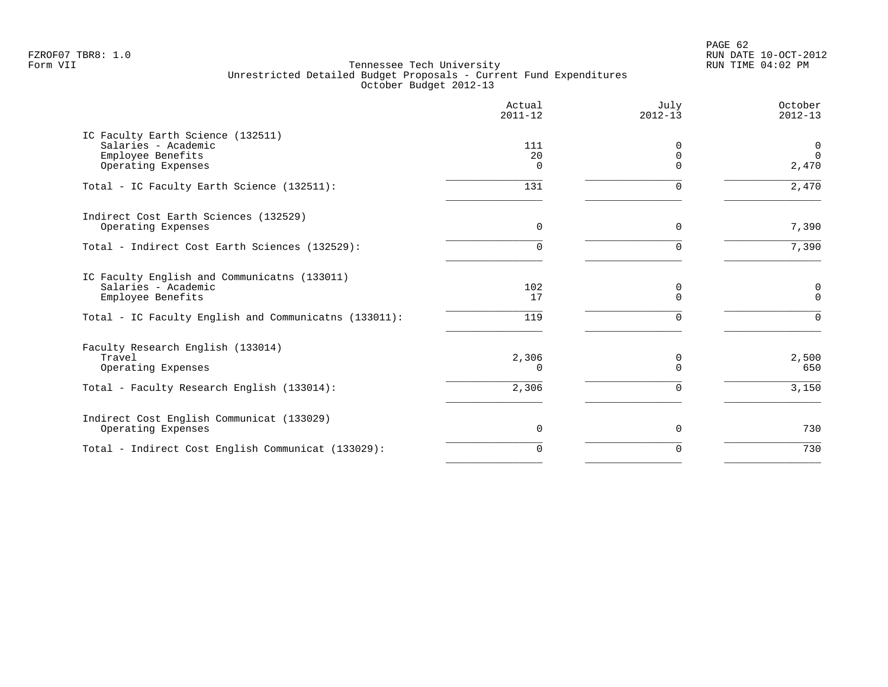PAGE 62 FZROF07 TBR8: 1.0 RUN DATE 10-OCT-2012

|                                                                                                                                                   | Actual<br>$2011 - 12$ | July<br>$2012 - 13$                 | October<br>$2012 - 13$    |
|---------------------------------------------------------------------------------------------------------------------------------------------------|-----------------------|-------------------------------------|---------------------------|
| IC Faculty Earth Science (132511)<br>Salaries - Academic<br>Employee Benefits<br>Operating Expenses                                               | 111<br>20<br>$\Omega$ | $\Omega$<br>$\mathbf 0$<br>$\Omega$ | 0<br>$\Omega$<br>2,470    |
| Total - IC Faculty Earth Science (132511):                                                                                                        | 131                   | $\Omega$                            | 2,470                     |
| Indirect Cost Earth Sciences (132529)<br>Operating Expenses                                                                                       | 0                     | $\Omega$                            | 7,390                     |
| Total - Indirect Cost Earth Sciences (132529):                                                                                                    | 0                     | $\Omega$                            | 7,390                     |
| IC Faculty English and Communicatns (133011)<br>Salaries - Academic<br>Employee Benefits<br>Total - IC Faculty English and Communicatns (133011): | 102<br>17<br>119      | 0<br>$\Omega$                       | 0<br>$\Omega$<br>$\Omega$ |
| Faculty Research English (133014)<br>Travel<br>Operating Expenses                                                                                 | 2,306<br>0            | 0<br>$\Omega$                       | 2,500<br>650              |
| Total - Faculty Research English (133014):                                                                                                        | 2,306                 | $\Omega$                            | 3,150                     |
| Indirect Cost English Communicat (133029)<br>Operating Expenses                                                                                   | 0                     | 0                                   | 730                       |
| Total - Indirect Cost English Communicat (133029):                                                                                                | $\Omega$              | $\Omega$                            | 730                       |
|                                                                                                                                                   |                       |                                     |                           |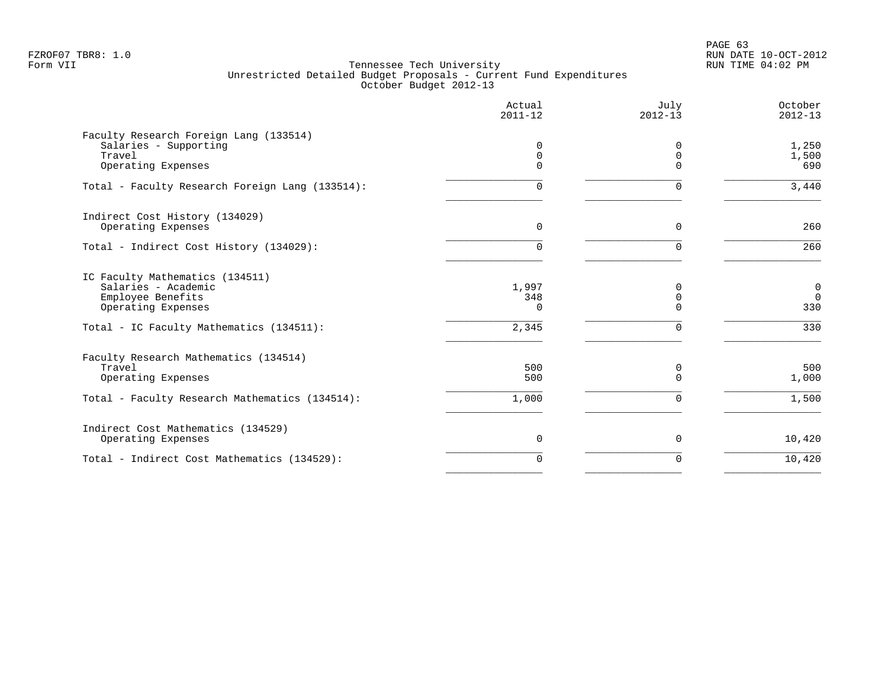PAGE 63 FZROF07 TBR8: 1.0 RUN DATE 10-OCT-2012

|                                                                                                                                               | Actual<br>$2011 - 12$             | July<br>$2012 - 13$                 | October<br>$2012 - 13$         |
|-----------------------------------------------------------------------------------------------------------------------------------------------|-----------------------------------|-------------------------------------|--------------------------------|
| Faculty Research Foreign Lang (133514)<br>Salaries - Supporting<br>Travel<br>Operating Expenses                                               | 0<br>0<br>0                       | $\Omega$<br>$\mathbf 0$<br>$\Omega$ | 1,250<br>1,500<br>690          |
| Total - Faculty Research Foreign Lang (133514):                                                                                               | 0                                 | $\Omega$                            | 3,440                          |
| Indirect Cost History (134029)<br>Operating Expenses                                                                                          | $\Omega$                          | $\Omega$                            | 260                            |
| Total - Indirect Cost History (134029):                                                                                                       | 0                                 | $\Omega$                            | 260                            |
| IC Faculty Mathematics (134511)<br>Salaries - Academic<br>Employee Benefits<br>Operating Expenses<br>Total - IC Faculty Mathematics (134511): | 1,997<br>348<br>$\Omega$<br>2,345 | 0<br>0<br>$\Omega$<br>$\mathbf 0$   | 0<br>$\mathbf 0$<br>330<br>330 |
| Faculty Research Mathematics (134514)<br>Travel<br>Operating Expenses                                                                         | 500<br>500                        | 0<br>$\Omega$                       | 500<br>1,000                   |
| Total - Faculty Research Mathematics (134514):                                                                                                | 1,000                             | $\mathbf 0$                         | 1,500                          |
| Indirect Cost Mathematics (134529)<br>Operating Expenses                                                                                      | 0                                 | 0                                   | 10,420                         |
| Total - Indirect Cost Mathematics (134529):                                                                                                   | $\Omega$                          | $\Omega$                            | 10,420                         |
|                                                                                                                                               |                                   |                                     |                                |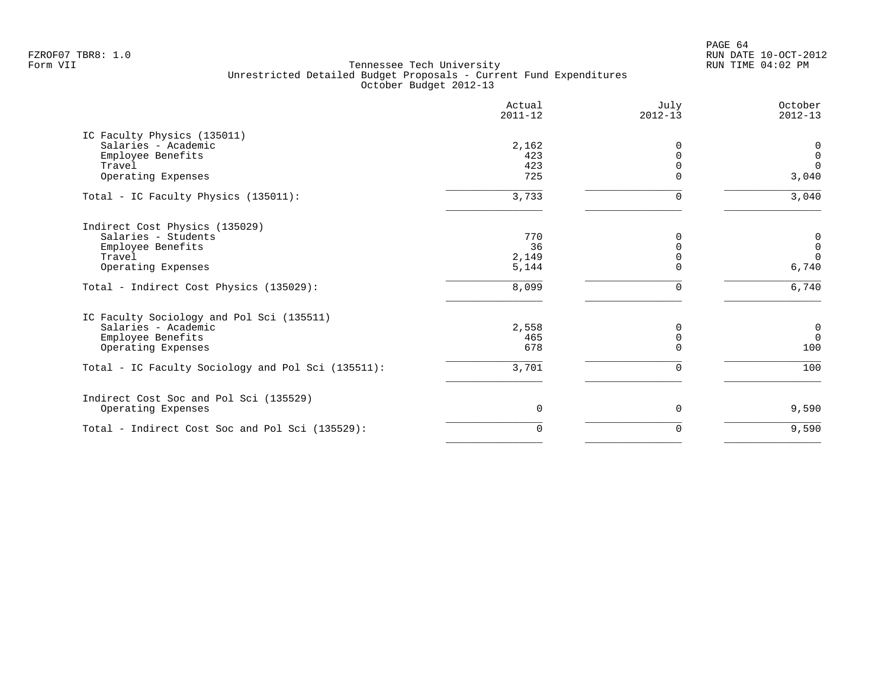PAGE 64 FZROF07 TBR8: 1.0 RUN DATE 10-OCT-2012

| Actual<br>$2011 - 12$ | July<br>$2012 - 13$            | October<br>$2012 - 13$ |
|-----------------------|--------------------------------|------------------------|
|                       |                                |                        |
|                       | 0                              | 0                      |
| 423                   | $\Omega$                       | $\mathbf 0$            |
| 423                   | $\Omega$                       | $\Omega$               |
|                       | ∩                              | 3,040                  |
| 3,733                 | 0                              | 3,040                  |
|                       |                                |                        |
| 770                   | O                              | 0                      |
| 36                    |                                | $\mathbf 0$            |
|                       |                                | $\Omega$               |
|                       |                                | 6,740                  |
| 8,099                 | $\Omega$                       | 6,740                  |
|                       |                                |                        |
| 2,558                 | 0                              | $\mathbf 0$            |
| 465                   | $\mathbf 0$                    | $\overline{0}$         |
| 678                   | $\Omega$                       | 100                    |
| 3,701                 | $\Omega$                       | 100                    |
|                       |                                |                        |
| 0                     | 0                              | 9,590                  |
| $\Omega$              | 0                              | 9,590                  |
|                       | 2,162<br>725<br>2,149<br>5,144 | $\Omega$               |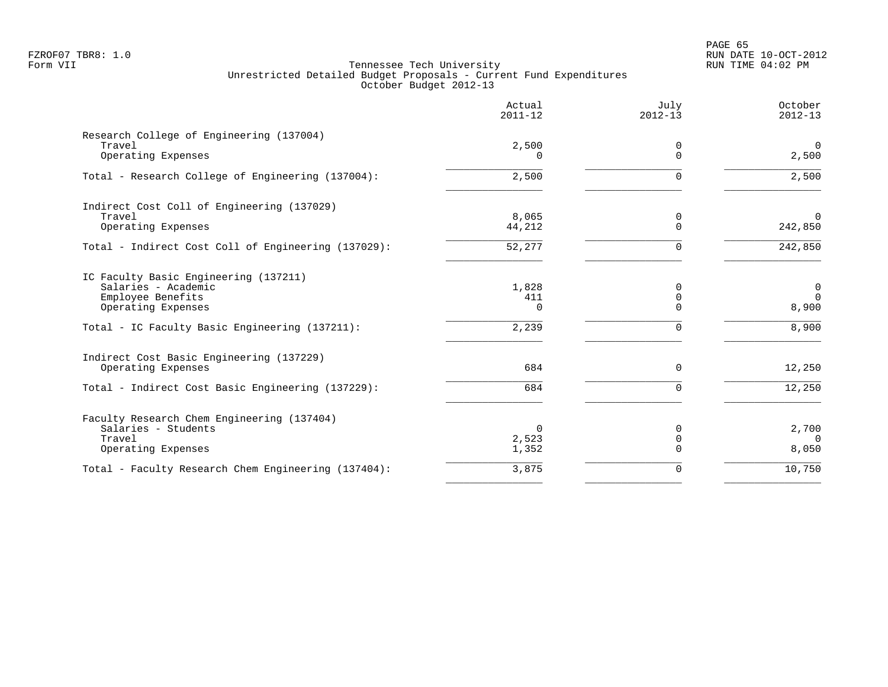PAGE 65 FZROF07 TBR8: 1.0 RUN DATE 10-OCT-2012

|                                                                                                                                                           | Actual<br>$2011 - 12$             | July<br>$2012 - 13$            | October<br>$2012 - 13$                    |
|-----------------------------------------------------------------------------------------------------------------------------------------------------------|-----------------------------------|--------------------------------|-------------------------------------------|
| Research College of Engineering (137004)<br>Travel<br>Operating Expenses                                                                                  | 2,500                             | 0<br>$\Omega$                  | $\overline{0}$<br>2,500                   |
| Total - Research College of Engineering (137004):                                                                                                         | 2,500                             | $\Omega$                       | 2,500                                     |
| Indirect Cost Coll of Engineering (137029)<br>Travel<br>Operating Expenses                                                                                | 8,065<br>44,212                   | 0<br>$\Omega$                  | $\Omega$<br>242,850                       |
| Total - Indirect Cost Coll of Engineering (137029):                                                                                                       | 52,277                            | $\Omega$                       | 242,850                                   |
| IC Faculty Basic Engineering (137211)<br>Salaries - Academic<br>Employee Benefits<br>Operating Expenses<br>Total - IC Faculty Basic Engineering (137211): | 1,828<br>411<br>$\Omega$<br>2,239 | 0<br>0<br>$\Omega$<br>$\Omega$ | $\mathbf 0$<br>$\Omega$<br>8,900<br>8,900 |
| Indirect Cost Basic Engineering (137229)<br>Operating Expenses                                                                                            | 684                               | $\Omega$                       | 12,250                                    |
| Total - Indirect Cost Basic Engineering (137229):                                                                                                         | 684                               | $\Omega$                       | 12,250                                    |
| Faculty Research Chem Engineering (137404)<br>Salaries - Students<br>Travel<br>Operating Expenses                                                         | 0<br>2,523<br>1,352               | 0<br>$\mathbf 0$<br>$\Omega$   | 2,700<br>$\Omega$<br>8,050                |
| Total - Faculty Research Chem Engineering (137404):                                                                                                       | 3,875                             | 0                              | 10,750                                    |
|                                                                                                                                                           |                                   |                                |                                           |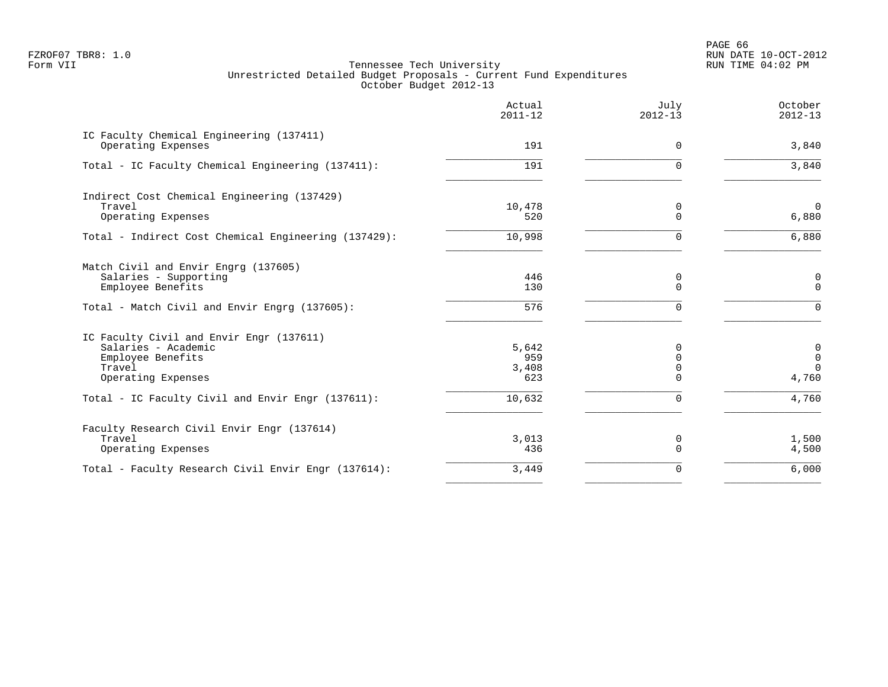PAGE 66 FZROF07 TBR8: 1.0 RUN DATE 10-OCT-2012

|                                                                | Actual<br>$2011 - 12$ | July<br>$2012 - 13$  | October<br>$2012 - 13$  |
|----------------------------------------------------------------|-----------------------|----------------------|-------------------------|
| IC Faculty Chemical Engineering (137411)<br>Operating Expenses | 191                   | $\Omega$             | 3,840                   |
| Total - IC Faculty Chemical Engineering (137411):              | 191                   | U                    | 3,840                   |
| Indirect Cost Chemical Engineering (137429)                    |                       |                      |                         |
| Travel                                                         | 10,478                | 0                    | $\overline{0}$          |
| Operating Expenses                                             | 520                   | $\Omega$             | 6,880                   |
| Total - Indirect Cost Chemical Engineering (137429):           | 10,998                | $\Omega$             | 6,880                   |
| Match Civil and Envir Engrg (137605)                           |                       |                      |                         |
| Salaries - Supporting                                          | 446                   | 0                    | 0                       |
| Employee Benefits                                              | 130                   | $\Omega$             | $\mathbf 0$             |
| Total - Match Civil and Envir Engrg (137605):                  | 576                   | U                    | $\Omega$                |
| IC Faculty Civil and Envir Engr (137611)                       |                       |                      |                         |
| Salaries - Academic                                            | 5,642                 | 0                    | $\mathbf 0$             |
| Employee Benefits                                              | 959                   | $\Omega$             | $\mathsf 0$<br>$\Omega$ |
| Travel<br>Operating Expenses                                   | 3,408<br>623          | $\Omega$<br>$\Omega$ | 4,760                   |
|                                                                |                       |                      |                         |
| Total - IC Faculty Civil and Envir Engr (137611):              | 10,632                | $\Omega$             | 4,760                   |
| Faculty Research Civil Envir Engr (137614)                     |                       |                      |                         |
| Travel                                                         | 3,013                 | 0                    | 1,500                   |
| Operating Expenses                                             | 436                   | $\Omega$             | 4,500                   |
| Total - Faculty Research Civil Envir Engr (137614):            | 3,449                 | $\Omega$             | 6,000                   |
|                                                                |                       |                      |                         |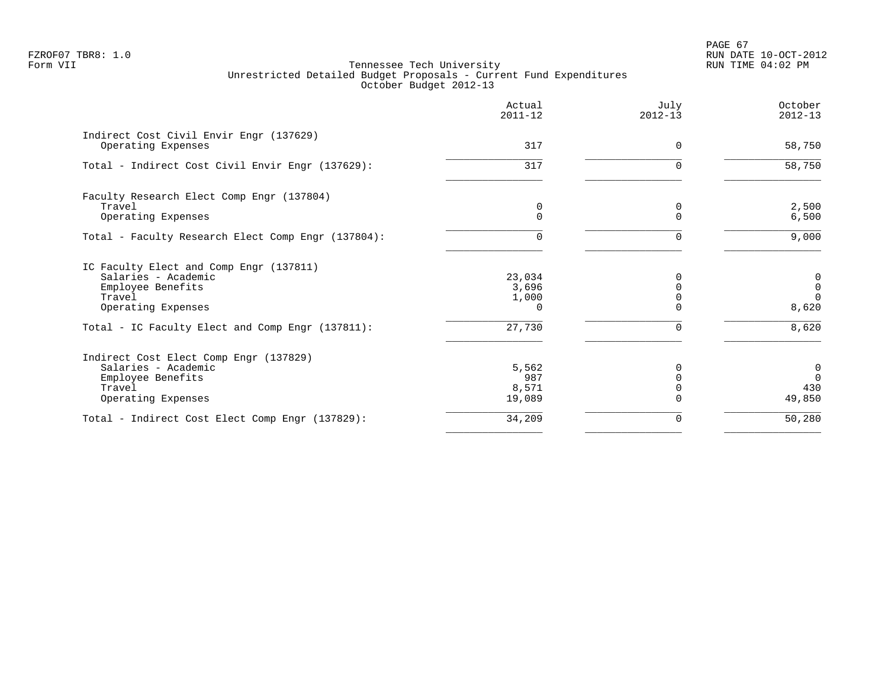PAGE 67 FZROF07 TBR8: 1.0 RUN DATE 10-OCT-2012

|                                                               | Actual<br>$2011 - 12$ | July<br>$2012 - 13$  | October<br>$2012 - 13$ |
|---------------------------------------------------------------|-----------------------|----------------------|------------------------|
| Indirect Cost Civil Envir Engr (137629)<br>Operating Expenses | 317                   | $\Omega$             | 58,750                 |
| Total - Indirect Cost Civil Envir Engr (137629):              | 317                   | $\Omega$             | 58,750                 |
| Faculty Research Elect Comp Engr (137804)                     |                       |                      |                        |
| Travel<br>Operating Expenses                                  | 0<br>$\Omega$         | $\Omega$<br>$\Omega$ | 2,500<br>6,500         |
| Total - Faculty Research Elect Comp Engr (137804):            | U                     | ∩                    | 9,000                  |
| IC Faculty Elect and Comp Engr (137811)                       |                       |                      |                        |
| Salaries - Academic                                           | 23,034                | 0                    | 0                      |
| Employee Benefits                                             | 3,696                 |                      | $\mathbf 0$            |
| Travel<br>Operating Expenses                                  | 1,000<br><sup>n</sup> | ∩                    | $\Omega$<br>8,620      |
|                                                               |                       |                      |                        |
| Total - IC Faculty Elect and Comp Engr (137811):              | 27,730                | $\Omega$             | 8,620                  |
| Indirect Cost Elect Comp Engr (137829)                        |                       |                      |                        |
| Salaries - Academic                                           | 5,562                 |                      | 0                      |
| Employee Benefits                                             | 987                   |                      | $\Omega$               |
| Travel                                                        | 8,571                 |                      | 430                    |
| Operating Expenses                                            | 19,089                |                      | 49,850                 |
| Total - Indirect Cost Elect Comp Engr (137829):               | 34,209                | 0                    | 50,280                 |
|                                                               |                       |                      |                        |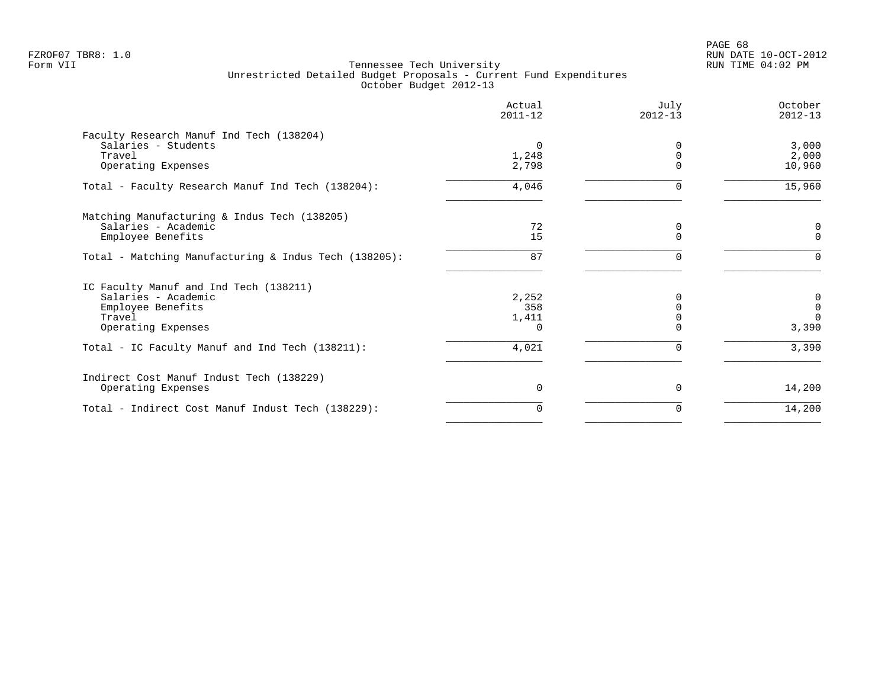PAGE 68 FZROF07 TBR8: 1.0 RUN DATE 10-OCT-2012

|                                                       | Actual<br>$2011 - 12$ | July<br>$2012 - 13$ | October<br>$2012 - 13$ |
|-------------------------------------------------------|-----------------------|---------------------|------------------------|
| Faculty Research Manuf Ind Tech (138204)              |                       |                     |                        |
| Salaries - Students                                   | $\Omega$              |                     | 3,000                  |
| Travel                                                | 1,248                 |                     | 2,000                  |
| Operating Expenses                                    | 2,798                 |                     | 10,960                 |
| Total - Faculty Research Manuf Ind Tech (138204):     | 4,046                 | $\Omega$            | 15,960                 |
| Matching Manufacturing & Indus Tech (138205)          |                       |                     |                        |
| Salaries - Academic                                   | 72                    | 0                   | $\mathbf 0$            |
| Employee Benefits                                     | 15                    | $\Omega$            | $\Omega$               |
| Total - Matching Manufacturing & Indus Tech (138205): | 87                    | $\Omega$            | $\Omega$               |
| IC Faculty Manuf and Ind Tech (138211)                |                       |                     |                        |
| Salaries - Academic                                   | 2,252                 |                     | 0                      |
| Employee Benefits                                     | 358                   | $\cap$              | $\mathbf{0}$           |
| Travel                                                | 1,411                 |                     | $\Omega$               |
| Operating Expenses                                    |                       |                     | 3,390                  |
| Total - IC Faculty Manuf and Ind Tech (138211):       | 4,021                 | 0                   | 3,390                  |
| Indirect Cost Manuf Indust Tech (138229)              |                       |                     |                        |
| Operating Expenses                                    | $\Omega$              | $\Omega$            | 14,200                 |
| Total - Indirect Cost Manuf Indust Tech (138229):     | 0                     | $\Omega$            | 14,200                 |
|                                                       |                       |                     |                        |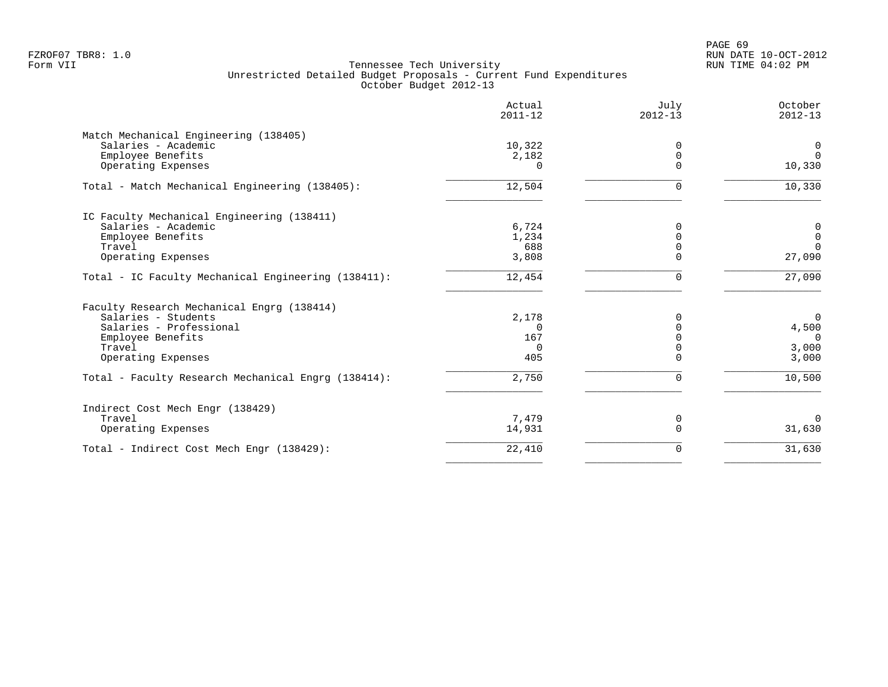|                                                     | Actual<br>$2011 - 12$ | July<br>$2012 - 13$ | October<br>$2012 - 13$ |
|-----------------------------------------------------|-----------------------|---------------------|------------------------|
| Match Mechanical Engineering (138405)               |                       |                     |                        |
| Salaries - Academic                                 | 10,322                | $\Omega$            | 0                      |
| Employee Benefits                                   | 2,182                 | $\Omega$            | $\Omega$               |
| Operating Expenses                                  | $\Omega$              | $\Omega$            | 10,330                 |
| Total - Match Mechanical Engineering (138405):      | 12,504                | $\Omega$            | 10,330                 |
| IC Faculty Mechanical Engineering (138411)          |                       |                     |                        |
| Salaries - Academic                                 | 6,724                 | $\Omega$            | 0                      |
| Employee Benefits                                   | 1,234                 | $\Omega$            | $\mathbf 0$            |
| Travel                                              | 688                   | $\Omega$            | $\Omega$               |
| Operating Expenses                                  | 3,808                 | $\Omega$            | 27,090                 |
| Total - IC Faculty Mechanical Engineering (138411): | 12,454                | $\Omega$            | 27,090                 |
| Faculty Research Mechanical Engrg (138414)          |                       |                     |                        |
| Salaries - Students                                 | 2,178                 | <sup>0</sup>        | $\Omega$               |
| Salaries - Professional                             | $\Omega$              | $\Omega$            | 4,500                  |
| Employee Benefits                                   | 167                   | $\Omega$            | $\Omega$               |
| Travel                                              | $\Omega$              | $\Omega$            | 3,000                  |
| Operating Expenses                                  | 405                   | $\Omega$            | 3,000                  |
| Total - Faculty Research Mechanical Engrg (138414): | 2,750                 | $\Omega$            | 10,500                 |
| Indirect Cost Mech Engr (138429)                    |                       |                     |                        |
| Travel                                              | 7,479                 | 0                   | $\Omega$               |
| Operating Expenses                                  | 14,931                | $\mathbf 0$         | 31,630                 |
| Total - Indirect Cost Mech Engr (138429):           | 22,410                | 0                   | 31,630                 |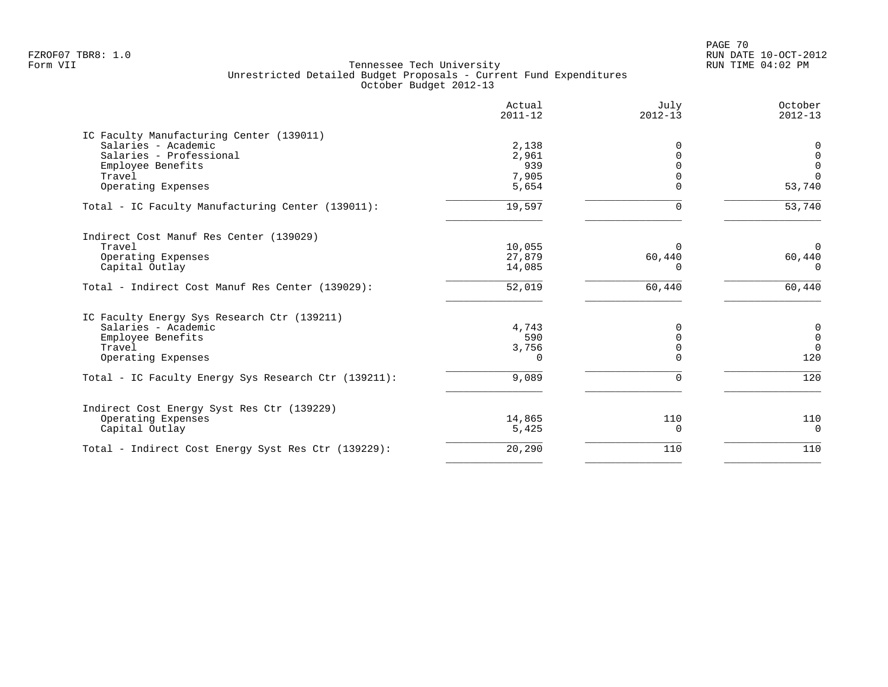PAGE 70 FZROF07 TBR8: 1.0 RUN DATE 10-OCT-2012

|                                                      | Actual<br>$2011 - 12$ | July<br>$2012 - 13$ | October<br>$2012 - 13$ |
|------------------------------------------------------|-----------------------|---------------------|------------------------|
| IC Faculty Manufacturing Center (139011)             |                       |                     |                        |
| Salaries - Academic                                  | 2,138                 | 0                   | 0                      |
| Salaries - Professional                              | 2,961                 |                     | $\mathbf 0$            |
| Employee Benefits                                    | 939                   |                     | $\mathbf 0$            |
| Travel                                               | 7,905                 |                     | $\Omega$               |
| Operating Expenses                                   | 5,654                 |                     | 53,740                 |
| Total - IC Faculty Manufacturing Center (139011):    | 19,597                | U                   | $\overline{53,740}$    |
| Indirect Cost Manuf Res Center (139029)              |                       |                     |                        |
| Travel                                               | 10,055                | $\Omega$            | $\Omega$               |
| Operating Expenses                                   | 27,879                | 60,440              | 60,440                 |
| Capital Outlay                                       | 14,085                | ∩                   | $\Omega$               |
| Total - Indirect Cost Manuf Res Center (139029):     | 52,019                | 60,440              | 60,440                 |
| IC Faculty Energy Sys Research Ctr (139211)          |                       |                     |                        |
| Salaries - Academic                                  | 4,743                 | 0                   | $\mathsf{O}$           |
| Employee Benefits                                    | 590                   | $\Omega$            | $\mathsf 0$            |
| Travel                                               | 3,756                 | $\Omega$            | $\Omega$               |
| Operating Expenses                                   | $\Omega$              | ∩                   | 120                    |
| Total - IC Faculty Energy Sys Research Ctr (139211): | 9,089                 | $\Omega$            | 120                    |
| Indirect Cost Energy Syst Res Ctr (139229)           |                       |                     |                        |
| Operating Expenses                                   | 14,865                | 110                 | 110                    |
| Capital Outlay                                       | 5,425                 | $\Omega$            | $\overline{0}$         |
| Total - Indirect Cost Energy Syst Res Ctr (139229):  | 20,290                | 110                 | 110                    |
|                                                      |                       |                     |                        |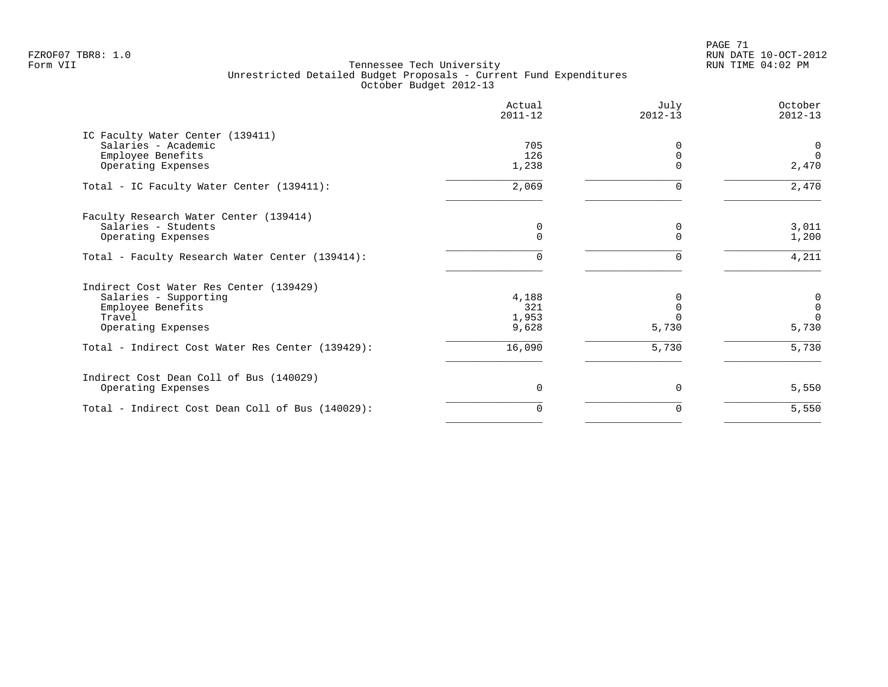PAGE 71 FZROF07 TBR8: 1.0 RUN DATE 10-OCT-2012

|                                                  | Actual<br>$2011 - 12$ | July<br>$2012 - 13$ | October<br>$2012 - 13$ |
|--------------------------------------------------|-----------------------|---------------------|------------------------|
| IC Faculty Water Center (139411)                 |                       |                     |                        |
| Salaries - Academic                              | 705                   |                     | $\mathbf 0$            |
| Employee Benefits                                | 126                   |                     | $\Omega$               |
| Operating Expenses                               | 1,238                 |                     | 2,470                  |
| Total - IC Faculty Water Center (139411):        | 2,069                 |                     | 2,470                  |
| Faculty Research Water Center (139414)           |                       |                     |                        |
| Salaries - Students                              | 0                     | 0                   | 3,011                  |
| Operating Expenses                               | $\Omega$              | $\Omega$            | 1,200                  |
| Total - Faculty Research Water Center (139414):  | $\Omega$              | $\Omega$            | 4,211                  |
| Indirect Cost Water Res Center (139429)          |                       |                     |                        |
| Salaries - Supporting                            | 4,188                 |                     | 0                      |
| Employee Benefits                                | 321                   |                     | $\mathsf{O}\xspace$    |
| Travel                                           | 1,953                 |                     | $\Omega$               |
| Operating Expenses                               | 9,628                 | 5,730               | 5,730                  |
| Total - Indirect Cost Water Res Center (139429): | 16,090                | 5,730               | 5,730                  |
| Indirect Cost Dean Coll of Bus (140029)          |                       |                     |                        |
| Operating Expenses                               | $\Omega$              | $\Omega$            | 5,550                  |
| Total - Indirect Cost Dean Coll of Bus (140029): | 0                     | 0                   | 5,550                  |
|                                                  |                       |                     |                        |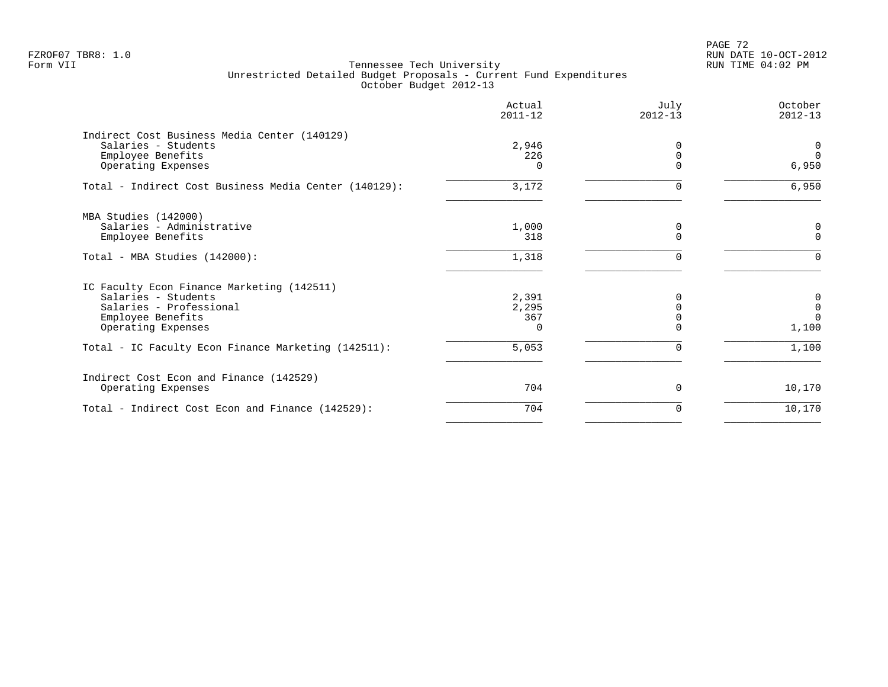PAGE 72 FZROF07 TBR8: 1.0 RUN DATE 10-OCT-2012

|                                                       | Actual<br>$2011 - 12$ | July<br>$2012 - 13$ | October<br>$2012 - 13$ |
|-------------------------------------------------------|-----------------------|---------------------|------------------------|
| Indirect Cost Business Media Center (140129)          |                       |                     |                        |
| Salaries - Students                                   | 2,946                 | O                   | $\overline{0}$         |
| Employee Benefits                                     | 226                   | $\Omega$            | $\Omega$               |
| Operating Expenses                                    | 0                     | $\Omega$            | 6,950                  |
| Total - Indirect Cost Business Media Center (140129): | 3,172                 | $\Omega$            | 6,950                  |
| MBA Studies (142000)                                  |                       |                     |                        |
| Salaries - Administrative                             | 1,000                 | 0                   | $\mathbf 0$            |
| Employee Benefits                                     | 318                   | $\Omega$            | $\Omega$               |
| Total - MBA Studies (142000):                         | 1,318                 | $\Omega$            | $\Omega$               |
| IC Faculty Econ Finance Marketing (142511)            |                       |                     |                        |
| Salaries - Students                                   | 2,391                 |                     | 0                      |
| Salaries - Professional                               | 2,295                 |                     | $\mathbf 0$            |
| Employee Benefits                                     | 367                   |                     | $\Omega$               |
| Operating Expenses                                    |                       |                     | 1,100                  |
| Total - IC Faculty Econ Finance Marketing (142511):   | 5,053                 | 0                   | 1,100                  |
| Indirect Cost Econ and Finance (142529)               |                       |                     |                        |
| Operating Expenses                                    | 704                   | 0                   | 10,170                 |
| Total - Indirect Cost Econ and Finance (142529):      | 704                   | $\Omega$            | 10,170                 |
|                                                       |                       |                     |                        |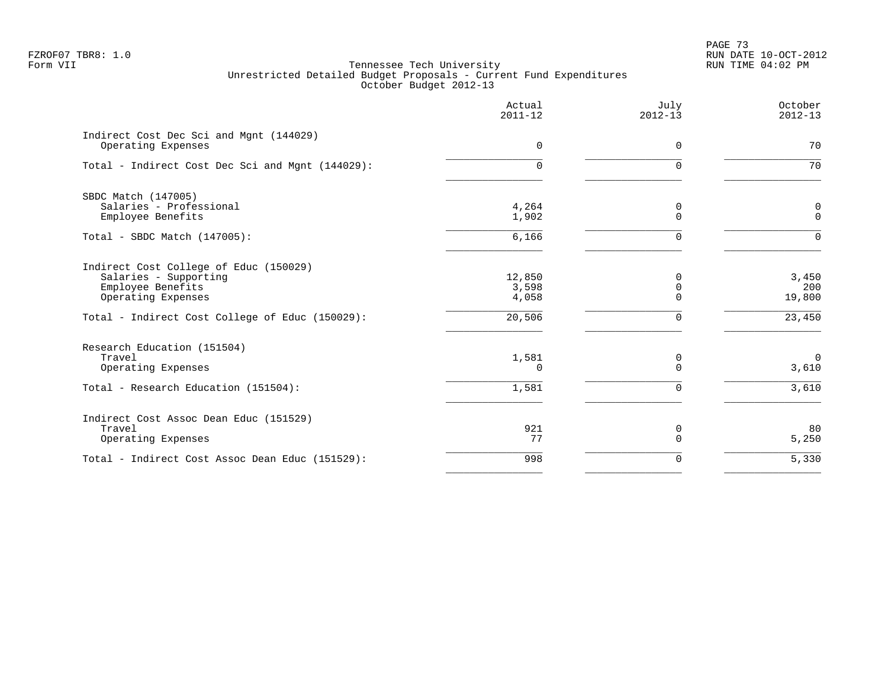PAGE 73 FZROF07 TBR8: 1.0 RUN DATE 10-OCT-2012

|                                                                                                                                                               | Actual<br>$2011 - 12$              | July<br>$2012 - 13$            | October<br>$2012 - 13$           |
|---------------------------------------------------------------------------------------------------------------------------------------------------------------|------------------------------------|--------------------------------|----------------------------------|
| Indirect Cost Dec Sci and Mgnt (144029)<br>Operating Expenses                                                                                                 | $\mathbf 0$                        | $\mathbf 0$                    | 70                               |
| Total - Indirect Cost Dec Sci and Mgnt (144029):                                                                                                              | 0                                  | $\Omega$                       | 70                               |
| SBDC Match (147005)<br>Salaries - Professional<br>Employee Benefits                                                                                           | 4,264<br>1,902                     | 0<br>$\overline{0}$            | $\mathbf 0$<br>$\mathbf 0$       |
| Total - SBDC Match (147005):                                                                                                                                  | 6,166                              | $\Omega$                       | $\Omega$                         |
| Indirect Cost College of Educ (150029)<br>Salaries - Supporting<br>Employee Benefits<br>Operating Expenses<br>Total - Indirect Cost College of Educ (150029): | 12,850<br>3,598<br>4,058<br>20,506 | 0<br>$\Omega$<br>$\Omega$<br>0 | 3,450<br>200<br>19,800<br>23,450 |
| Research Education (151504)<br>Travel<br>Operating Expenses                                                                                                   | 1,581<br>0                         | 0<br>$\overline{0}$            | $\overline{0}$<br>3,610          |
| Total - Research Education (151504):                                                                                                                          | 1,581                              | $\mathbf 0$                    | 3,610                            |
| Indirect Cost Assoc Dean Educ (151529)<br>Travel<br>Operating Expenses                                                                                        | 921<br>77                          | 0<br>$\overline{0}$            | 80<br>5,250                      |
| Total - Indirect Cost Assoc Dean Educ (151529):                                                                                                               | 998                                | $\mathbf 0$                    | 5,330                            |
|                                                                                                                                                               |                                    |                                |                                  |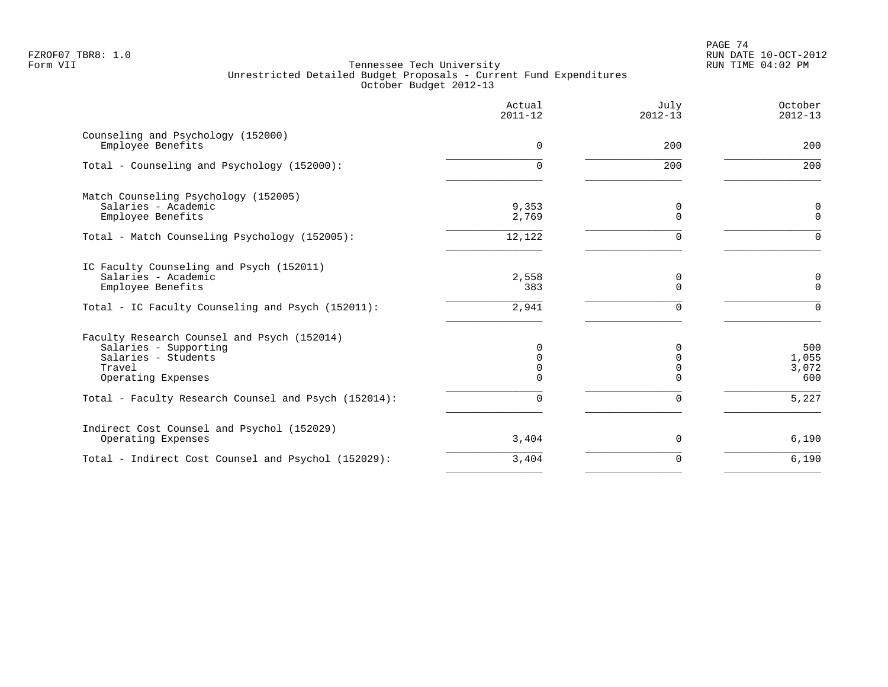PAGE 74 FZROF07 TBR8: 1.0 RUN DATE 10-OCT-2012

|                                                                                                                             | Actual<br>$2011 - 12$   | July<br>$2012 - 13$                   | October<br>$2012 - 13$       |
|-----------------------------------------------------------------------------------------------------------------------------|-------------------------|---------------------------------------|------------------------------|
| Counseling and Psychology (152000)<br>Employee Benefits                                                                     | $\Omega$                | 200                                   | 200                          |
| Total - Counseling and Psychology (152000):                                                                                 | $\Omega$                | 200                                   | 200                          |
| Match Counseling Psychology (152005)<br>Salaries - Academic                                                                 | 9,353<br>2,769          | 0<br>$\Omega$                         | $\mathsf{O}$<br>$\mathbf 0$  |
| Employee Benefits<br>Total - Match Counseling Psychology (152005):                                                          | 12,122                  | $\Omega$                              | $\Omega$                     |
| IC Faculty Counseling and Psych (152011)<br>Salaries - Academic<br>Employee Benefits                                        | 2,558<br>383            | 0<br>$\Omega$                         | $\mathbf 0$<br>$\mathbf 0$   |
| Total - IC Faculty Counseling and Psych (152011):                                                                           | 2,941                   | $\Omega$                              | $\Omega$                     |
| Faculty Research Counsel and Psych (152014)<br>Salaries - Supporting<br>Salaries - Students<br>Travel<br>Operating Expenses | $\Omega$<br>0<br>0<br>0 | $\Omega$<br>$\Omega$<br>$\Omega$<br>∩ | 500<br>1,055<br>3,072<br>600 |
| Total - Faculty Research Counsel and Psych (152014):                                                                        | $\Omega$                | 0                                     | 5,227                        |
| Indirect Cost Counsel and Psychol (152029)<br>Operating Expenses                                                            | 3,404                   | 0                                     | 6,190                        |
| Total - Indirect Cost Counsel and Psychol (152029):                                                                         | 3,404                   | 0                                     | 6,190                        |
|                                                                                                                             |                         |                                       |                              |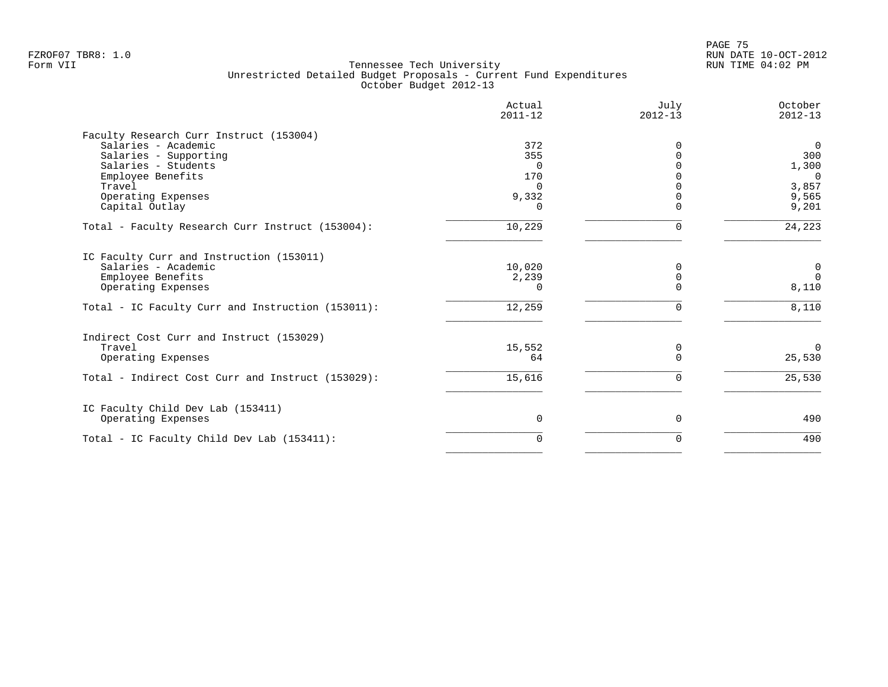|                                                   | Actual<br>$2011 - 12$ | July<br>$2012 - 13$ | October<br>$2012 - 13$ |
|---------------------------------------------------|-----------------------|---------------------|------------------------|
| Faculty Research Curr Instruct (153004)           |                       |                     |                        |
| Salaries - Academic                               | 372                   |                     | $\overline{0}$         |
| Salaries - Supporting                             | 355                   |                     | 300                    |
| Salaries - Students                               | $\Omega$              |                     | 1,300                  |
| Employee Benefits                                 | 170                   |                     | $\overline{0}$         |
| Travel                                            | 0                     |                     | 3,857                  |
| Operating Expenses                                | 9,332                 |                     | 9,565                  |
| Capital Outlay                                    | $\left( \right)$      |                     | 9,201                  |
| Total - Faculty Research Curr Instruct (153004):  | 10,229                |                     | 24,223                 |
| IC Faculty Curr and Instruction (153011)          |                       |                     |                        |
| Salaries - Academic                               | 10,020                |                     | $\mathbf 0$            |
| Employee Benefits                                 | 2,239                 |                     | $\overline{0}$         |
| Operating Expenses                                | 0                     |                     | 8,110                  |
| Total - IC Faculty Curr and Instruction (153011): | 12,259                | 0                   | 8,110                  |
| Indirect Cost Curr and Instruct (153029)          |                       |                     |                        |
| Travel                                            | 15,552                | $\Omega$            | $\Omega$               |
| Operating Expenses                                | 64                    |                     | 25,530                 |
| Total - Indirect Cost Curr and Instruct (153029): | 15,616                |                     | 25,530                 |
| IC Faculty Child Dev Lab (153411)                 |                       |                     |                        |
| Operating Expenses                                | 0                     | $\Omega$            | 490                    |
| Total - IC Faculty Child Dev Lab (153411):        | $\Omega$              | $\Omega$            | 490                    |
|                                                   |                       |                     |                        |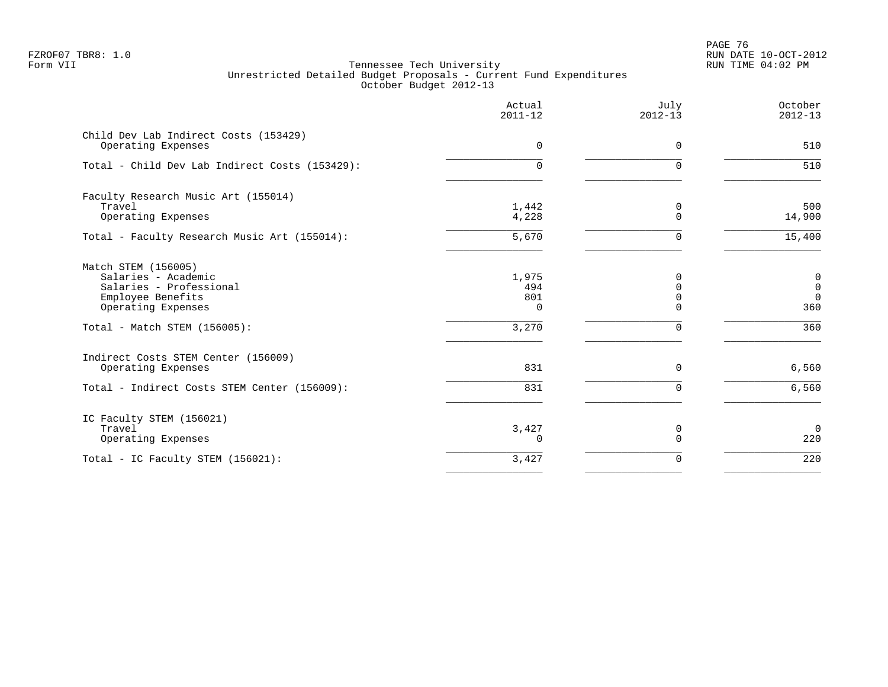en and the set of the set of the set of the set of the set of the set of the set of the set of the set of the set of the set of the set of the set of the set of the set of the set of the set of the set of the set of the se FZROF07 TBR8: 1.0 RUN DATE 10-OCT-2012

|                                                                                                                  | Actual<br>$2011 - 12$           | July<br>$2012 - 13$                          | October<br>$2012 - 13$                           |
|------------------------------------------------------------------------------------------------------------------|---------------------------------|----------------------------------------------|--------------------------------------------------|
| Child Dev Lab Indirect Costs (153429)<br>Operating Expenses                                                      | $\Omega$                        | $\Omega$                                     | 510                                              |
| Total - Child Dev Lab Indirect Costs (153429):                                                                   | $\Omega$                        | $\Omega$                                     | 510                                              |
| Faculty Research Music Art (155014)<br>Travel<br>Operating Expenses                                              | 1,442<br>4,228                  | 0<br>$\Omega$                                | 500<br>14,900                                    |
| Total - Faculty Research Music Art (155014):                                                                     | 5,670                           | $\Omega$                                     | 15,400                                           |
| Match STEM (156005)<br>Salaries - Academic<br>Salaries - Professional<br>Employee Benefits<br>Operating Expenses | 1,975<br>494<br>801<br>$\Omega$ | $\Omega$<br>$\Omega$<br>$\Omega$<br>$\Omega$ | $\mathbf 0$<br>$\mathbf 0$<br>$\mathbf 0$<br>360 |
| Total - Match STEM (156005):                                                                                     | 3,270                           | $\mathbf 0$                                  | 360                                              |
| Indirect Costs STEM Center (156009)<br>Operating Expenses                                                        | 831                             | $\mathbf 0$                                  | 6,560                                            |
| Total - Indirect Costs STEM Center (156009):                                                                     | 831                             | $\mathbf 0$                                  | 6,560                                            |
| IC Faculty STEM (156021)<br>Travel<br>Operating Expenses                                                         | 3,427<br>0                      | 0<br>$\mathbf 0$                             | $\mathbf 0$<br>220                               |
| Total - IC Faculty STEM (156021):                                                                                | 3,427                           | $\mathbf 0$                                  | 220                                              |
|                                                                                                                  |                                 |                                              |                                                  |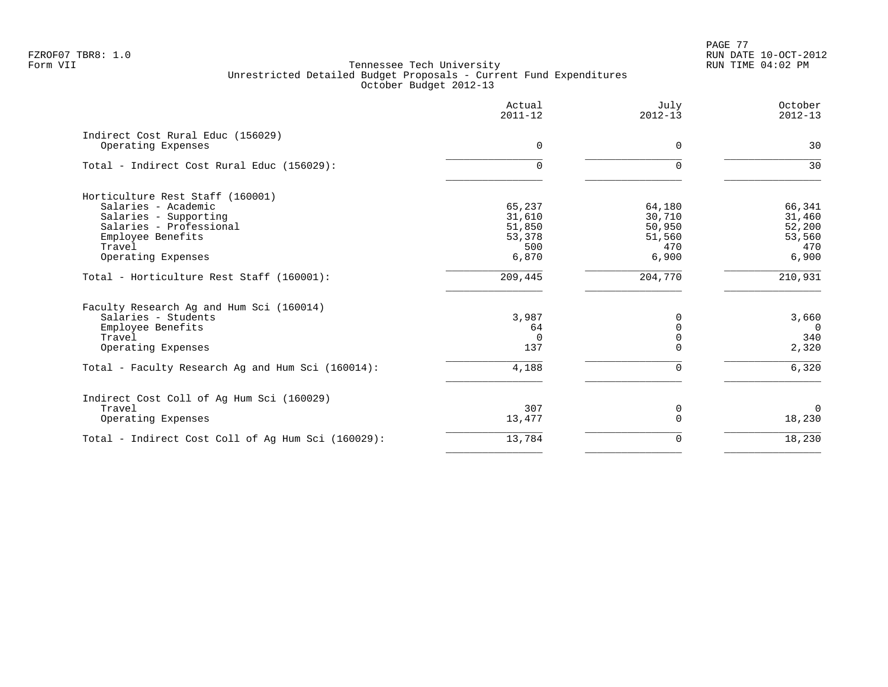| Actual<br>$2011 - 12$ | July<br>$2012 - 13$ | October<br>$2012 - 13$ |
|-----------------------|---------------------|------------------------|
|                       |                     | 30                     |
|                       |                     |                        |
| 0                     | $\Omega$            | 30                     |
|                       |                     |                        |
| 65,237                | 64,180              | 66,341                 |
| 31,610                | 30,710              | 31,460                 |
| 51,850                | 50,950              | 52,200                 |
| 53,378                | 51,560              | 53,560                 |
| 500                   | 470                 | 470                    |
| 6,870                 | 6,900               | 6,900                  |
| 209,445               | 204,770             | 210,931                |
|                       |                     |                        |
| 3,987                 | <sup>0</sup>        | 3,660                  |
| 64                    | $\Omega$            | $\Omega$               |
| $\Omega$              | $\Omega$            | 340                    |
| 137                   | $\Omega$            | 2,320                  |
| 4,188                 | $\Omega$            | 6,320                  |
|                       |                     |                        |
| 307                   | 0                   | $\Omega$               |
| 13,477                | $\Omega$            | 18,230                 |
| 13,784                | $\Omega$            | 18,230                 |
|                       | $\Omega$            | $\Omega$               |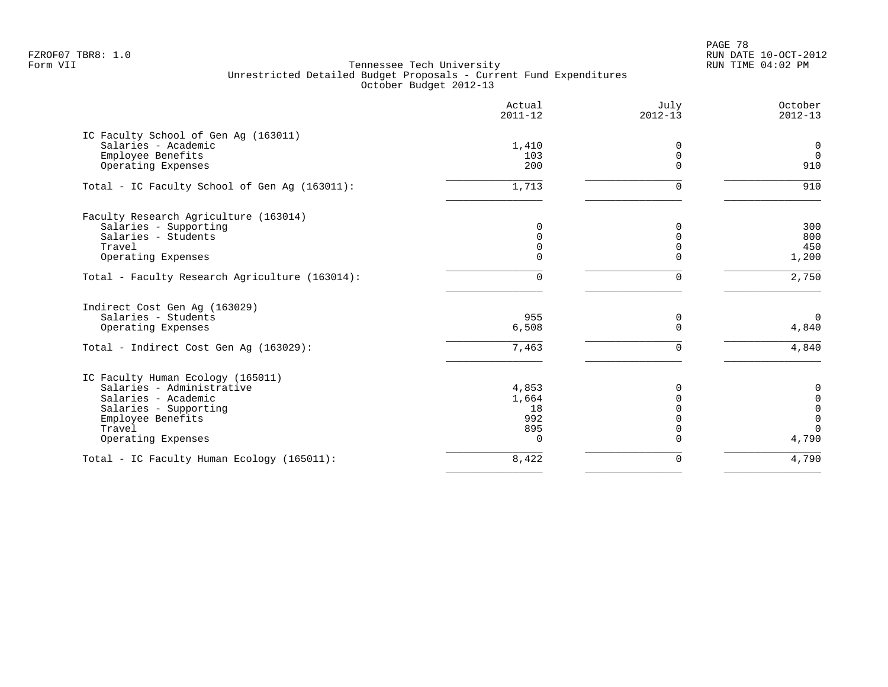PAGE 78 FZROF07 TBR8: 1.0 RUN DATE 10-OCT-2012

|                                                | Actual<br>$2011 - 12$ | July<br>$2012 - 13$ | October<br>$2012 - 13$ |
|------------------------------------------------|-----------------------|---------------------|------------------------|
| IC Faculty School of Gen Aq (163011)           |                       |                     |                        |
| Salaries - Academic                            | 1,410                 | $\Omega$            | $\mathbf 0$            |
| Employee Benefits                              | 103                   | $\mathbf 0$         | $\Omega$               |
| Operating Expenses                             | 200                   | $\Omega$            | 910                    |
| Total - IC Faculty School of Gen Aq (163011):  | 1,713                 | 0                   | 910                    |
| Faculty Research Agriculture (163014)          |                       |                     |                        |
| Salaries - Supporting                          | 0                     | $\Omega$            | 300                    |
| Salaries - Students                            | $\mathbf 0$           | $\Omega$            | 800                    |
| Travel                                         | 0                     | $\Omega$            | 450                    |
| Operating Expenses                             | $\Omega$              | $\Omega$            | 1,200                  |
| Total - Faculty Research Agriculture (163014): | $\Omega$              | $\mathbf 0$         | 2,750                  |
| Indirect Cost Gen Aq (163029)                  |                       |                     |                        |
| Salaries - Students                            | 955                   | 0                   | $\Omega$               |
| Operating Expenses                             | 6,508                 | $\overline{0}$      | 4,840                  |
| Total - Indirect Cost Gen Aq (163029):         | 7,463                 | $\mathbf 0$         | 4,840                  |
| IC Faculty Human Ecology (165011)              |                       |                     |                        |
| Salaries - Administrative                      | 4,853                 | 0                   | $\mathbf 0$            |
| Salaries - Academic                            | 1,664                 | $\mathbf 0$         | $\mathbf 0$            |
| Salaries - Supporting                          | 18                    | $\Omega$            | $\mathbf 0$            |
| Employee Benefits                              | 992                   | $\Omega$            | $\mathbf 0$            |
| Travel                                         | 895                   | $\mathbf 0$         | $\Omega$               |
| Operating Expenses                             | $\Omega$              | $\Omega$            | 4,790                  |
| Total - IC Faculty Human Ecology (165011):     | 8,422                 | 0                   | 4,790                  |
|                                                |                       |                     |                        |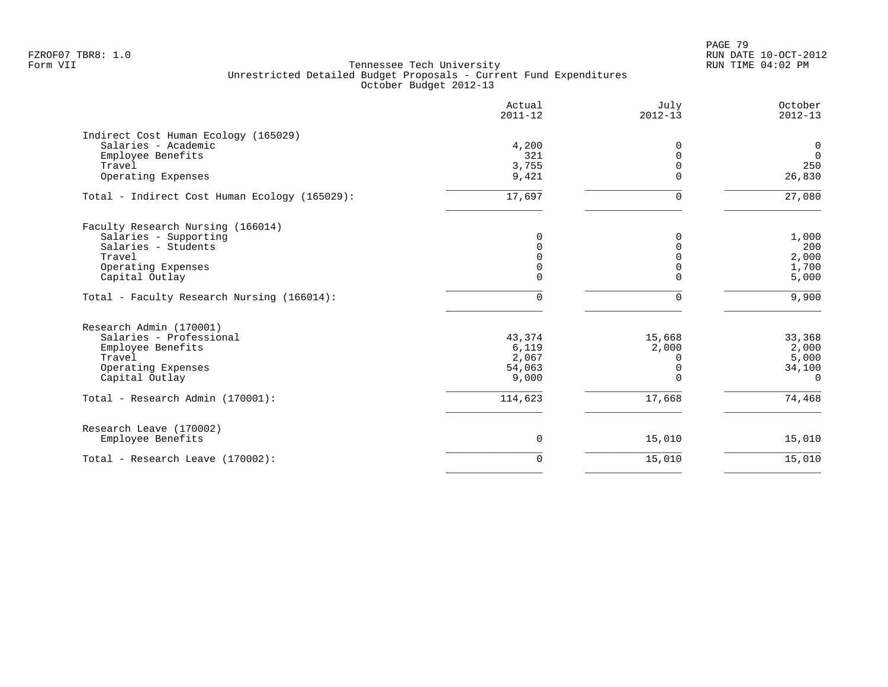PAGE 79 FZROF07 TBR8: 1.0 RUN DATE 10-OCT-2012

|                                                                                                                                     | Actual<br>$2011 - 12$                       | July<br>$2012 - 13$                          | October<br>$2012 - 13$                         |
|-------------------------------------------------------------------------------------------------------------------------------------|---------------------------------------------|----------------------------------------------|------------------------------------------------|
| Indirect Cost Human Ecology (165029)<br>Salaries - Academic<br>Employee Benefits<br>Travel<br>Operating Expenses                    | 4,200<br>321<br>3,755<br>9,421              | $\Omega$<br>$\Omega$<br>$\Omega$<br>$\Omega$ | $\mathbf 0$<br>$\overline{0}$<br>250<br>26,830 |
| Total - Indirect Cost Human Ecology (165029):                                                                                       | 17,697                                      | 0                                            | 27,080                                         |
| Faculty Research Nursing (166014)<br>Salaries - Supporting<br>Salaries - Students<br>Travel<br>Operating Expenses<br>Capital Outlay | $\mathbf 0$<br>0<br>0<br>0<br>$\Omega$      | $\Omega$<br>O<br>$\Omega$<br>$\Omega$        | 1,000<br>200<br>2,000<br>1,700<br>5,000        |
| Total - Faculty Research Nursing (166014):                                                                                          | $\mathbf 0$                                 | 0                                            | 9,900                                          |
| Research Admin (170001)<br>Salaries - Professional<br>Employee Benefits<br>Travel<br>Operating Expenses<br>Capital Outlay           | 43,374<br>6,119<br>2,067<br>54,063<br>9,000 | 15,668<br>2,000<br>0<br>$\Omega$<br>$\Omega$ | 33,368<br>2,000<br>5,000<br>34,100<br>$\Omega$ |
| Total - Research Admin (170001):                                                                                                    | 114,623                                     | 17,668                                       | 74,468                                         |
| Research Leave (170002)<br>Employee Benefits                                                                                        | 0                                           | 15,010                                       | 15,010                                         |
| Total - Research Leave (170002):                                                                                                    | 0                                           | 15,010                                       | 15,010                                         |
|                                                                                                                                     |                                             |                                              |                                                |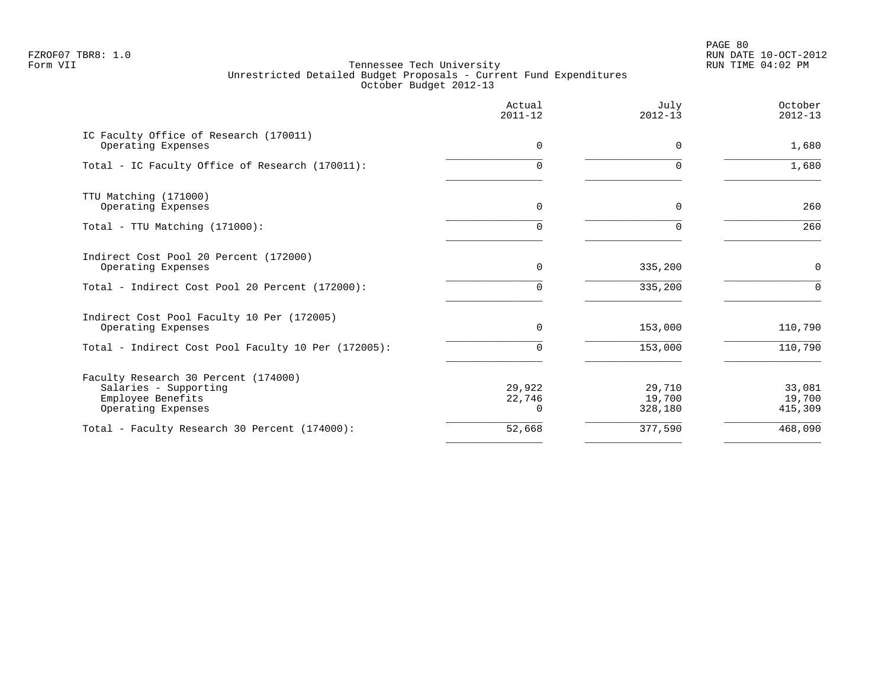PAGE 80 FZROF07 TBR8: 1.0 RUN DATE 10-OCT-2012

| Actual<br>$2011 - 12$        | July<br>$2012 - 13$         | October<br>$2012 - 13$      |
|------------------------------|-----------------------------|-----------------------------|
| $\Omega$                     | $\Omega$                    | 1,680                       |
| 0                            | $\Omega$                    | 1,680                       |
| 0                            | 0                           | 260                         |
| $\Omega$                     | 0                           | 260                         |
| $\Omega$                     | 335,200                     | $\mathbf 0$                 |
| 0                            | 335,200                     | $\Omega$                    |
| 0                            | 153,000                     | 110,790                     |
| $\Omega$                     | 153,000                     | 110,790                     |
| 29,922<br>22,746<br>$\Omega$ | 29,710<br>19,700<br>328,180 | 33,081<br>19,700<br>415,309 |
| 52,668                       | 377,590                     | 468,090                     |
|                              |                             |                             |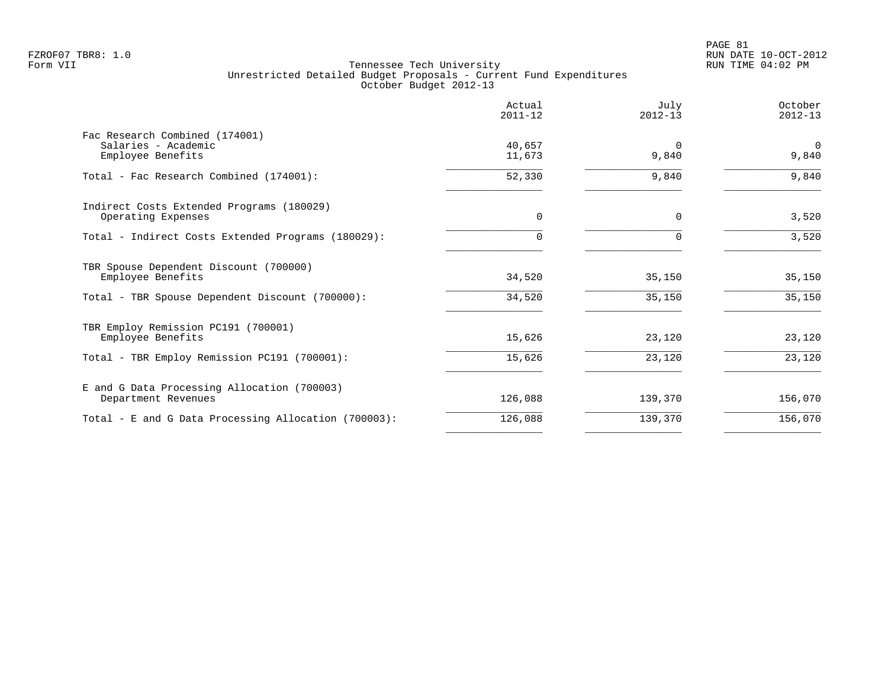|                                                                    | Actual<br>$2011 - 12$ | July<br>$2012 - 13$ | October<br>$2012 - 13$ |
|--------------------------------------------------------------------|-----------------------|---------------------|------------------------|
| Fac Research Combined (174001)<br>Salaries - Academic              | 40,657                | $\Omega$            | $\Omega$               |
| Employee Benefits                                                  | 11,673                | 9,840               | 9,840                  |
| Total - Fac Research Combined (174001):                            | 52,330                | 9,840               | 9,840                  |
| Indirect Costs Extended Programs (180029)<br>Operating Expenses    | $\Omega$              | $\Omega$            | 3,520                  |
| Total - Indirect Costs Extended Programs (180029):                 |                       |                     | 3,520                  |
| TBR Spouse Dependent Discount (700000)<br>Employee Benefits        | 34,520                | 35,150              | 35,150                 |
| Total - TBR Spouse Dependent Discount (700000):                    | 34,520                | 35,150              | 35,150                 |
| TBR Employ Remission PC191 (700001)                                |                       |                     |                        |
| Employee Benefits                                                  | 15,626                | 23,120              | 23,120                 |
| Total - TBR Employ Remission PC191 (700001):                       | 15,626                | 23,120              | 23,120                 |
| E and G Data Processing Allocation (700003)<br>Department Revenues | 126,088               | 139,370             | 156,070                |
| Total - E and G Data Processing Allocation (700003):               | 126,088               | 139,370             | 156,070                |
|                                                                    |                       |                     |                        |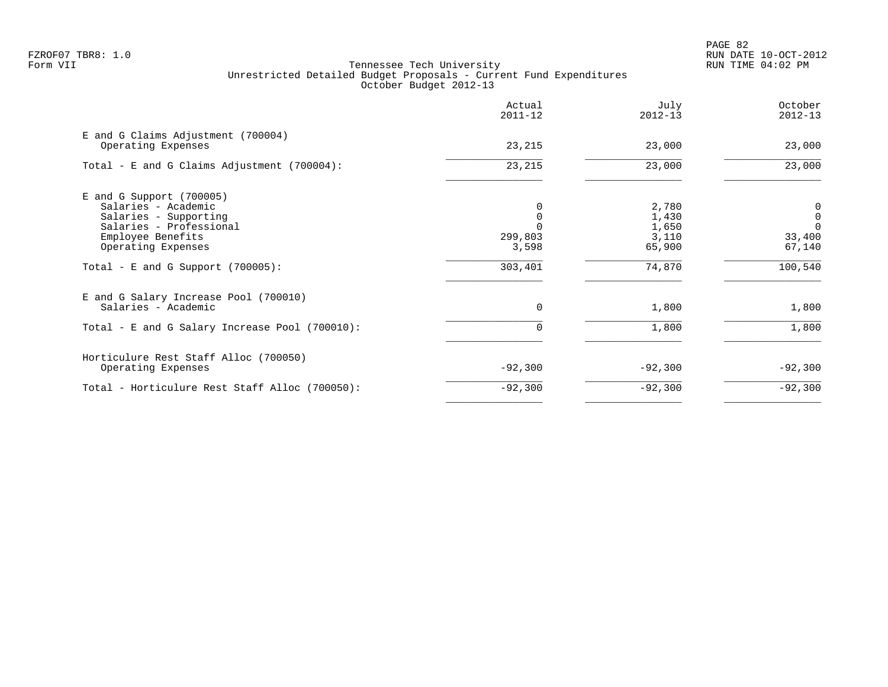|                                                                                                                                                  | Actual<br>$2011 - 12$ | July<br>$2012 - 13$                        | October<br>$2012 - 13$                                                     |
|--------------------------------------------------------------------------------------------------------------------------------------------------|-----------------------|--------------------------------------------|----------------------------------------------------------------------------|
| E and G Claims Adjustment (700004)<br>Operating Expenses                                                                                         | 23,215                | 23,000                                     | 23,000                                                                     |
| Total - E and G Claims Adjustment (700004):                                                                                                      | 23, 215               | 23,000                                     | 23,000                                                                     |
| $E$ and G Support (700005)<br>Salaries - Academic<br>Salaries - Supporting<br>Salaries - Professional<br>Employee Benefits<br>Operating Expenses | 299,803<br>3,598      | 2,780<br>1,430<br>1,650<br>3,110<br>65,900 | $\begin{matrix} 0 \\ 0 \end{matrix}$<br>$\overline{0}$<br>33,400<br>67,140 |
| Total - E and G Support $(700005)$ :                                                                                                             | 303,401               | 74,870                                     | 100,540                                                                    |
| E and G Salary Increase Pool (700010)<br>Salaries - Academic<br>Total - E and G Salary Increase Pool (700010):                                   | $\mathbf 0$           | 1,800<br>1,800                             | 1,800<br>1,800                                                             |
|                                                                                                                                                  |                       |                                            |                                                                            |
| Horticulure Rest Staff Alloc (700050)<br>Operating Expenses                                                                                      | $-92,300$             | $-92,300$                                  | $-92,300$                                                                  |
| Total - Horticulure Rest Staff Alloc (700050):                                                                                                   | $-92,300$             | $-92,300$                                  | $-92,300$                                                                  |
|                                                                                                                                                  |                       |                                            |                                                                            |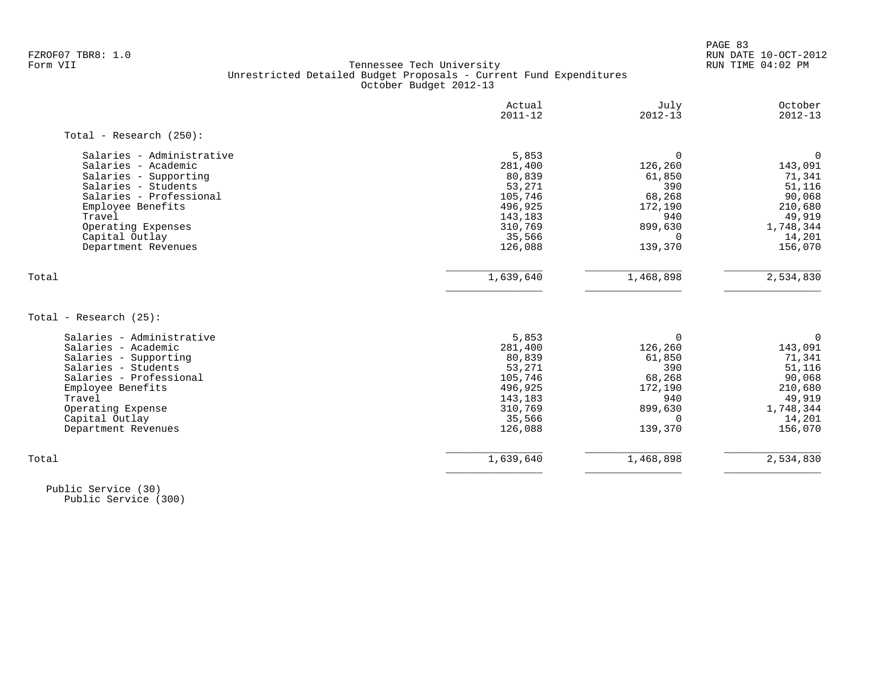PAGE 83 FZROF07 TBR8: 1.0 RUN DATE 10-OCT-2012

#### Form VII Tennessee Tech University RUN TIME 04:02 PM Unrestricted Detailed Budget Proposals - Current Fund Expenditures October Budget 2012-13

| Actual<br>$2011 - 12$ | July<br>$2012 - 13$  | October<br>$2012 - 13$ |
|-----------------------|----------------------|------------------------|
|                       |                      |                        |
| 5,853                 | $\Omega$             | $\Omega$               |
| 281,400               | 126,260              | 143,091                |
| 80,839                | 61,850               | 71,341                 |
| 53,271                | 390                  | 51,116                 |
| 105,746               | 68,268               | 90,068                 |
| 496,925               | 172,190              | 210,680                |
| 143,183               | 940                  | 49,919                 |
| 310,769               | 899,630              | 1,748,344              |
| 35,566                | $\Omega$             | 14,201                 |
| 126,088               | 139,370              | 156,070                |
|                       |                      | 2,534,830              |
|                       |                      |                        |
|                       |                      |                        |
| 5,853                 | $\Omega$             | 0                      |
| 281,400               | 126,260              | 143,091                |
| 80,839                | 61,850               | 71,341                 |
| 53,271                | 390                  | 51,116                 |
|                       | 68,268               | 90,068                 |
| 496,925               | 172,190              | 210,680                |
| 143,183               | 940                  | 49,919                 |
| 310,769               | 899,630              | 1,748,344              |
| 35,566                | $\Omega$             | 14,201                 |
| 126,088               | 139,370              | 156,070                |
|                       |                      |                        |
|                       | 1,639,640<br>105,746 | 1,468,898              |

 Public Service (30) Public Service (300)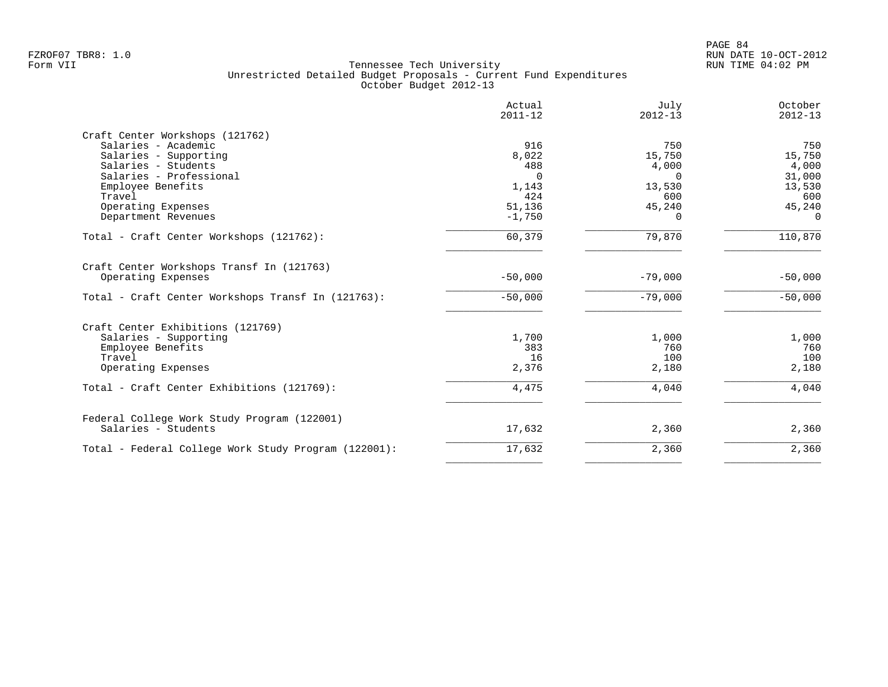|                                                                 | Actual<br>$2011 - 12$ | July<br>$2012 - 13$ | October<br>$2012 - 13$ |
|-----------------------------------------------------------------|-----------------------|---------------------|------------------------|
| Craft Center Workshops (121762)                                 |                       |                     |                        |
| Salaries - Academic                                             | 916                   | 750                 | 750                    |
| Salaries - Supporting                                           | 8,022                 | 15,750              | 15,750                 |
| Salaries - Students                                             | 488                   | 4,000               | 4,000                  |
| Salaries - Professional                                         | $\Omega$              | $\Omega$            | 31,000                 |
| Employee Benefits                                               | 1,143                 | 13,530              | 13,530                 |
| Travel                                                          | 424                   | 600                 | 600                    |
| Operating Expenses                                              | 51,136                | 45,240              | 45,240                 |
| Department Revenues                                             | $-1,750$              | $\Omega$            | $\Omega$               |
| Total - Craft Center Workshops (121762):                        | 60,379                | 79,870              | 110,870                |
| Craft Center Workshops Transf In (121763)<br>Operating Expenses | $-50,000$             | $-79,000$           | $-50,000$              |
|                                                                 |                       |                     |                        |
| Total - Craft Center Workshops Transf In (121763):              | $-50,000$             | $-79,000$           | $-50,000$              |
| Craft Center Exhibitions (121769)                               |                       |                     |                        |
| Salaries - Supporting                                           | 1,700                 | 1,000               | 1,000                  |
| Employee Benefits                                               | 383                   | 760                 | 760                    |
| Travel                                                          | 16                    | 100                 | 100                    |
| Operating Expenses                                              | 2,376                 | 2,180               | 2,180                  |
| Total - Craft Center Exhibitions (121769):                      | 4,475                 | 4,040               | 4,040                  |
| Federal College Work Study Program (122001)                     |                       |                     |                        |
| Salaries - Students                                             | 17,632                | 2,360               | 2,360                  |
| Total - Federal College Work Study Program (122001):            | 17,632                | 2,360               | 2,360                  |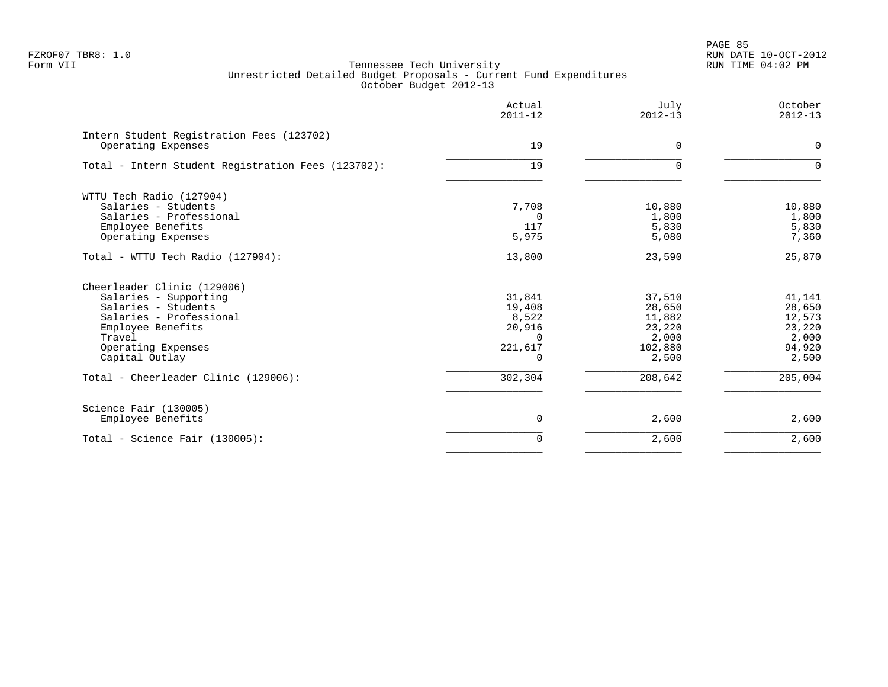|                                                                 | Actual<br>$2011 - 12$ | July<br>$2012 - 13$ | October<br>$2012 - 13$ |
|-----------------------------------------------------------------|-----------------------|---------------------|------------------------|
| Intern Student Registration Fees (123702)<br>Operating Expenses | 19                    | $\Omega$            | 0                      |
| Total - Intern Student Registration Fees (123702):              | 19                    | $\Omega$            | $\Omega$               |
| WTTU Tech Radio (127904)                                        |                       |                     |                        |
| Salaries - Students                                             | 7,708                 | 10,880              | 10,880                 |
| Salaries - Professional                                         | $\Omega$              | 1,800               | 1,800                  |
| Employee Benefits                                               | 117                   | 5,830               | 5,830                  |
| Operating Expenses                                              | 5,975                 | 5,080               | 7,360                  |
| Total - WTTU Tech Radio (127904):                               | 13,800                | 23,590              | 25,870                 |
| Cheerleader Clinic (129006)                                     |                       |                     |                        |
| Salaries - Supporting                                           | 31,841                | 37,510              | 41,141                 |
| Salaries - Students                                             | 19,408                | 28,650              | 28,650                 |
| Salaries - Professional                                         | 8,522                 | 11,882              | 12,573                 |
| Employee Benefits                                               | 20,916                | 23,220              | 23,220                 |
| Travel                                                          | $\Omega$              | 2,000               | 2,000                  |
| Operating Expenses                                              | 221,617               | 102,880             | 94,920                 |
| Capital Outlay                                                  | $\cap$                | 2,500               | 2,500                  |
| Total - Cheerleader Clinic (129006):                            | 302,304               | 208,642             | 205,004                |
| Science Fair (130005)                                           |                       |                     |                        |
| Employee Benefits                                               | 0                     | 2,600               | 2,600                  |
| Total - Science Fair (130005):                                  | $\Omega$              | 2,600               | 2,600                  |
|                                                                 |                       |                     |                        |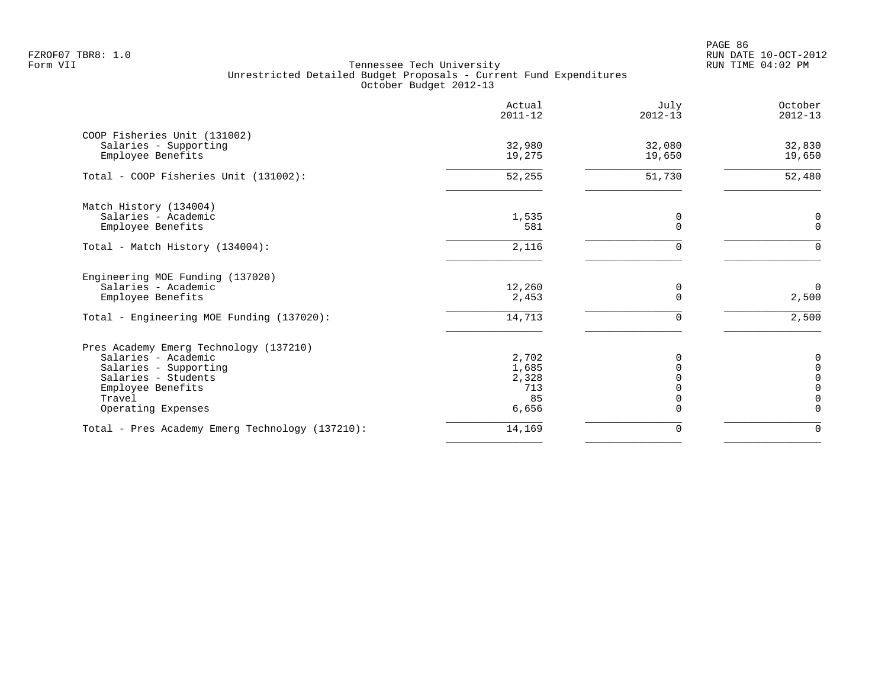PAGE 86 FZROF07 TBR8: 1.0 RUN DATE 10-OCT-2012

|                                                 | Actual<br>$2011 - 12$ | July<br>$2012 - 13$ | October<br>$2012 - 13$     |
|-------------------------------------------------|-----------------------|---------------------|----------------------------|
| COOP Fisheries Unit (131002)                    |                       |                     |                            |
| Salaries - Supporting<br>Employee Benefits      | 32,980<br>19,275      | 32,080<br>19,650    | 32,830<br>19,650           |
| Total - COOP Fisheries Unit (131002):           | 52,255                | 51,730              | 52,480                     |
| Match History (134004)                          |                       |                     |                            |
| Salaries - Academic<br>Employee Benefits        | 1,535<br>581          | 0<br>$\Omega$       | 0<br>$\Omega$              |
| Total - Match History (134004):                 | 2,116                 | $\Omega$            | $\Omega$                   |
| Engineering MOE Funding (137020)                |                       |                     |                            |
| Salaries - Academic<br>Employee Benefits        | 12,260<br>2,453       | 0<br>$\Omega$       | $\mathbf 0$<br>2,500       |
| Total - Engineering MOE Funding (137020):       | 14,713                | 0                   | 2,500                      |
| Pres Academy Emerg Technology (137210)          |                       |                     |                            |
| Salaries - Academic                             | 2,702                 | <sup>0</sup>        | 0                          |
| Salaries - Supporting                           | 1,685                 |                     | $\Omega$                   |
| Salaries - Students<br>Employee Benefits        | 2,328<br>713          |                     | $\mathbf 0$<br>$\mathbf 0$ |
| Travel                                          | 85                    | 0                   | $\mathbf 0$                |
| Operating Expenses                              | 6,656                 | $\Omega$            | $\Omega$                   |
| Total - Pres Academy Emerg Technology (137210): | 14,169                | $\mathbf 0$         | $\mathbf 0$                |
|                                                 |                       |                     |                            |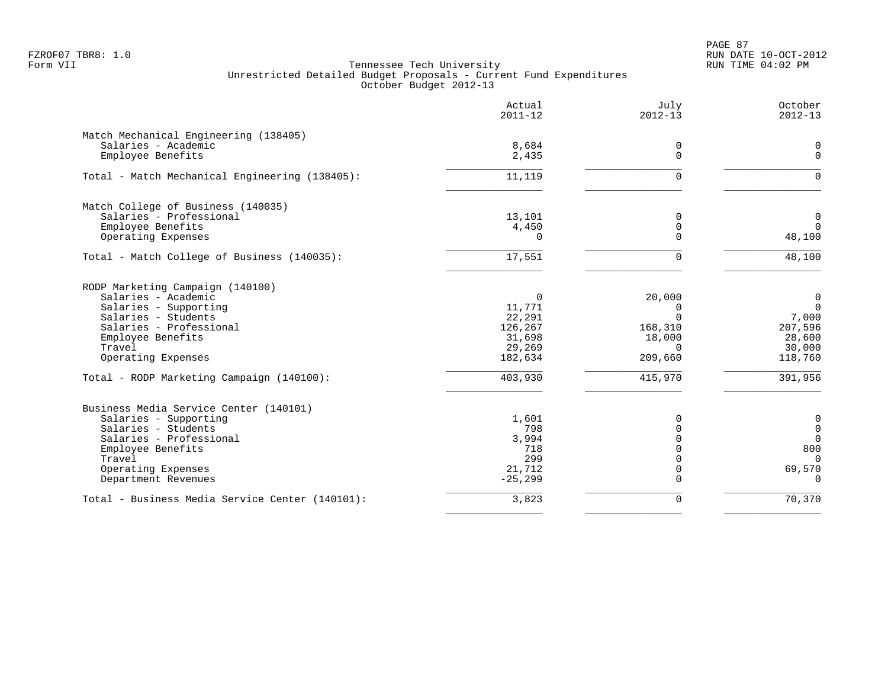PAGE 87 FZROF07 TBR8: 1.0 RUN DATE 10-OCT-2012

|                                                 | Actual<br>$2011 - 12$ | July<br>$2012 - 13$     | October<br>$2012 - 13$ |
|-------------------------------------------------|-----------------------|-------------------------|------------------------|
| Match Mechanical Engineering (138405)           |                       |                         |                        |
| Salaries - Academic                             | 8,684                 | 0                       | $\Omega$               |
| Employee Benefits                               | 2,435                 | $\mathbf 0$             | $\mathbf 0$            |
| Total - Match Mechanical Engineering (138405):  | 11,119                | $\Omega$                | $\Omega$               |
| Match College of Business (140035)              |                       |                         |                        |
| Salaries - Professional                         | 13,101                | 0                       | $\mathbf 0$            |
| Employee Benefits                               | 4,450                 | $\mathbf 0$             | $\Omega$               |
| Operating Expenses                              | $\Omega$              | $\Omega$                | 48,100                 |
| Total - Match College of Business (140035):     | 17,551                | $\Omega$                | 48,100                 |
| RODP Marketing Campaign (140100)                |                       |                         |                        |
| Salaries - Academic                             | 0                     | 20,000                  | $\mathbf 0$            |
| Salaries - Supporting                           | 11,771                | 0                       | $\overline{0}$         |
| Salaries - Students                             | 22,291                | $\Omega$                | 7,000                  |
| Salaries - Professional                         | 126,267               | 168,310                 | 207,596                |
| Employee Benefits                               | 31,698                | 18,000                  | 28,600                 |
| Travel                                          | 29,269                | $\Omega$                | 30,000                 |
| Operating Expenses                              | 182,634               | 209,660                 | 118,760                |
| Total - RODP Marketing Campaign (140100):       | 403,930               | 415,970                 | 391,956                |
| Business Media Service Center (140101)          |                       |                         |                        |
| Salaries - Supporting                           | 1,601                 | 0                       | $\mathbf 0$            |
| Salaries - Students                             | 798                   | $\Omega$                | $\mathbf 0$            |
| Salaries - Professional                         | 3,994                 | $\Omega$                | $\mathbf 0$            |
| Employee Benefits                               | 718                   | $\Omega$                | 800                    |
| Travel                                          | 299                   | $\Omega$                | $\Omega$               |
| Operating Expenses<br>Department Revenues       | 21,712<br>$-25, 299$  | $\mathbf 0$<br>$\Omega$ | 69,570<br>$\Omega$     |
| Total - Business Media Service Center (140101): | 3,823                 | $\Omega$                | 70,370                 |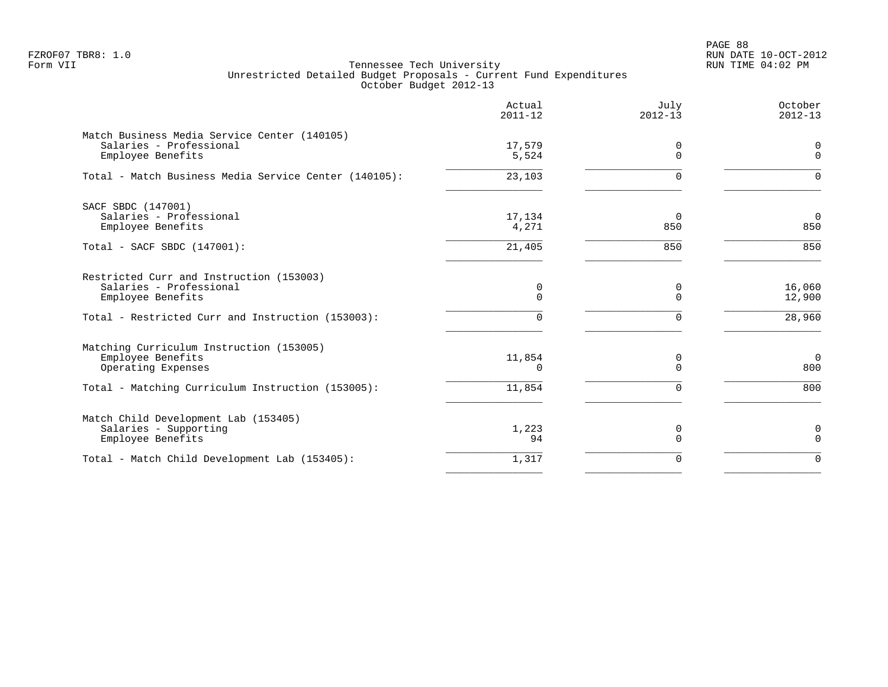PAGE 88 FZROF07 TBR8: 1.0 RUN DATE 10-OCT-2012

|                                                                                                                                          | Actual<br>$2011 - 12$        | July<br>$2012 - 13$             | October<br>$2012 - 13$       |
|------------------------------------------------------------------------------------------------------------------------------------------|------------------------------|---------------------------------|------------------------------|
| Match Business Media Service Center (140105)<br>Salaries - Professional<br>Employee Benefits                                             | 17,579<br>5,524              | 0<br>$\Omega$                   | 0<br>$\mathbf 0$             |
| Total - Match Business Media Service Center (140105):                                                                                    | 23,103                       | 0                               | $\Omega$                     |
| SACF SBDC (147001)<br>Salaries - Professional<br>Employee Benefits<br>Total - SACF SBDC (147001):                                        | 17,134<br>4,271<br>21,405    | $\Omega$<br>850<br>850          | $\overline{0}$<br>850<br>850 |
| Restricted Curr and Instruction (153003)<br>Salaries - Professional<br>Employee Benefits                                                 | 0<br>0                       | 0<br>$\mathbf 0$                | 16,060<br>12,900             |
| Total - Restricted Curr and Instruction (153003):                                                                                        | 0                            | 0                               | 28,960                       |
| Matching Curriculum Instruction (153005)<br>Employee Benefits<br>Operating Expenses<br>Total - Matching Curriculum Instruction (153005): | 11,854<br>$\Omega$<br>11,854 | 0<br>$\mathbf 0$<br>$\mathbf 0$ | $\overline{0}$<br>800<br>800 |
| Match Child Development Lab (153405)<br>Salaries - Supporting<br>Employee Benefits                                                       | 1,223<br>94                  | 0<br>$\Omega$                   | $\mathbf 0$<br>$\mathbf 0$   |
| Total - Match Child Development Lab (153405):                                                                                            | 1,317                        | $\mathbf 0$                     | $\Omega$                     |
|                                                                                                                                          |                              |                                 |                              |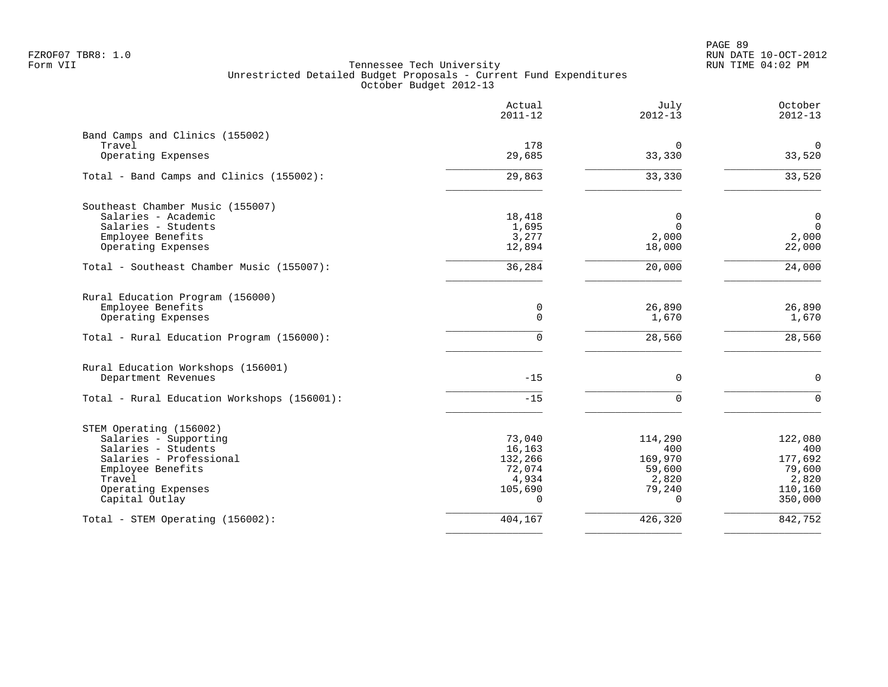PAGE 89 FZROF07 TBR8: 1.0 RUN DATE 10-OCT-2012

|                                                                                                                                                                           | Actual<br>$2011 - 12$                                                 | July<br>$2012 - 13$                                                | October<br>$2012 - 13$                                             |
|---------------------------------------------------------------------------------------------------------------------------------------------------------------------------|-----------------------------------------------------------------------|--------------------------------------------------------------------|--------------------------------------------------------------------|
| Band Camps and Clinics (155002)<br>Travel<br>Operating Expenses                                                                                                           | 178<br>29,685                                                         | 0<br>33,330                                                        | 0<br>33,520                                                        |
|                                                                                                                                                                           |                                                                       |                                                                    |                                                                    |
| Total - Band Camps and Clinics (155002):                                                                                                                                  | 29,863                                                                | 33,330                                                             | 33,520                                                             |
| Southeast Chamber Music (155007)<br>Salaries - Academic<br>Salaries - Students<br>Employee Benefits<br>Operating Expenses                                                 | 18,418<br>1,695<br>3,277<br>12,894                                    | 0<br>$\Omega$<br>2,000<br>18,000                                   | 0<br>$\overline{0}$<br>2,000<br>22,000                             |
| Total - Southeast Chamber Music (155007):                                                                                                                                 | 36,284                                                                | 20,000                                                             | 24,000                                                             |
| Rural Education Program (156000)<br>Employee Benefits<br>Operating Expenses<br>Total - Rural Education Program (156000):                                                  | 0<br>$\Omega$<br>$\Omega$                                             | 26,890<br>1,670<br>28,560                                          | 26,890<br>1,670<br>28,560                                          |
| Rural Education Workshops (156001)<br>Department Revenues                                                                                                                 | $-15$                                                                 | $\mathbf 0$                                                        | $\mathbf 0$                                                        |
| Total - Rural Education Workshops (156001):                                                                                                                               | $-15$                                                                 | $\Omega$                                                           | $\Omega$                                                           |
| STEM Operating (156002)<br>Salaries - Supporting<br>Salaries - Students<br>Salaries - Professional<br>Employee Benefits<br>Travel<br>Operating Expenses<br>Capital Outlay | 73,040<br>16,163<br>132,266<br>72,074<br>4,934<br>105,690<br>$\Omega$ | 114,290<br>400<br>169,970<br>59,600<br>2,820<br>79,240<br>$\Omega$ | 122,080<br>400<br>177,692<br>79,600<br>2,820<br>110,160<br>350,000 |
| Total - STEM Operating (156002):                                                                                                                                          | 404,167                                                               | 426,320                                                            | 842,752                                                            |
|                                                                                                                                                                           |                                                                       |                                                                    |                                                                    |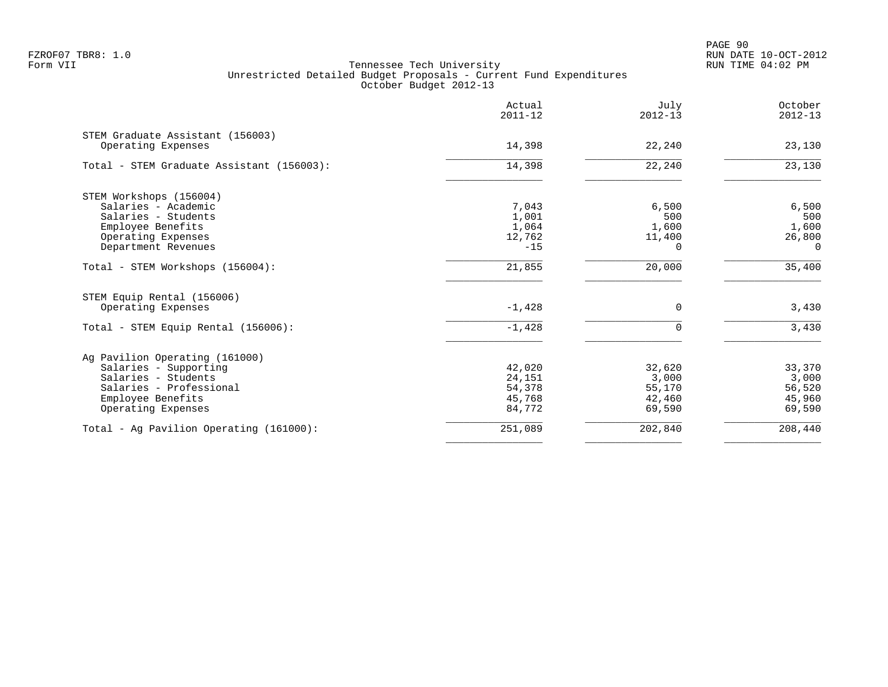PAGE 90 FZROF07 TBR8: 1.0 RUN DATE 10-OCT-2012

|                                                                                                                                                      | Actual<br>$2011 - 12$                          | July<br>$2012 - 13$                           | October<br>$2012 - 13$                        |
|------------------------------------------------------------------------------------------------------------------------------------------------------|------------------------------------------------|-----------------------------------------------|-----------------------------------------------|
| STEM Graduate Assistant (156003)<br>Operating Expenses                                                                                               | 14,398                                         | 22,240                                        | 23,130                                        |
| Total - STEM Graduate Assistant (156003):                                                                                                            | 14,398                                         | 22,240                                        | 23,130                                        |
| STEM Workshops (156004)<br>Salaries - Academic<br>Salaries - Students<br>Employee Benefits<br>Operating Expenses<br>Department Revenues              | 7,043<br>1,001<br>1,064<br>12,762<br>$-15$     | 6,500<br>500<br>1,600<br>11,400<br>$\Omega$   | 6,500<br>500<br>1,600<br>26,800<br>$\Omega$   |
| Total - STEM Workshops (156004):                                                                                                                     | 21,855                                         | 20,000                                        | 35,400                                        |
| STEM Equip Rental (156006)<br>Operating Expenses                                                                                                     | $-1,428$                                       | 0                                             | 3,430                                         |
| Total - STEM Equip Rental (156006):                                                                                                                  | $-1,428$                                       | $\Omega$                                      | 3,430                                         |
| Ag Pavilion Operating (161000)<br>Salaries - Supporting<br>Salaries - Students<br>Salaries - Professional<br>Employee Benefits<br>Operating Expenses | 42,020<br>24,151<br>54,378<br>45,768<br>84,772 | 32,620<br>3,000<br>55,170<br>42,460<br>69,590 | 33,370<br>3,000<br>56,520<br>45,960<br>69,590 |
| Total - Ag Pavilion Operating (161000):                                                                                                              | 251,089                                        | 202,840                                       | 208,440                                       |
|                                                                                                                                                      |                                                |                                               |                                               |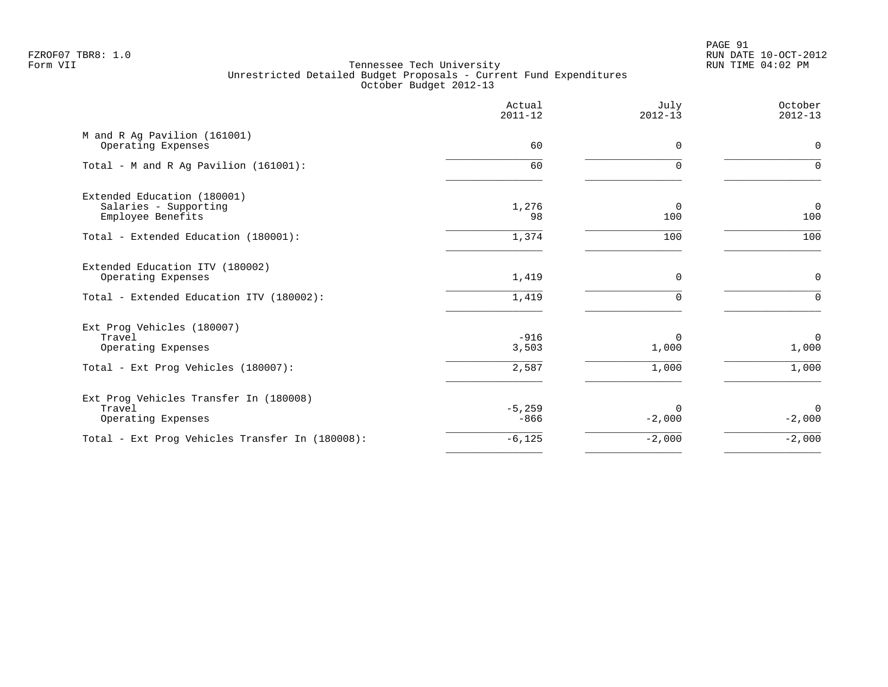PAGE 91 FZROF07 TBR8: 1.0 RUN DATE 10-OCT-2012

|                                                                           | Actual<br>$2011 - 12$ | July<br>$2012 - 13$   | October<br>$2012 - 13$ |
|---------------------------------------------------------------------------|-----------------------|-----------------------|------------------------|
| M and R Ag Pavilion (161001)<br>Operating Expenses                        | 60                    | $\Omega$              | $\mathbf 0$            |
| Total - M and R Ag Pavilion (161001):                                     | 60                    | $\mathbf 0$           | $\Omega$               |
| Extended Education (180001)<br>Salaries - Supporting<br>Employee Benefits | 1,276<br>98           | $\overline{0}$<br>100 | $\mathbf 0$<br>100     |
| Total - Extended Education (180001):                                      | 1,374                 | 100                   | 100                    |
| Extended Education ITV (180002)<br>Operating Expenses                     | 1,419                 | 0                     | $\mathbf 0$            |
| Total - Extended Education ITV (180002):                                  | 1,419                 | $\Omega$              | $\Omega$               |
| Ext Prog Vehicles (180007)<br>Travel<br>Operating Expenses                | $-916$<br>3,503       | $\Omega$<br>1,000     | $\mathbf 0$<br>1,000   |
| Total - Ext Prog Vehicles (180007):                                       | 2,587                 | 1,000                 | 1,000                  |
| Ext Prog Vehicles Transfer In (180008)<br>Travel<br>Operating Expenses    | $-5,259$<br>$-866$    | $\Omega$<br>$-2,000$  | $\Omega$<br>$-2,000$   |
| Total - Ext Prog Vehicles Transfer In (180008):                           | $-6,125$              | $-2,000$              | $-2,000$               |
|                                                                           |                       |                       |                        |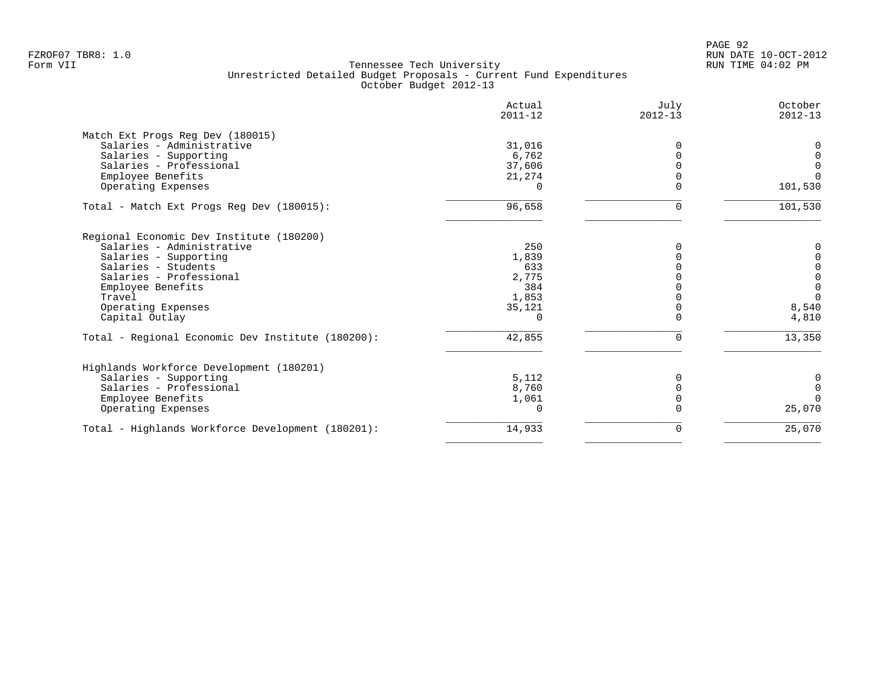| Actual<br>$2011 - 12$ | July<br>$2012 - 13$                                                 | October<br>$2012 - 13$ |
|-----------------------|---------------------------------------------------------------------|------------------------|
|                       |                                                                     |                        |
| 31,016                | 0                                                                   | 0                      |
| 6,762                 |                                                                     | $\mathbf 0$            |
| 37,606                |                                                                     | $\overline{0}$         |
| 21,274                |                                                                     | $\Omega$               |
| $\cap$                |                                                                     | 101,530                |
| 96,658                | 0                                                                   | 101,530                |
|                       |                                                                     |                        |
|                       |                                                                     | 0                      |
|                       |                                                                     | $\mathbf 0$            |
| 633                   |                                                                     | $\mathbf 0$            |
|                       |                                                                     | $\mathsf{O}\xspace$    |
| 384                   |                                                                     | $\mathbf 0$            |
|                       |                                                                     | $\Omega$               |
|                       |                                                                     | 8,540                  |
| $\Omega$              |                                                                     | 4,810                  |
| 42,855                | $\Omega$                                                            | 13,350                 |
|                       |                                                                     |                        |
|                       |                                                                     | 0                      |
|                       |                                                                     | $\mathbf 0$            |
|                       |                                                                     | $\Omega$               |
| $\Omega$              |                                                                     | 25,070                 |
| 14,933                | 0                                                                   | 25,070                 |
|                       | 250<br>1,839<br>2,775<br>1,853<br>35,121<br>5,112<br>8,760<br>1,061 |                        |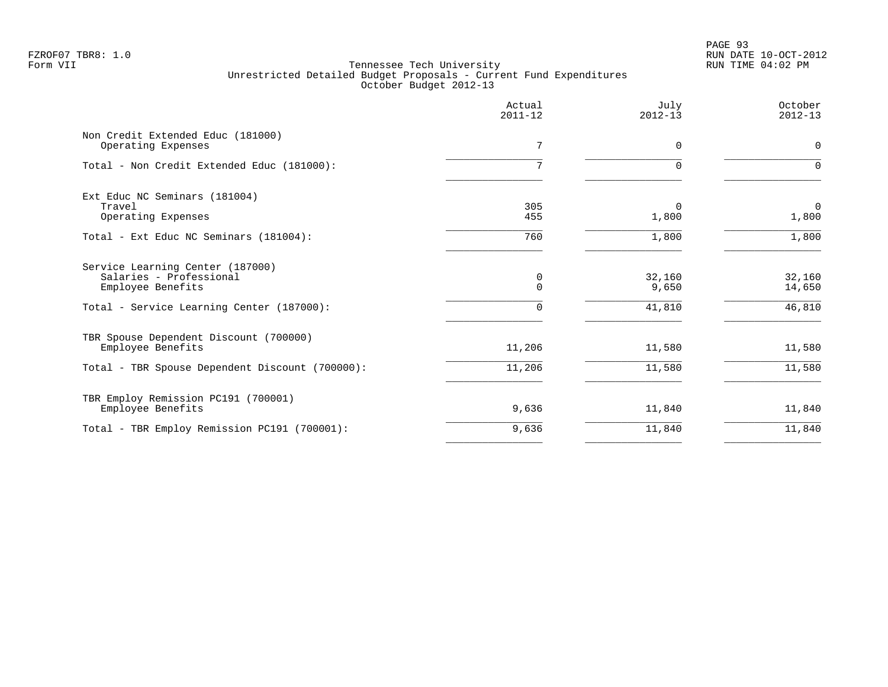|                                                                                                                               | Actual<br>$2011 - 12$     | July<br>$2012 - 13$       | October<br>$2012 - 13$     |
|-------------------------------------------------------------------------------------------------------------------------------|---------------------------|---------------------------|----------------------------|
| Non Credit Extended Educ (181000)<br>Operating Expenses                                                                       | 7                         | 0                         | $\mathbf 0$                |
| Total - Non Credit Extended Educ (181000):                                                                                    | 7                         | $\Omega$                  | $\Omega$                   |
| Ext Educ NC Seminars (181004)<br>Travel<br>Operating Expenses                                                                 | 305<br>455                | $\Omega$<br>1,800         | $\mathbf 0$<br>1,800       |
| Total - Ext Educ NC Seminars (181004):                                                                                        | 760                       | 1,800                     | 1,800                      |
| Service Learning Center (187000)<br>Salaries - Professional<br>Employee Benefits<br>Total - Service Learning Center (187000): | 0<br>$\Omega$<br>$\Omega$ | 32,160<br>9,650<br>41,810 | 32,160<br>14,650<br>46,810 |
| TBR Spouse Dependent Discount (700000)<br>Employee Benefits<br>Total - TBR Spouse Dependent Discount (700000):                | 11,206<br>11,206          | 11,580<br>11,580          | 11,580<br>11,580           |
|                                                                                                                               |                           |                           |                            |
| TBR Employ Remission PC191 (700001)<br>Employee Benefits                                                                      | 9,636                     | 11,840                    | 11,840                     |
| Total - TBR Employ Remission PC191 (700001):                                                                                  | 9,636                     | 11,840                    | 11,840                     |
|                                                                                                                               |                           |                           |                            |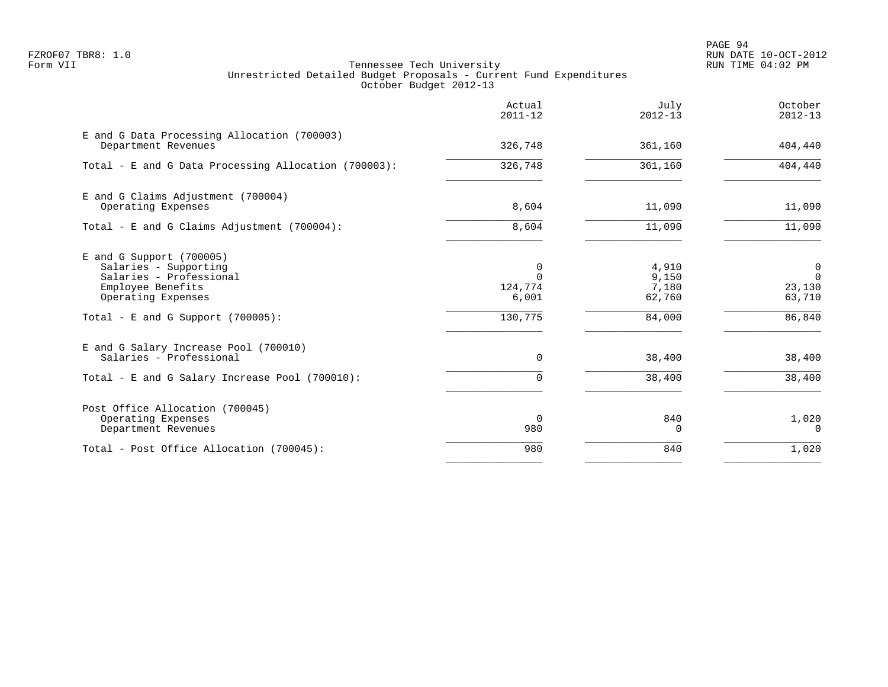PAGE 94 FZROF07 TBR8: 1.0 RUN DATE 10-OCT-2012

|                                                                                                                                                                   | Actual<br>$2011 - 12$                        | July<br>$2012 - 13$                         | October<br>$2012 - 13$                            |
|-------------------------------------------------------------------------------------------------------------------------------------------------------------------|----------------------------------------------|---------------------------------------------|---------------------------------------------------|
| E and G Data Processing Allocation (700003)<br>Department Revenues                                                                                                | 326,748                                      | 361,160                                     | 404,440                                           |
| Total - E and G Data Processing Allocation (700003):                                                                                                              | 326,748                                      | 361,160                                     | 404,440                                           |
| E and G Claims Adjustment (700004)<br>Operating Expenses                                                                                                          | 8,604                                        | 11,090                                      | 11,090                                            |
| Total - E and G Claims Adjustment $(700004)$ :                                                                                                                    | 8,604                                        | 11,090                                      | 11,090                                            |
| $E$ and G Support (700005)<br>Salaries - Supporting<br>Salaries - Professional<br>Employee Benefits<br>Operating Expenses<br>Total - E and G Support $(700005)$ : | 0<br>$\Omega$<br>124,774<br>6,001<br>130,775 | 4,910<br>9,150<br>7,180<br>62,760<br>84,000 | 0<br>$\overline{0}$<br>23,130<br>63,710<br>86,840 |
| E and G Salary Increase Pool (700010)<br>Salaries - Professional<br>Total - E and G Salary Increase Pool (700010):                                                | $\Omega$<br>0                                | 38,400<br>38,400                            | 38,400<br>38,400                                  |
| Post Office Allocation (700045)<br>Operating Expenses<br>Department Revenues                                                                                      | $\Omega$<br>980                              | 840<br>$\Omega$                             | 1,020<br>$\Omega$                                 |
| Total - Post Office Allocation (700045):                                                                                                                          | 980                                          | 840                                         | 1,020                                             |
|                                                                                                                                                                   |                                              |                                             |                                                   |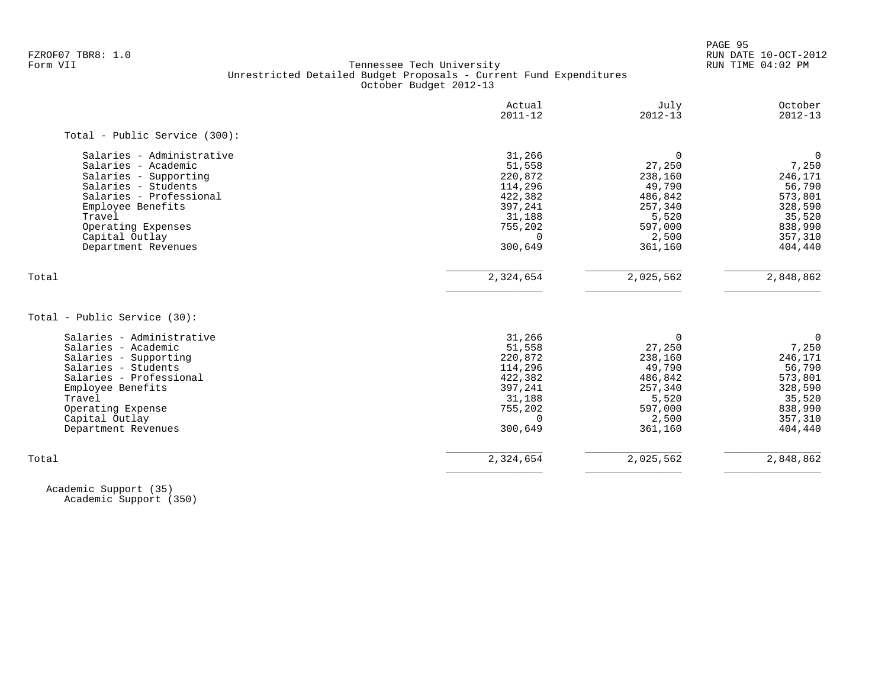PAGE 95

# FZROF07 TBR8: 1.0 RUN DATE 10-OCT-2012 Tennessee Tech University Unrestricted Detailed Budget Proposals - Current Fund Expenditures October Budget 2012-13

|                               | Actual<br>$2011 - 12$ | July<br>$2012 - 13$ | October<br>$2012 - 13$ |
|-------------------------------|-----------------------|---------------------|------------------------|
| Total - Public Service (300): |                       |                     |                        |
| Salaries - Administrative     | 31,266                | $\Omega$            | $\overline{0}$         |
| Salaries - Academic           | 51,558                | 27,250              | 7,250                  |
| Salaries - Supporting         | 220,872               | 238,160             | 246,171                |
| Salaries - Students           | 114,296               | 49,790              | 56,790                 |
| Salaries - Professional       | 422,382               | 486,842             | 573,801                |
| Employee Benefits             | 397,241               | 257,340             | 328,590                |
| Travel                        | 31,188                | 5,520               | 35,520                 |
| Operating Expenses            | 755,202               | 597,000             | 838,990                |
| Capital Outlay                | $\Omega$              | 2,500               | 357,310                |
| Department Revenues           | 300,649               | 361,160             | 404,440                |
| Total                         | 2,324,654             | 2,025,562           | 2,848,862              |
| Total - Public Service (30):  |                       |                     |                        |
| Salaries - Administrative     | 31,266                | 0                   | $\mathbf 0$            |
| Salaries - Academic           | 51,558                | 27,250              | 7,250                  |
| Salaries - Supporting         | 220,872               | 238,160             | 246,171                |
| Salaries - Students           | 114,296               | 49,790              | 56,790                 |
| Salaries - Professional       | 422,382               | 486,842             | 573,801                |
| Employee Benefits             | 397,241               | 257,340             | 328,590                |
| Travel                        | 31,188                | 5,520               | 35,520                 |
| Operating Expense             | 755,202               | 597,000             | 838,990                |
| Capital Outlay                | $\Omega$              | 2,500               | 357,310                |
|                               |                       |                     |                        |
| Department Revenues           | 300,649               | 361,160             | 404,440                |

 Academic Support (35) Academic Support (350)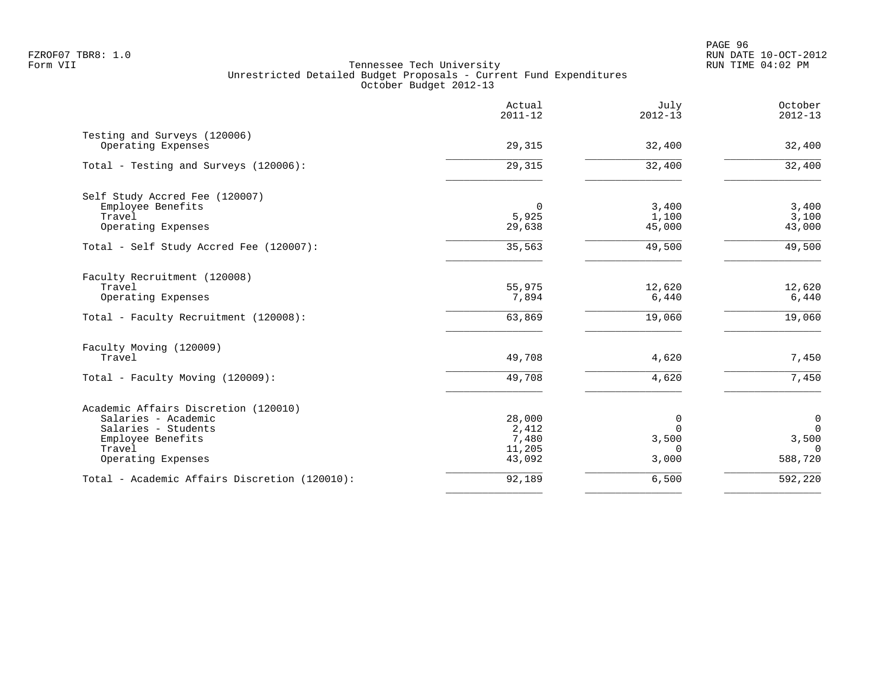PAGE 96 FZROF07 TBR8: 1.0 RUN DATE 10-OCT-2012

|                                               | Actual<br>$2011 - 12$ | July<br>$2012 - 13$ | October<br>$2012 - 13$ |
|-----------------------------------------------|-----------------------|---------------------|------------------------|
| Testing and Surveys (120006)                  |                       |                     |                        |
| Operating Expenses                            | 29,315                | 32,400              | 32,400                 |
| Total - Testing and Surveys (120006):         | 29,315                | 32,400              | 32,400                 |
| Self Study Accred Fee (120007)                |                       |                     |                        |
| Employee Benefits                             | 0                     | 3,400               | 3,400                  |
| Travel                                        | 5,925                 | 1,100               | 3,100                  |
| Operating Expenses                            | 29,638                | 45,000              | 43,000                 |
| Total - Self Study Accred Fee (120007):       | 35,563                | 49,500              | 49,500                 |
| Faculty Recruitment (120008)                  |                       |                     |                        |
| Travel                                        | 55,975                | 12,620              | 12,620                 |
| Operating Expenses                            | 7,894                 | 6,440               | 6,440                  |
| Total - Faculty Recruitment (120008):         | 63,869                | 19,060              | 19,060                 |
| Faculty Moving (120009)                       |                       |                     |                        |
| Travel                                        | 49,708                | 4,620               | 7,450                  |
| Total - Faculty Moving (120009):              | 49,708                | 4,620               | 7,450                  |
| Academic Affairs Discretion (120010)          |                       |                     |                        |
| Salaries - Academic                           | 28,000                | $\mathbf 0$         | 0                      |
| Salaries - Students                           | 2,412                 | $\Omega$            | $\mathbf 0$            |
| Employee Benefits                             | 7,480                 | 3,500               | 3,500                  |
| Travel<br>Operating Expenses                  | 11,205<br>43,092      | $\Omega$<br>3,000   | $\Omega$<br>588,720    |
|                                               |                       |                     |                        |
| Total - Academic Affairs Discretion (120010): | 92,189                | 6,500               | 592,220                |
|                                               |                       |                     |                        |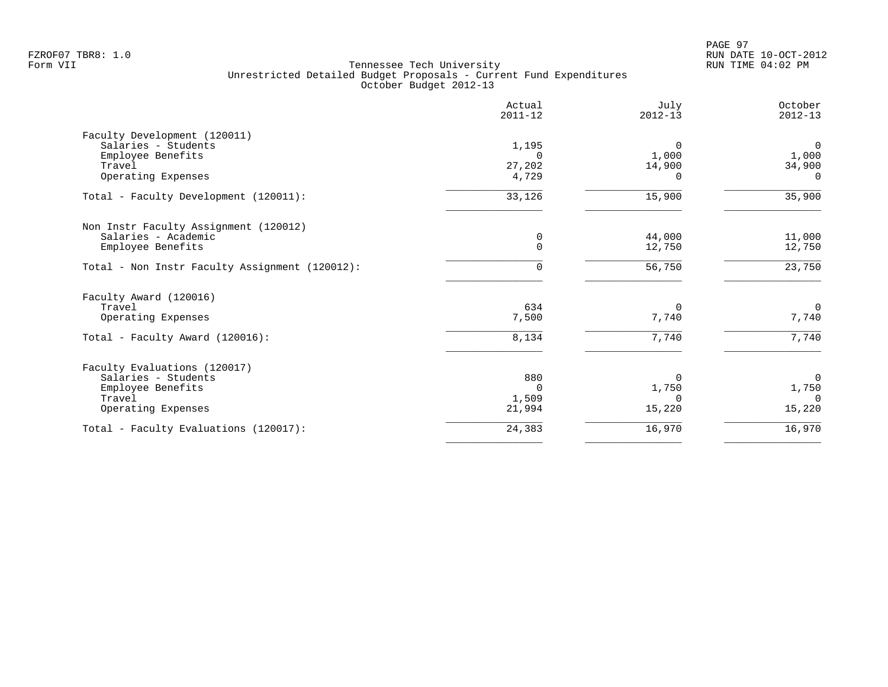| Actual<br>$2011 - 12$ | July<br>$2012 - 13$           | October<br>$2012 - 13$ |
|-----------------------|-------------------------------|------------------------|
|                       |                               |                        |
| 1,195                 | 0                             | $\mathbf 0$            |
| $\Omega$              | 1,000                         | 1,000                  |
| 27,202                | 14,900                        | 34,900                 |
|                       | $\Omega$                      | $\Omega$               |
| 33,126                | 15,900                        | 35,900                 |
|                       |                               |                        |
| 0                     | 44,000                        | 11,000                 |
|                       | 12,750                        | 12,750                 |
| $\Omega$              | 56,750                        | 23,750                 |
|                       |                               |                        |
| 634                   | $\Omega$                      | $\overline{0}$         |
| 7,500                 | 7,740                         | 7,740                  |
| 8,134                 | 7,740                         | 7,740                  |
|                       |                               |                        |
| 880                   | $\Omega$                      | $\Omega$               |
| $\Omega$              | 1,750                         | 1,750                  |
|                       | $\Omega$                      | $\Omega$               |
|                       |                               | 15,220                 |
| 24,383                | 16,970                        | 16,970                 |
|                       | 4,729<br>0<br>1,509<br>21,994 | 15,220                 |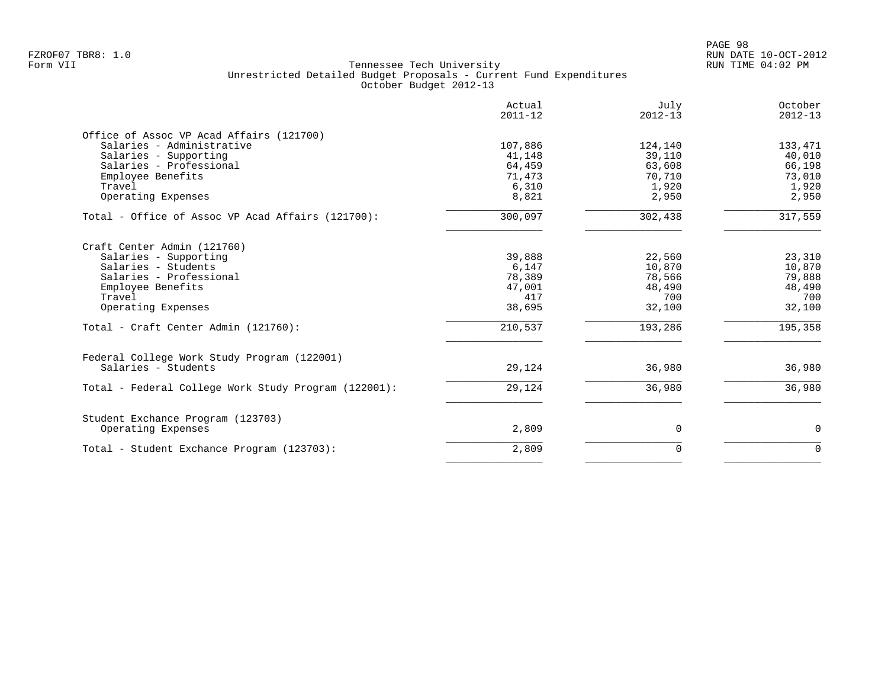PAGE 98 FZROF07 TBR8: 1.0 RUN DATE 10-OCT-2012

|                                                                                                                                                                                                     | Actual<br>$2011 - 12$                                           | July<br>$2012 - 13$                                              | October<br>$2012 - 13$                                           |
|-----------------------------------------------------------------------------------------------------------------------------------------------------------------------------------------------------|-----------------------------------------------------------------|------------------------------------------------------------------|------------------------------------------------------------------|
| Office of Assoc VP Acad Affairs (121700)<br>Salaries - Administrative<br>Salaries - Supporting<br>Salaries - Professional<br>Employee Benefits<br>Travel<br>Operating Expenses                      | 107,886<br>41,148<br>64,459<br>71,473<br>6,310<br>8,821         | 124,140<br>39,110<br>63,608<br>70,710<br>1,920<br>2,950          | 133,471<br>40,010<br>66,198<br>73,010<br>1,920<br>2,950          |
| Total - Office of Assoc VP Acad Affairs (121700):                                                                                                                                                   | 300,097                                                         | 302,438                                                          | 317,559                                                          |
| Craft Center Admin (121760)<br>Salaries - Supporting<br>Salaries - Students<br>Salaries - Professional<br>Employee Benefits<br>Travel<br>Operating Expenses<br>Total - Craft Center Admin (121760): | 39,888<br>6,147<br>78,389<br>47,001<br>417<br>38,695<br>210,537 | 22,560<br>10,870<br>78,566<br>48,490<br>700<br>32,100<br>193,286 | 23,310<br>10,870<br>79,888<br>48,490<br>700<br>32,100<br>195,358 |
| Federal College Work Study Program (122001)<br>Salaries - Students<br>Total - Federal College Work Study Program (122001):                                                                          | 29,124<br>29,124                                                | 36,980<br>36,980                                                 | 36,980<br>36,980                                                 |
| Student Exchance Program (123703)<br>Operating Expenses                                                                                                                                             | 2,809                                                           | 0                                                                | 0                                                                |
| Total - Student Exchance Program (123703):                                                                                                                                                          | 2,809                                                           | $\Omega$                                                         | $\Omega$                                                         |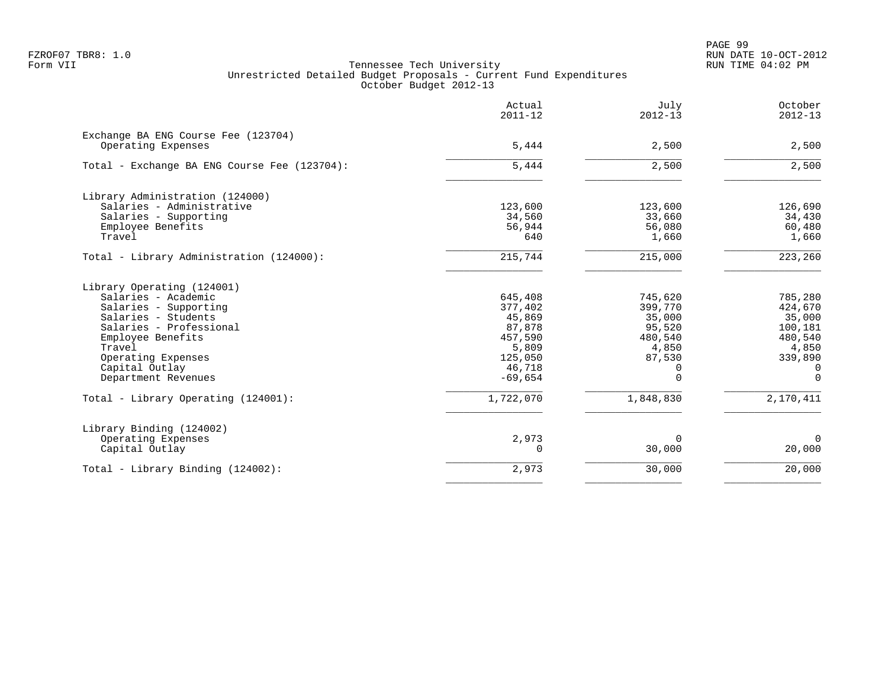PAGE 99 FZROF07 TBR8: 1.0 RUN DATE 10-OCT-2012

|                                                           | Actual<br>$2011 - 12$ | July<br>$2012 - 13$ | October<br>$2012 - 13$ |
|-----------------------------------------------------------|-----------------------|---------------------|------------------------|
| Exchange BA ENG Course Fee (123704)<br>Operating Expenses | 5,444                 | 2,500               | 2,500                  |
|                                                           |                       |                     |                        |
| Total - Exchange BA ENG Course Fee (123704):              | 5,444                 | 2,500               | 2,500                  |
| Library Administration (124000)                           |                       |                     |                        |
| Salaries - Administrative                                 | 123,600               | 123,600             | 126,690                |
| Salaries - Supporting                                     | 34,560                | 33,660              | 34,430                 |
| Employee Benefits                                         | 56,944                | 56,080              | 60,480                 |
| Travel                                                    | 640                   | 1,660               | 1,660                  |
| Total - Library Administration (124000):                  | 215,744               | 215,000             | 223,260                |
| Library Operating (124001)                                |                       |                     |                        |
| Salaries - Academic                                       | 645,408               | 745,620             | 785,280                |
| Salaries - Supporting                                     | 377,402               | 399,770             | 424,670                |
| Salaries - Students                                       | 45,869                | 35,000              | 35,000                 |
| Salaries - Professional                                   | 87,878                | 95,520              | 100,181                |
| Employee Benefits                                         | 457,590               | 480,540             | 480,540                |
| Travel                                                    | 5,809                 | 4,850               | 4,850                  |
| Operating Expenses                                        | 125,050               | 87,530              | 339,890                |
| Capital Outlay                                            | 46,718                | 0                   | $\Omega$               |
| Department Revenues                                       | $-69,654$             | $\Omega$            | $\Omega$               |
| Total - Library Operating (124001):                       | 1,722,070             | 1,848,830           | 2,170,411              |
| Library Binding (124002)                                  |                       |                     |                        |
| Operating Expenses                                        | 2,973                 | $\Omega$            | $\mathbf 0$            |
| Capital Outlay                                            | $\Omega$              | 30,000              | 20,000                 |
| Total - Library Binding (124002):                         | 2,973                 | 30,000              | 20,000                 |
|                                                           |                       |                     |                        |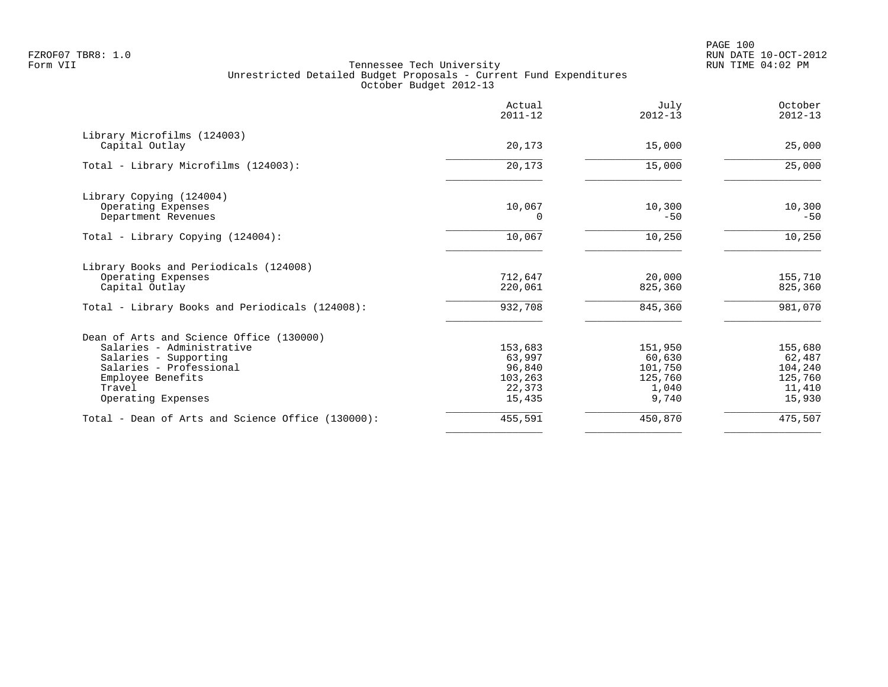|                                                   | Actual<br>$2011 - 12$ | July<br>$2012 - 13$ | October<br>$2012 - 13$ |
|---------------------------------------------------|-----------------------|---------------------|------------------------|
| Library Microfilms (124003)                       |                       |                     |                        |
| Capital Outlay                                    | 20,173                | 15,000              | 25,000                 |
| Total - Library Microfilms (124003):              | 20,173                | 15,000              | 25,000                 |
| Library Copying (124004)                          |                       |                     |                        |
| Operating Expenses                                | 10,067                | 10,300              | 10,300                 |
| Department Revenues                               | $\Omega$              | $-50$               | $-50$                  |
| Total - Library Copying (124004):                 | 10,067                | 10,250              | 10,250                 |
| Library Books and Periodicals (124008)            |                       |                     |                        |
| Operating Expenses                                | 712,647               | 20,000              | 155,710                |
| Capital Outlay                                    | 220,061               | 825,360             | 825,360                |
| Total - Library Books and Periodicals (124008):   | 932,708               | 845,360             | 981,070                |
| Dean of Arts and Science Office (130000)          |                       |                     |                        |
| Salaries - Administrative                         | 153,683               | 151,950             | 155,680                |
| Salaries - Supporting                             | 63,997                | 60,630              | 62,487                 |
| Salaries - Professional                           | 96,840                | 101,750             | 104,240                |
| Employee Benefits                                 | 103,263               | 125,760             | 125,760                |
| Travel                                            | 22,373                | 1,040               | 11,410                 |
| Operating Expenses                                | 15,435                | 9,740               | 15,930                 |
| Total - Dean of Arts and Science Office (130000): | 455,591               | 450,870             | 475,507                |
|                                                   |                       |                     |                        |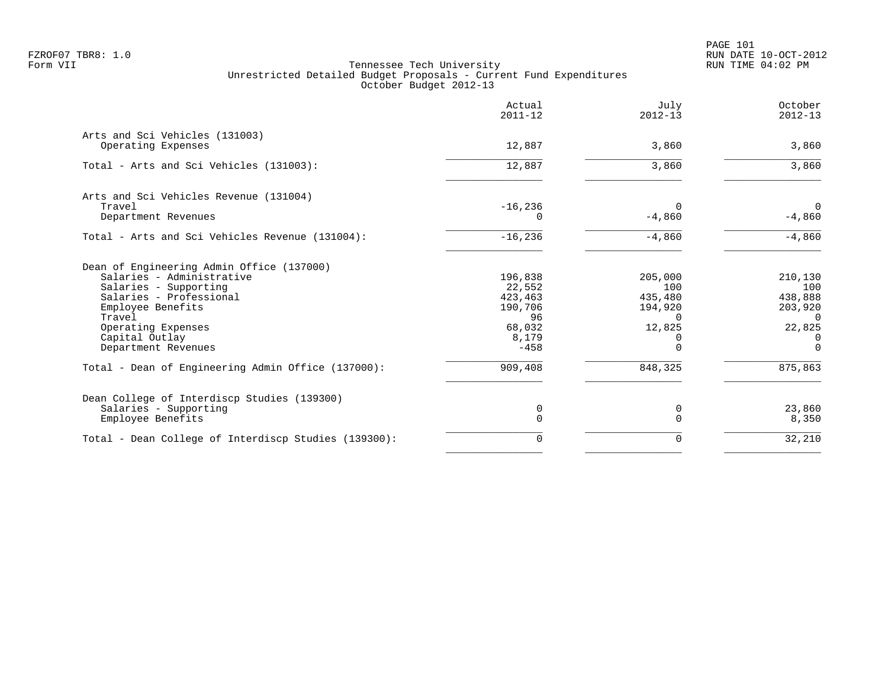PAGE 101 FZROF07 TBR8: 1.0 RUN DATE 10-OCT-2012

|                                                                                                                                                                                                                          | Actual<br>$2011 - 12$                                                      | July<br>$2012 - 13$                                                    | October<br>$2012 - 13$                                                             |
|--------------------------------------------------------------------------------------------------------------------------------------------------------------------------------------------------------------------------|----------------------------------------------------------------------------|------------------------------------------------------------------------|------------------------------------------------------------------------------------|
| Arts and Sci Vehicles (131003)<br>Operating Expenses                                                                                                                                                                     | 12,887                                                                     | 3,860                                                                  | 3,860                                                                              |
| Total - Arts and Sci Vehicles (131003):                                                                                                                                                                                  | 12,887                                                                     | 3,860                                                                  | 3,860                                                                              |
| Arts and Sci Vehicles Revenue (131004)<br>Travel<br>Department Revenues                                                                                                                                                  | $-16,236$                                                                  | $\Omega$<br>$-4,860$                                                   | $\mathbf 0$<br>$-4,860$                                                            |
| Total - Arts and Sci Vehicles Revenue (131004):                                                                                                                                                                          | $-16,236$                                                                  | $-4,860$                                                               | $-4,860$                                                                           |
| Dean of Engineering Admin Office (137000)<br>Salaries - Administrative<br>Salaries - Supporting<br>Salaries - Professional<br>Employee Benefits<br>Travel<br>Operating Expenses<br>Capital Outlay<br>Department Revenues | 196,838<br>22,552<br>423,463<br>190,706<br>96<br>68,032<br>8,179<br>$-458$ | 205,000<br>100<br>435,480<br>194,920<br>$\Omega$<br>12,825<br>$\Omega$ | 210,130<br>100<br>438,888<br>203,920<br>$\Omega$<br>22,825<br>$\Omega$<br>$\Omega$ |
| Total - Dean of Engineering Admin Office (137000):                                                                                                                                                                       | 909,408                                                                    | 848,325                                                                | 875,863                                                                            |
| Dean College of Interdiscp Studies (139300)<br>Salaries - Supporting<br>Employee Benefits                                                                                                                                | 0<br>0                                                                     | 0<br>$\Omega$                                                          | 23,860<br>8,350                                                                    |
| Total - Dean College of Interdiscp Studies (139300):                                                                                                                                                                     | $\Omega$                                                                   | $\Omega$                                                               | 32,210                                                                             |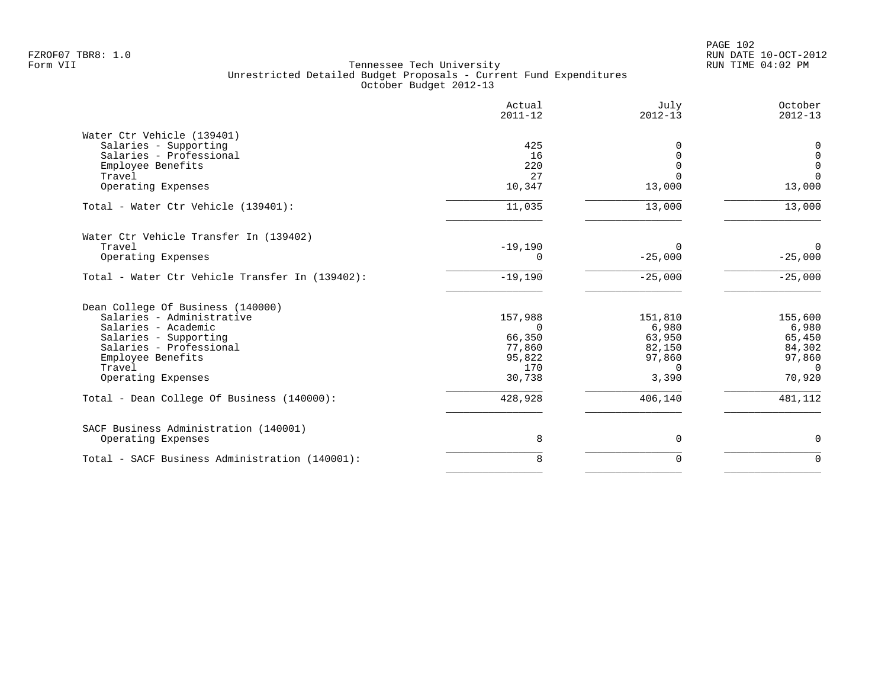| 425<br>16<br>220<br>27 | $\Omega$<br>$\Omega$<br>$\Omega$                                         | 0<br>$\mathbf 0$                                           |
|------------------------|--------------------------------------------------------------------------|------------------------------------------------------------|
|                        |                                                                          |                                                            |
|                        |                                                                          |                                                            |
|                        |                                                                          |                                                            |
|                        |                                                                          | $\mathbf 0$                                                |
|                        |                                                                          | $\Omega$                                                   |
|                        | 13,000                                                                   | 13,000                                                     |
| 11,035                 | 13,000                                                                   | 13,000                                                     |
|                        |                                                                          |                                                            |
|                        |                                                                          | $\Omega$                                                   |
| 0                      | $-25,000$                                                                | $-25,000$                                                  |
| $-19,190$              | $-25,000$                                                                | $-25,000$                                                  |
|                        |                                                                          |                                                            |
|                        |                                                                          | 155,600                                                    |
|                        |                                                                          | 6,980                                                      |
|                        |                                                                          | 65,450                                                     |
|                        |                                                                          | 84,302                                                     |
|                        |                                                                          | 97,860                                                     |
| 170                    | $\Omega$                                                                 | $\Omega$                                                   |
| 30,738                 | 3,390                                                                    | 70,920                                                     |
| 428,928                | 406,140                                                                  | 481,112                                                    |
|                        |                                                                          |                                                            |
| 8                      | $\mathbf 0$                                                              | $\mathbf 0$                                                |
| 8                      | $\mathbf 0$                                                              | $\mathbf 0$                                                |
|                        | 10,347<br>$-19,190$<br>157,988<br>$\Omega$<br>66,350<br>77,860<br>95,822 | $\Omega$<br>151,810<br>6,980<br>63,950<br>82,150<br>97,860 |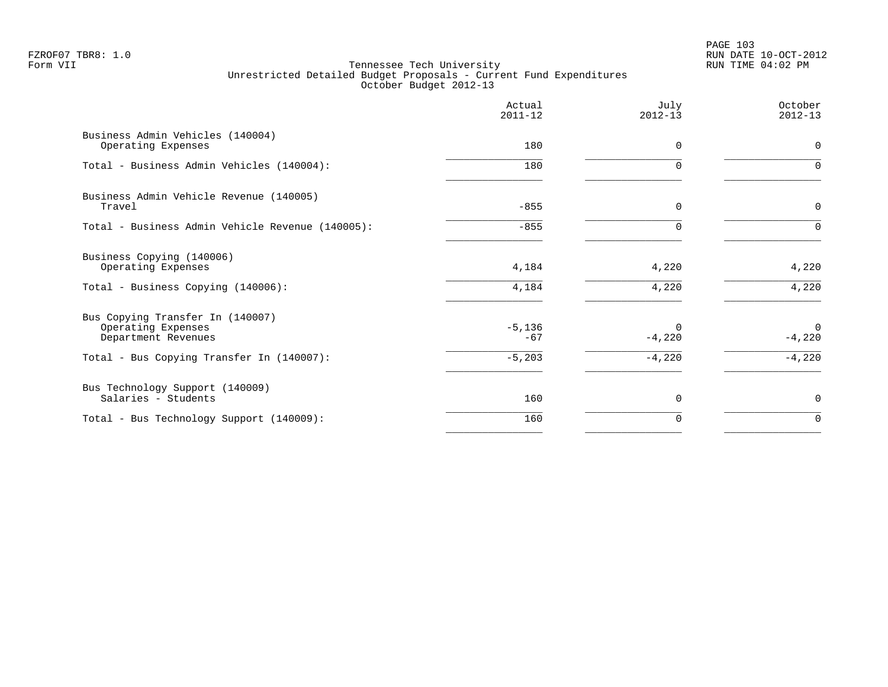PAGE 103 FZROF07 TBR8: 1.0 RUN DATE 10-OCT-2012

|                                                                               | Actual<br>$2011 - 12$ | July<br>$2012 - 13$  | October<br>$2012 - 13$ |
|-------------------------------------------------------------------------------|-----------------------|----------------------|------------------------|
| Business Admin Vehicles (140004)<br>Operating Expenses                        | 180                   | $\Omega$             | $\mathbf 0$            |
| Total - Business Admin Vehicles (140004):                                     | 180                   | ∩                    | $\Omega$               |
| Business Admin Vehicle Revenue (140005)<br>Travel                             | $-855$                | 0                    | 0                      |
| Total - Business Admin Vehicle Revenue (140005):                              | $-855$                | $\Omega$             | $\Omega$               |
| Business Copying (140006)<br>Operating Expenses                               | 4,184                 | 4,220                | 4,220                  |
| Total - Business Copying (140006):                                            | 4,184                 | 4,220                | 4,220                  |
| Bus Copying Transfer In (140007)<br>Operating Expenses<br>Department Revenues | $-5,136$<br>$-67$     | $\Omega$<br>$-4,220$ | $\Omega$<br>$-4,220$   |
| Total - Bus Copying Transfer In (140007):                                     | $-5,203$              | $-4,220$             | $-4,220$               |
| Bus Technology Support (140009)<br>Salaries - Students                        | 160                   | 0                    | 0                      |
| Total - Bus Technology Support (140009):                                      | 160                   | 0                    | 0                      |
|                                                                               |                       |                      |                        |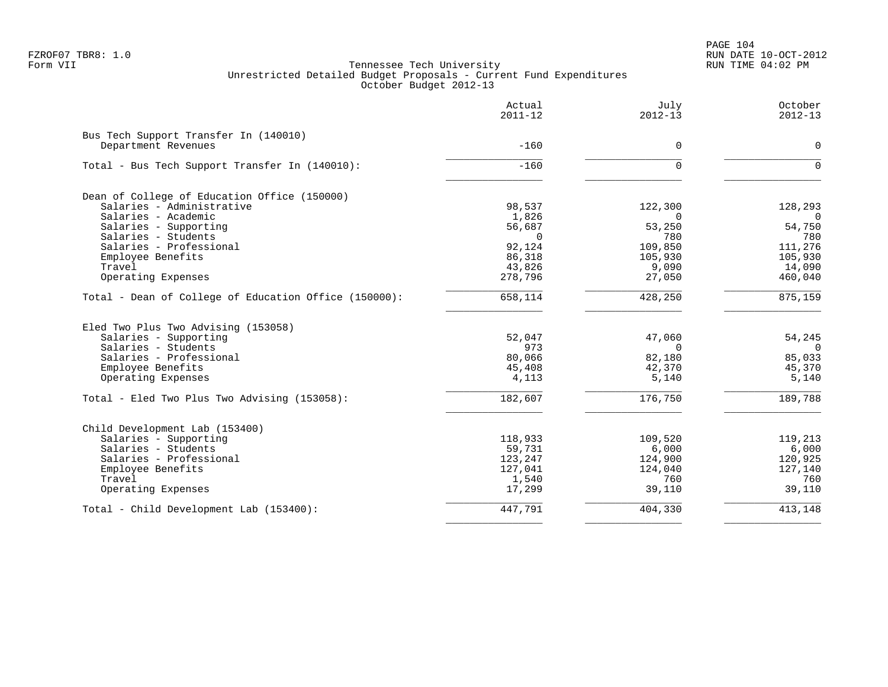| Actual<br>$2011 - 12$ | July<br>$2012 - 13$                                                                                                                    | October<br>$2012 - 13$                                                                                                   |
|-----------------------|----------------------------------------------------------------------------------------------------------------------------------------|--------------------------------------------------------------------------------------------------------------------------|
|                       |                                                                                                                                        |                                                                                                                          |
| $-160$                | $\mathbf 0$                                                                                                                            | $\mathbf 0$                                                                                                              |
| $-160$                | $\mathbf 0$                                                                                                                            | $\Omega$                                                                                                                 |
|                       |                                                                                                                                        |                                                                                                                          |
|                       |                                                                                                                                        | 128,293                                                                                                                  |
|                       | $\Omega$                                                                                                                               | $\overline{0}$                                                                                                           |
|                       |                                                                                                                                        | 54,750                                                                                                                   |
| $\Omega$              | 780                                                                                                                                    | 780                                                                                                                      |
| 92,124                | 109,850                                                                                                                                | 111,276                                                                                                                  |
|                       | 105,930                                                                                                                                | 105,930                                                                                                                  |
|                       |                                                                                                                                        | 14,090                                                                                                                   |
| 278,796               | 27,050                                                                                                                                 | 460,040                                                                                                                  |
| 658,114               | 428,250                                                                                                                                | 875,159                                                                                                                  |
|                       |                                                                                                                                        |                                                                                                                          |
|                       |                                                                                                                                        | 54,245                                                                                                                   |
|                       |                                                                                                                                        | $\overline{0}$                                                                                                           |
|                       |                                                                                                                                        | 85,033                                                                                                                   |
|                       |                                                                                                                                        | 45,370                                                                                                                   |
| 4,113                 | 5,140                                                                                                                                  | 5,140                                                                                                                    |
| 182,607               | 176,750                                                                                                                                | 189,788                                                                                                                  |
|                       |                                                                                                                                        |                                                                                                                          |
|                       |                                                                                                                                        | 119,213                                                                                                                  |
|                       |                                                                                                                                        | 6,000                                                                                                                    |
|                       |                                                                                                                                        | 120,925                                                                                                                  |
|                       |                                                                                                                                        | 127,140                                                                                                                  |
|                       |                                                                                                                                        | 760                                                                                                                      |
| 17,299                | 39,110                                                                                                                                 | 39,110                                                                                                                   |
| 447,791               | 404,330                                                                                                                                | 413,148                                                                                                                  |
|                       | 98,537<br>1,826<br>56,687<br>86,318<br>43,826<br>52,047<br>973<br>80,066<br>45,408<br>118,933<br>59,731<br>123,247<br>127,041<br>1,540 | 122,300<br>53,250<br>9,090<br>47,060<br>$\mathbf 0$<br>82,180<br>42,370<br>109,520<br>6,000<br>124,900<br>124,040<br>760 |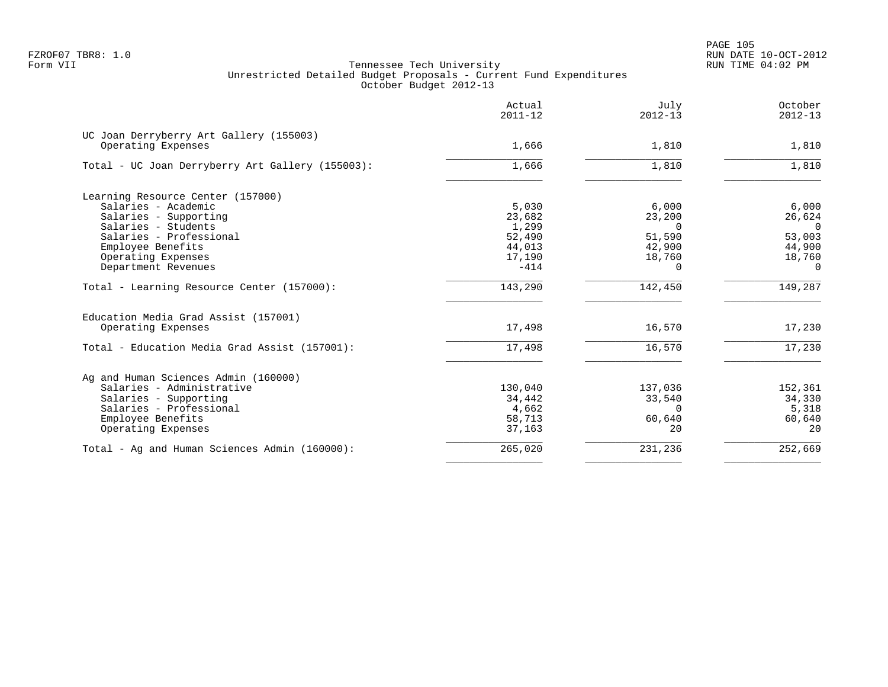PAGE 105 FZROF07 TBR8: 1.0 RUN DATE 10-OCT-2012

|                                                               | Actual<br>$2011 - 12$ | July<br>$2012 - 13$ | October<br>$2012 - 13$ |
|---------------------------------------------------------------|-----------------------|---------------------|------------------------|
| UC Joan Derryberry Art Gallery (155003)<br>Operating Expenses | 1,666                 | 1,810               | 1,810                  |
|                                                               |                       |                     |                        |
| Total - UC Joan Derryberry Art Gallery (155003):              | 1,666                 | 1,810               | 1,810                  |
| Learning Resource Center (157000)                             |                       |                     |                        |
| Salaries - Academic                                           | 5,030                 | 6,000               | 6,000                  |
| Salaries - Supporting                                         | 23,682                | 23,200              | 26,624                 |
| Salaries - Students                                           | 1,299                 | $\Omega$            | $\overline{0}$         |
| Salaries - Professional                                       | 52,490                | 51,590              | 53,003                 |
| Employee Benefits                                             | 44,013                | 42,900              | 44,900                 |
| Operating Expenses                                            | 17,190                | 18,760              | 18,760                 |
| Department Revenues                                           | $-414$                | $\Omega$            | $\Omega$               |
| Total - Learning Resource Center (157000):                    | 143,290               | 142,450             | 149,287                |
| Education Media Grad Assist (157001)<br>Operating Expenses    | 17,498                | 16,570              | 17,230                 |
|                                                               |                       |                     |                        |
| Total - Education Media Grad Assist (157001):                 | 17,498                | 16,570              | 17,230                 |
| Ag and Human Sciences Admin (160000)                          |                       |                     |                        |
| Salaries - Administrative                                     | 130,040               | 137,036             | 152,361                |
| Salaries - Supporting                                         | 34,442                | 33,540              | 34,330                 |
| Salaries - Professional                                       | 4,662                 | $\Omega$            | 5,318                  |
| Employee Benefits                                             | 58,713                | 60,640              | 60,640                 |
| Operating Expenses                                            | 37,163                | 20                  | 20                     |
| Total - Ag and Human Sciences Admin (160000):                 | 265,020               | 231,236             | 252,669                |
|                                                               |                       |                     |                        |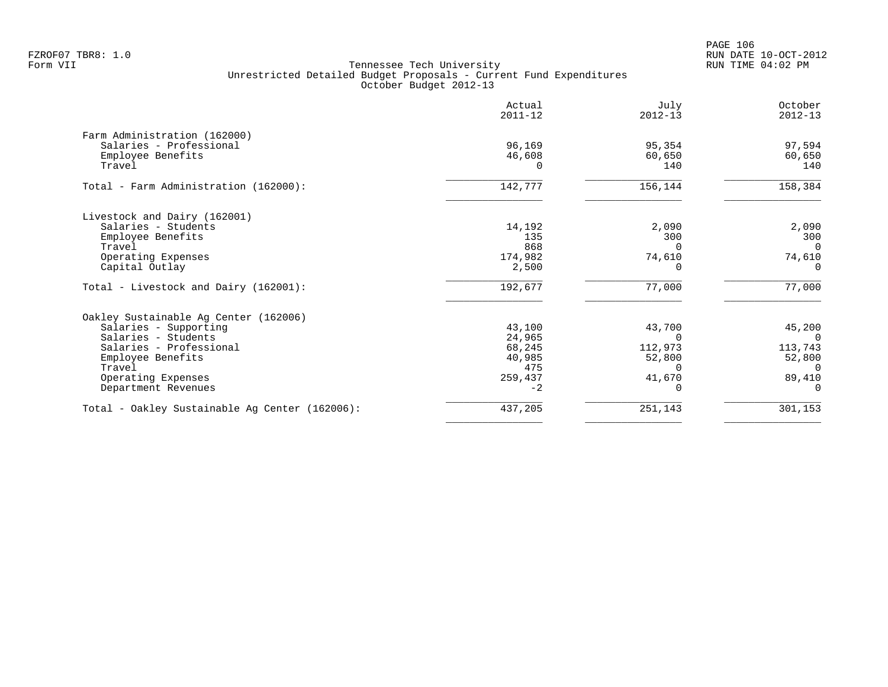PAGE 106 FZROF07 TBR8: 1.0 RUN DATE 10-OCT-2012

|                                                | Actual<br>$2011 - 12$ | July<br>$2012 - 13$ | October<br>$2012 - 13$ |
|------------------------------------------------|-----------------------|---------------------|------------------------|
| Farm Administration (162000)                   |                       |                     |                        |
| Salaries - Professional                        | 96,169                | 95,354              | 97,594                 |
| Employee Benefits                              | 46,608                | 60,650              | 60,650                 |
| Travel                                         |                       | 140                 | 140                    |
| Total - Farm Administration (162000):          | 142,777               | 156,144             | 158,384                |
| Livestock and Dairy (162001)                   |                       |                     |                        |
| Salaries - Students                            | 14,192                | 2,090               | 2,090                  |
| Employee Benefits                              | 135                   | 300                 | 300                    |
| Travel                                         | 868                   |                     | $\Omega$               |
| Operating Expenses                             | 174,982               | 74,610              | 74,610                 |
| Capital Outlay                                 | 2,500                 |                     | $\Omega$               |
| Total - Livestock and Dairy (162001):          | 192,677               | 77,000              | 77,000                 |
| Oakley Sustainable Aq Center (162006)          |                       |                     |                        |
| Salaries - Supporting                          | 43,100                | 43,700              | 45,200                 |
| Salaries - Students                            | 24,965                |                     |                        |
| Salaries - Professional                        | 68,245                | 112,973             | 113,743                |
| Employee Benefits                              | 40,985                | 52,800              | 52,800                 |
| Travel                                         | 475                   | O.                  | $\Omega$               |
| Operating Expenses                             | 259,437               | 41,670              | 89,410                 |
| Department Revenues                            | $-2$                  |                     |                        |
| Total - Oakley Sustainable Ag Center (162006): | 437,205               | 251,143             | 301,153                |
|                                                |                       |                     |                        |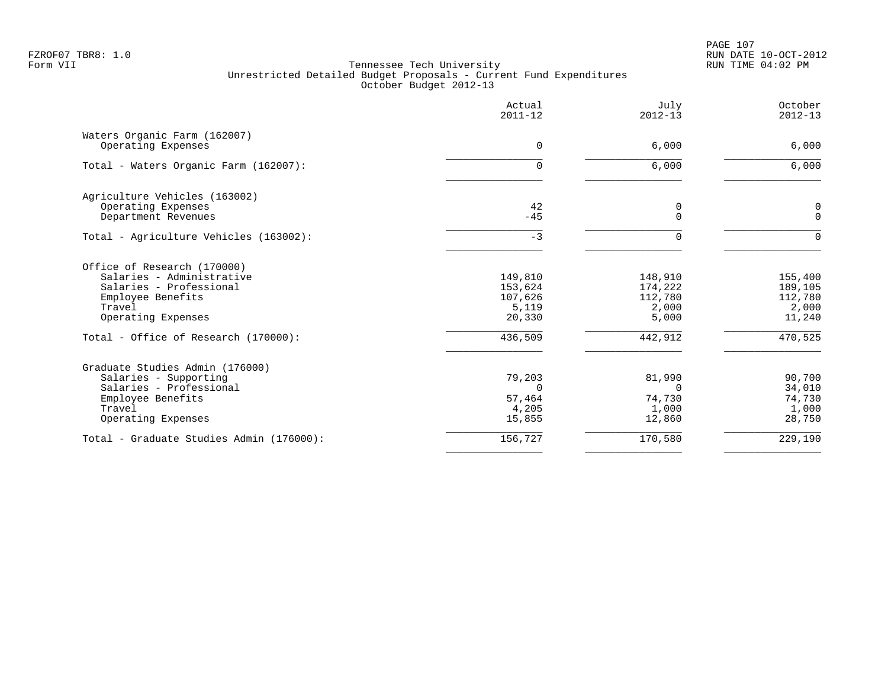PAGE 107 FZROF07 TBR8: 1.0 RUN DATE 10-OCT-2012

|                                                                                                                                          | Actual<br>$2011 - 12$                            | July<br>$2012 - 13$                             | October<br>$2012 - 13$                           |
|------------------------------------------------------------------------------------------------------------------------------------------|--------------------------------------------------|-------------------------------------------------|--------------------------------------------------|
| Waters Organic Farm (162007)<br>Operating Expenses                                                                                       | $\Omega$                                         | 6,000                                           | 6,000                                            |
| Total - Waters Organic Farm (162007):                                                                                                    | 0                                                | 6,000                                           | 6,000                                            |
| Agriculture Vehicles (163002)<br>Operating Expenses<br>Department Revenues                                                               | 42<br>$-45$                                      | 0<br>$\Omega$                                   | 0<br>$\Omega$                                    |
| Total - Agriculture Vehicles (163002):                                                                                                   | $-3$                                             | $\Omega$                                        | $\Omega$                                         |
| Office of Research (170000)<br>Salaries - Administrative<br>Salaries - Professional<br>Employee Benefits<br>Travel<br>Operating Expenses | 149,810<br>153,624<br>107,626<br>5,119<br>20,330 | 148,910<br>174,222<br>112,780<br>2,000<br>5,000 | 155,400<br>189,105<br>112,780<br>2,000<br>11,240 |
| Total - Office of Research (170000):                                                                                                     | 436,509                                          | 442,912                                         | 470,525                                          |
| Graduate Studies Admin (176000)<br>Salaries - Supporting<br>Salaries - Professional<br>Employee Benefits<br>Travel<br>Operating Expenses | 79,203<br>$\Omega$<br>57,464<br>4,205<br>15,855  | 81,990<br>$\Omega$<br>74,730<br>1,000<br>12,860 | 90,700<br>34,010<br>74,730<br>1,000<br>28,750    |
| Total - Graduate Studies Admin (176000):                                                                                                 | 156,727                                          | 170,580                                         | 229,190                                          |
|                                                                                                                                          |                                                  |                                                 |                                                  |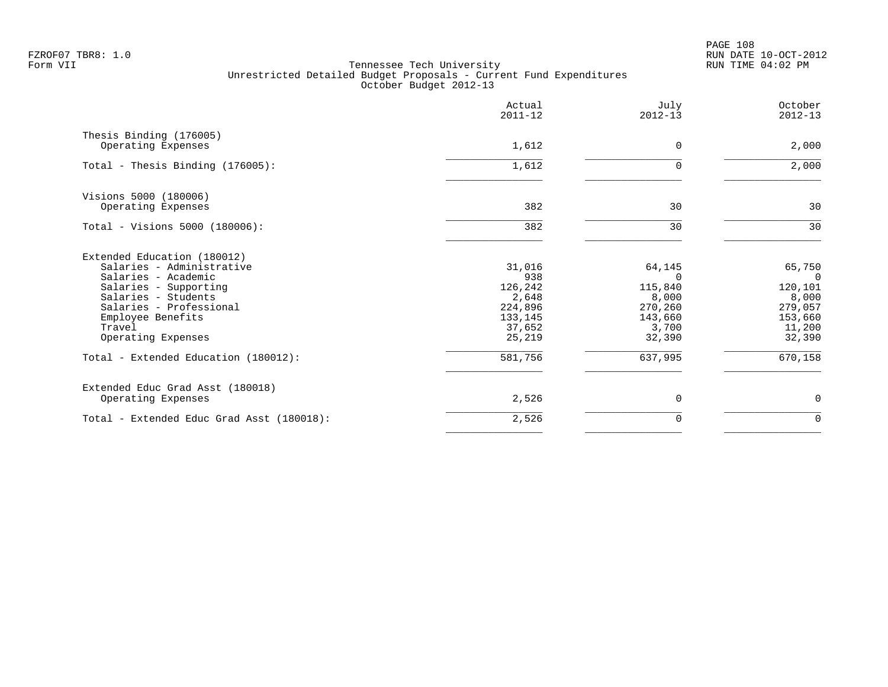PAGE 108 FZROF07 TBR8: 1.0 RUN DATE 10-OCT-2012

|                                               | Actual<br>$2011 - 12$ | July<br>$2012 - 13$ | October<br>$2012 - 13$ |
|-----------------------------------------------|-----------------------|---------------------|------------------------|
| Thesis Binding (176005)<br>Operating Expenses | 1,612                 | $\Omega$            | 2,000                  |
|                                               |                       |                     |                        |
| Total - Thesis Binding (176005):              | 1,612                 | U                   | 2,000                  |
| Visions 5000 (180006)                         |                       |                     |                        |
| Operating Expenses                            | 382                   | 30                  | 30                     |
| Total - Visions 5000 (180006):                | 382                   | 30                  | 30                     |
| Extended Education (180012)                   |                       |                     |                        |
| Salaries - Administrative                     | 31,016                | 64,145              | 65,750                 |
| Salaries - Academic                           | 938                   | $\Omega$            | $\overline{0}$         |
| Salaries - Supporting                         | 126,242               | 115,840             | 120,101                |
| Salaries - Students                           | 2,648                 | 8,000               | 8,000                  |
| Salaries - Professional<br>Employee Benefits  | 224,896<br>133,145    | 270,260<br>143,660  | 279,057                |
| Travel                                        | 37,652                | 3,700               | 153,660<br>11,200      |
| Operating Expenses                            | 25,219                | 32,390              | 32,390                 |
| Total - Extended Education (180012):          | 581,756               | 637,995             | 670,158                |
| Extended Educ Grad Asst (180018)              |                       |                     |                        |
| Operating Expenses                            | 2,526                 | 0                   | $\mathbf 0$            |
| Total - Extended Educ Grad Asst (180018):     | 2,526                 | 0                   | $\mathbf 0$            |
|                                               |                       |                     |                        |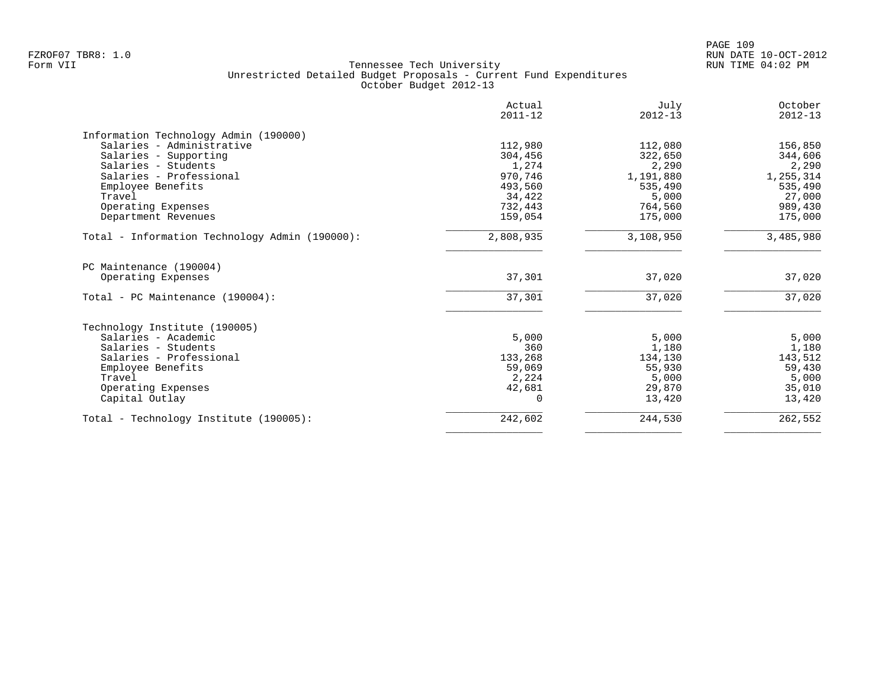| 112,980<br>304,456<br>1,274<br>970,746<br>493,560<br>34,422<br>732,443<br>159,054<br>2,808,935 | 112,080<br>322,650<br>2,290<br>1,191,880<br>535,490<br>5,000<br>764,560<br>175,000<br>3,108,950 | 156,850<br>344,606<br>2,290<br>1,255,314<br>535,490<br>27,000<br>989,430<br>175,000<br>3,485,980 |
|------------------------------------------------------------------------------------------------|-------------------------------------------------------------------------------------------------|--------------------------------------------------------------------------------------------------|
|                                                                                                |                                                                                                 |                                                                                                  |
|                                                                                                |                                                                                                 |                                                                                                  |
|                                                                                                |                                                                                                 |                                                                                                  |
|                                                                                                |                                                                                                 |                                                                                                  |
|                                                                                                |                                                                                                 |                                                                                                  |
|                                                                                                |                                                                                                 |                                                                                                  |
|                                                                                                |                                                                                                 |                                                                                                  |
|                                                                                                |                                                                                                 |                                                                                                  |
|                                                                                                |                                                                                                 |                                                                                                  |
|                                                                                                |                                                                                                 |                                                                                                  |
|                                                                                                |                                                                                                 |                                                                                                  |
| 37,301                                                                                         | 37,020                                                                                          | 37,020                                                                                           |
| 37,301                                                                                         | 37,020                                                                                          | 37,020                                                                                           |
|                                                                                                |                                                                                                 |                                                                                                  |
|                                                                                                |                                                                                                 | 5,000                                                                                            |
|                                                                                                |                                                                                                 | 1,180                                                                                            |
|                                                                                                |                                                                                                 | 143,512                                                                                          |
|                                                                                                |                                                                                                 | 59,430                                                                                           |
|                                                                                                | 5,000                                                                                           | 5,000                                                                                            |
| 42,681                                                                                         | 29,870                                                                                          | 35,010                                                                                           |
| $\Omega$                                                                                       | 13,420                                                                                          | 13,420                                                                                           |
| 242,602                                                                                        | 244,530                                                                                         | 262,552                                                                                          |
|                                                                                                | 5,000<br>360<br>133,268<br>59,069<br>2,224                                                      | 5,000<br>1,180<br>134,130<br>55,930                                                              |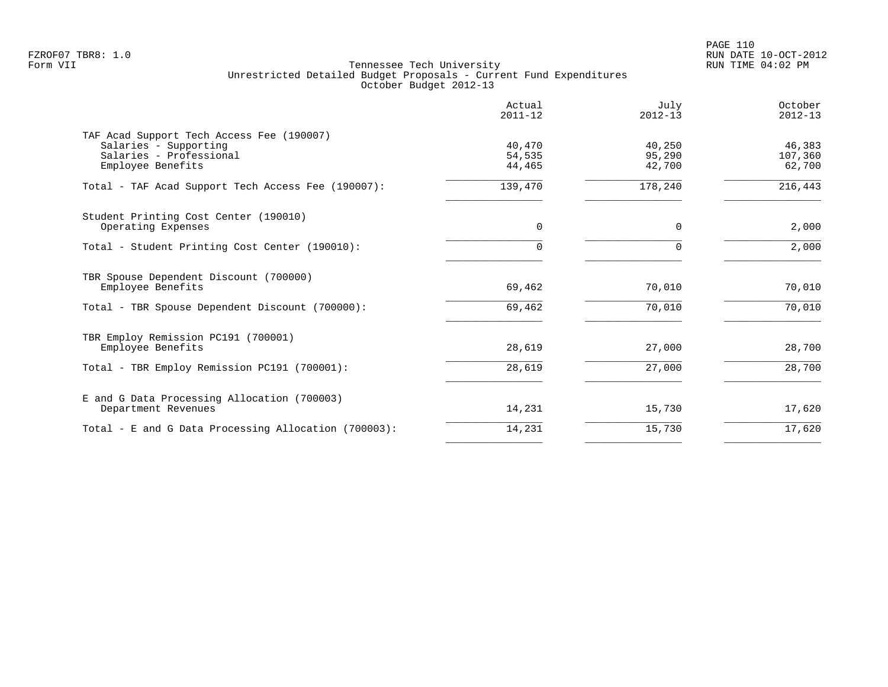|                                                                                                                    | Actual<br>$2011 - 12$      | July<br>$2012 - 13$        | October<br>$2012 - 13$      |
|--------------------------------------------------------------------------------------------------------------------|----------------------------|----------------------------|-----------------------------|
| TAF Acad Support Tech Access Fee (190007)<br>Salaries - Supporting<br>Salaries - Professional<br>Employee Benefits | 40,470<br>54,535<br>44,465 | 40,250<br>95,290<br>42,700 | 46,383<br>107,360<br>62,700 |
| Total - TAF Acad Support Tech Access Fee (190007):                                                                 | 139,470                    | 178,240                    | 216,443                     |
| Student Printing Cost Center (190010)<br>Operating Expenses                                                        | 0                          | 0                          | 2,000                       |
| Total - Student Printing Cost Center (190010):                                                                     | 0                          | $\Omega$                   | 2,000                       |
| TBR Spouse Dependent Discount (700000)<br>Employee Benefits                                                        | 69,462                     | 70,010                     | 70,010                      |
| Total - TBR Spouse Dependent Discount (700000):                                                                    | 69,462                     | 70,010                     | 70,010                      |
| TBR Employ Remission PC191 (700001)<br>Employee Benefits                                                           | 28,619                     | 27,000                     | 28,700                      |
| Total - TBR Employ Remission PC191 (700001):                                                                       | 28,619                     | 27,000                     | 28,700                      |
| E and G Data Processing Allocation (700003)<br>Department Revenues                                                 | 14,231                     | 15,730                     | 17,620                      |
| Total - E and G Data Processing Allocation (700003):                                                               | 14,231                     | 15,730                     | 17,620                      |
|                                                                                                                    |                            |                            |                             |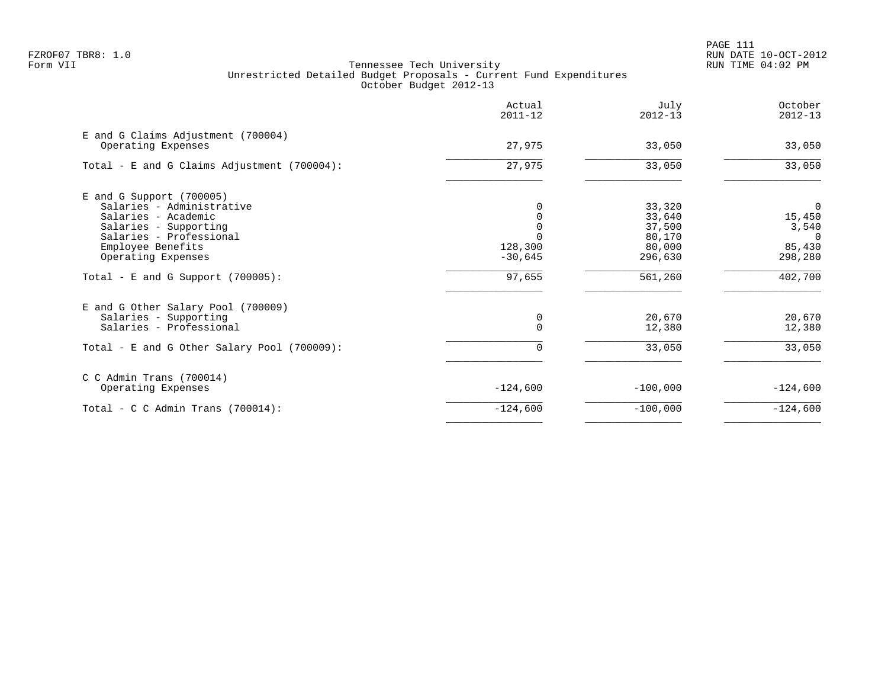PAGE 111 FZROF07 TBR8: 1.0 RUN DATE 10-OCT-2012

|                                                          | Actual<br>$2011 - 12$ | July<br>$2012 - 13$ | October<br>$2012 - 13$ |
|----------------------------------------------------------|-----------------------|---------------------|------------------------|
| E and G Claims Adjustment (700004)<br>Operating Expenses | 27,975                | 33,050              | 33,050                 |
| Total - E and G Claims Adjustment (700004):              | 27,975                | 33,050              | 33,050                 |
| $E$ and G Support (700005)<br>Salaries - Administrative  |                       | 33,320              | $\overline{0}$         |
| Salaries - Academic                                      |                       | 33,640              | 15,450                 |
| Salaries - Supporting                                    |                       | 37,500              | 3,540                  |
| Salaries - Professional                                  |                       | 80,170              | $\Omega$               |
| Employee Benefits                                        | 128,300               | 80,000              | 85,430                 |
| Operating Expenses                                       | $-30,645$             | 296,630             | 298,280                |
| Total - E and G Support $(700005)$ :                     | 97,655                | 561,260             | 402,700                |
| E and G Other Salary Pool (700009)                       |                       |                     |                        |
| Salaries - Supporting                                    | 0                     | 20,670              | 20,670                 |
| Salaries - Professional                                  | $\Omega$              | 12,380              | 12,380                 |
| Total - E and G Other Salary Pool (700009):              | 0                     | 33,050              | 33,050                 |
| $C$ C Admin Trans (700014)                               |                       |                     |                        |
| Operating Expenses                                       | $-124,600$            | $-100,000$          | $-124,600$             |
| Total - C C Admin Trans $(700014)$ :                     | $-124,600$            | $-100,000$          | $-124,600$             |
|                                                          |                       |                     |                        |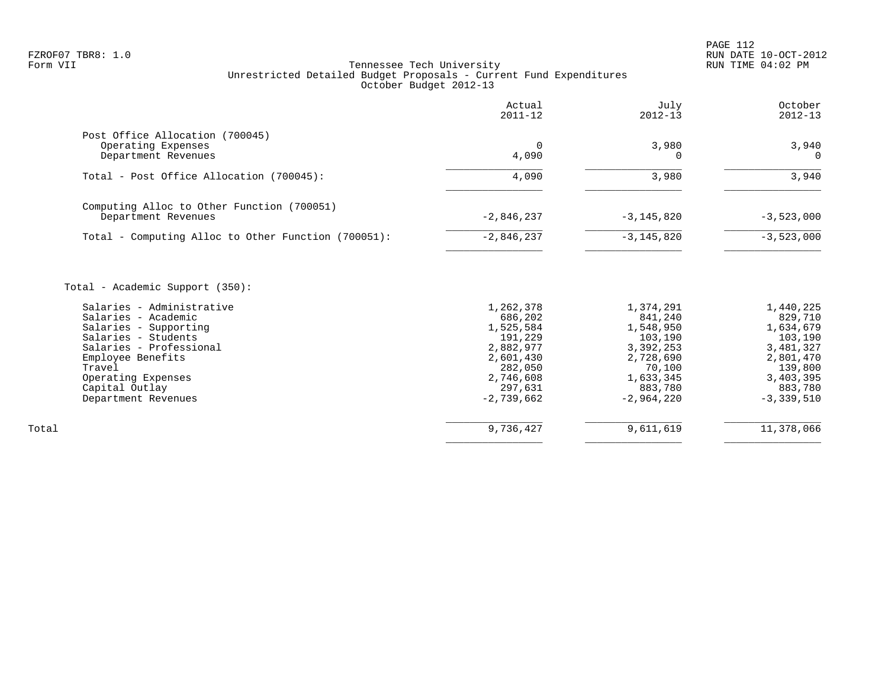|                                                                                                                                                                                                                                       | Actual<br>$2011 - 12$                                                                                     | July<br>$2012 - 13$                                                                                      | October<br>$2012 - 13$                                                                                    |
|---------------------------------------------------------------------------------------------------------------------------------------------------------------------------------------------------------------------------------------|-----------------------------------------------------------------------------------------------------------|----------------------------------------------------------------------------------------------------------|-----------------------------------------------------------------------------------------------------------|
| Post Office Allocation (700045)<br>Operating Expenses<br>Department Revenues                                                                                                                                                          | 0<br>4,090                                                                                                | 3,980<br>O                                                                                               | 3,940<br>$\Omega$                                                                                         |
| Total - Post Office Allocation (700045):                                                                                                                                                                                              | 4,090                                                                                                     | 3,980                                                                                                    | 3,940                                                                                                     |
| Computing Alloc to Other Function (700051)<br>Department Revenues                                                                                                                                                                     | $-2,846,237$                                                                                              | $-3, 145, 820$                                                                                           | $-3,523,000$                                                                                              |
| Total - Computing Alloc to Other Function (700051):                                                                                                                                                                                   | $-2,846,237$                                                                                              | $-3, 145, 820$                                                                                           | $-3,523,000$                                                                                              |
| Total - Academic Support (350):<br>Salaries - Administrative<br>Salaries - Academic<br>Salaries - Supporting<br>Salaries - Students<br>Salaries - Professional<br>Employee Benefits<br>Travel<br>Operating Expenses<br>Capital Outlay | 1,262,378<br>686,202<br>1,525,584<br>191,229<br>2,882,977<br>2,601,430<br>282,050<br>2,746,608<br>297,631 | 1,374,291<br>841,240<br>1,548,950<br>103,190<br>3,392,253<br>2,728,690<br>70,100<br>1,633,345<br>883,780 | 1,440,225<br>829,710<br>1,634,679<br>103,190<br>3,481,327<br>2,801,470<br>139,800<br>3,403,395<br>883,780 |
| Department Revenues                                                                                                                                                                                                                   | $-2,739,662$                                                                                              | $-2,964,220$                                                                                             | $-3,339,510$                                                                                              |
| Total                                                                                                                                                                                                                                 | 9,736,427                                                                                                 | 9,611,619                                                                                                | 11,378,066                                                                                                |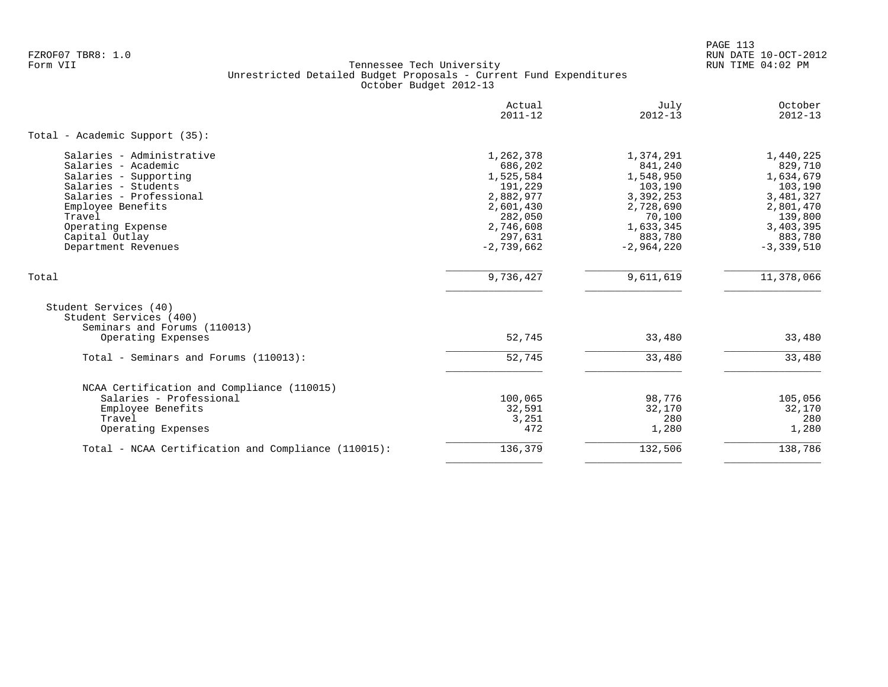PAGE 113 FZROF07 TBR8: 1.0 RUN DATE 10-OCT-2012

|                                                     | Actual<br>$2011 - 12$ | July<br>$2012 - 13$ | October<br>$2012 - 13$ |
|-----------------------------------------------------|-----------------------|---------------------|------------------------|
| Total - Academic Support (35):                      |                       |                     |                        |
| Salaries - Administrative                           | 1,262,378             | 1,374,291           | 1,440,225              |
| Salaries - Academic                                 | 686,202               | 841,240             | 829,710                |
| Salaries - Supporting                               | 1,525,584             | 1,548,950           | 1,634,679              |
| Salaries - Students                                 | 191,229               | 103,190             | 103,190                |
| Salaries - Professional                             | 2,882,977             | 3,392,253           | 3,481,327              |
| Employee Benefits                                   | 2,601,430             | 2,728,690           | 2,801,470              |
| Travel                                              | 282,050               | 70,100              | 139,800                |
| Operating Expense                                   | 2,746,608             | 1,633,345           | 3,403,395              |
| Capital Outlay                                      | 297,631               | 883,780             | 883,780                |
| Department Revenues                                 | $-2,739,662$          | $-2,964,220$        | $-3,339,510$           |
| Total                                               | 9,736,427             | 9,611,619           | 11,378,066             |
| Student Services (40)                               |                       |                     |                        |
| Student Services (400)                              |                       |                     |                        |
| Seminars and Forums (110013)                        |                       |                     |                        |
| Operating Expenses                                  | 52,745                | 33,480              | 33,480                 |
| Total - Seminars and Forums (110013):               | 52,745                | 33,480              | 33,480                 |
| NCAA Certification and Compliance (110015)          |                       |                     |                        |
| Salaries - Professional                             | 100,065               | 98,776              | 105,056                |
| Employee Benefits                                   | 32,591                | 32,170              | 32,170                 |
| Travel                                              | 3,251                 | 280                 | 280                    |
| Operating Expenses                                  | 472                   | 1,280               | 1,280                  |
| Total - NCAA Certification and Compliance (110015): | 136,379               | 132,506             | 138,786                |
|                                                     |                       |                     |                        |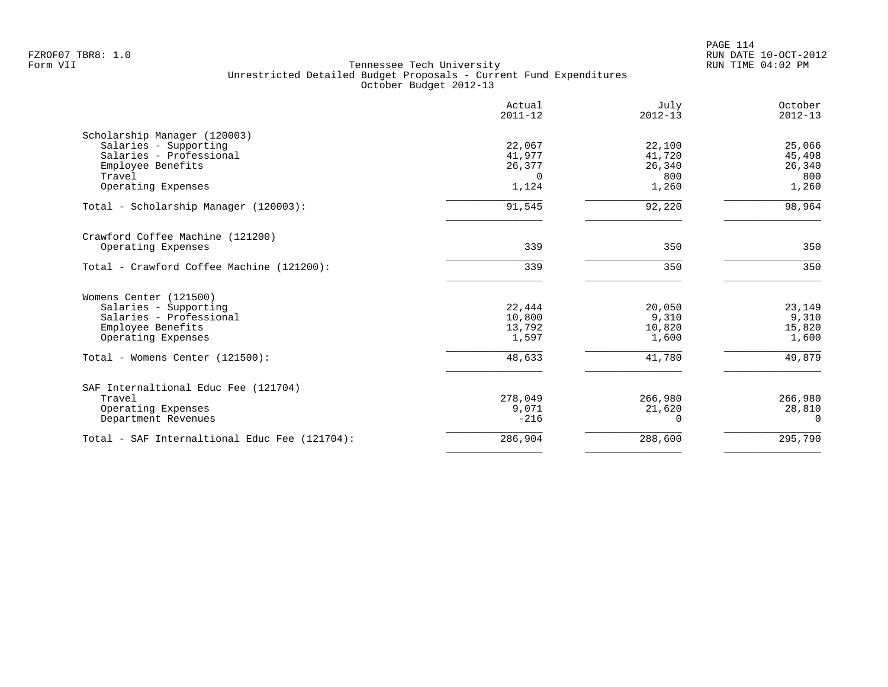|                                               | Actual<br>$2011 - 12$ | July<br>$2012 - 13$ | October<br>$2012 - 13$ |
|-----------------------------------------------|-----------------------|---------------------|------------------------|
| Scholarship Manager (120003)                  |                       |                     |                        |
| Salaries - Supporting                         | 22,067                | 22,100              | 25,066                 |
| Salaries - Professional                       | 41,977                | 41,720              | 45,498                 |
| Employee Benefits                             | 26,377                | 26,340              | 26,340                 |
| Travel                                        | $\Omega$              | 800                 | 800                    |
| Operating Expenses                            | 1,124                 | 1,260               | 1,260                  |
| Total - Scholarship Manager (120003):         | 91,545                | 92,220              | 98,964                 |
| Crawford Coffee Machine (121200)              |                       |                     |                        |
| Operating Expenses                            | 339                   | 350                 | 350                    |
| Total - Crawford Coffee Machine (121200):     | 339                   | 350                 | 350                    |
| Womens Center (121500)                        |                       |                     |                        |
| Salaries - Supporting                         | 22,444                | 20,050              | 23,149                 |
| Salaries - Professional                       | 10,800                | 9,310               | 9,310                  |
| Employee Benefits                             | 13,792                | 10,820              | 15,820                 |
| Operating Expenses                            | 1,597                 | 1,600               | 1,600                  |
| Total - Womens Center (121500):               | 48,633                | 41,780              | 49,879                 |
| SAF Internaltional Educ Fee (121704)          |                       |                     |                        |
| Travel                                        | 278,049               | 266,980             | 266,980                |
| Operating Expenses                            | 9,071                 | 21,620              | 28,810                 |
| Department Revenues                           | $-216$                | $\Omega$            | $\Omega$               |
| Total - SAF Internaltional Educ Fee (121704): | 286,904               | 288,600             | 295,790                |
|                                               |                       |                     |                        |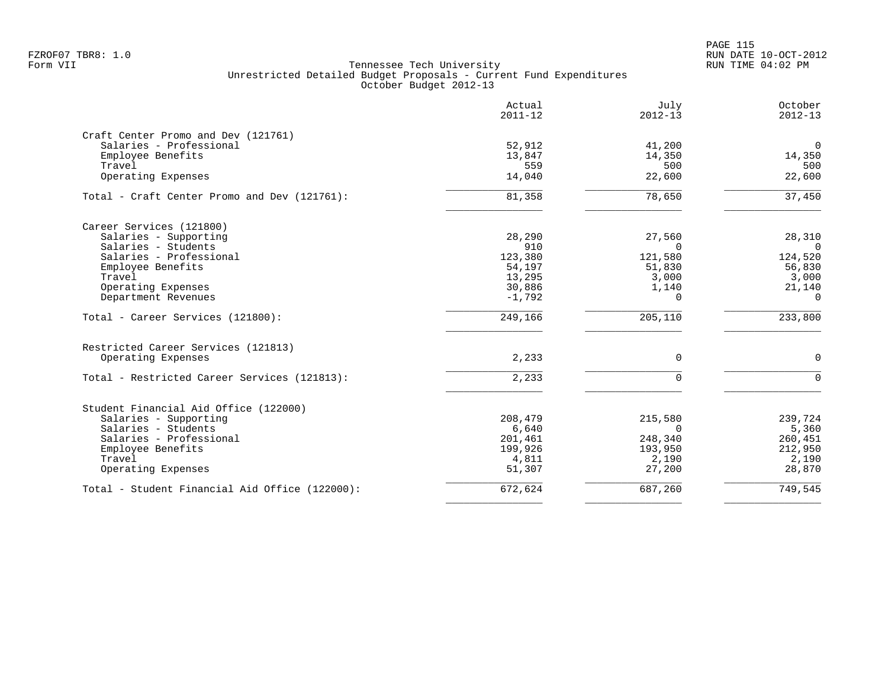|                                                | Actual<br>$2011 - 12$ | July<br>$2012 - 13$ | October<br>$2012 - 13$ |
|------------------------------------------------|-----------------------|---------------------|------------------------|
| Craft Center Promo and Dev (121761)            |                       |                     |                        |
| Salaries - Professional                        | 52,912                | 41,200              | $\mathbf 0$            |
| Employee Benefits                              | 13,847                | 14,350              | 14,350                 |
| Travel                                         | 559                   | 500                 | 500                    |
| Operating Expenses                             | 14,040                | 22,600              | 22,600                 |
| Total - Craft Center Promo and Dev (121761):   | 81,358                | 78,650              | 37,450                 |
| Career Services (121800)                       |                       |                     |                        |
| Salaries - Supporting                          | 28,290                | 27,560              | 28,310                 |
| Salaries - Students                            | 910                   | $\Omega$            | $\overline{0}$         |
| Salaries - Professional                        | 123,380               | 121,580             | 124,520                |
| Employee Benefits                              | 54,197                | 51,830              | 56,830                 |
| Travel                                         | 13,295                | 3,000               | 3,000                  |
| Operating Expenses                             | 30,886                | 1,140               | 21,140                 |
| Department Revenues                            | $-1,792$              | $\Omega$            | $\Omega$               |
| Total - Career Services (121800):              | 249,166               | 205,110             | 233,800                |
| Restricted Career Services (121813)            |                       |                     |                        |
| Operating Expenses                             | 2,233                 | $\mathbf 0$         | $\mathbf 0$            |
| Total - Restricted Career Services (121813):   | 2,233                 | $\Omega$            | $\Omega$               |
| Student Financial Aid Office (122000)          |                       |                     |                        |
| Salaries - Supporting                          | 208,479               | 215,580             | 239,724                |
| Salaries - Students                            | 6,640                 | $\Omega$            | 5,360                  |
| Salaries - Professional                        | 201,461               | 248,340             | 260,451                |
| Employee Benefits                              | 199,926               | 193,950             | 212,950                |
| Travel                                         | 4,811                 | 2,190               | 2,190                  |
| Operating Expenses                             | 51,307                | 27,200              | 28,870                 |
| Total - Student Financial Aid Office (122000): | 672,624               | 687,260             | 749,545                |
|                                                |                       |                     |                        |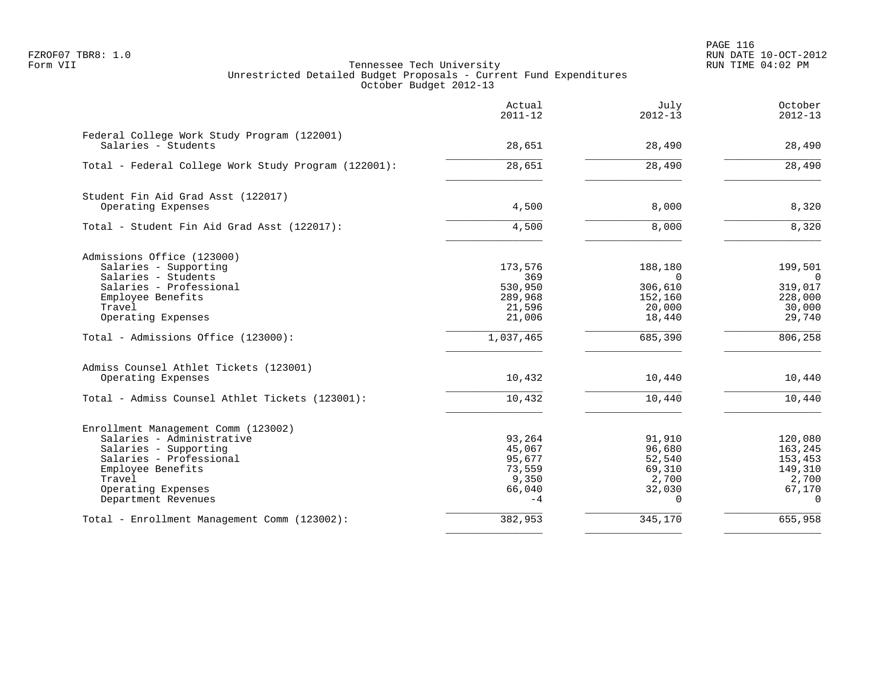PAGE 116 FZROF07 TBR8: 1.0 RUN DATE 10-OCT-2012

|                                                                    | Actual<br>$2011 - 12$ | July<br>$2012 - 13$ | October<br>$2012 - 13$    |
|--------------------------------------------------------------------|-----------------------|---------------------|---------------------------|
| Federal College Work Study Program (122001)<br>Salaries - Students | 28,651                | 28,490              | 28,490                    |
| Total - Federal College Work Study Program (122001):               | 28,651                | 28,490              | 28,490                    |
| Student Fin Aid Grad Asst (122017)                                 |                       |                     |                           |
| Operating Expenses                                                 | 4,500                 | 8,000               | 8,320                     |
| Total - Student Fin Aid Grad Asst (122017):                        | 4,500                 | 8,000               | 8,320                     |
| Admissions Office (123000)                                         |                       |                     |                           |
| Salaries - Supporting<br>Salaries - Students                       | 173,576<br>369        | 188,180<br>$\Omega$ | 199,501<br>$\overline{0}$ |
| Salaries - Professional                                            | 530,950               | 306,610             | 319,017                   |
| Employee Benefits                                                  | 289,968               | 152,160             | 228,000                   |
| Travel                                                             | 21,596                | 20,000              | 30,000                    |
| Operating Expenses                                                 | 21,006                | 18,440              | 29,740                    |
| Total - Admissions Office (123000):                                | 1,037,465             | 685,390             | 806,258                   |
| Admiss Counsel Athlet Tickets (123001)                             |                       |                     |                           |
| Operating Expenses                                                 | 10,432                | 10,440              | 10,440                    |
| Total - Admiss Counsel Athlet Tickets (123001):                    | 10,432                | 10,440              | 10,440                    |
| Enrollment Management Comm (123002)                                |                       |                     |                           |
| Salaries - Administrative                                          | 93,264                | 91,910              | 120,080                   |
| Salaries - Supporting                                              | 45,067                | 96,680              | 163,245                   |
| Salaries - Professional<br>Employee Benefits                       | 95,677<br>73,559      | 52,540<br>69,310    | 153,453<br>149,310        |
| Travel                                                             | 9,350                 | 2,700               | 2,700                     |
| Operating Expenses                                                 | 66,040                | 32,030              | 67,170                    |
| Department Revenues                                                | $-4$                  | $\Omega$            | $\Omega$                  |
| Total - Enrollment Management Comm (123002):                       | 382,953               | 345,170             | 655,958                   |
|                                                                    |                       |                     |                           |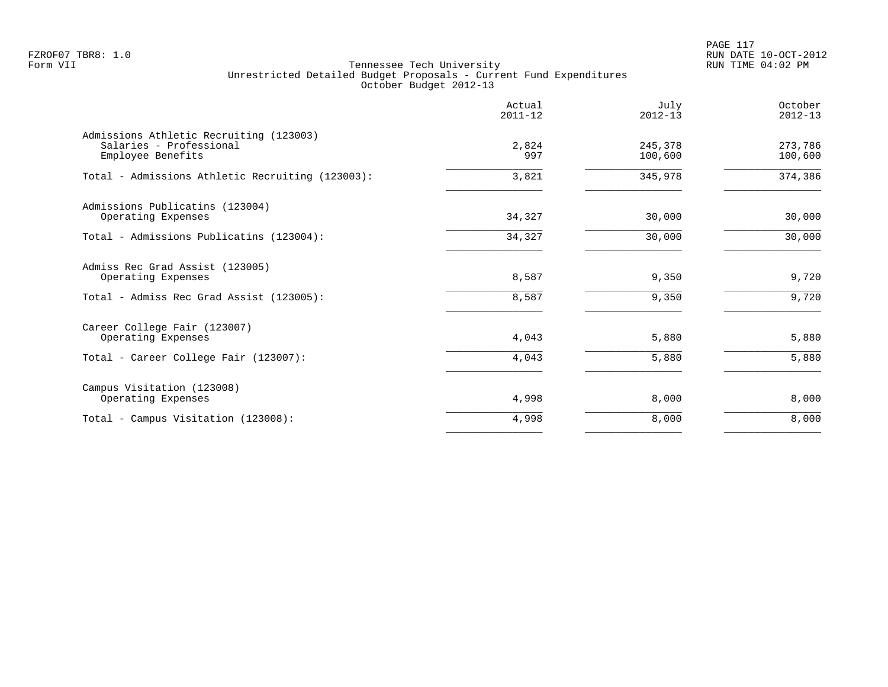PAGE 117 FZROF07 TBR8: 1.0 RUN DATE 10-OCT-2012

|                                                                                         | Actual<br>$2011 - 12$ | July<br>$2012 - 13$ | October<br>$2012 - 13$ |
|-----------------------------------------------------------------------------------------|-----------------------|---------------------|------------------------|
| Admissions Athletic Recruiting (123003)<br>Salaries - Professional<br>Employee Benefits | 2,824<br>997          | 245,378<br>100,600  | 273,786<br>100,600     |
| Total - Admissions Athletic Recruiting (123003):                                        | 3,821                 | 345,978             | 374,386                |
| Admissions Publicatins (123004)<br>Operating Expenses                                   | 34,327                | 30,000              | 30,000                 |
| Total - Admissions Publicatins (123004):                                                | 34,327                | 30,000              | 30,000                 |
| Admiss Rec Grad Assist (123005)<br>Operating Expenses                                   | 8,587                 | 9,350               | 9,720                  |
| Total - Admiss Rec Grad Assist (123005):                                                | 8,587                 | 9,350               | 9,720                  |
| Career College Fair (123007)<br>Operating Expenses                                      | 4,043                 | 5,880               | 5,880                  |
| Total - Career College Fair (123007):                                                   | 4,043                 | 5,880               | 5,880                  |
| Campus Visitation (123008)<br>Operating Expenses                                        | 4,998                 | 8,000               | 8,000                  |
| Total - Campus Visitation (123008):                                                     | 4,998                 | 8,000               | 8,000                  |
|                                                                                         |                       |                     |                        |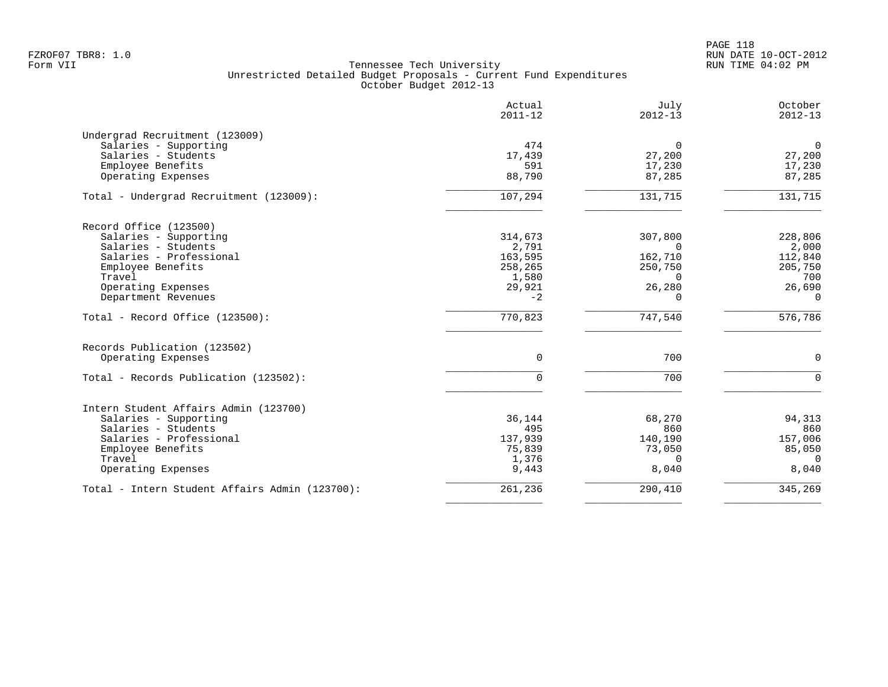PAGE 118 FZROF07 TBR8: 1.0 RUN DATE 10-OCT-2012

|                                                | Actual<br>$2011 - 12$ | July<br>$2012 - 13$ | October<br>$2012 - 13$ |
|------------------------------------------------|-----------------------|---------------------|------------------------|
| Undergrad Recruitment (123009)                 |                       |                     |                        |
| Salaries - Supporting                          | 474                   | $\mathbf 0$         | $\mathbf 0$            |
| Salaries - Students                            | 17,439                | 27,200              | 27,200                 |
| Employee Benefits                              | 591                   | 17,230              | 17,230                 |
| Operating Expenses                             | 88,790                | 87,285              | 87,285                 |
| Total - Undergrad Recruitment (123009):        | 107,294               | 131,715             | 131,715                |
| Record Office (123500)                         |                       |                     |                        |
| Salaries - Supporting                          | 314,673               | 307,800             | 228,806                |
| Salaries - Students                            | 2,791                 | $\Omega$            | 2,000                  |
| Salaries - Professional                        | 163,595               | 162,710             | 112,840                |
| Employee Benefits                              | 258,265               | 250,750             | 205,750                |
| Travel                                         | 1,580                 | $\Omega$            | 700                    |
| Operating Expenses                             | 29,921                | 26,280              | 26,690                 |
| Department Revenues                            | $-2$                  | $\Omega$            | $\Omega$               |
| Total - Record Office (123500):                | 770,823               | 747,540             | 576,786                |
| Records Publication (123502)                   |                       |                     |                        |
| Operating Expenses                             | $\mathbf 0$           | 700                 | $\mathbf 0$            |
| Total - Records Publication (123502):          | $\Omega$              | 700                 | $\Omega$               |
| Intern Student Affairs Admin (123700)          |                       |                     |                        |
| Salaries - Supporting                          | 36,144                | 68,270              | 94,313                 |
| Salaries - Students                            | 495                   | 860                 | 860                    |
| Salaries - Professional                        | 137,939               | 140,190             | 157,006                |
| Employee Benefits                              | 75,839                | 73,050              | 85,050                 |
| Travel                                         | 1,376                 | $\Omega$            | $\Omega$               |
| Operating Expenses                             | 9,443                 | 8,040               | 8,040                  |
| Total - Intern Student Affairs Admin (123700): | 261,236               | 290,410             | 345,269                |
|                                                |                       |                     |                        |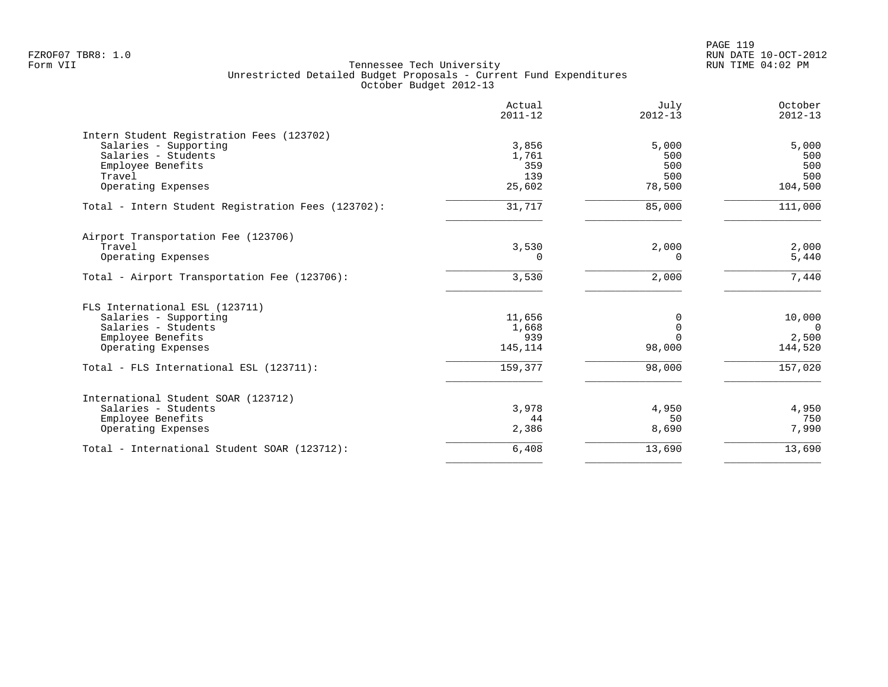PAGE 119 FZROF07 TBR8: 1.0 RUN DATE 10-OCT-2012

|                                                    | Actual<br>$2011 - 12$ | July<br>$2012 - 13$ | October<br>$2012 - 13$ |
|----------------------------------------------------|-----------------------|---------------------|------------------------|
| Intern Student Registration Fees (123702)          |                       |                     |                        |
| Salaries - Supporting                              | 3,856                 | 5,000               | 5,000                  |
| Salaries - Students                                | 1,761                 | 500                 | 500                    |
| Employee Benefits                                  | 359                   | 500                 | 500                    |
| Travel                                             | 139                   | 500                 | 500                    |
| Operating Expenses                                 | 25,602                | 78,500              | 104,500                |
| Total - Intern Student Registration Fees (123702): | 31,717                | 85,000              | 111,000                |
| Airport Transportation Fee (123706)                |                       |                     |                        |
| Travel                                             | 3,530                 | 2,000               | 2,000                  |
| Operating Expenses                                 | $\Omega$              | $\Omega$            | 5,440                  |
| Total - Airport Transportation Fee (123706):       | 3,530                 | 2,000               | 7,440                  |
| FLS International ESL (123711)                     |                       |                     |                        |
| Salaries - Supporting                              | 11,656                | 0                   | 10,000                 |
| Salaries - Students                                | 1,668                 | $\Omega$            | $\Omega$               |
| Employee Benefits                                  | 939                   | $\Omega$            | 2,500                  |
| Operating Expenses                                 | 145,114               | 98,000              | 144,520                |
| Total - FLS International ESL (123711):            | 159,377               | 98,000              | 157,020                |
| International Student SOAR (123712)                |                       |                     |                        |
| Salaries - Students                                | 3,978                 | 4,950               | 4,950                  |
| Employee Benefits                                  | 44                    | 50                  | 750                    |
| Operating Expenses                                 | 2,386                 | 8,690               | 7,990                  |
| Total - International Student SOAR (123712):       | 6,408                 | 13,690              | 13,690                 |
|                                                    |                       |                     |                        |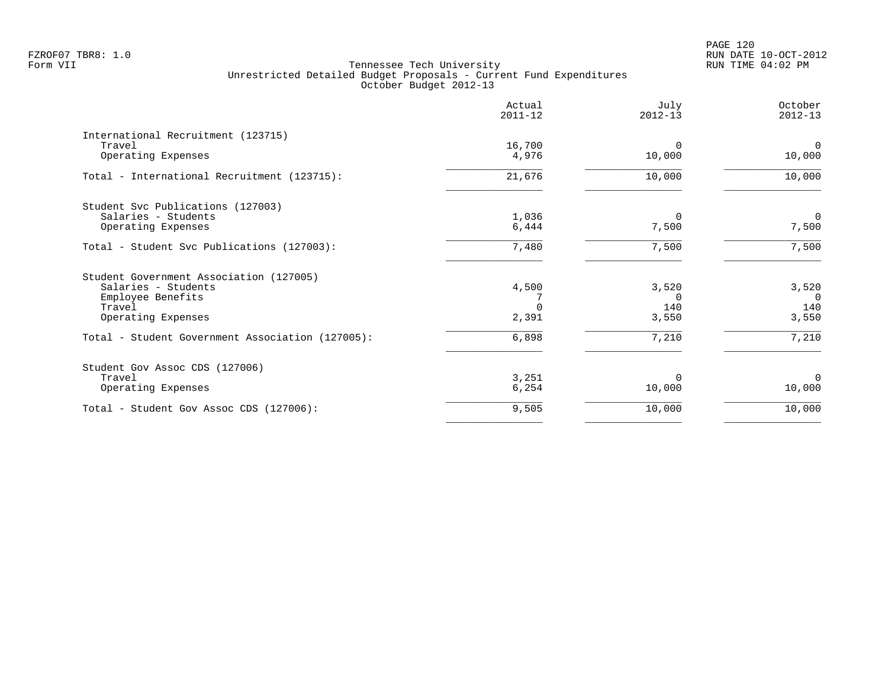|                                                  | Actual<br>$2011 - 12$ | July<br>$2012 - 13$ | October<br>$2012 - 13$ |
|--------------------------------------------------|-----------------------|---------------------|------------------------|
| International Recruitment (123715)               |                       |                     |                        |
| Travel<br>Operating Expenses                     | 16,700<br>4,976       | $\Omega$<br>10,000  | $\Omega$<br>10,000     |
| Total - International Recruitment (123715):      | 21,676                | 10,000              | 10,000                 |
| Student Svc Publications (127003)                |                       |                     |                        |
| Salaries - Students                              | 1,036                 | $\Omega$            | $\mathbf 0$            |
| Operating Expenses                               | 6,444                 | 7,500               | 7,500                  |
| Total - Student Svc Publications (127003):       | 7,480                 | 7,500               | 7,500                  |
| Student Government Association (127005)          |                       |                     |                        |
| Salaries - Students                              | 4,500                 | 3,520               | 3,520                  |
| Employee Benefits                                |                       | $\Omega$            | $\Omega$               |
| Travel                                           |                       | 140                 | 140                    |
| Operating Expenses                               | 2,391                 | 3,550               | 3,550                  |
| Total - Student Government Association (127005): | 6,898                 | 7,210               | 7,210                  |
| Student Gov Assoc CDS (127006)                   |                       |                     |                        |
| Travel                                           | 3,251                 | <sup>0</sup>        | $\Omega$               |
| Operating Expenses                               | 6,254                 | 10,000              | 10,000                 |
| Total - Student Gov Assoc CDS (127006):          | 9,505                 | 10,000              | 10,000                 |
|                                                  |                       |                     |                        |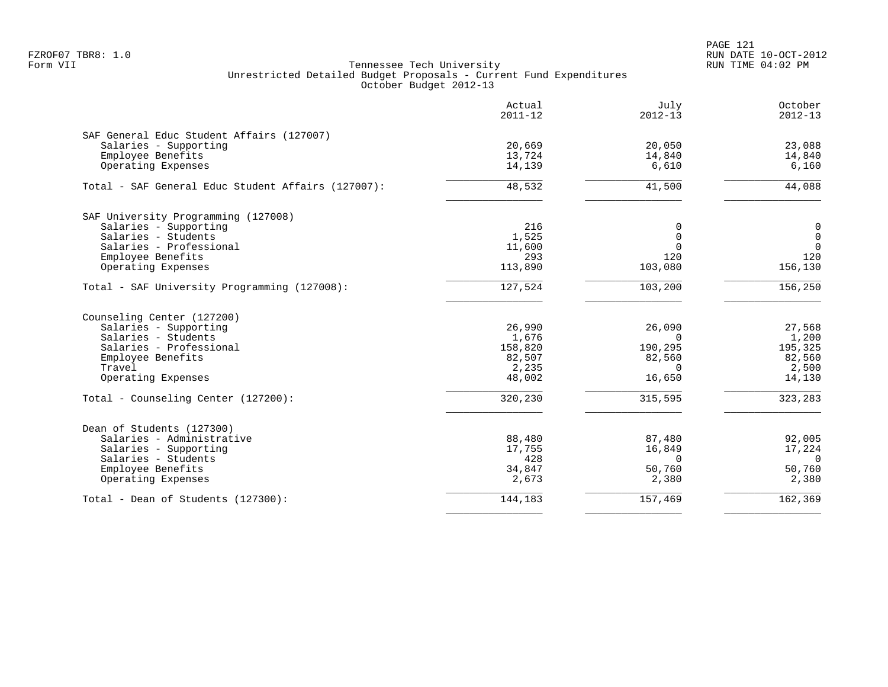PAGE 121 FZROF07 TBR8: 1.0 RUN DATE 10-OCT-2012

|                                                    | Actual<br>$2011 - 12$ | July<br>$2012 - 13$ | October<br>$2012 - 13$ |
|----------------------------------------------------|-----------------------|---------------------|------------------------|
| SAF General Educ Student Affairs (127007)          |                       |                     |                        |
| Salaries - Supporting                              | 20,669                | 20,050              | 23,088                 |
| Employee Benefits                                  | 13,724                | 14,840              | 14,840                 |
| Operating Expenses                                 | 14,139                | 6,610               | 6,160                  |
| Total - SAF General Educ Student Affairs (127007): | 48,532                | 41,500              | 44,088                 |
| SAF University Programming (127008)                |                       |                     |                        |
| Salaries - Supporting                              | 216                   | $\Omega$            | 0                      |
| Salaries - Students                                | 1,525                 | $\Omega$            | $\mathbf 0$            |
| Salaries - Professional                            | 11,600                | $\Omega$            | $\overline{0}$         |
| Employee Benefits                                  | 293                   | 120                 | 120                    |
| Operating Expenses                                 | 113,890               | 103,080             | 156,130                |
| Total - SAF University Programming (127008):       | 127,524               | 103,200             | 156,250                |
| Counseling Center (127200)                         |                       |                     |                        |
| Salaries - Supporting                              | 26,990                | 26,090              | 27,568                 |
| Salaries - Students                                | 1,676                 | $\Omega$            | 1,200                  |
| Salaries - Professional                            | 158,820               | 190,295             | 195,325                |
| Employee Benefits                                  | 82,507                | 82,560              | 82,560                 |
| Travel                                             | 2,235                 | $\Omega$            | 2,500                  |
| Operating Expenses                                 | 48,002                | 16,650              | 14,130                 |
| Total - Counseling Center (127200):                | 320,230               | 315,595             | 323,283                |
| Dean of Students (127300)                          |                       |                     |                        |
| Salaries - Administrative                          | 88,480                | 87,480              | 92,005                 |
| Salaries - Supporting                              | 17,755                | 16,849              | 17,224                 |
| Salaries - Students                                | 428                   | $\Omega$            | $\Omega$               |
| Employee Benefits                                  | 34,847                | 50,760              | 50,760                 |
| Operating Expenses                                 | 2,673                 | 2,380               | 2,380                  |
| Total - Dean of Students (127300):                 | 144,183               | 157,469             | 162,369                |
|                                                    |                       |                     |                        |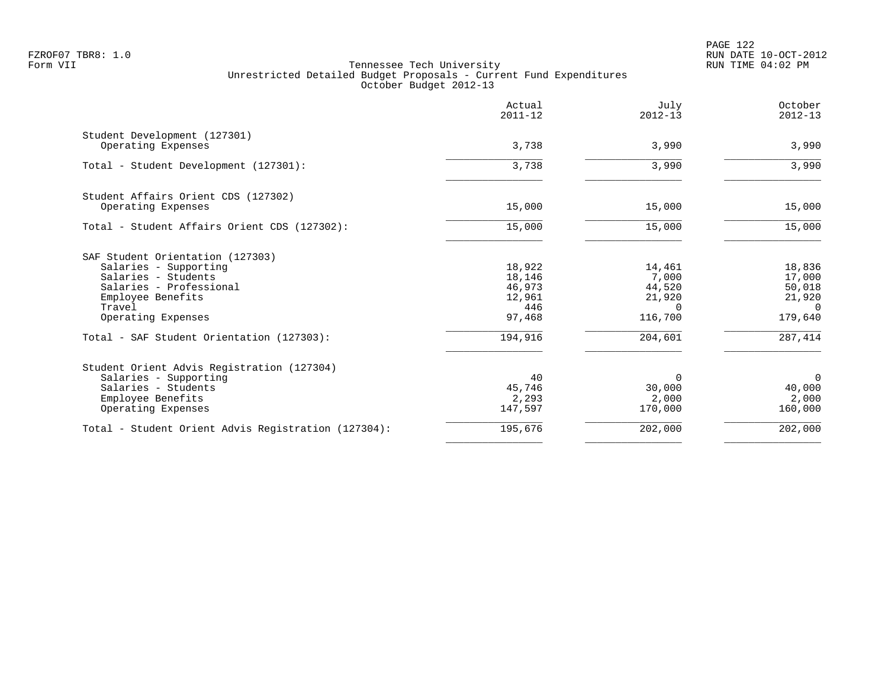PAGE 122 FZROF07 TBR8: 1.0 RUN DATE 10-OCT-2012

|                                                                                                                                                                  | Actual<br>$2011 - 12$                                 | July<br>$2012 - 13$                                        | October<br>$2012 - 13$                                      |
|------------------------------------------------------------------------------------------------------------------------------------------------------------------|-------------------------------------------------------|------------------------------------------------------------|-------------------------------------------------------------|
| Student Development (127301)<br>Operating Expenses                                                                                                               | 3,738                                                 | 3,990                                                      | 3,990                                                       |
| Total - Student Development (127301):                                                                                                                            | 3,738                                                 | 3,990                                                      | 3,990                                                       |
| Student Affairs Orient CDS (127302)<br>Operating Expenses                                                                                                        | 15,000                                                | 15,000                                                     | 15,000                                                      |
| Total - Student Affairs Orient CDS (127302):                                                                                                                     | 15,000                                                | 15,000                                                     | 15,000                                                      |
| SAF Student Orientation (127303)<br>Salaries - Supporting<br>Salaries - Students<br>Salaries - Professional<br>Employee Benefits<br>Travel<br>Operating Expenses | 18,922<br>18,146<br>46,973<br>12,961<br>446<br>97,468 | 14,461<br>7,000<br>44,520<br>21,920<br>$\Omega$<br>116,700 | 18,836<br>17,000<br>50,018<br>21,920<br>$\Omega$<br>179,640 |
| Total - SAF Student Orientation (127303):                                                                                                                        | 194,916                                               | 204,601                                                    | 287,414                                                     |
| Student Orient Advis Registration (127304)<br>Salaries - Supporting<br>Salaries - Students<br>Employee Benefits<br>Operating Expenses                            | 40<br>45,746<br>2,293<br>147,597                      | $\Omega$<br>30,000<br>2,000<br>170,000                     | $\overline{0}$<br>40,000<br>2,000<br>160,000                |
| Total - Student Orient Advis Registration (127304):                                                                                                              | 195,676                                               | 202,000                                                    | 202,000                                                     |
|                                                                                                                                                                  |                                                       |                                                            |                                                             |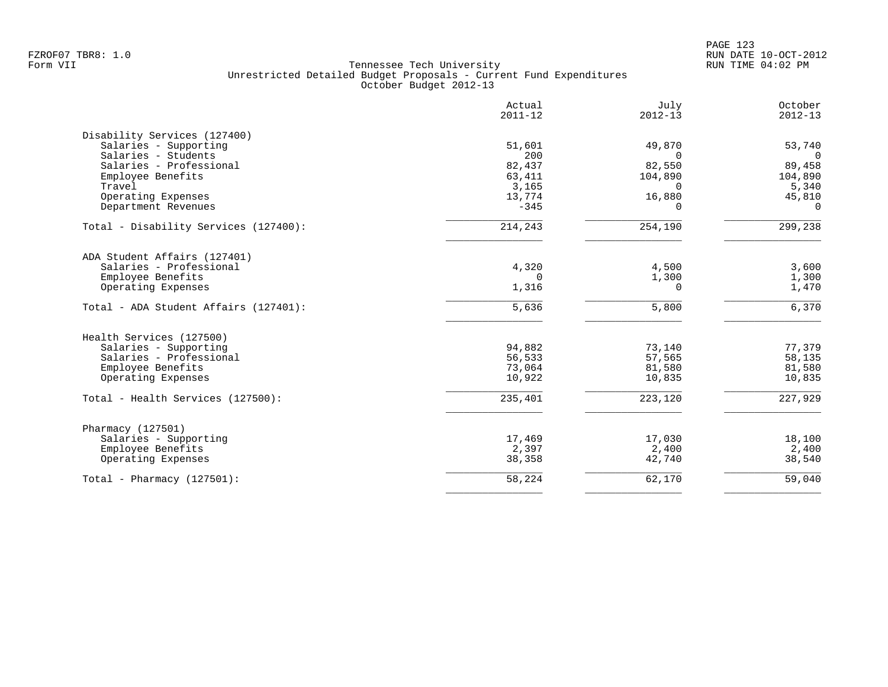|                                           | Actual<br>$2011 - 12$ | July<br>$2012 - 13$ | October<br>$2012 - 13$ |
|-------------------------------------------|-----------------------|---------------------|------------------------|
| Disability Services (127400)              |                       |                     |                        |
| Salaries - Supporting                     | 51,601                | 49,870              | 53,740                 |
| Salaries - Students                       | 200                   | $\Omega$            | $\Omega$               |
| Salaries - Professional                   | 82,437                | 82,550              | 89,458                 |
| Employee Benefits                         | 63,411                | 104,890             | 104,890                |
| Travel                                    | 3,165                 | $\Omega$            | 5,340                  |
| Operating Expenses<br>Department Revenues | 13,774<br>$-345$      | 16,880<br>$\Omega$  | 45,810<br>$\Omega$     |
|                                           |                       |                     |                        |
| Total - Disability Services (127400):     | 214,243               | 254,190             | 299,238                |
| ADA Student Affairs (127401)              |                       |                     |                        |
| Salaries - Professional                   | 4,320                 | 4,500               | 3,600                  |
| Employee Benefits                         | 0                     | 1,300               | 1,300                  |
| Operating Expenses                        | 1,316                 | $\Omega$            | 1,470                  |
| Total - ADA Student Affairs (127401):     | 5,636                 | 5,800               | 6,370                  |
| Health Services (127500)                  |                       |                     |                        |
| Salaries - Supporting                     | 94,882                | 73,140              | 77,379                 |
| Salaries - Professional                   | 56,533                | 57,565              | 58,135                 |
| Employee Benefits                         | 73,064                | 81,580              | 81,580                 |
| Operating Expenses                        | 10,922                | 10,835              | 10,835                 |
| Total - Health Services (127500):         | 235,401               | 223,120             | 227,929                |
| Pharmacy (127501)                         |                       |                     |                        |
| Salaries - Supporting                     | 17,469                | 17,030              | 18,100                 |
| Employee Benefits                         | 2,397                 | 2,400               | 2,400                  |
| Operating Expenses                        | 38,358                | 42,740              | 38,540                 |
| Total - Pharmacy $(127501)$ :             | 58,224                | 62,170              | 59,040                 |
|                                           |                       |                     |                        |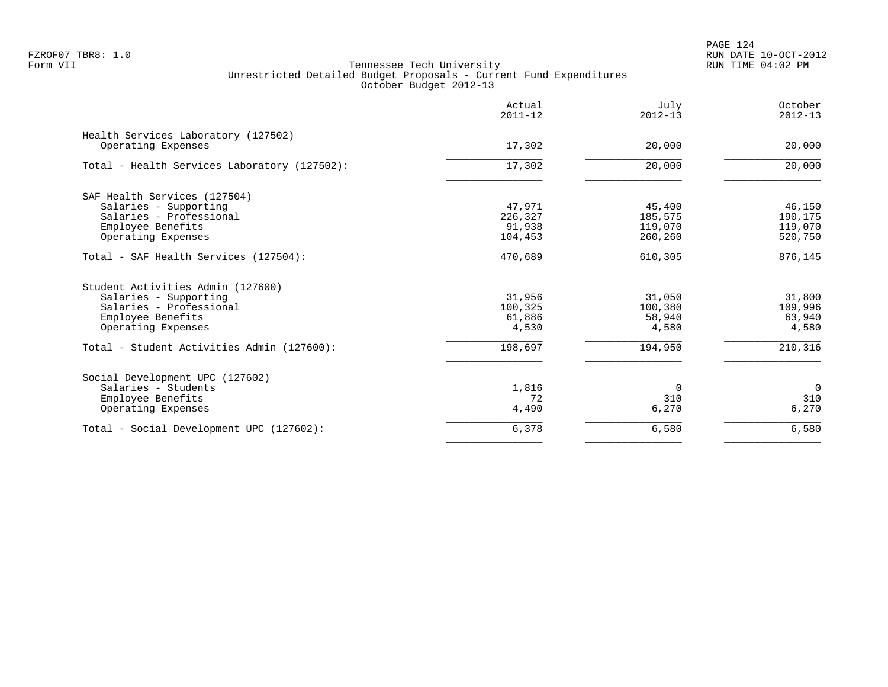PAGE 124 FZROF07 TBR8: 1.0 RUN DATE 10-OCT-2012

|                                                           | Actual<br>$2011 - 12$ | July<br>$2012 - 13$ | October<br>$2012 - 13$ |
|-----------------------------------------------------------|-----------------------|---------------------|------------------------|
| Health Services Laboratory (127502)<br>Operating Expenses | 17,302                | 20,000              | 20,000                 |
|                                                           |                       |                     |                        |
| Total - Health Services Laboratory (127502):              | 17,302                | 20,000              | 20,000                 |
| SAF Health Services (127504)                              |                       |                     |                        |
| Salaries - Supporting                                     | 47,971                | 45,400              | 46,150                 |
| Salaries - Professional                                   | 226,327               | 185,575             | 190,175                |
| Employee Benefits                                         | 91,938                | 119,070             | 119,070                |
| Operating Expenses                                        | 104,453               | 260,260             | 520,750                |
| Total - SAF Health Services (127504):                     | 470,689               | 610,305             | 876, 145               |
| Student Activities Admin (127600)                         |                       |                     |                        |
| Salaries - Supporting                                     | 31,956                | 31,050              | 31,800                 |
| Salaries - Professional                                   | 100,325               | 100,380             | 109,996                |
| Employee Benefits                                         | 61,886                | 58,940              | 63,940                 |
| Operating Expenses                                        | 4,530                 | 4,580               | 4,580                  |
| Total - Student Activities Admin (127600):                | 198,697               | 194,950             | 210,316                |
| Social Development UPC (127602)                           |                       |                     |                        |
| Salaries - Students                                       | 1,816                 | $\mathbf 0$         | $\overline{0}$         |
| Employee Benefits                                         | 72                    | 310                 | 310                    |
| Operating Expenses                                        | 4,490                 | 6,270               | 6,270                  |
| Total - Social Development UPC (127602):                  | 6,378                 | 6,580               | 6,580                  |
|                                                           |                       |                     |                        |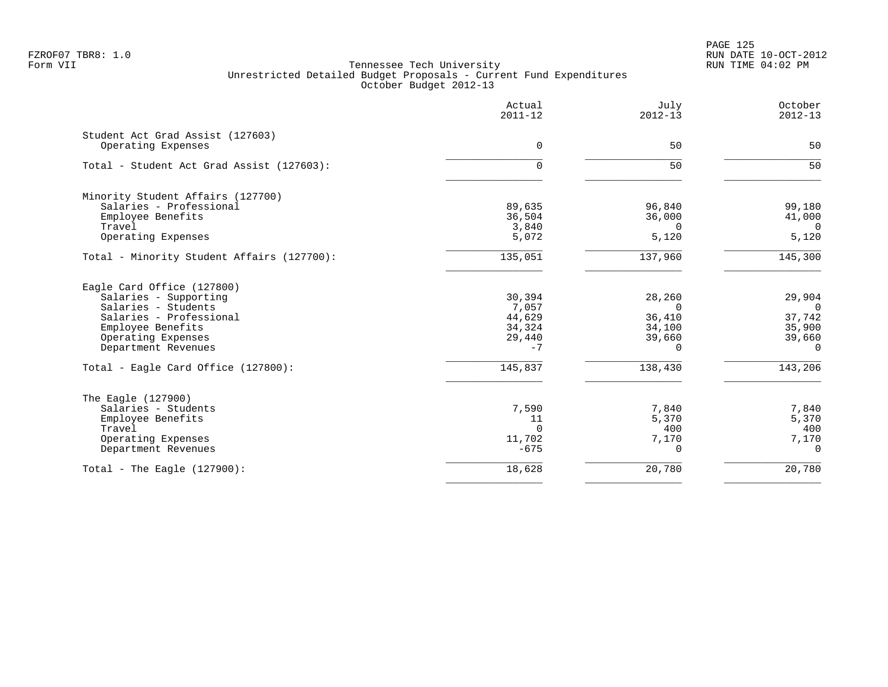PAGE 125 FZROF07 TBR8: 1.0 RUN DATE 10-OCT-2012

|                                                        | Actual<br>$2011 - 12$ | July<br>$2012 - 13$ | October<br>$2012 - 13$ |
|--------------------------------------------------------|-----------------------|---------------------|------------------------|
| Student Act Grad Assist (127603)<br>Operating Expenses | $\Omega$              | 50                  | 50                     |
|                                                        |                       |                     |                        |
| Total - Student Act Grad Assist (127603):              | 0                     | 50                  | 50                     |
| Minority Student Affairs (127700)                      |                       |                     |                        |
| Salaries - Professional                                | 89,635                | 96,840              | 99,180                 |
| Employee Benefits                                      | 36,504                | 36,000              | 41,000                 |
| Travel                                                 | 3,840                 | $\Omega$            | $\Omega$               |
| Operating Expenses                                     | 5,072                 | 5,120               | 5,120                  |
| Total - Minority Student Affairs (127700):             | 135,051               | 137,960             | 145,300                |
| Eagle Card Office (127800)                             |                       |                     |                        |
| Salaries - Supporting                                  | 30,394                | 28,260              | 29,904                 |
| Salaries - Students                                    | 7,057                 | $\Omega$            | $\overline{0}$         |
| Salaries - Professional                                | 44,629                | 36,410              | 37,742                 |
| Employee Benefits                                      | 34,324                | 34,100              | 35,900                 |
| Operating Expenses                                     | 29,440                | 39,660              | 39,660                 |
| Department Revenues                                    | $-7$                  | $\Omega$            | $\Omega$               |
| Total - Eagle Card Office (127800):                    | 145,837               | 138,430             | 143,206                |
| The Eagle (127900)                                     |                       |                     |                        |
| Salaries - Students                                    | 7,590                 | 7,840               | 7,840                  |
| Employee Benefits                                      | 11                    | 5,370               | 5,370                  |
| Travel                                                 | $\Omega$              | 400                 | 400                    |
| Operating Expenses                                     | 11,702                | 7,170               | 7,170                  |
| Department Revenues                                    | $-675$                | $\Omega$            | $\Omega$               |
| Total - The Eagle $(127900)$ :                         | 18,628                | 20,780              | 20,780                 |
|                                                        |                       |                     |                        |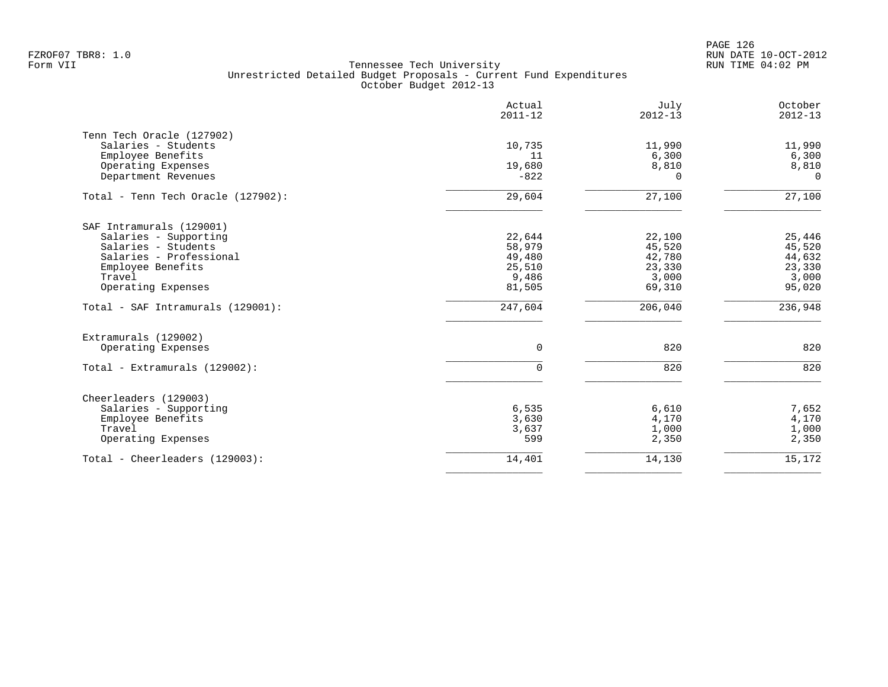PAGE 126 FZROF07 TBR8: 1.0 RUN DATE 10-OCT-2012

|                                                                                                                                                          | Actual<br>$2011 - 12$                                   | July<br>$2012 - 13$                                     | October<br>$2012 - 13$                                  |
|----------------------------------------------------------------------------------------------------------------------------------------------------------|---------------------------------------------------------|---------------------------------------------------------|---------------------------------------------------------|
| Tenn Tech Oracle (127902)<br>Salaries - Students<br>Employee Benefits<br>Operating Expenses<br>Department Revenues                                       | 10,735<br>11<br>19,680<br>$-822$                        | 11,990<br>6,300<br>8,810<br>0                           | 11,990<br>6,300<br>8,810<br>$\Omega$                    |
| Total - Tenn Tech Oracle (127902):                                                                                                                       | 29,604                                                  | 27,100                                                  | 27,100                                                  |
| SAF Intramurals (129001)<br>Salaries - Supporting<br>Salaries - Students<br>Salaries - Professional<br>Employee Benefits<br>Travel<br>Operating Expenses | 22,644<br>58,979<br>49,480<br>25,510<br>9,486<br>81,505 | 22,100<br>45,520<br>42,780<br>23,330<br>3,000<br>69,310 | 25,446<br>45,520<br>44,632<br>23,330<br>3,000<br>95,020 |
| Total - SAF Intramurals (129001):                                                                                                                        | 247,604                                                 | 206,040                                                 | 236,948                                                 |
| Extramurals (129002)<br>Operating Expenses<br>Total - Extramurals (129002):                                                                              | 0<br>$\mathbf 0$                                        | 820<br>820                                              | 820<br>820                                              |
| Cheerleaders (129003)<br>Salaries - Supporting<br>Employee Benefits<br>Travel<br>Operating Expenses                                                      | 6,535<br>3,630<br>3,637<br>599                          | 6,610<br>4,170<br>1,000<br>2,350                        | 7,652<br>4,170<br>1,000<br>2,350                        |
| Total - Cheerleaders (129003):                                                                                                                           | 14,401                                                  | 14,130                                                  | 15,172                                                  |
|                                                                                                                                                          |                                                         |                                                         |                                                         |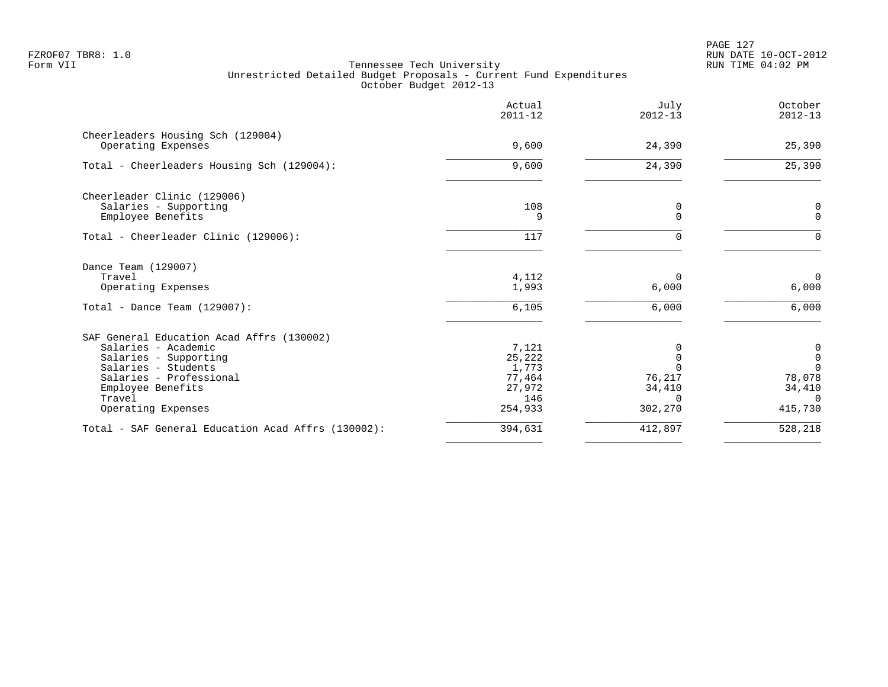PAGE 127 FZROF07 TBR8: 1.0 RUN DATE 10-OCT-2012

|                                                                                                                                                                                                  | Actual<br>$2011 - 12$                                          | July<br>$2012 - 13$                                 | October<br>$2012 - 13$                                                                  |
|--------------------------------------------------------------------------------------------------------------------------------------------------------------------------------------------------|----------------------------------------------------------------|-----------------------------------------------------|-----------------------------------------------------------------------------------------|
| Cheerleaders Housing Sch (129004)<br>Operating Expenses                                                                                                                                          | 9,600                                                          | 24,390                                              | 25,390                                                                                  |
| Total - Cheerleaders Housing Sch (129004):                                                                                                                                                       | 9,600                                                          | 24,390                                              | 25,390                                                                                  |
| Cheerleader Clinic (129006)<br>Salaries - Supporting<br>Employee Benefits                                                                                                                        | 108<br>9                                                       | 0<br>$\mathbf 0$                                    | 0<br>$\mathbf{0}$                                                                       |
| Total - Cheerleader Clinic (129006):                                                                                                                                                             | 117                                                            | 0                                                   | $\Omega$                                                                                |
| Dance Team (129007)<br>Travel<br>Operating Expenses                                                                                                                                              | 4,112<br>1,993                                                 | $\Omega$<br>6,000                                   | $\Omega$<br>6,000                                                                       |
| Total - Dance Team $(129007)$ :                                                                                                                                                                  | 6,105                                                          | 6,000                                               | 6,000                                                                                   |
| SAF General Education Acad Affrs (130002)<br>Salaries - Academic<br>Salaries - Supporting<br>Salaries - Students<br>Salaries - Professional<br>Employee Benefits<br>Travel<br>Operating Expenses | 7,121<br>25,222<br>1,773<br>77,464<br>27,972<br>146<br>254,933 | $\Omega$<br>$\Omega$<br>76,217<br>34,410<br>302,270 | $\boldsymbol{0}$<br>$\mathsf{O}$<br>$\Omega$<br>78,078<br>34,410<br>$\Omega$<br>415,730 |
| Total - SAF General Education Acad Affrs (130002):                                                                                                                                               | 394,631                                                        | 412,897                                             | 528,218                                                                                 |
|                                                                                                                                                                                                  |                                                                |                                                     |                                                                                         |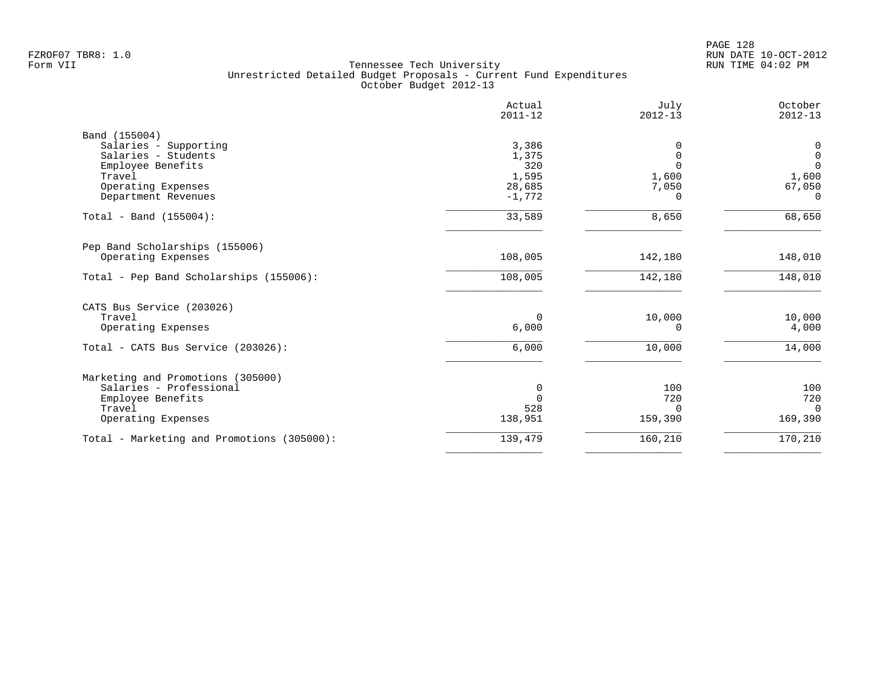|                                            | Actual<br>$2011 - 12$ | July<br>$2012 - 13$ | October<br>$2012 - 13$ |
|--------------------------------------------|-----------------------|---------------------|------------------------|
| Band (155004)                              |                       |                     |                        |
| Salaries - Supporting                      | 3,386                 | $\Omega$            | 0                      |
| Salaries - Students                        | 1,375                 | $\mathbf 0$         | $\mathbf 0$            |
| Employee Benefits                          | 320                   | $\Omega$            | $\mathbf 0$            |
| Travel                                     | 1,595                 | 1,600               | 1,600                  |
| Operating Expenses                         | 28,685                | 7,050               | 67,050                 |
| Department Revenues                        | $-1,772$              | $\Omega$            | $\Omega$               |
| Total - Band (155004):                     | 33,589                | 8,650               | 68,650                 |
| Pep Band Scholarships (155006)             |                       |                     |                        |
| Operating Expenses                         | 108,005               | 142,180             | 148,010                |
| Total - Pep Band Scholarships (155006):    | 108,005               | 142,180             | 148,010                |
| CATS Bus Service (203026)                  |                       |                     |                        |
| Travel                                     | 0                     | 10,000              | 10,000                 |
| Operating Expenses                         | 6,000                 | $\Omega$            | 4,000                  |
|                                            |                       |                     |                        |
| Total - CATS Bus Service (203026):         | 6,000                 | 10,000              | 14,000                 |
| Marketing and Promotions (305000)          |                       |                     |                        |
| Salaries - Professional                    | 0                     | 100                 | 100                    |
| Employee Benefits                          | $\Omega$              | 720                 | 720                    |
| Travel                                     | 528                   | $\Omega$            | $\Omega$               |
| Operating Expenses                         | 138,951               | 159,390             | 169,390                |
| Total - Marketing and Promotions (305000): | 139,479               | 160,210             | 170,210                |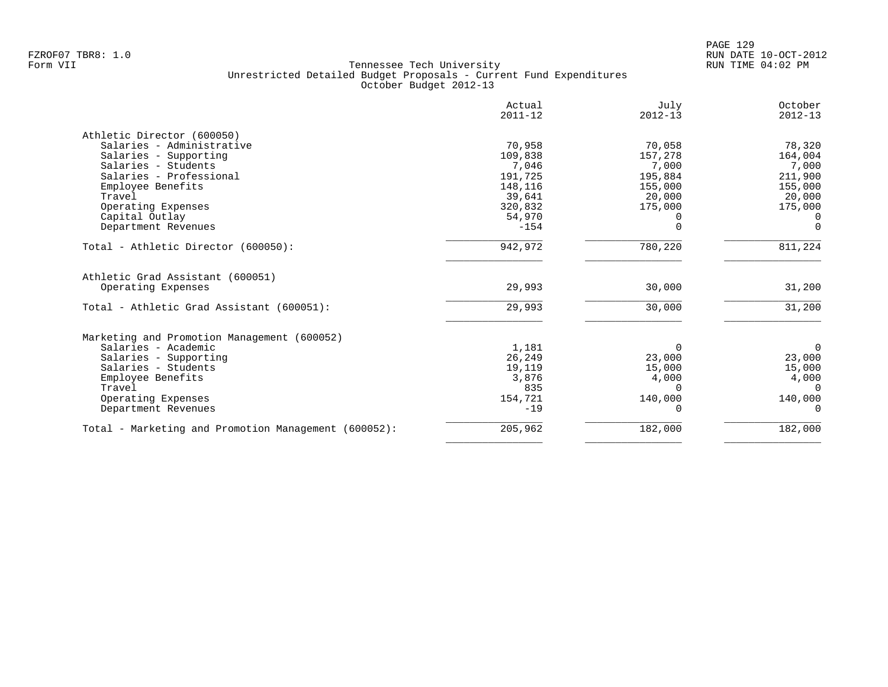|                                                        | Actual<br>$2011 - 12$ | July<br>$2012 - 13$ | October<br>$2012 - 13$ |
|--------------------------------------------------------|-----------------------|---------------------|------------------------|
|                                                        |                       |                     |                        |
| Athletic Director (600050)                             |                       |                     |                        |
| Salaries - Administrative                              | 70,958                | 70,058              | 78,320                 |
| Salaries - Supporting                                  | 109,838               | 157,278             | 164,004                |
| Salaries - Students                                    | 7,046                 | 7,000               | 7,000                  |
| Salaries - Professional                                | 191,725               | 195,884             | 211,900                |
| Employee Benefits                                      | 148,116               | 155,000             | 155,000                |
| Travel                                                 | 39,641                | 20,000              | 20,000                 |
| Operating Expenses                                     | 320,832               | 175,000             | 175,000                |
| Capital Outlay                                         | 54,970                |                     | $\Omega$               |
| Department Revenues                                    | $-154$                |                     | $\Omega$               |
| Total - Athletic Director (600050):                    | 942,972               | 780,220             | 811,224                |
| Athletic Grad Assistant (600051)<br>Operating Expenses | 29,993                | 30,000              | 31,200                 |
|                                                        |                       |                     |                        |
| Total - Athletic Grad Assistant (600051):              | 29,993                | 30,000              | 31,200                 |
| Marketing and Promotion Management (600052)            |                       |                     |                        |
| Salaries - Academic                                    | 1,181                 | $\Omega$            | $\overline{0}$         |
| Salaries - Supporting                                  | 26,249                | 23,000              | 23,000                 |
| Salaries - Students                                    | 19,119                | 15,000              | 15,000                 |
| Employee Benefits                                      | 3,876                 | 4,000               | 4,000                  |
| Travel                                                 | 835                   | $\Omega$            | $\Omega$               |
| Operating Expenses                                     | 154,721               | 140,000             | 140,000                |
| Department Revenues                                    | $-19$                 | O                   | $\Omega$               |
| Total - Marketing and Promotion Management (600052):   | 205,962               | 182,000             | 182,000                |
|                                                        |                       |                     |                        |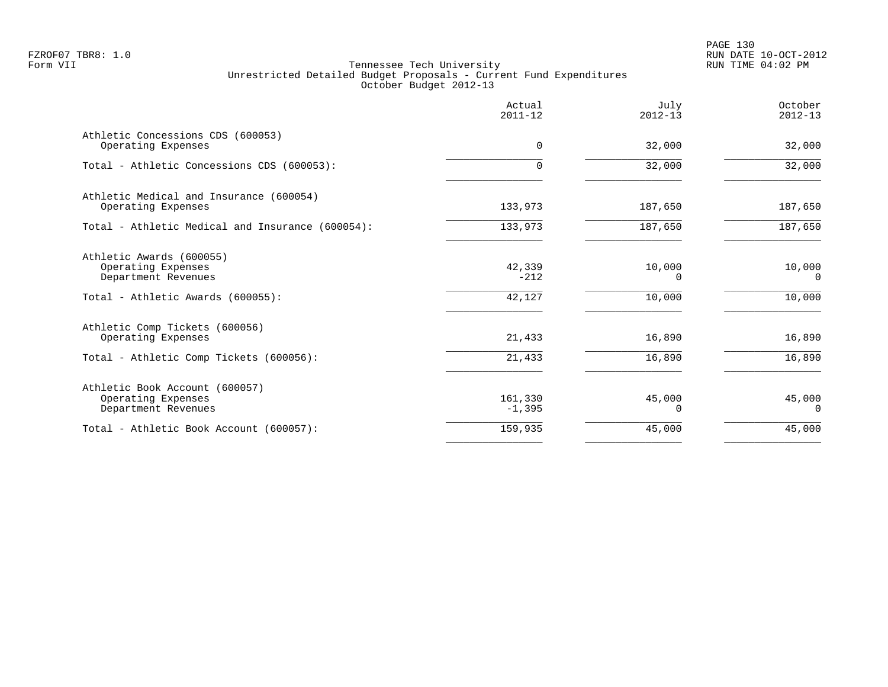PAGE 130 FZROF07 TBR8: 1.0 RUN DATE 10-OCT-2012

|                                                                                                            | Actual<br>$2011 - 12$      | July<br>$2012 - 13$          | October<br>$2012 - 13$       |
|------------------------------------------------------------------------------------------------------------|----------------------------|------------------------------|------------------------------|
| Athletic Concessions CDS (600053)<br>Operating Expenses                                                    | $\Omega$                   | 32,000                       | 32,000                       |
| Total - Athletic Concessions CDS (600053):                                                                 | $\Omega$                   | 32,000                       | 32,000                       |
| Athletic Medical and Insurance (600054)<br>Operating Expenses                                              | 133,973                    | 187,650                      | 187,650                      |
| Total - Athletic Medical and Insurance (600054):                                                           | 133,973                    | 187,650                      | 187,650                      |
| Athletic Awards (600055)<br>Operating Expenses<br>Department Revenues<br>Total - Athletic Awards (600055): | 42,339<br>$-212$<br>42,127 | 10,000<br>$\Omega$<br>10,000 | 10,000<br>$\Omega$<br>10,000 |
| Athletic Comp Tickets (600056)<br>Operating Expenses<br>Total - Athletic Comp Tickets (600056):            | 21,433<br>21,433           | 16,890<br>16,890             | 16,890<br>16,890             |
| Athletic Book Account (600057)<br>Operating Expenses<br>Department Revenues                                | 161,330<br>$-1,395$        | 45,000<br>0                  | 45,000<br>0                  |
| Total - Athletic Book Account (600057):                                                                    | 159,935                    | 45,000                       | 45,000                       |
|                                                                                                            |                            |                              |                              |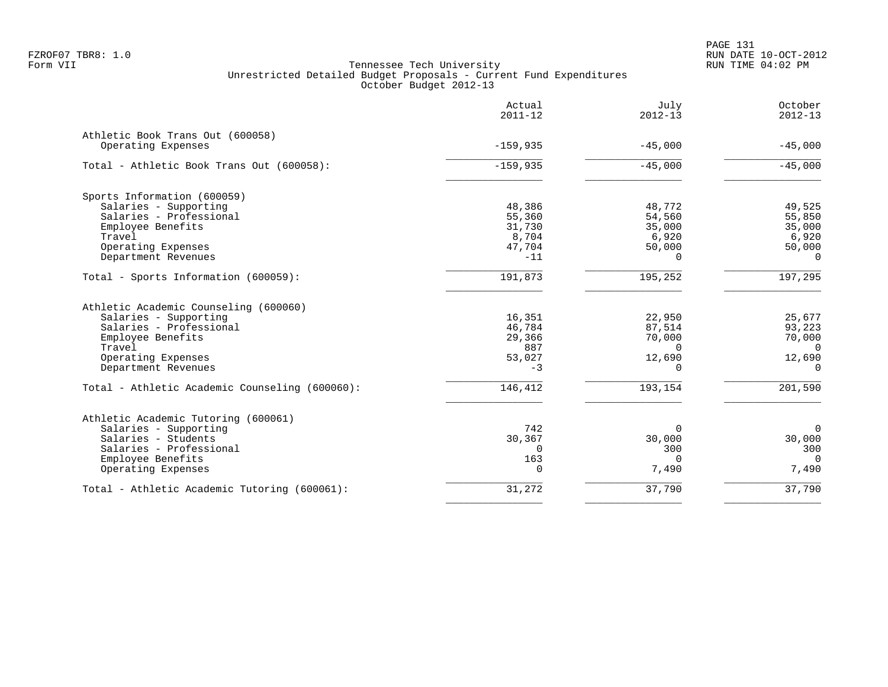|                                                | Actual<br>$2011 - 12$ | July<br>$2012 - 13$ | October<br>$2012 - 13$ |
|------------------------------------------------|-----------------------|---------------------|------------------------|
| Athletic Book Trans Out (600058)               |                       |                     |                        |
| Operating Expenses                             | $-159,935$            | $-45,000$           | $-45,000$              |
| Total - Athletic Book Trans Out (600058):      | $-159,935$            | $-45,000$           | $-45,000$              |
| Sports Information (600059)                    |                       |                     |                        |
| Salaries - Supporting                          | 48,386                | 48,772              | 49,525                 |
| Salaries - Professional                        | 55,360                | 54,560              | 55,850                 |
| Employee Benefits                              | 31,730                | 35,000              | 35,000                 |
| Travel                                         | 8,704                 | 6,920               | 6,920                  |
| Operating Expenses                             | 47,704                | 50,000              | 50,000                 |
| Department Revenues                            | $-11$                 | $\Omega$            | $\Omega$               |
| Total - Sports Information (600059):           | 191,873               | 195,252             | 197,295                |
| Athletic Academic Counseling (600060)          |                       |                     |                        |
| Salaries - Supporting                          | 16,351                | 22,950              | 25,677                 |
| Salaries - Professional                        | 46,784                | 87,514              | 93,223                 |
| Employee Benefits                              | 29,366                | 70,000              | 70,000                 |
| Travel                                         | 887                   | $\Omega$            | $\Omega$               |
| Operating Expenses                             | 53,027                | 12,690              | 12,690                 |
| Department Revenues                            | $-3$                  | $\Omega$            | $\overline{0}$         |
| Total - Athletic Academic Counseling (600060): | 146,412               | 193,154             | 201,590                |
| Athletic Academic Tutoring (600061)            |                       |                     |                        |
| Salaries - Supporting                          | 742                   | $\Omega$            | $\Omega$               |
| Salaries - Students                            | 30,367                | 30,000              | 30,000                 |
| Salaries - Professional                        | $\Omega$              | 300                 | 300                    |
| Employee Benefits                              | 163                   | $\Omega$            | $\Omega$               |
| Operating Expenses                             | $\Omega$              | 7,490               | 7,490                  |
| Total - Athletic Academic Tutoring (600061):   | 31,272                | 37,790              | 37,790                 |
|                                                |                       |                     |                        |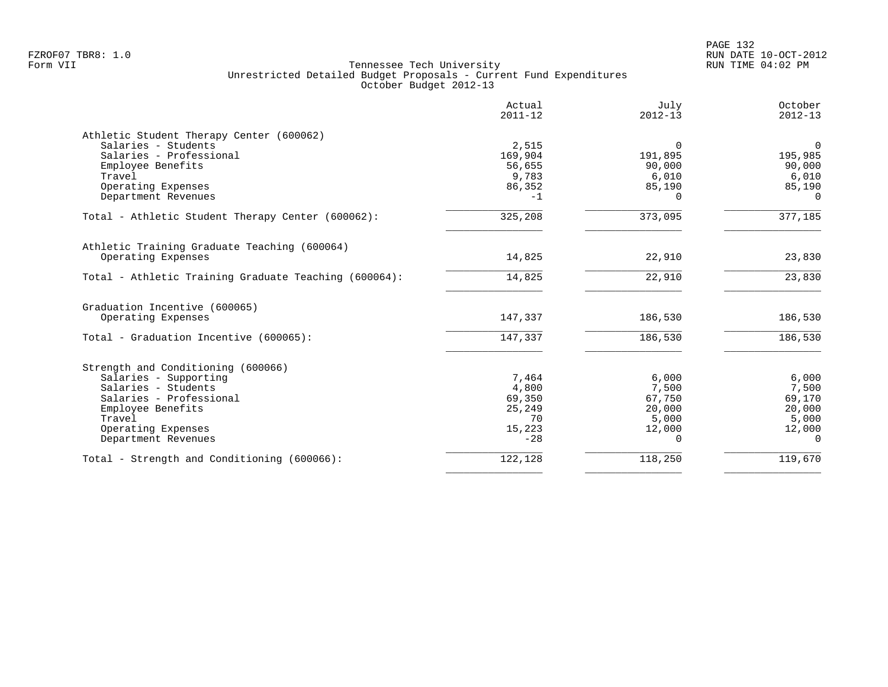|                                                       | Actual<br>$2011 - 12$ | July<br>$2012 - 13$ | October<br>$2012 - 13$ |
|-------------------------------------------------------|-----------------------|---------------------|------------------------|
| Athletic Student Therapy Center (600062)              |                       |                     |                        |
| Salaries - Students                                   | 2,515                 | $\Omega$            | $\overline{0}$         |
| Salaries - Professional                               | 169,904               | 191,895             | 195,985                |
| Employee Benefits                                     | 56,655                | 90,000              | 90,000                 |
| Travel                                                | 9,783                 | 6,010               | 6,010                  |
| Operating Expenses                                    | 86,352                | 85,190              | 85,190                 |
| Department Revenues                                   | $-1$                  | $\Omega$            | $\Omega$               |
| Total - Athletic Student Therapy Center (600062):     | 325,208               | 373,095             | 377,185                |
| Athletic Training Graduate Teaching (600064)          |                       |                     |                        |
| Operating Expenses                                    | 14,825                | 22,910              | 23,830                 |
| Total - Athletic Training Graduate Teaching (600064): | 14,825                | 22,910              | 23,830                 |
| Graduation Incentive (600065)                         |                       |                     |                        |
| Operating Expenses                                    | 147,337               | 186,530             | 186,530                |
| Total - Graduation Incentive (600065):                | 147,337               | 186,530             | 186,530                |
| Strength and Conditioning (600066)                    |                       |                     |                        |
| Salaries - Supporting                                 | 7,464                 | 6,000               | 6,000                  |
| Salaries - Students                                   | 4,800                 | 7,500               | 7,500                  |
| Salaries - Professional                               | 69,350                | 67,750              | 69,170                 |
| Employee Benefits                                     | 25,249                | 20,000              | 20,000                 |
| Travel                                                | 70                    | 5,000               | 5,000                  |
| Operating Expenses                                    | 15,223                | 12,000              | 12,000                 |
| Department Revenues                                   | $-28$                 | 0                   | $\Omega$               |
| Total - Strength and Conditioning (600066):           | 122,128               | 118,250             | 119,670                |
|                                                       |                       |                     |                        |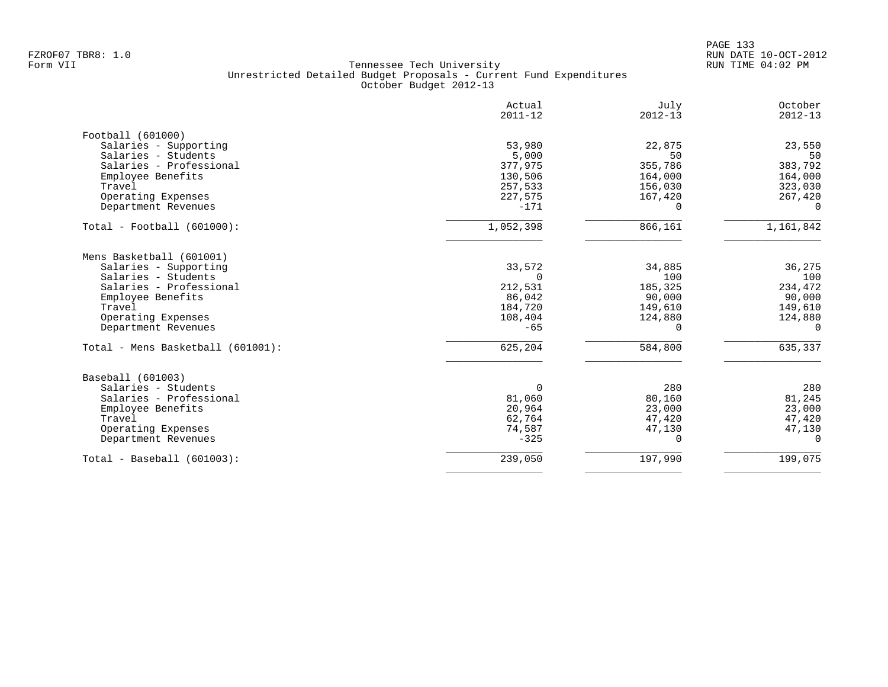PAGE 133 FZROF07 TBR8: 1.0 RUN DATE 10-OCT-2012

|                                   | Actual<br>$2011 - 12$ | July<br>$2012 - 13$ | October<br>$2012 - 13$ |
|-----------------------------------|-----------------------|---------------------|------------------------|
| Football (601000)                 |                       |                     |                        |
| Salaries - Supporting             | 53,980                | 22,875              | 23,550                 |
| Salaries - Students               | 5,000                 | 50                  | 50                     |
| Salaries - Professional           | 377,975               | 355,786             | 383,792                |
| Employee Benefits                 | 130,506               | 164,000             | 164,000                |
| Travel                            | 257,533               | 156,030             | 323,030                |
| Operating Expenses                | 227,575               | 167,420             | 267,420                |
| Department Revenues               | $-171$                | $\Omega$            | 0                      |
| $Total - Football (601000):$      | 1,052,398             | 866,161             | 1,161,842              |
| Mens Basketball (601001)          |                       |                     |                        |
| Salaries - Supporting             | 33,572                | 34,885              | 36,275                 |
| Salaries - Students               | $\Omega$              | 100                 | 100                    |
| Salaries - Professional           | 212,531               | 185,325             | 234,472                |
| Employee Benefits                 | 86,042                | 90,000              | 90,000                 |
| Travel                            | 184,720               | 149,610             | 149,610                |
| Operating Expenses                | 108,404               | 124,880             | 124,880                |
| Department Revenues               | $-65$                 | 0                   | 0                      |
| Total - Mens Basketball (601001): | 625,204               | 584,800             | 635,337                |
| Baseball (601003)                 |                       |                     |                        |
| Salaries - Students               | $\Omega$              | 280                 | 280                    |
| Salaries - Professional           | 81,060                | 80,160              | 81,245                 |
| Employee Benefits                 | 20,964                | 23,000              | 23,000                 |
| Travel                            | 62,764                | 47,420              | 47,420                 |
| Operating Expenses                | 74,587                | 47,130              | 47,130                 |
| Department Revenues               | $-325$                | $\Omega$            | $\Omega$               |
| $Total - Baseball (601003):$      | 239,050               | 197,990             | 199,075                |
|                                   |                       |                     |                        |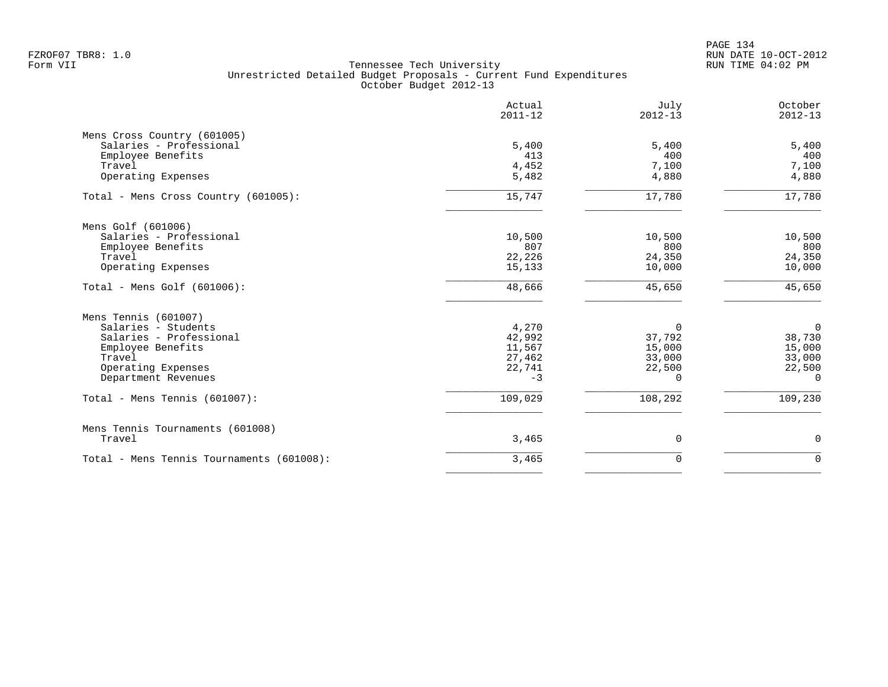PAGE 134 FZROF07 TBR8: 1.0 RUN DATE 10-OCT-2012

|                                                                             | Actual<br>$2011 - 12$ | July<br>$2012 - 13$ | October<br>$2012 - 13$ |
|-----------------------------------------------------------------------------|-----------------------|---------------------|------------------------|
| Mens Cross Country (601005)<br>Salaries - Professional<br>Employee Benefits | 5,400<br>413          | 5,400<br>400        | 5,400<br>400           |
| Travel<br>Operating Expenses                                                | 4,452<br>5,482        | 7,100<br>4,880      | 7,100<br>4,880         |
| Total - Mens Cross Country (601005):                                        | 15,747                | 17,780              | 17,780                 |
| Mens Golf (601006)                                                          |                       |                     |                        |
| Salaries - Professional                                                     | 10,500                | 10,500              | 10,500                 |
| Employee Benefits<br>Travel                                                 | 807<br>22,226         | 800<br>24,350       | 800<br>24,350          |
| Operating Expenses                                                          | 15,133                | 10,000              | 10,000                 |
| Total - Mens Golf $(601006)$ :                                              | 48,666                | 45,650              | 45,650                 |
| Mens Tennis (601007)                                                        |                       |                     |                        |
| Salaries - Students                                                         | 4,270                 | 0                   | $\overline{0}$         |
| Salaries - Professional                                                     | 42,992                | 37,792              | 38,730                 |
| Employee Benefits                                                           | 11,567                | 15,000              | 15,000                 |
| Travel<br>Operating Expenses                                                | 27,462<br>22,741      | 33,000<br>22,500    | 33,000<br>22,500       |
| Department Revenues                                                         | $-3$                  | $\Omega$            | $\Omega$               |
| Total - Mens Tennis (601007):                                               | 109,029               | 108,292             | 109,230                |
| Mens Tennis Tournaments (601008)                                            |                       |                     |                        |
| Travel                                                                      | 3,465                 | 0                   | 0                      |
| Total - Mens Tennis Tournaments (601008):                                   | 3,465                 | $\mathbf 0$         | $\mathbf 0$            |
|                                                                             |                       |                     |                        |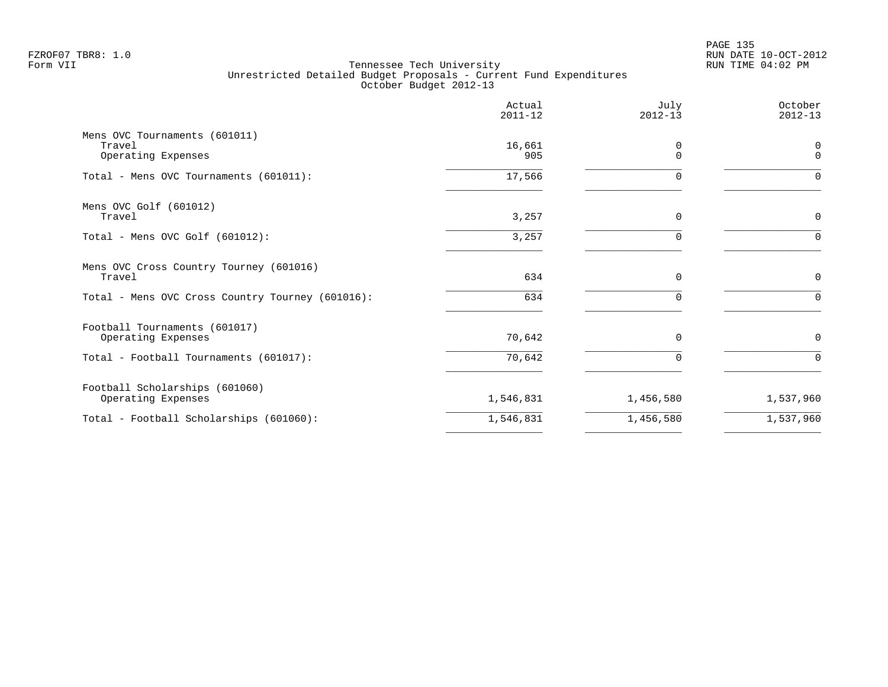|                                                               | Actual<br>$2011 - 12$ | July<br>$2012 - 13$  | October<br>$2012 - 13$ |
|---------------------------------------------------------------|-----------------------|----------------------|------------------------|
| Mens OVC Tournaments (601011)<br>Travel<br>Operating Expenses | 16,661<br>905         | $\Omega$<br>$\Omega$ | 0<br>$\Omega$          |
| Total - Mens OVC Tournaments (601011):                        | 17,566                | 0                    | $\Omega$               |
| Mens OVC Golf (601012)<br>Travel                              | 3,257                 | $\Omega$             | 0                      |
| Total - Mens OVC Golf (601012):                               | 3,257                 | <sup>n</sup>         | $\Omega$               |
| Mens OVC Cross Country Tourney (601016)<br>Travel             | 634                   | $\mathbf 0$          | $\mathbf 0$            |
| Total - Mens OVC Cross Country Tourney (601016):              | 634                   | $\Omega$             | $\Omega$               |
| Football Tournaments (601017)<br>Operating Expenses           | 70,642                | $\mathbf 0$          | 0                      |
| Total - Football Tournaments (601017):                        | 70,642                | $\Omega$             | $\Omega$               |
| Football Scholarships (601060)<br>Operating Expenses          | 1,546,831             | 1,456,580            | 1,537,960              |
| Total - Football Scholarships (601060):                       | 1,546,831             | 1,456,580            | 1,537,960              |
|                                                               |                       |                      |                        |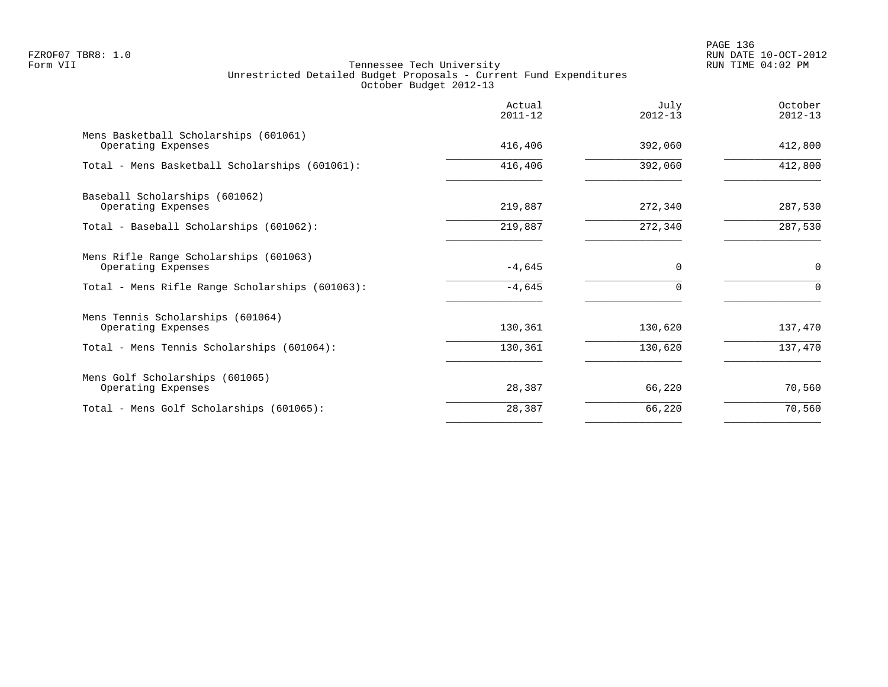PAGE 136 FZROF07 TBR8: 1.0 RUN DATE 10-OCT-2012

|                                                              | Actual<br>$2011 - 12$ | July<br>$2012 - 13$ | October<br>$2012 - 13$ |
|--------------------------------------------------------------|-----------------------|---------------------|------------------------|
| Mens Basketball Scholarships (601061)<br>Operating Expenses  | 416,406               | 392,060             | 412,800                |
| Total - Mens Basketball Scholarships (601061):               | 416,406               | 392,060             | 412,800                |
| Baseball Scholarships (601062)<br>Operating Expenses         | 219,887               | 272,340             | 287,530                |
| Total - Baseball Scholarships (601062):                      | 219,887               | 272,340             | 287,530                |
| Mens Rifle Range Scholarships (601063)<br>Operating Expenses | $-4,645$              | $\Omega$            | $\mathbf 0$            |
| Total - Mens Rifle Range Scholarships (601063):              | $-4,645$              | $\Omega$            | $\Omega$               |
| Mens Tennis Scholarships (601064)<br>Operating Expenses      | 130,361               | 130,620             | 137,470                |
| Total - Mens Tennis Scholarships (601064):                   | 130,361               | 130,620             | 137,470                |
| Mens Golf Scholarships (601065)<br>Operating Expenses        | 28,387                | 66,220              | 70,560                 |
| Total - Mens Golf Scholarships (601065):                     | 28,387                | 66,220              | 70,560                 |
|                                                              |                       |                     |                        |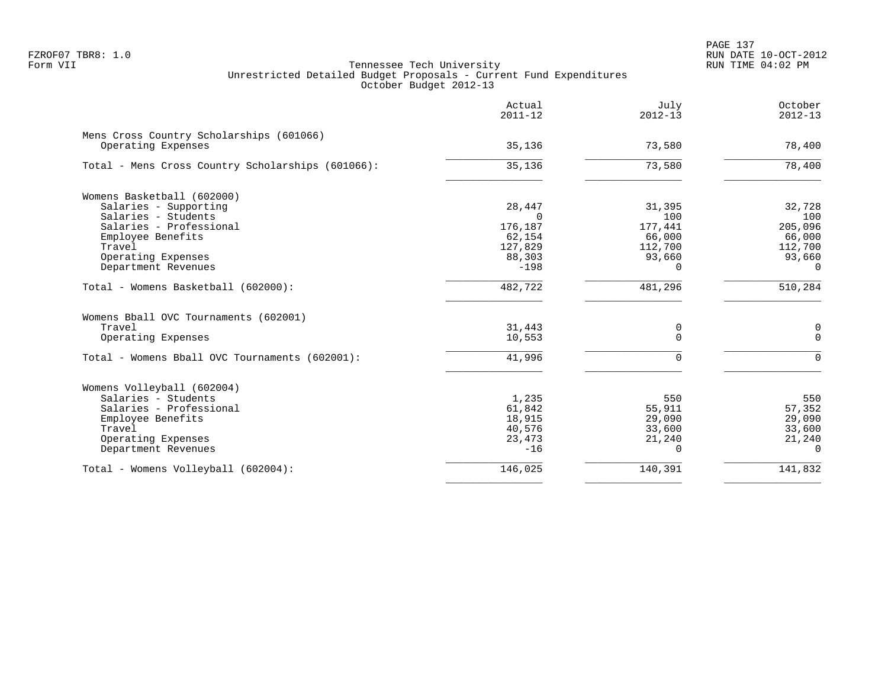|                                                                | Actual<br>$2011 - 12$ | July<br>$2012 - 13$ | October<br>$2012 - 13$ |
|----------------------------------------------------------------|-----------------------|---------------------|------------------------|
| Mens Cross Country Scholarships (601066)<br>Operating Expenses | 35,136                | 73,580              | 78,400                 |
|                                                                |                       |                     |                        |
| Total - Mens Cross Country Scholarships (601066):              | 35,136                | 73,580              | 78,400                 |
| Womens Basketball (602000)                                     |                       |                     |                        |
| Salaries - Supporting                                          | 28,447                | 31,395              | 32,728                 |
| Salaries - Students                                            | $\Omega$              | 100                 | 100                    |
| Salaries - Professional                                        | 176,187               | 177,441             | 205,096                |
| Employee Benefits                                              | 62,154                | 66,000              | 66,000                 |
| Travel                                                         | 127,829               | 112,700             | 112,700                |
| Operating Expenses                                             | 88,303                | 93,660              | 93,660                 |
| Department Revenues                                            | $-198$                | $\Omega$            | $\Omega$               |
| Total - Womens Basketball (602000):                            | 482,722               | 481,296             | 510,284                |
| Womens Bball OVC Tournaments (602001)                          |                       |                     |                        |
| Travel                                                         | 31,443                | 0                   | 0                      |
| Operating Expenses                                             | 10,553                | $\Omega$            | $\Omega$               |
| Total - Womens Bball OVC Tournaments (602001):                 | 41,996                | $\Omega$            | $\Omega$               |
| Womens Volleyball (602004)                                     |                       |                     |                        |
| Salaries - Students                                            | 1,235                 | 550                 | 550                    |
| Salaries - Professional                                        | 61,842                | 55,911              | 57,352                 |
| Employee Benefits                                              | 18,915                | 29,090              | 29,090                 |
| Travel                                                         | 40,576                | 33,600              | 33,600                 |
| Operating Expenses                                             | 23,473                | 21,240              | 21,240                 |
| Department Revenues                                            | $-16$                 | $\Omega$            | $\Omega$               |
| Total - Womens Volleyball (602004):                            | 146,025               | 140,391             | 141,832                |
|                                                                |                       |                     |                        |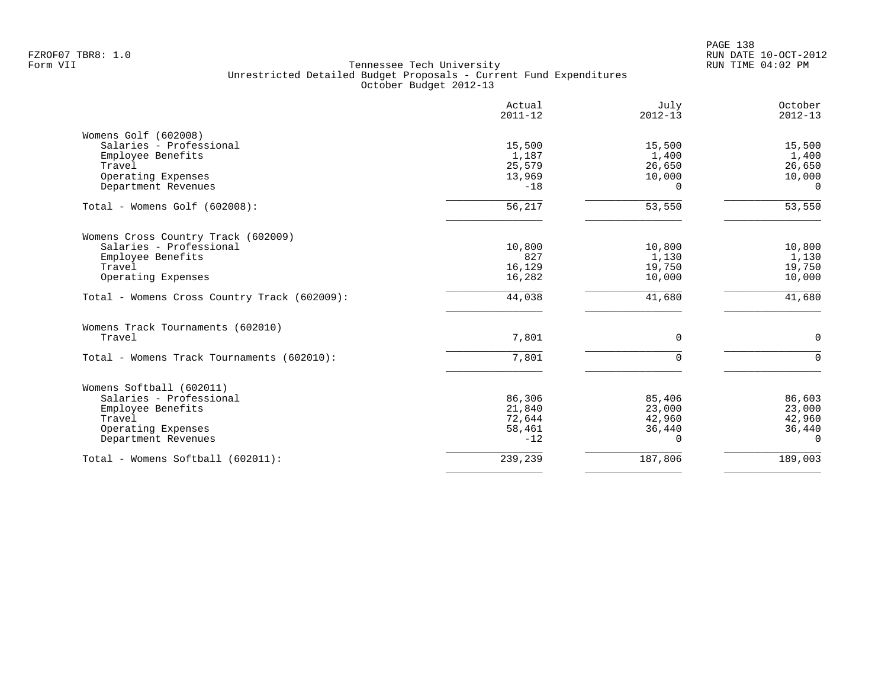|                                              | Actual<br>$2011 - 12$ | July<br>$2012 - 13$ | October<br>$2012 - 13$ |
|----------------------------------------------|-----------------------|---------------------|------------------------|
| Womens Golf (602008)                         |                       |                     |                        |
| Salaries - Professional                      | 15,500                | 15,500              | 15,500                 |
| Employee Benefits                            | 1,187                 | 1,400               | 1,400                  |
| Travel                                       | 25,579                | 26,650              | 26,650                 |
| Operating Expenses                           | 13,969                | 10,000              | 10,000                 |
| Department Revenues                          | $-18$                 | $\Omega$            | $\Omega$               |
| Total - Womens Golf (602008):                | 56,217                | 53,550              | 53,550                 |
| Womens Cross Country Track (602009)          |                       |                     |                        |
| Salaries - Professional                      | 10,800                | 10,800              | 10,800                 |
| Employee Benefits                            | 827                   | 1,130               | 1,130                  |
| Travel                                       | 16,129                | 19,750              | 19,750                 |
| Operating Expenses                           | 16,282                | 10,000              | 10,000                 |
| Total - Womens Cross Country Track (602009): | 44,038                | 41,680              | 41,680                 |
| Womens Track Tournaments (602010)            |                       |                     |                        |
| Travel                                       | 7,801                 | 0                   | 0                      |
| Total - Womens Track Tournaments (602010):   | 7,801                 | $\Omega$            | $\Omega$               |
| Womens Softball (602011)                     |                       |                     |                        |
| Salaries - Professional                      | 86,306                | 85,406              | 86,603                 |
| Employee Benefits                            | 21,840                | 23,000              | 23,000                 |
| Travel                                       | 72,644                | 42,960              | 42,960                 |
| Operating Expenses                           | 58,461                | 36,440              | 36,440                 |
| Department Revenues                          | $-12$                 | 0                   | $\Omega$               |
| Total - Womens Softball (602011):            | 239,239               | 187,806             | 189,003                |
|                                              |                       |                     |                        |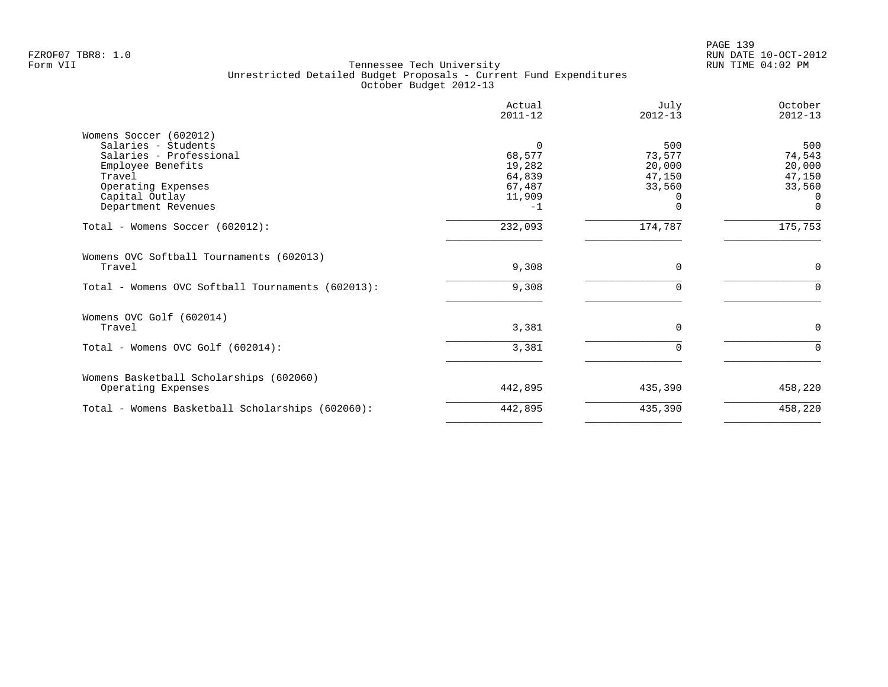|                                                   | Actual<br>$2011 - 12$ | July<br>$2012 - 13$ | October<br>$2012 - 13$ |
|---------------------------------------------------|-----------------------|---------------------|------------------------|
| Womens Soccer (602012)                            |                       |                     |                        |
| Salaries - Students                               |                       | 500                 | 500                    |
| Salaries - Professional                           | 68,577                | 73,577              | 74,543                 |
| Employee Benefits                                 | 19,282                | 20,000              | 20,000                 |
| Travel                                            | 64,839                | 47,150              | 47,150                 |
| Operating Expenses                                | 67,487                | 33,560              | 33,560                 |
| Capital Outlay                                    | 11,909                |                     | $\Omega$               |
| Department Revenues                               | $-1$                  |                     | $\Omega$               |
| Total - Womens Soccer (602012):                   | 232,093               | 174,787             | 175,753                |
| Womens OVC Softball Tournaments (602013)          |                       |                     |                        |
| Travel                                            | 9,308                 | $\Omega$            | $\mathbf 0$            |
| Total - Womens OVC Softball Tournaments (602013): | 9,308                 |                     | 0                      |
| Womens OVC Golf (602014)                          |                       |                     |                        |
| Travel                                            | 3,381                 | $\Omega$            | $\Omega$               |
| Total - Womens OVC Golf (602014):                 | 3,381                 |                     | $\Omega$               |
| Womens Basketball Scholarships (602060)           |                       |                     |                        |
| Operating Expenses                                | 442,895               | 435,390             | 458,220                |
| Total - Womens Basketball Scholarships (602060):  | 442,895               | 435,390             | 458,220                |
|                                                   |                       |                     |                        |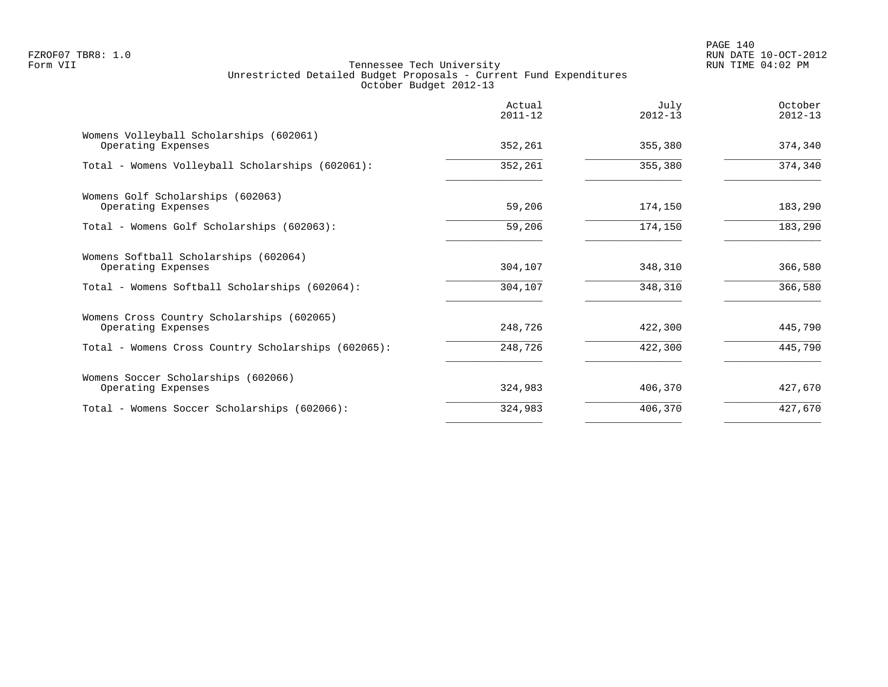|                                                                  | Actual<br>$2011 - 12$ | July<br>$2012 - 13$ | October<br>$2012 - 13$ |
|------------------------------------------------------------------|-----------------------|---------------------|------------------------|
| Womens Volleyball Scholarships (602061)<br>Operating Expenses    | 352,261               | 355,380             | 374,340                |
| Total - Womens Volleyball Scholarships (602061):                 | 352,261               | 355,380             | 374,340                |
| Womens Golf Scholarships (602063)<br>Operating Expenses          | 59,206                | 174,150             | 183,290                |
| Total - Womens Golf Scholarships (602063):                       | 59,206                | 174,150             | 183,290                |
| Womens Softball Scholarships (602064)<br>Operating Expenses      | 304,107               | 348,310             | 366,580                |
| Total - Womens Softball Scholarships (602064):                   | 304,107               | 348,310             | 366,580                |
| Womens Cross Country Scholarships (602065)<br>Operating Expenses | 248,726               | 422,300             | 445,790                |
| Total - Womens Cross Country Scholarships (602065):              | 248,726               | 422,300             | 445,790                |
| Womens Soccer Scholarships (602066)<br>Operating Expenses        | 324,983               | 406,370             | 427,670                |
| Total - Womens Soccer Scholarships (602066):                     | 324,983               | 406,370             | 427,670                |
|                                                                  |                       |                     |                        |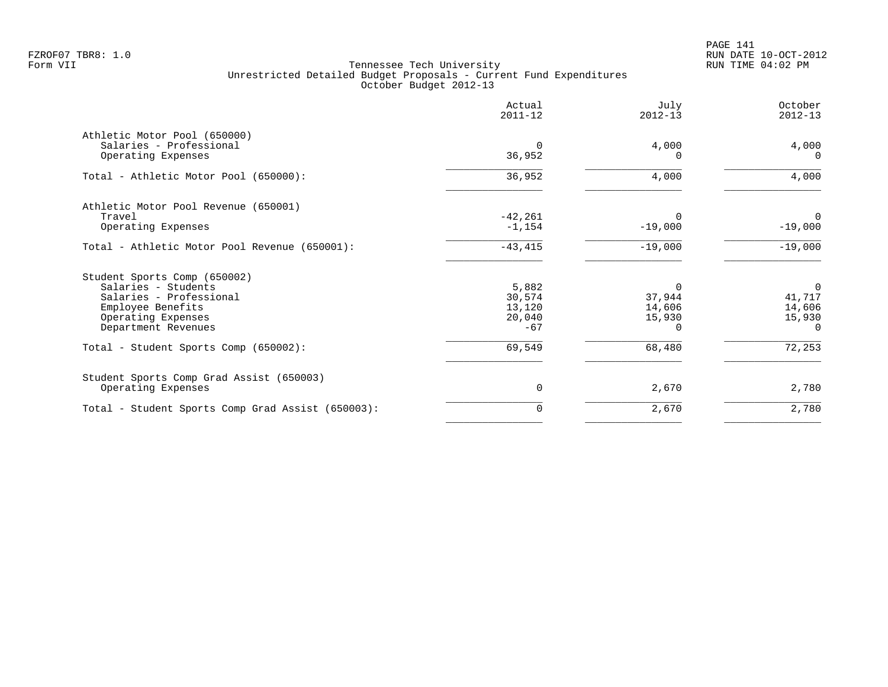PAGE 141 FZROF07 TBR8: 1.0 RUN DATE 10-OCT-2012

|                                                         | Actual<br>$2011 - 12$ | July<br>$2012 - 13$ | October<br>$2012 - 13$ |
|---------------------------------------------------------|-----------------------|---------------------|------------------------|
| Athletic Motor Pool (650000)<br>Salaries - Professional | $\Omega$              | 4,000               | 4,000                  |
| Operating Expenses                                      | 36,952                | O                   | $\Omega$               |
| Total - Athletic Motor Pool (650000):                   | 36,952                | 4,000               | 4,000                  |
| Athletic Motor Pool Revenue (650001)                    |                       |                     |                        |
| Travel                                                  | $-42,261$             |                     |                        |
| Operating Expenses                                      | $-1, 154$             | $-19,000$           | $-19,000$              |
| Total - Athletic Motor Pool Revenue (650001):           | $-43, 415$            | $-19,000$           | $-19,000$              |
| Student Sports Comp (650002)                            |                       |                     |                        |
| Salaries - Students                                     | 5,882                 | $\Omega$            | $\overline{0}$         |
| Salaries - Professional                                 | 30,574                | 37,944              | 41,717                 |
| Employee Benefits                                       | 13,120                | 14,606              | 14,606                 |
| Operating Expenses                                      | 20,040                | 15,930              | 15,930                 |
| Department Revenues                                     | $-67$                 |                     | $\Omega$               |
| Total - Student Sports Comp (650002):                   | 69,549                | 68,480              | 72,253                 |
| Student Sports Comp Grad Assist (650003)                |                       |                     |                        |
| Operating Expenses                                      | $\mathbf 0$           | 2,670               | 2,780                  |
| Total - Student Sports Comp Grad Assist (650003):       | 0                     | 2,670               | 2,780                  |
|                                                         |                       |                     |                        |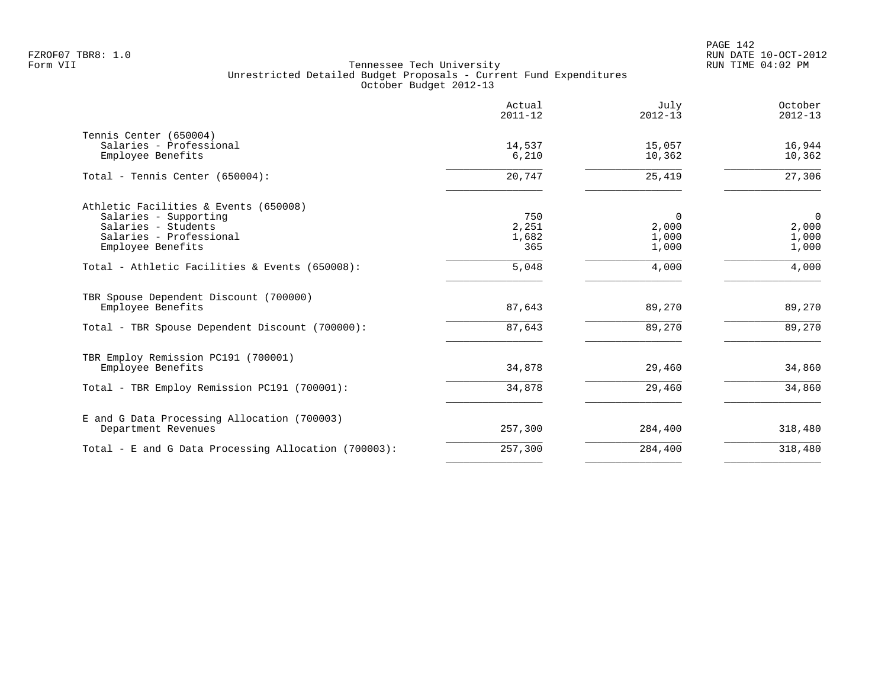|                                                             | Actual<br>$2011 - 12$ | July<br>$2012 - 13$ | October<br>$2012 - 13$ |
|-------------------------------------------------------------|-----------------------|---------------------|------------------------|
| Tennis Center (650004)<br>Salaries - Professional           | 14,537                | 15,057              | 16,944                 |
| Employee Benefits                                           | 6,210                 | 10,362              | 10,362                 |
| Total - Tennis Center (650004):                             | 20,747                | 25,419              | 27,306                 |
| Athletic Facilities & Events (650008)                       |                       |                     |                        |
| Salaries - Supporting                                       | 750                   | 0                   | $\overline{0}$         |
| Salaries - Students<br>Salaries - Professional              | 2,251<br>1,682        | 2,000<br>1,000      | 2,000<br>1,000         |
| Employee Benefits                                           | 365                   | 1,000               | 1,000                  |
| Total - Athletic Facilities & Events (650008):              | 5,048                 | 4,000               | 4,000                  |
| TBR Spouse Dependent Discount (700000)<br>Employee Benefits | 87,643                | 89,270              | 89,270                 |
| Total - TBR Spouse Dependent Discount (700000):             | 87,643                | 89,270              | 89,270                 |
| TBR Employ Remission PC191 (700001)                         |                       |                     |                        |
| Employee Benefits                                           | 34,878                | 29,460              | 34,860                 |
| Total - TBR Employ Remission PC191 (700001):                | 34,878                | 29,460              | 34,860                 |
| E and G Data Processing Allocation (700003)                 |                       |                     |                        |
| Department Revenues                                         | 257,300               | 284,400             | 318,480                |
| Total - E and G Data Processing Allocation (700003):        | 257,300               | 284,400             | 318,480                |
|                                                             |                       |                     |                        |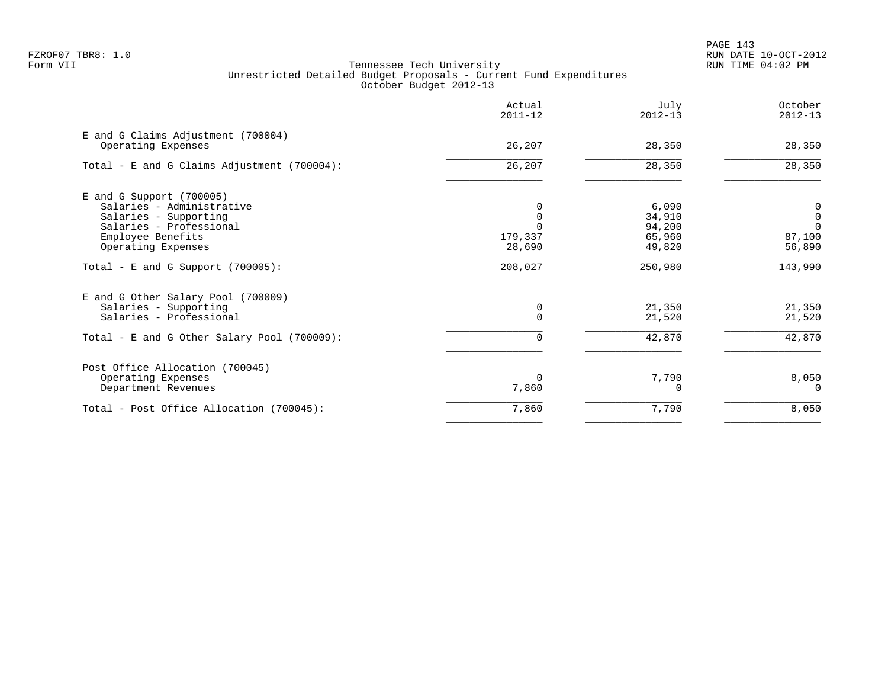|                                                                                                                                                      | Actual<br>$2011 - 12$ | July<br>$2012 - 13$                           | October<br>$2012 - 13$                                 |
|------------------------------------------------------------------------------------------------------------------------------------------------------|-----------------------|-----------------------------------------------|--------------------------------------------------------|
| E and G Claims Adjustment (700004)<br>Operating Expenses                                                                                             | 26,207                | 28,350                                        | 28,350                                                 |
| Total - E and G Claims Adjustment (700004):                                                                                                          | 26,207                | 28,350                                        | 28,350                                                 |
| E and G Support (700005)<br>Salaries - Administrative<br>Salaries - Supporting<br>Salaries - Professional<br>Employee Benefits<br>Operating Expenses | 179,337<br>28,690     | 6,090<br>34,910<br>94,200<br>65,960<br>49,820 | 0<br>$\mathbf 0$<br>$\overline{0}$<br>87,100<br>56,890 |
| Total - E and G Support $(700005)$ :                                                                                                                 | 208,027               | 250,980                                       | 143,990                                                |
| E and G Other Salary Pool (700009)<br>Salaries - Supporting<br>Salaries - Professional<br>Total - E and G Other Salary Pool (700009):                | 0                     | 21,350<br>21,520<br>42,870                    | 21,350<br>21,520<br>42,870                             |
| Post Office Allocation (700045)<br>Operating Expenses<br>Department Revenues                                                                         | $\Omega$<br>7,860     | 7,790                                         | 8,050<br>$\Omega$                                      |
| Total - Post Office Allocation (700045):                                                                                                             | 7,860                 | 7,790                                         | 8,050                                                  |
|                                                                                                                                                      |                       |                                               |                                                        |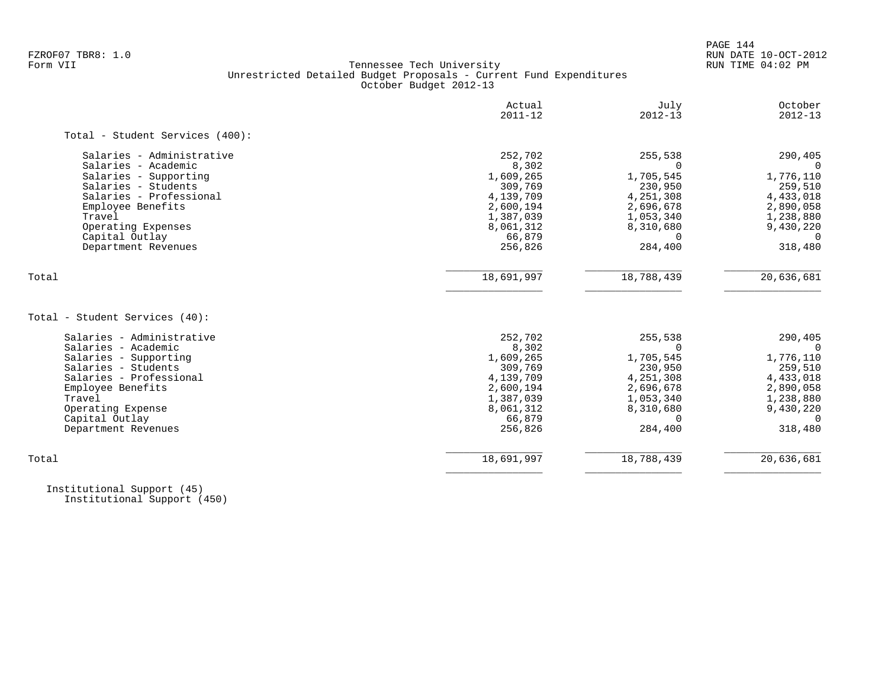PAGE 144

# FZROF07 TBR8: 1.0 RUN DATE 10-OCT-2012 Tennessee Tech University Unrestricted Detailed Budget Proposals - Current Fund Expenditures October Budget 2012-13

|                                 | Actual<br>$2011 - 12$ | July<br>$2012 - 13$ | October<br>$2012 - 13$ |
|---------------------------------|-----------------------|---------------------|------------------------|
| Total - Student Services (400): |                       |                     |                        |
| Salaries - Administrative       | 252,702               | 255,538             | 290,405                |
| Salaries - Academic             | 8,302                 |                     | $\Omega$               |
| Salaries - Supporting           | 1,609,265             | 1,705,545           | 1,776,110              |
| Salaries - Students             | 309,769               | 230,950             | 259,510                |
| Salaries - Professional         | 4,139,709             | 4,251,308           | 4,433,018              |
| Employee Benefits               | 2,600,194             | 2,696,678           | 2,890,058              |
| Travel                          | 1,387,039             | 1,053,340           | 1,238,880              |
| Operating Expenses              | 8,061,312             | 8,310,680           | 9,430,220              |
| Capital Outlay                  | 66,879                | $\Omega$            | $\Omega$               |
| Department Revenues             | 256,826               | 284,400             | 318,480                |
| Total                           | 18,691,997            | 18,788,439          | 20,636,681             |
| Total - Student Services (40):  |                       |                     |                        |
| Salaries - Administrative       | 252,702               | 255,538             | 290,405                |
| Salaries - Academic             | 8,302                 | $\Omega$            | 0                      |
| Salaries - Supporting           | 1,609,265             | 1,705,545           | 1,776,110              |
| Salaries - Students             | 309,769               | 230,950             | 259,510                |
| Salaries - Professional         | 4,139,709             | 4,251,308           | 4,433,018              |
| Employee Benefits               | 2,600,194             | 2,696,678           | 2,890,058              |
| Travel                          | 1,387,039             | 1,053,340           | 1,238,880              |
| Operating Expense               | 8,061,312             | 8,310,680           | 9,430,220              |
| Capital Outlay                  | 66,879                | $\Omega$            | $\Omega$               |
| Department Revenues             | 256,826               | 284,400             | 318,480                |
|                                 |                       |                     |                        |

 Institutional Support (45) Institutional Support (450)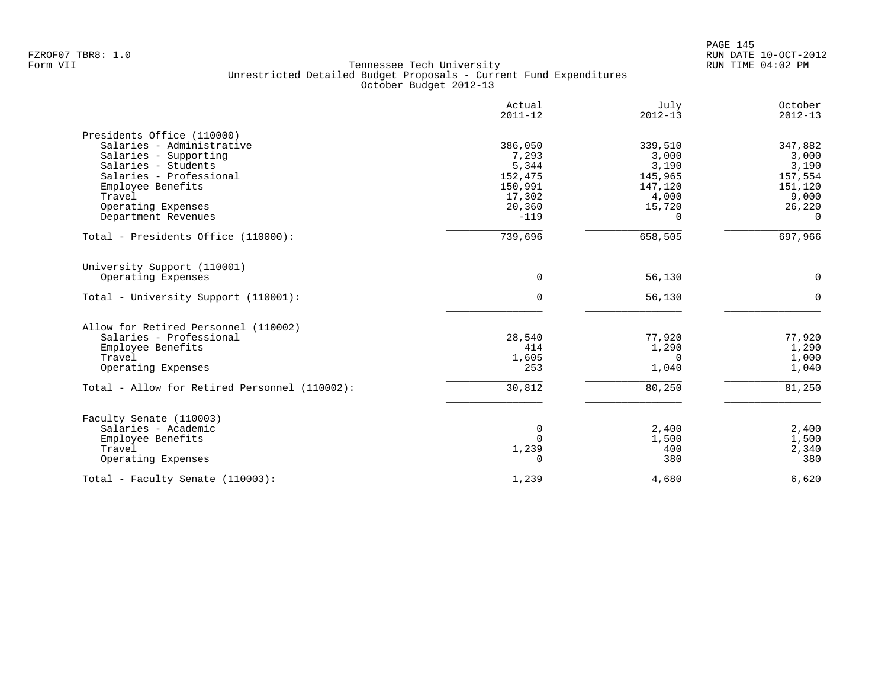|                                               | Actual<br>$2011 - 12$ | July<br>$2012 - 13$ | October<br>$2012 - 13$ |
|-----------------------------------------------|-----------------------|---------------------|------------------------|
| Presidents Office (110000)                    |                       |                     |                        |
| Salaries - Administrative                     | 386,050               | 339,510             | 347,882                |
| Salaries - Supporting                         | 7,293                 | 3,000               | 3,000                  |
| Salaries - Students                           | 5,344                 | 3,190               | 3,190                  |
| Salaries - Professional                       | 152,475               | 145,965             | 157,554                |
| Employee Benefits                             | 150,991               | 147,120             | 151,120                |
| Travel                                        | 17,302                | 4,000               | 9,000                  |
| Operating Expenses                            | 20,360                | 15,720              | 26,220                 |
| Department Revenues                           | $-119$                | $\Omega$            | $\Omega$               |
| Total - Presidents Office (110000):           | 739,696               | 658,505             | 697,966                |
| University Support (110001)                   |                       |                     |                        |
| Operating Expenses                            | $\mathbf 0$           | 56,130              | $\mathsf 0$            |
| Total - University Support (110001):          | $\Omega$              | 56,130              | $\Omega$               |
| Allow for Retired Personnel (110002)          |                       |                     |                        |
| Salaries - Professional                       | 28,540                | 77,920              | 77,920                 |
| Employee Benefits                             | 414                   | 1,290               | 1,290                  |
| Travel                                        | 1,605                 | $\Omega$            | 1,000                  |
| Operating Expenses                            | 253                   | 1,040               | 1,040                  |
| Total - Allow for Retired Personnel (110002): | 30,812                | 80,250              | 81,250                 |
| Faculty Senate (110003)                       |                       |                     |                        |
| Salaries - Academic                           | 0                     | 2,400               | 2,400                  |
| Employee Benefits                             | $\Omega$              | 1,500               | 1,500                  |
| Travel                                        | 1,239                 | 400                 | 2,340                  |
| Operating Expenses                            | $\Omega$              | 380                 | 380                    |
| Total - Faculty Senate (110003):              | 1,239                 | 4,680               | 6,620                  |
|                                               |                       |                     |                        |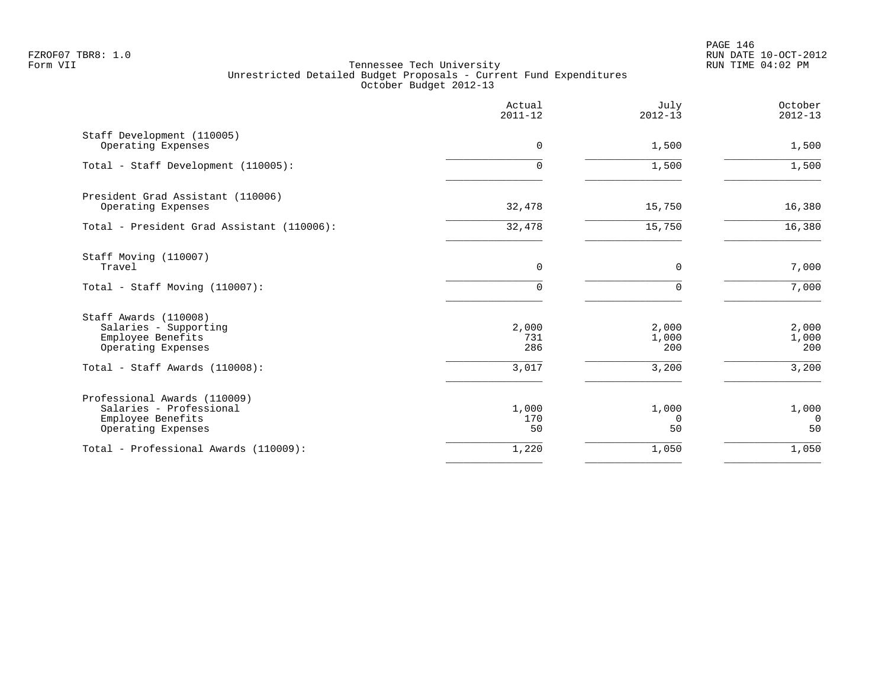PAGE 146 FZROF07 TBR8: 1.0 RUN DATE 10-OCT-2012

|                                                                                                    | Actual<br>$2011 - 12$ | July<br>$2012 - 13$     | October<br>$2012 - 13$  |
|----------------------------------------------------------------------------------------------------|-----------------------|-------------------------|-------------------------|
| Staff Development (110005)<br>Operating Expenses                                                   | $\mathbf 0$           | 1,500                   | 1,500                   |
| Total - Staff Development (110005):                                                                | 0                     | 1,500                   | 1,500                   |
| President Grad Assistant (110006)<br>Operating Expenses                                            | 32,478                | 15,750                  | 16,380                  |
| Total - President Grad Assistant (110006):                                                         | 32,478                | 15,750                  | 16,380                  |
| Staff Moving (110007)<br>Travel                                                                    | 0                     | 0                       | 7,000                   |
| Total - Staff Moving (110007):                                                                     | 0                     | $\Omega$                | 7,000                   |
| Staff Awards (110008)<br>Salaries - Supporting<br>Employee Benefits<br>Operating Expenses          | 2,000<br>731<br>286   | 2,000<br>1,000<br>200   | 2,000<br>1,000<br>200   |
| Total - Staff Awards (110008):                                                                     | 3,017                 | 3,200                   | 3,200                   |
| Professional Awards (110009)<br>Salaries - Professional<br>Employee Benefits<br>Operating Expenses | 1,000<br>170<br>50    | 1,000<br>$\Omega$<br>50 | 1,000<br>$\Omega$<br>50 |
| Total - Professional Awards (110009):                                                              | 1,220                 | 1,050                   | 1,050                   |
|                                                                                                    |                       |                         |                         |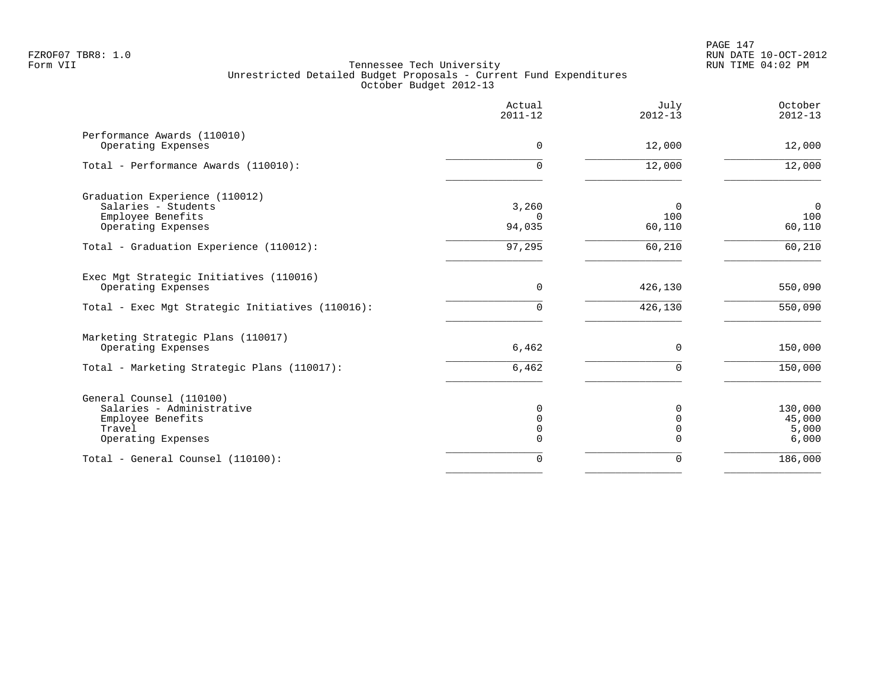|                                                                                                            | Actual<br>$2011 - 12$                          | July<br>$2012 - 13$                   | October<br>$2012 - 13$              |
|------------------------------------------------------------------------------------------------------------|------------------------------------------------|---------------------------------------|-------------------------------------|
| Performance Awards (110010)<br>Operating Expenses                                                          | 0                                              | 12,000                                | 12,000                              |
| Total - Performance Awards (110010):                                                                       | $\Omega$                                       | 12,000                                | 12,000                              |
| Graduation Experience (110012)<br>Salaries - Students<br>Employee Benefits<br>Operating Expenses           | 3,260<br>$\Omega$<br>94,035                    | $\Omega$<br>100<br>60,110             | $\overline{0}$<br>100<br>60,110     |
| Total - Graduation Experience (110012):                                                                    | 97,295                                         | 60,210                                | 60,210                              |
| Exec Mgt Strategic Initiatives (110016)<br>Operating Expenses                                              | 0                                              | 426,130                               | 550,090                             |
| Total - Exec Mgt Strategic Initiatives (110016):                                                           | $\mathbf 0$                                    | 426,130                               | 550,090                             |
| Marketing Strategic Plans (110017)<br>Operating Expenses                                                   | 6,462                                          | 0                                     | 150,000                             |
| Total - Marketing Strategic Plans (110017):                                                                | 6,462                                          | $\Omega$                              | 150,000                             |
| General Counsel (110100)<br>Salaries - Administrative<br>Employee Benefits<br>Travel<br>Operating Expenses | $\mathbf 0$<br>$\mathbf 0$<br>$\mathbf 0$<br>0 | 0<br>$\Omega$<br>$\Omega$<br>$\Omega$ | 130,000<br>45,000<br>5,000<br>6,000 |
| Total - General Counsel (110100):                                                                          | $\mathbf 0$                                    | 0                                     | 186,000                             |
|                                                                                                            |                                                |                                       |                                     |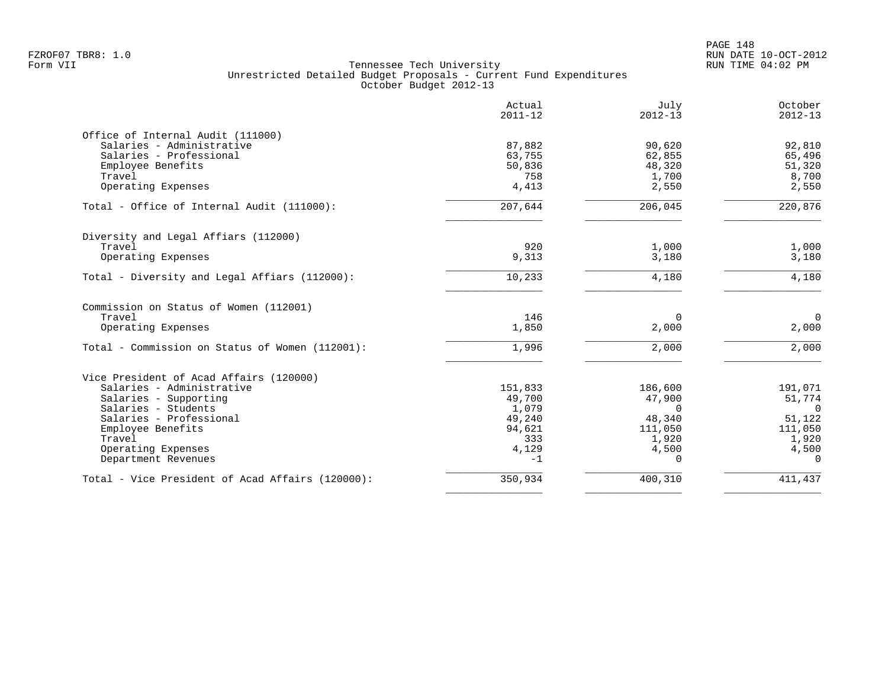|                                                  | Actual<br>$2011 - 12$ | July<br>$2012 - 13$ | October<br>$2012 - 13$ |
|--------------------------------------------------|-----------------------|---------------------|------------------------|
| Office of Internal Audit (111000)                |                       |                     |                        |
| Salaries - Administrative                        | 87,882                | 90,620              | 92,810                 |
| Salaries - Professional                          | 63,755                | 62,855              | 65,496                 |
| Employee Benefits                                | 50,836                | 48,320              | 51,320                 |
| Travel                                           | 758                   | 1,700               | 8,700                  |
| Operating Expenses                               | 4,413                 | 2,550               | 2,550                  |
| Total - Office of Internal Audit (111000):       | 207,644               | 206,045             | 220,876                |
| Diversity and Legal Affiars (112000)             |                       |                     |                        |
| Travel                                           | 920                   | 1,000               | 1,000                  |
| Operating Expenses                               | 9,313                 | 3,180               | 3,180                  |
| Total - Diversity and Legal Affiars (112000):    | 10,233                | 4,180               | 4,180                  |
| Commission on Status of Women (112001)           |                       |                     |                        |
| Travel                                           | 146                   | $\Omega$            | $\mathbf 0$            |
| Operating Expenses                               | 1,850                 | 2,000               | 2,000                  |
| Total - Commission on Status of Women (112001):  | 1,996                 | 2,000               | 2,000                  |
| Vice President of Acad Affairs (120000)          |                       |                     |                        |
| Salaries - Administrative                        | 151,833               | 186,600             | 191,071                |
| Salaries - Supporting                            | 49,700                | 47,900              | 51,774                 |
| Salaries - Students                              | 1,079                 | $\Omega$            | $\Omega$               |
| Salaries - Professional                          | 49,240                | 48,340              | 51,122                 |
| Employee Benefits                                | 94,621                | 111,050             | 111,050                |
| Travel                                           | 333                   | 1,920               | 1,920                  |
| Operating Expenses                               | 4,129                 | 4,500               | 4,500                  |
| Department Revenues                              | $-1$                  | $\Omega$            | $\Omega$               |
| Total - Vice President of Acad Affairs (120000): | 350,934               | 400,310             | 411,437                |
|                                                  |                       |                     |                        |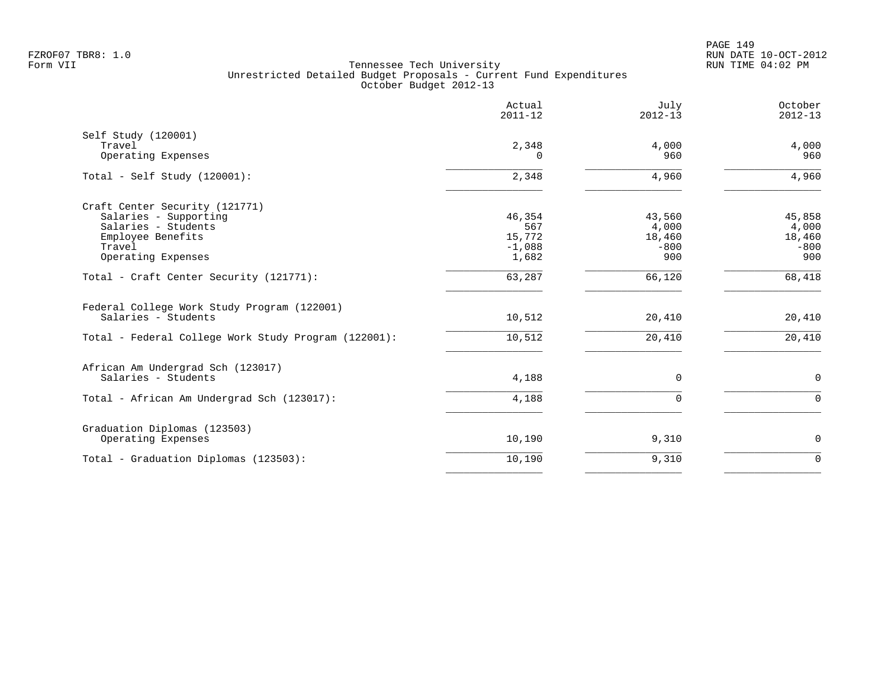|                                                                    | Actual<br>$2011 - 12$ | July<br>$2012 - 13$ | October<br>$2012 - 13$ |
|--------------------------------------------------------------------|-----------------------|---------------------|------------------------|
| Self Study (120001)                                                |                       |                     |                        |
| Travel                                                             | 2,348                 | 4,000               | 4,000                  |
| Operating Expenses                                                 | $^{(1)}$              | 960                 | 960                    |
| Total - Self Study $(120001)$ :                                    | 2,348                 | 4,960               | 4,960                  |
| Craft Center Security (121771)                                     |                       |                     |                        |
| Salaries - Supporting                                              | 46,354                | 43,560              | 45,858                 |
| Salaries - Students                                                | 567                   | 4,000               | 4,000                  |
| Employee Benefits                                                  | 15,772                | 18,460              | 18,460                 |
| Travel                                                             | $-1,088$              | $-800$              | $-800$                 |
| Operating Expenses                                                 | 1,682                 | 900                 | 900                    |
| Total - Craft Center Security (121771):                            | 63,287                | 66,120              | 68,418                 |
| Federal College Work Study Program (122001)<br>Salaries - Students |                       |                     |                        |
|                                                                    | 10,512                | 20,410              | 20,410                 |
| Total - Federal College Work Study Program (122001):               | 10,512                | 20,410              | 20,410                 |
| African Am Undergrad Sch (123017)                                  |                       |                     |                        |
| Salaries - Students                                                | 4,188                 | $\mathbf 0$         | $\mathbf 0$            |
| Total - African Am Undergrad Sch (123017):                         | 4,188                 | $\mathbf 0$         | $\mathbf 0$            |
| Graduation Diplomas (123503)                                       |                       |                     |                        |
| Operating Expenses                                                 | 10,190                | 9,310               | $\mathsf{O}$           |
| Total - Graduation Diplomas (123503):                              | 10,190                | 9,310               | $\mathbf 0$            |
|                                                                    |                       |                     |                        |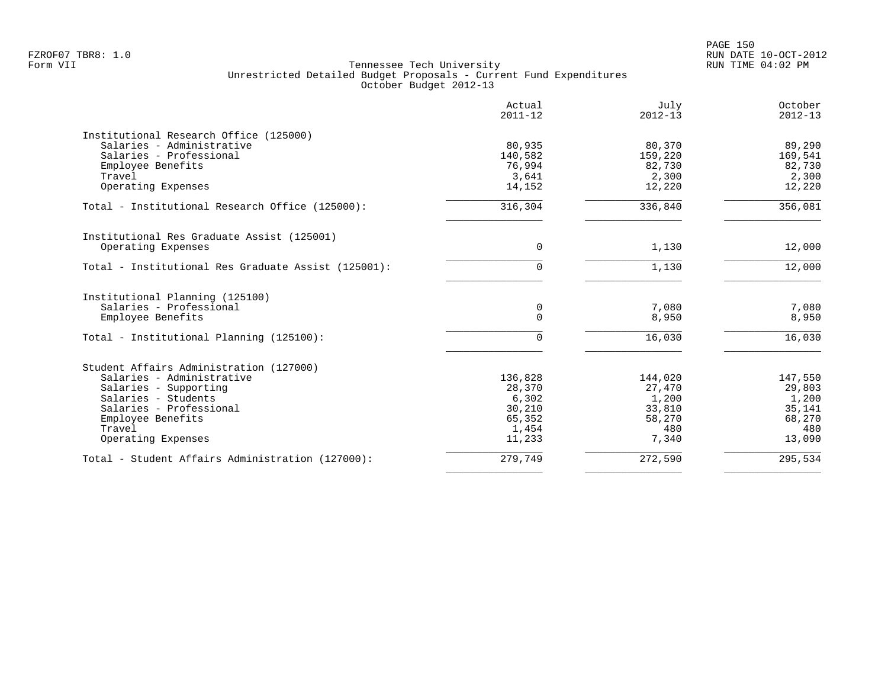|                                                     | Actual<br>$2011 - 12$ | July<br>$2012 - 13$ | October<br>$2012 - 13$ |
|-----------------------------------------------------|-----------------------|---------------------|------------------------|
| Institutional Research Office (125000)              |                       |                     |                        |
| Salaries - Administrative                           | 80,935                | 80,370              | 89,290                 |
| Salaries - Professional                             | 140,582               | 159,220             | 169,541                |
| Employee Benefits<br>Travel                         | 76,994<br>3,641       | 82,730<br>2,300     | 82,730<br>2,300        |
| Operating Expenses                                  | 14,152                | 12,220              | 12,220                 |
| Total - Institutional Research Office (125000):     | 316,304               | 336,840             | 356,081                |
| Institutional Res Graduate Assist (125001)          |                       |                     |                        |
| Operating Expenses                                  | 0                     | 1,130               | 12,000                 |
| Total - Institutional Res Graduate Assist (125001): | 0                     | 1,130               | 12,000                 |
| Institutional Planning (125100)                     |                       |                     |                        |
| Salaries - Professional                             | 0                     | 7,080               | 7,080                  |
| Employee Benefits                                   | 0                     | 8,950               | 8,950                  |
| Total - Institutional Planning (125100):            | 0                     | 16,030              | 16,030                 |
| Student Affairs Administration (127000)             |                       |                     |                        |
| Salaries - Administrative                           | 136,828               | 144,020             | 147,550                |
| Salaries - Supporting                               | 28,370                | 27,470              | 29,803                 |
| Salaries - Students                                 | 6,302                 | 1,200               | 1,200                  |
| Salaries - Professional                             | 30,210                | 33,810              | 35,141                 |
| Employee Benefits                                   | 65,352                | 58,270              | 68,270                 |
| Travel                                              | 1,454<br>11,233       | 480                 | 480<br>13,090          |
| Operating Expenses                                  |                       | 7,340               |                        |
| Total - Student Affairs Administration (127000):    | 279,749               | 272,590             | 295,534                |
|                                                     |                       |                     |                        |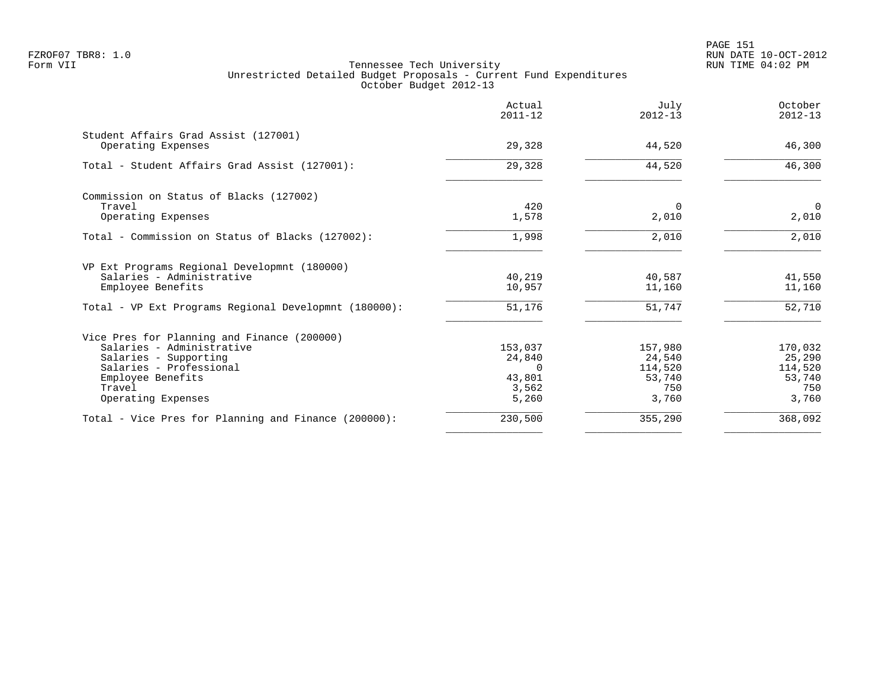|                                                       | Actual<br>$2011 - 12$ | July<br>$2012 - 13$ | October<br>$2012 - 13$ |
|-------------------------------------------------------|-----------------------|---------------------|------------------------|
| Student Affairs Grad Assist (127001)                  |                       |                     |                        |
| Operating Expenses                                    | 29,328                | 44,520              | 46,300                 |
| Total - Student Affairs Grad Assist (127001):         | 29,328                | 44,520              | 46,300                 |
| Commission on Status of Blacks (127002)               |                       |                     |                        |
| Travel                                                | 420                   | $\Omega$            | 0                      |
| Operating Expenses                                    | 1,578                 | 2,010               | 2,010                  |
| Total - Commission on Status of Blacks (127002):      | 1,998                 | 2,010               | 2,010                  |
| VP Ext Programs Regional Developmnt (180000)          |                       |                     |                        |
| Salaries - Administrative                             | 40,219                | 40,587              | 41,550                 |
| Employee Benefits                                     | 10,957                | 11,160              | 11,160                 |
| Total - VP Ext Programs Regional Developmnt (180000): | 51,176                | 51,747              | $\overline{52,710}$    |
| Vice Pres for Planning and Finance (200000)           |                       |                     |                        |
| Salaries - Administrative                             | 153,037               | 157,980             | 170,032                |
| Salaries - Supporting                                 | 24,840                | 24,540              | 25,290                 |
| Salaries - Professional                               | $\Omega$              | 114,520             | 114,520                |
| Employee Benefits                                     | 43,801                | 53,740              | 53,740                 |
| Travel                                                | 3,562                 | 750                 | 750                    |
| Operating Expenses                                    | 5,260                 | 3,760               | 3,760                  |
| Total - Vice Pres for Planning and Finance (200000):  | 230,500               | 355,290             | 368,092                |
|                                                       |                       |                     |                        |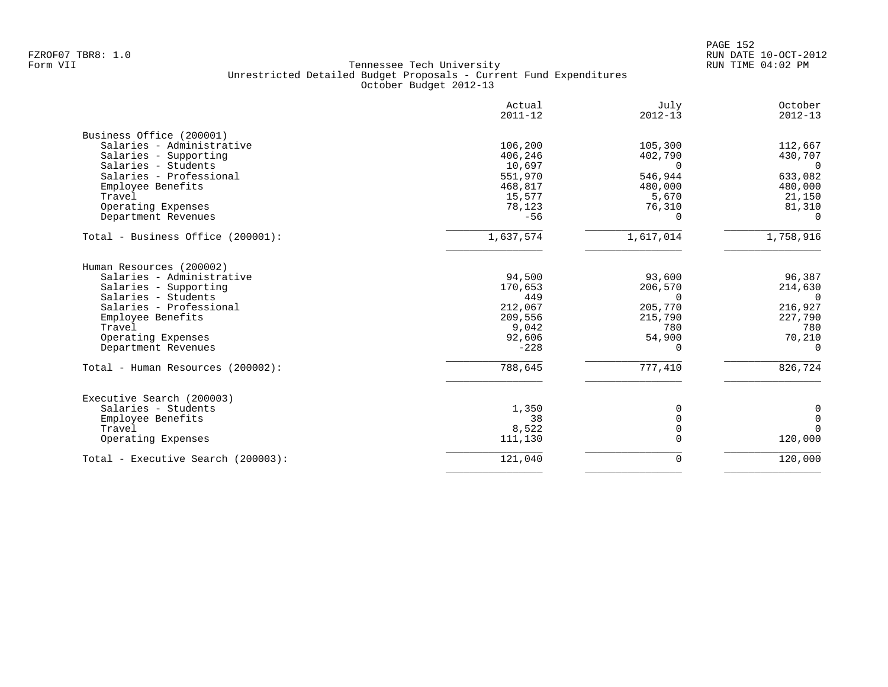|                                    | Actual<br>$2011 - 12$ | July<br>$2012 - 13$ | October<br>$2012 - 13$ |
|------------------------------------|-----------------------|---------------------|------------------------|
| Business Office (200001)           |                       |                     |                        |
| Salaries - Administrative          | 106,200               | 105,300             | 112,667                |
| Salaries - Supporting              | 406,246               | 402,790             | 430,707                |
| Salaries - Students                | 10,697                | $\Omega$            | $\Omega$               |
| Salaries - Professional            | 551,970               | 546,944             | 633,082                |
| Employee Benefits                  | 468,817               | 480,000             | 480,000                |
| Travel                             | 15,577                | 5,670               | 21,150                 |
| Operating Expenses                 | 78,123                | 76,310              | 81,310                 |
| Department Revenues                | $-56$                 | $\Omega$            | $\Omega$               |
| Total - Business Office (200001):  | 1,637,574             | 1,617,014           | 1,758,916              |
| Human Resources (200002)           |                       |                     |                        |
| Salaries - Administrative          | 94,500                | 93,600              | 96,387                 |
| Salaries - Supporting              | 170,653               | 206,570             | 214,630                |
| Salaries - Students                | 449                   | $\Omega$            | $\Omega$               |
| Salaries - Professional            | 212,067               | 205,770             | 216,927                |
| Employee Benefits                  | 209,556               | 215,790             | 227,790                |
| Travel                             | 9,042                 | 780                 | 780                    |
| Operating Expenses                 | 92,606                | 54,900              | 70,210                 |
| Department Revenues                | $-228$                | $\Omega$            | $\Omega$               |
| Total - Human Resources (200002):  | 788,645               | 777,410             | 826,724                |
| Executive Search (200003)          |                       |                     |                        |
| Salaries - Students                | 1,350                 | 0                   | 0                      |
| Employee Benefits                  | 38                    | $\mathbf 0$         | $\mathbf{0}$           |
| Travel                             | 8,522                 | $\mathbf 0$         | $\Omega$               |
| Operating Expenses                 | 111,130               | 0                   | 120,000                |
| Total - Executive Search (200003): | 121,040               | 0                   | 120,000                |
|                                    |                       |                     |                        |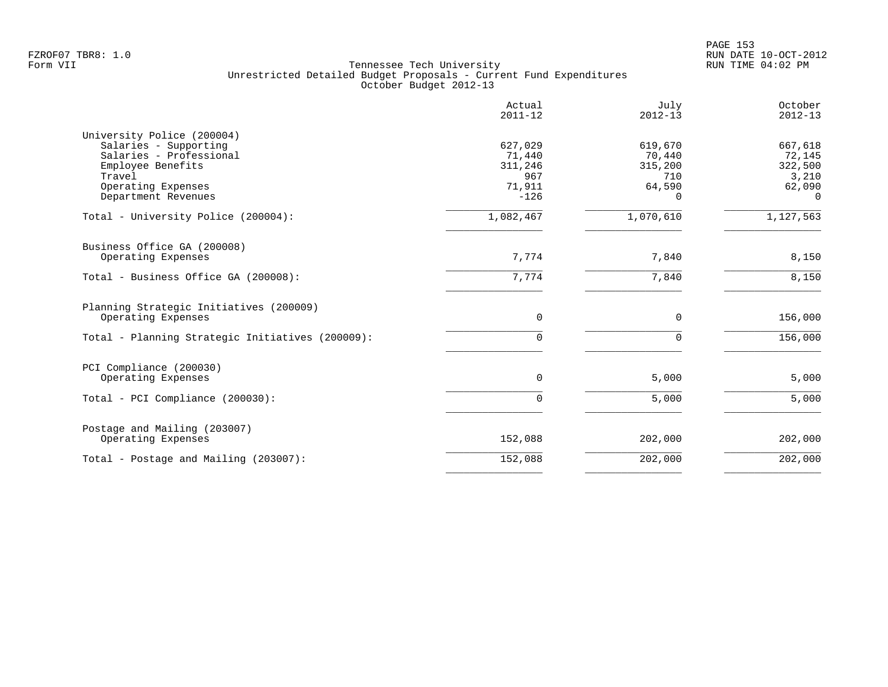PAGE 153 FZROF07 TBR8: 1.0 RUN DATE 10-OCT-2012

|                                                                                                                                                            | Actual<br>$2011 - 12$                                   | July<br>$2012 - 13$                                | October<br>$2012 - 13$                                      |
|------------------------------------------------------------------------------------------------------------------------------------------------------------|---------------------------------------------------------|----------------------------------------------------|-------------------------------------------------------------|
| University Police (200004)<br>Salaries - Supporting<br>Salaries - Professional<br>Employee Benefits<br>Travel<br>Operating Expenses<br>Department Revenues | 627,029<br>71,440<br>311,246<br>967<br>71,911<br>$-126$ | 619,670<br>70,440<br>315,200<br>710<br>64,590<br>0 | 667,618<br>72,145<br>322,500<br>3,210<br>62,090<br>$\Omega$ |
| Total - University Police (200004):                                                                                                                        | 1,082,467                                               | 1,070,610                                          | 1,127,563                                                   |
| Business Office GA (200008)<br>Operating Expenses                                                                                                          | 7,774                                                   | 7,840                                              | 8,150                                                       |
| Total - Business Office GA (200008):                                                                                                                       | 7,774                                                   | 7,840                                              | 8,150                                                       |
| Planning Strategic Initiatives (200009)<br>Operating Expenses                                                                                              | $\mathbf 0$                                             | $\mathbf 0$                                        | 156,000                                                     |
| Total - Planning Strategic Initiatives (200009):                                                                                                           | 0                                                       | $\mathbf 0$                                        | 156,000                                                     |
| PCI Compliance (200030)<br>Operating Expenses                                                                                                              | 0                                                       | 5,000                                              | 5,000                                                       |
| Total - PCI Compliance (200030):                                                                                                                           | 0                                                       | 5,000                                              | 5,000                                                       |
| Postage and Mailing (203007)<br>Operating Expenses                                                                                                         | 152,088                                                 | 202,000                                            | 202,000                                                     |
| Total - Postage and Mailing (203007):                                                                                                                      | 152,088                                                 | 202,000                                            | 202,000                                                     |
|                                                                                                                                                            |                                                         |                                                    |                                                             |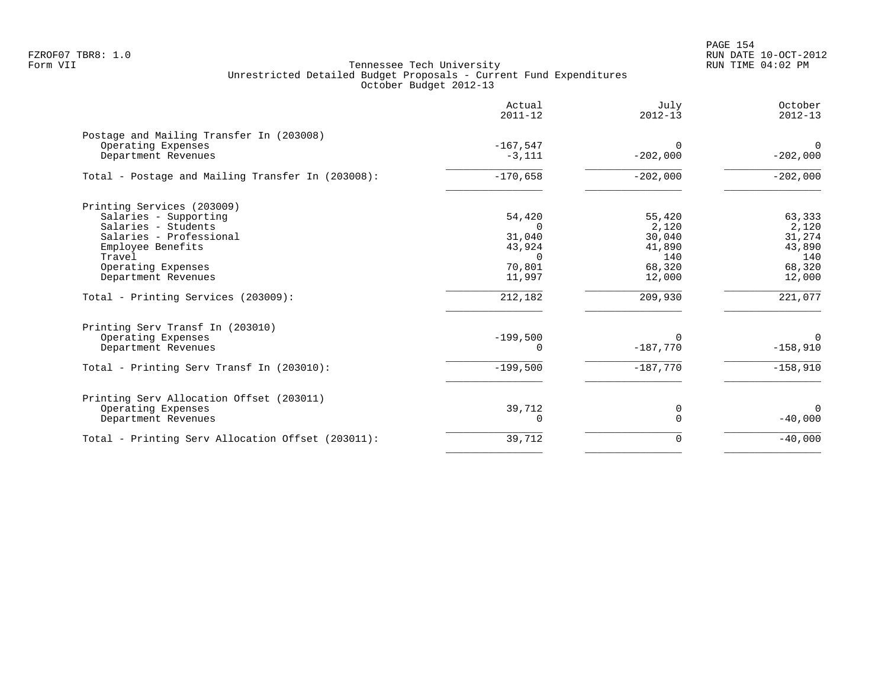PAGE 154 FZROF07 TBR8: 1.0 RUN DATE 10-OCT-2012

|                                                   | Actual<br>$2011 - 12$ | July<br>$2012 - 13$ | October<br>$2012 - 13$ |
|---------------------------------------------------|-----------------------|---------------------|------------------------|
| Postage and Mailing Transfer In (203008)          |                       |                     |                        |
| Operating Expenses                                | $-167,547$            | $\Omega$            | $\mathbf 0$            |
| Department Revenues                               | $-3,111$              | $-202,000$          | $-202,000$             |
| Total - Postage and Mailing Transfer In (203008): | $-170,658$            | $-202,000$          | $-202,000$             |
| Printing Services (203009)                        |                       |                     |                        |
| Salaries - Supporting                             | 54,420                | 55,420              | 63,333                 |
| Salaries - Students                               |                       | 2,120               | 2,120                  |
| Salaries - Professional                           | 31,040                | 30,040              | 31,274                 |
| Employee Benefits                                 | 43,924                | 41,890              | 43,890                 |
| Travel                                            | $\Omega$              | 140                 | 140                    |
| Operating Expenses                                | 70,801                | 68,320              | 68,320                 |
| Department Revenues                               | 11,997                | 12,000              | 12,000                 |
| Total - Printing Services (203009):               | 212,182               | 209,930             | 221,077                |
| Printing Serv Transf In (203010)                  |                       |                     |                        |
| Operating Expenses                                | $-199,500$            | $\Omega$            | $\overline{0}$         |
| Department Revenues                               | 0                     | $-187,770$          | $-158,910$             |
| Total - Printing Serv Transf In (203010):         | $-199,500$            | $-187,770$          | $-158,910$             |
| Printing Serv Allocation Offset (203011)          |                       |                     |                        |
| Operating Expenses                                | 39,712                | 0                   | $\Omega$               |
| Department Revenues                               | 0                     |                     | $-40,000$              |
| Total - Printing Serv Allocation Offset (203011): | 39,712                | $\Omega$            | $-40,000$              |
|                                                   |                       |                     |                        |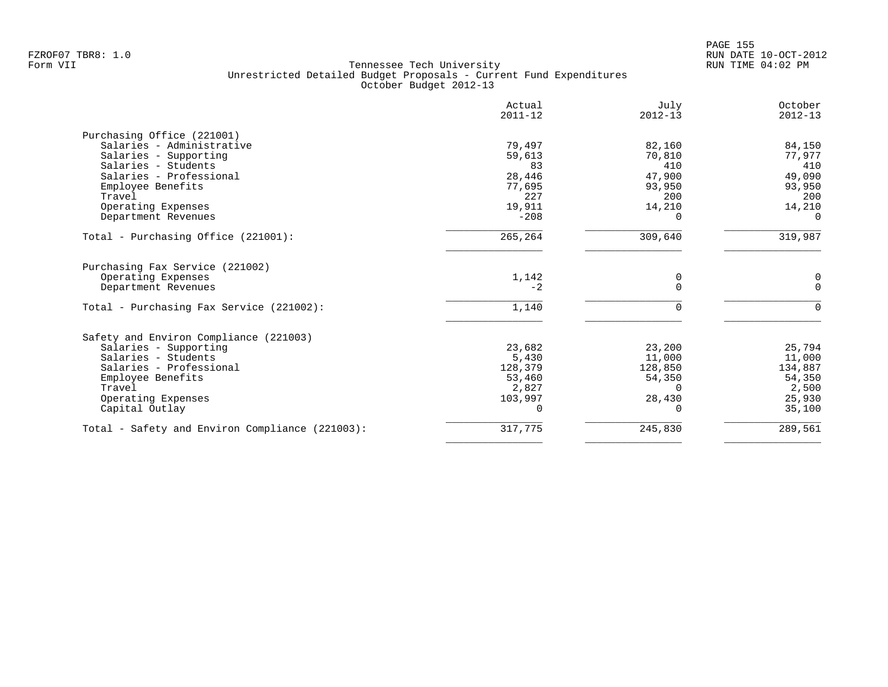|                                                 | Actual<br>$2011 - 12$ | July<br>$2012 - 13$ | October<br>$2012 - 13$ |
|-------------------------------------------------|-----------------------|---------------------|------------------------|
| Purchasing Office (221001)                      |                       |                     |                        |
| Salaries - Administrative                       | 79,497                | 82,160              | 84,150                 |
| Salaries - Supporting                           | 59,613                | 70,810              | 77,977                 |
| Salaries - Students                             | 83                    | 410                 | 410                    |
| Salaries - Professional                         | 28,446                | 47,900              | 49,090                 |
| Employee Benefits                               | 77,695                | 93,950              | 93,950                 |
| Travel                                          | 227                   | 200                 | 200                    |
| Operating Expenses                              | 19,911                | 14,210              | 14,210                 |
| Department Revenues                             | $-208$                | 0                   | $\Omega$               |
| Total - Purchasing Office (221001):             | 265,264               | 309,640             | 319,987                |
| Purchasing Fax Service (221002)                 |                       |                     |                        |
| Operating Expenses                              | 1,142                 | 0                   | 0                      |
| Department Revenues                             | $-2$                  | $\Omega$            | $\mathbf 0$            |
| Total - Purchasing Fax Service (221002):        | 1,140                 |                     | ∩                      |
| Safety and Environ Compliance (221003)          |                       |                     |                        |
| Salaries - Supporting                           | 23,682                | 23,200              | 25,794                 |
| Salaries - Students                             | 5,430                 | 11,000              | 11,000                 |
| Salaries - Professional                         | 128,379               | 128,850             | 134,887                |
| Employee Benefits                               | 53,460                | 54,350              | 54,350                 |
| Travel                                          | 2,827                 | $\Omega$            | 2,500                  |
| Operating Expenses                              | 103,997               | 28,430              | 25,930                 |
| Capital Outlay                                  | $\Omega$              | 0                   | 35,100                 |
| Total - Safety and Environ Compliance (221003): | 317,775               | 245,830             | 289,561                |
|                                                 |                       |                     |                        |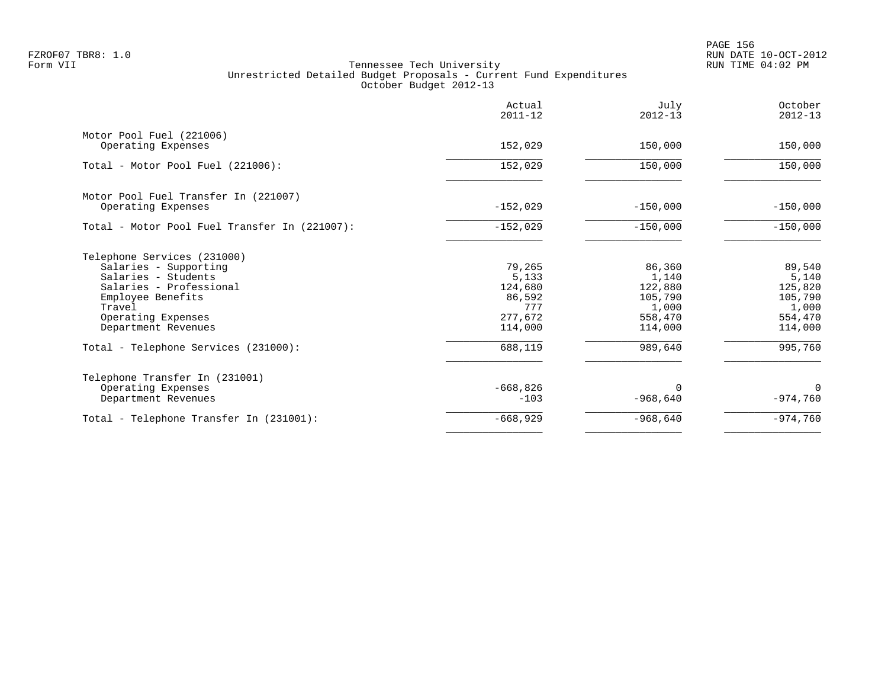en and the set of the set of the set of the set of the set of the set of the set of the set of the set of the set of the set of the set of the set of the set of the set of the set of the set of the set of the set of the se FZROF07 TBR8: 1.0 RUN DATE 10-OCT-2012

|                                               | Actual<br>$2011 - 12$ | July<br>$2012 - 13$ | October<br>$2012 - 13$ |
|-----------------------------------------------|-----------------------|---------------------|------------------------|
| Motor Pool Fuel (221006)                      |                       |                     |                        |
| Operating Expenses                            | 152,029               | 150,000             | 150,000                |
| Total - Motor Pool Fuel (221006):             | 152,029               | 150,000             | 150,000                |
| Motor Pool Fuel Transfer In (221007)          |                       |                     |                        |
| Operating Expenses                            | $-152,029$            | $-150,000$          | $-150,000$             |
| Total - Motor Pool Fuel Transfer In (221007): | $-152,029$            | $-150,000$          | $-150,000$             |
| Telephone Services (231000)                   |                       |                     |                        |
| Salaries - Supporting                         | 79,265                | 86,360              | 89,540                 |
| Salaries - Students                           | 5,133                 | 1,140               | 5,140                  |
| Salaries - Professional                       | 124,680               | 122,880             | 125,820                |
| Employee Benefits                             | 86,592<br>777         | 105,790             | 105,790                |
| Travel                                        | 277,672               | 1,000<br>558,470    | 1,000<br>554,470       |
| Operating Expenses<br>Department Revenues     | 114,000               | 114,000             | 114,000                |
| Total - Telephone Services (231000):          | 688,119               | 989,640             | 995,760                |
| Telephone Transfer In (231001)                |                       |                     |                        |
| Operating Expenses                            | $-668,826$            | $\Omega$            | $\Omega$               |
| Department Revenues                           | $-103$                | $-968,640$          | $-974,760$             |
| Total - Telephone Transfer In (231001):       | $-668,929$            | $-968,640$          | $-974,760$             |
|                                               |                       |                     |                        |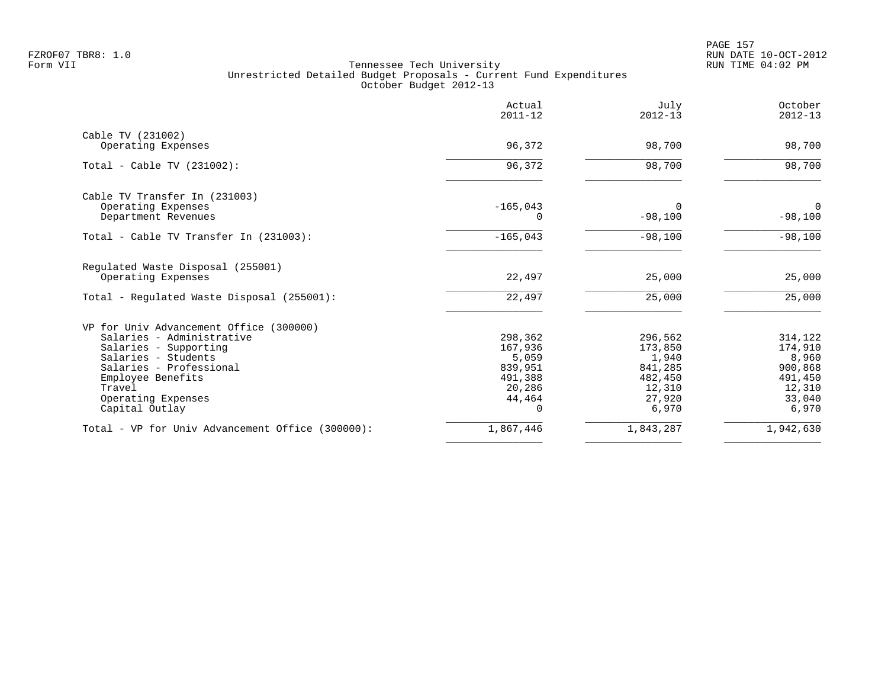| Actual<br>$2011 - 12$ | July<br>$2012 - 13$                                                       | October<br>$2012 - 13$                                                            |
|-----------------------|---------------------------------------------------------------------------|-----------------------------------------------------------------------------------|
|                       |                                                                           |                                                                                   |
|                       |                                                                           | 98,700                                                                            |
| 96,372                | 98,700                                                                    | 98,700                                                                            |
|                       |                                                                           |                                                                                   |
| $-165,043$            | $\Omega$                                                                  | $\mathbf 0$                                                                       |
|                       |                                                                           | $-98,100$                                                                         |
| $-165,043$            | $-98,100$                                                                 | $-98,100$                                                                         |
|                       |                                                                           |                                                                                   |
| 22,497                | 25,000                                                                    | 25,000                                                                            |
| 22,497                | 25,000                                                                    | 25,000                                                                            |
|                       |                                                                           |                                                                                   |
| 298,362               | 296,562                                                                   | 314,122                                                                           |
|                       |                                                                           | 174,910                                                                           |
|                       |                                                                           | 8,960                                                                             |
|                       |                                                                           | 900,868                                                                           |
|                       |                                                                           | 491,450                                                                           |
|                       |                                                                           | 12,310                                                                            |
| $\Omega$              | 6,970                                                                     | 33,040<br>6,970                                                                   |
| 1,867,446             | 1,843,287                                                                 | 1,942,630                                                                         |
|                       | 96,372<br>0<br>167,936<br>5,059<br>839,951<br>491,388<br>20,286<br>44,464 | 98,700<br>$-98,100$<br>173,850<br>1,940<br>841,285<br>482,450<br>12,310<br>27,920 |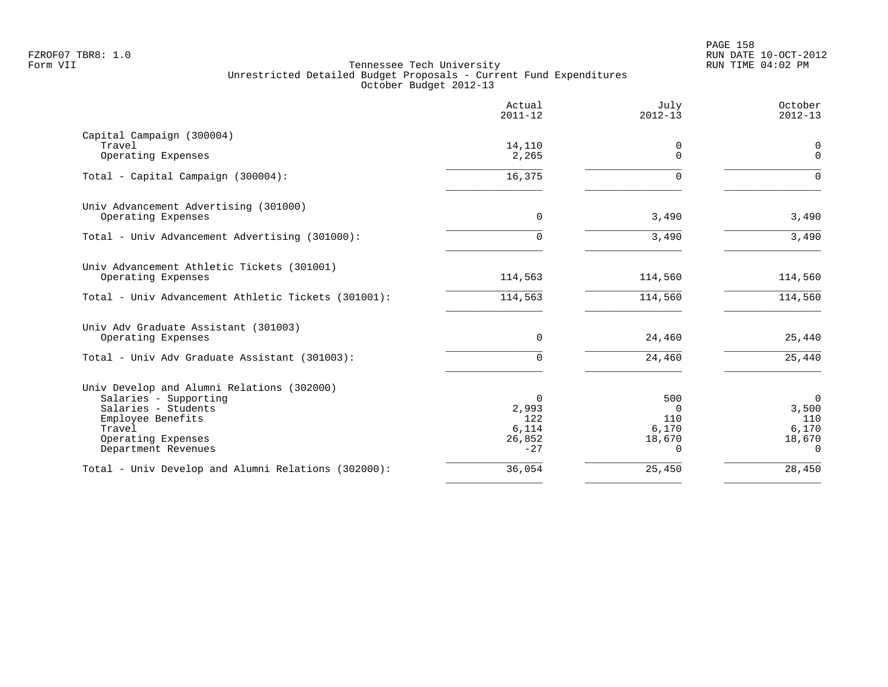|                                                                                                                                                                        | Actual<br>$2011 - 12$                         | July<br>$2012 - 13$                                   | October<br>$2012 - 13$                                     |
|------------------------------------------------------------------------------------------------------------------------------------------------------------------------|-----------------------------------------------|-------------------------------------------------------|------------------------------------------------------------|
| Capital Campaign (300004)<br>Travel<br>Operating Expenses                                                                                                              | 14,110<br>2,265                               | 0<br>$\Omega$                                         | $\mathbf 0$<br>$\Omega$                                    |
| Total - Capital Campaign (300004):                                                                                                                                     | 16,375                                        | <sup>n</sup>                                          | $\Omega$                                                   |
| Univ Advancement Advertising (301000)<br>Operating Expenses                                                                                                            | $\Omega$                                      | 3,490                                                 | 3,490                                                      |
| Total - Univ Advancement Advertising (301000):                                                                                                                         | U                                             | 3,490                                                 | 3,490                                                      |
| Univ Advancement Athletic Tickets (301001)<br>Operating Expenses<br>Total - Univ Advancement Athletic Tickets (301001):                                                | 114,563<br>114,563                            | 114,560<br>114,560                                    | 114,560<br>114,560                                         |
| Univ Adv Graduate Assistant (301003)<br>Operating Expenses                                                                                                             | 0                                             | 24,460                                                | 25,440                                                     |
| Total - Univ Adv Graduate Assistant (301003):                                                                                                                          | 0                                             | 24,460                                                | 25,440                                                     |
| Univ Develop and Alumni Relations (302000)<br>Salaries - Supporting<br>Salaries - Students<br>Employee Benefits<br>Travel<br>Operating Expenses<br>Department Revenues | 0<br>2,993<br>122<br>6,114<br>26,852<br>$-27$ | 500<br>$\Omega$<br>110<br>6,170<br>18,670<br>$\Omega$ | $\mathbf 0$<br>3,500<br>110<br>6,170<br>18,670<br>$\Omega$ |
| Total - Univ Develop and Alumni Relations (302000):                                                                                                                    | 36,054                                        | 25,450                                                | 28,450                                                     |
|                                                                                                                                                                        |                                               |                                                       |                                                            |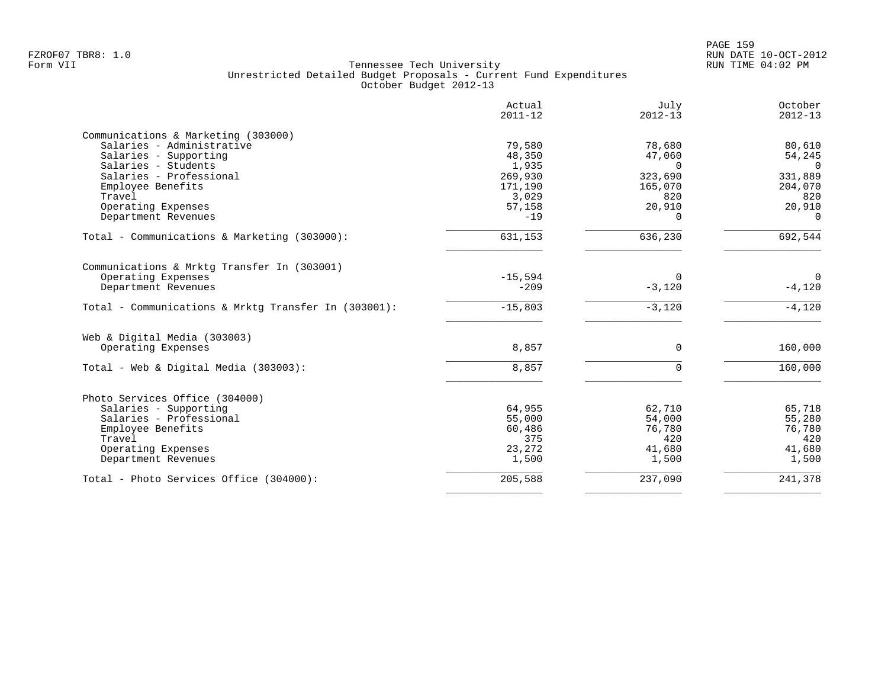| Actual<br>$2011 - 12$ | July<br>$2012 - 13$                    | October<br>$2012 - 13$                     |
|-----------------------|----------------------------------------|--------------------------------------------|
|                       |                                        |                                            |
| 79,580                | 78,680                                 | 80,610                                     |
| 48,350                | 47,060                                 | 54,245                                     |
| 1,935                 | $\Omega$                               | $\Omega$                                   |
| 269,930               | 323,690                                | 331,889                                    |
| 171,190               | 165,070                                | 204,070                                    |
| 3,029                 | 820                                    | 820                                        |
| 57,158                | 20,910                                 | 20,910                                     |
| $-19$                 | $\Omega$                               | $\Omega$                                   |
| 631,153               | 636,230                                | 692,544                                    |
|                       |                                        |                                            |
|                       |                                        | $\mathbf 0$                                |
|                       |                                        | $-4,120$                                   |
|                       |                                        |                                            |
| $-15,803$             | $-3,120$                               | $-4,120$                                   |
|                       |                                        |                                            |
| 8,857                 | $\Omega$                               | 160,000                                    |
|                       |                                        |                                            |
|                       |                                        | 160,000                                    |
|                       |                                        |                                            |
| 64,955                | 62,710                                 | 65,718                                     |
| 55,000                | 54,000                                 | 55,280                                     |
|                       |                                        | 76,780                                     |
| 375                   | 420                                    | 420                                        |
| 23,272                | 41,680                                 | 41,680                                     |
| 1,500                 | 1,500                                  | 1,500                                      |
| 205,588               | 237,090                                | 241,378                                    |
|                       | $-15,594$<br>$-209$<br>8,857<br>60,486 | $\Omega$<br>$-3,120$<br>$\Omega$<br>76,780 |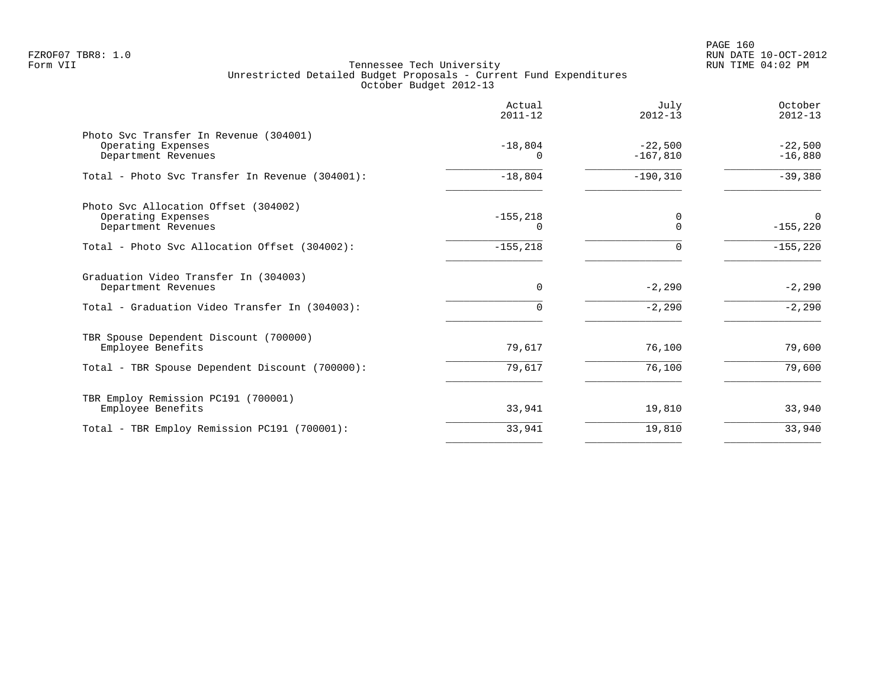|                                                                                     | Actual<br>$2011 - 12$ | July<br>$2012 - 13$     | October<br>$2012 - 13$    |
|-------------------------------------------------------------------------------------|-----------------------|-------------------------|---------------------------|
| Photo Svc Transfer In Revenue (304001)<br>Operating Expenses<br>Department Revenues | $-18,804$<br>0        | $-22,500$<br>$-167,810$ | $-22,500$<br>$-16,880$    |
| Total - Photo Svc Transfer In Revenue (304001):                                     | $-18,804$             | $-190, 310$             | $-39,380$                 |
| Photo Svc Allocation Offset (304002)<br>Operating Expenses<br>Department Revenues   | $-155, 218$<br>0      | 0<br>$\Omega$           | $\mathbf 0$<br>$-155,220$ |
| Total - Photo Svc Allocation Offset (304002):                                       | $-155, 218$           | $\Omega$                | $-155,220$                |
| Graduation Video Transfer In (304003)<br>Department Revenues                        | $\Omega$              | $-2,290$                | $-2,290$                  |
| Total - Graduation Video Transfer In (304003):                                      | 0                     | $-2,290$                | $-2,290$                  |
| TBR Spouse Dependent Discount (700000)<br>Employee Benefits                         | 79,617                | 76,100                  | 79,600                    |
| Total - TBR Spouse Dependent Discount (700000):                                     | 79,617                | 76,100                  | 79,600                    |
| TBR Employ Remission PC191 (700001)<br>Employee Benefits                            | 33,941                | 19,810                  | 33,940                    |
| Total - TBR Employ Remission PC191 (700001):                                        | 33,941                | 19,810                  | 33,940                    |
|                                                                                     |                       |                         |                           |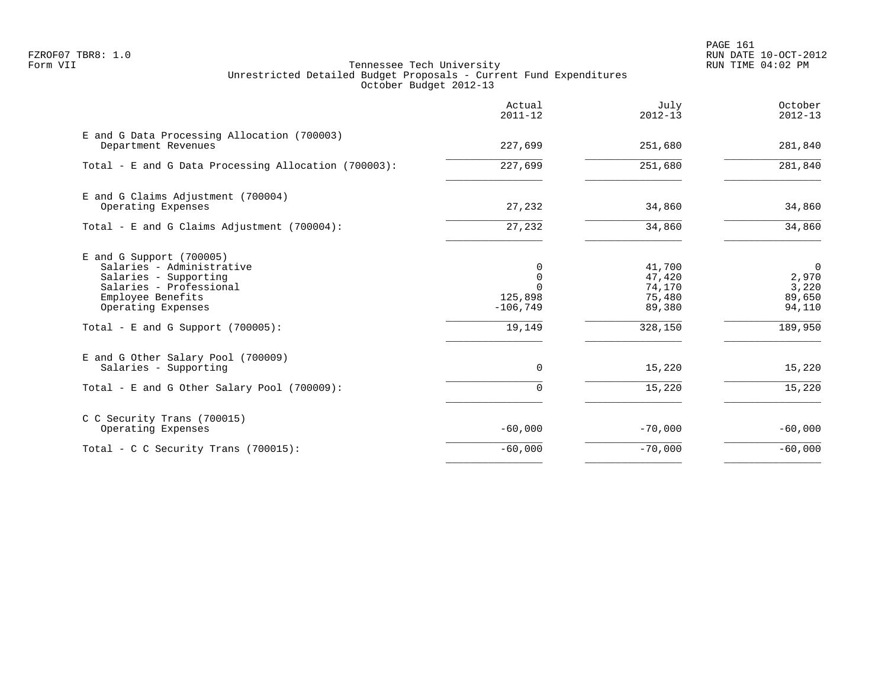PAGE 161 FZROF07 TBR8: 1.0 RUN DATE 10-OCT-2012

|                                                                                                                                                                                                | Actual<br>$2011 - 12$                                 | July<br>$2012 - 13$                                       | October<br>$2012 - 13$                                          |
|------------------------------------------------------------------------------------------------------------------------------------------------------------------------------------------------|-------------------------------------------------------|-----------------------------------------------------------|-----------------------------------------------------------------|
| E and G Data Processing Allocation (700003)<br>Department Revenues                                                                                                                             | 227,699                                               | 251,680                                                   | 281,840                                                         |
| Total - E and G Data Processing Allocation (700003):                                                                                                                                           | 227,699                                               | 251,680                                                   | 281,840                                                         |
| E and G Claims Adjustment (700004)<br>Operating Expenses                                                                                                                                       | 27,232                                                | 34,860                                                    | 34,860                                                          |
| Total - E and G Claims Adjustment (700004):                                                                                                                                                    | 27,232                                                | 34,860                                                    | 34,860                                                          |
| $E$ and G Support (700005)<br>Salaries - Administrative<br>Salaries - Supporting<br>Salaries - Professional<br>Employee Benefits<br>Operating Expenses<br>Total - E and G Support $(700005)$ : | 0<br>0<br>$\Omega$<br>125,898<br>$-106,749$<br>19,149 | 41,700<br>47,420<br>74,170<br>75,480<br>89,380<br>328,150 | $\overline{0}$<br>2,970<br>3,220<br>89,650<br>94,110<br>189,950 |
| E and G Other Salary Pool (700009)<br>Salaries - Supporting                                                                                                                                    | $\Omega$                                              | 15,220                                                    | 15,220                                                          |
| Total - E and G Other Salary Pool (700009):                                                                                                                                                    | $\Omega$                                              | 15,220                                                    | 15,220                                                          |
| C C Security Trans (700015)<br>Operating Expenses                                                                                                                                              | $-60,000$                                             | $-70,000$                                                 | $-60,000$                                                       |
| Total - C C Security Trans (700015):                                                                                                                                                           | $-60,000$                                             | $-70,000$                                                 | $-60,000$                                                       |
|                                                                                                                                                                                                |                                                       |                                                           |                                                                 |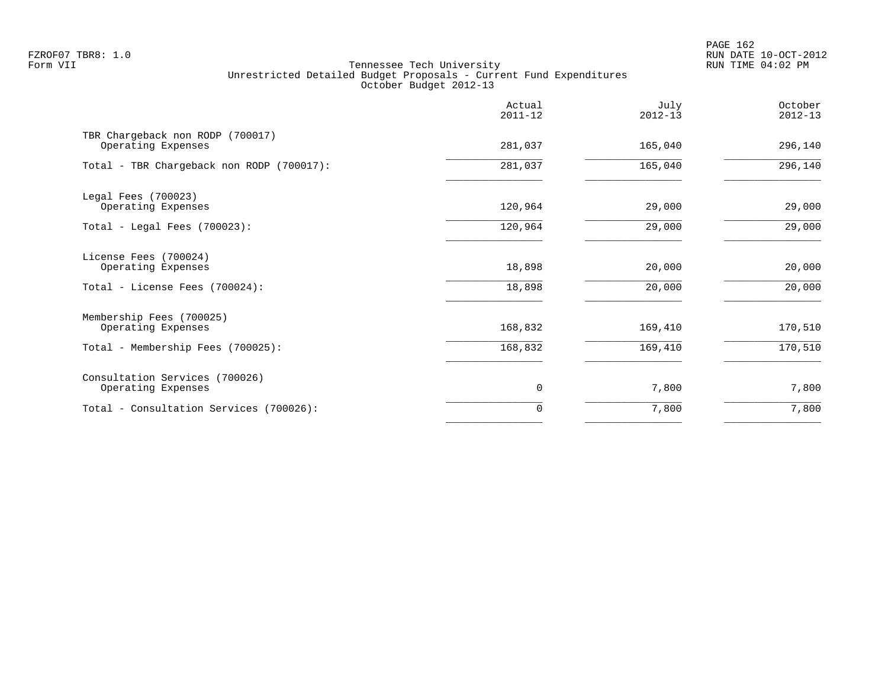PAGE 162 FZROF07 TBR8: 1.0 RUN DATE 10-OCT-2012

|                                                        | Actual<br>$2011 - 12$ | July<br>$2012 - 13$ | October<br>$2012 - 13$ |
|--------------------------------------------------------|-----------------------|---------------------|------------------------|
| TBR Chargeback non RODP (700017)<br>Operating Expenses | 281,037               | 165,040             | 296,140                |
| Total - TBR Chargeback non RODP (700017):              | 281,037               | 165,040             | 296,140                |
| Legal Fees (700023)<br>Operating Expenses              | 120,964               | 29,000              | 29,000                 |
| Total - Legal Fees (700023):                           | 120,964               | 29,000              | 29,000                 |
| License Fees (700024)<br>Operating Expenses            | 18,898                | 20,000              | 20,000                 |
| Total - License Fees (700024):                         | 18,898                | 20,000              | 20,000                 |
| Membership Fees (700025)<br>Operating Expenses         | 168,832               | 169,410             | 170,510                |
| Total - Membership Fees (700025):                      | 168,832               | 169,410             | 170,510                |
| Consultation Services (700026)<br>Operating Expenses   | 0                     | 7,800               | 7,800                  |
| Total - Consultation Services (700026):                | $\Omega$              | 7,800               | 7,800                  |
|                                                        |                       |                     |                        |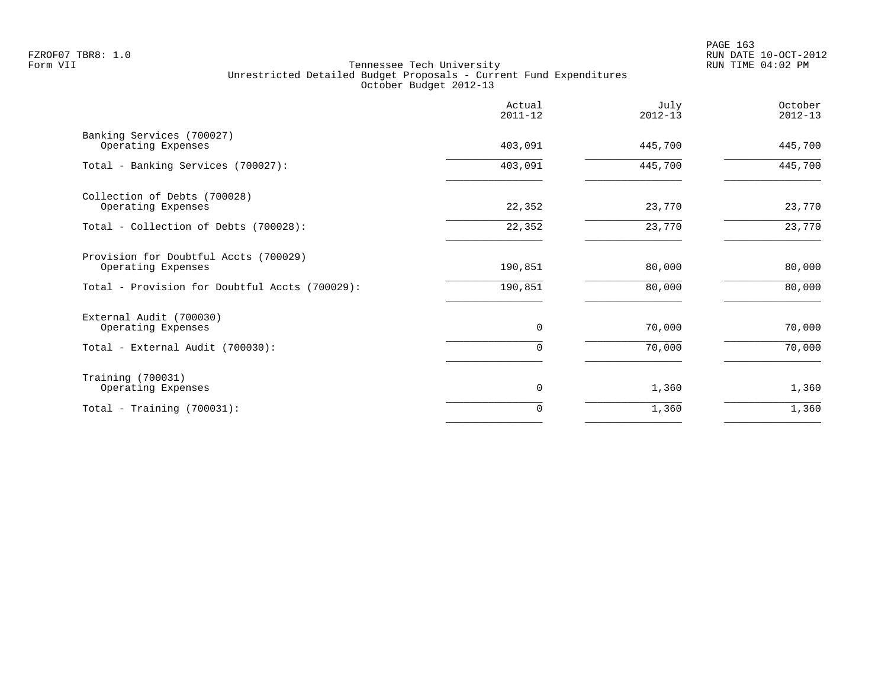|                                                             | Actual<br>$2011 - 12$ | July<br>$2012 - 13$ | October<br>$2012 - 13$ |
|-------------------------------------------------------------|-----------------------|---------------------|------------------------|
| Banking Services (700027)<br>Operating Expenses             | 403,091               | 445,700             | 445,700                |
| Total - Banking Services (700027):                          | 403,091               | 445,700             | 445,700                |
| Collection of Debts (700028)<br>Operating Expenses          | 22,352                | 23,770              | 23,770                 |
| Total - Collection of Debts (700028):                       | 22,352                | 23,770              | 23,770                 |
| Provision for Doubtful Accts (700029)<br>Operating Expenses | 190,851               | 80,000              | 80,000                 |
| Total - Provision for Doubtful Accts (700029):              | 190,851               | 80,000              | 80,000                 |
| External Audit (700030)<br>Operating Expenses               | 0                     | 70,000              | 70,000                 |
| Total - External Audit (700030):                            | $\Omega$              | 70,000              | 70,000                 |
| Training (700031)<br>Operating Expenses                     | 0                     | 1,360               | 1,360                  |
| Total - Training $(700031)$ :                               | $\Omega$              | 1,360               | 1,360                  |
|                                                             |                       |                     |                        |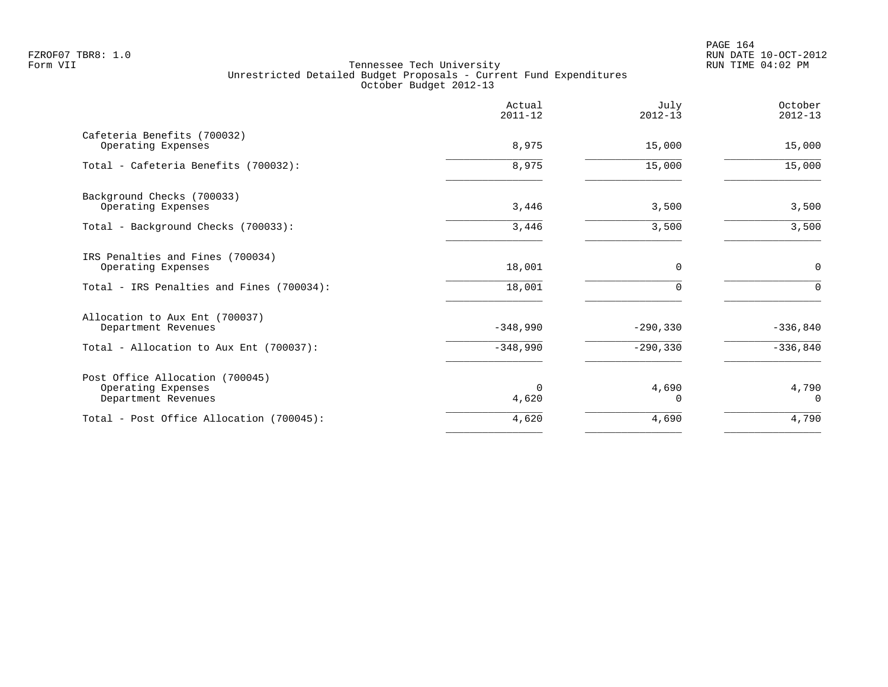|                                                                              | Actual<br>$2011 - 12$ | July<br>$2012 - 13$ | October<br>$2012 - 13$ |
|------------------------------------------------------------------------------|-----------------------|---------------------|------------------------|
| Cafeteria Benefits (700032)<br>Operating Expenses                            | 8,975                 | 15,000              | 15,000                 |
| Total - Cafeteria Benefits (700032):                                         | 8,975                 | 15,000              | 15,000                 |
| Background Checks (700033)<br>Operating Expenses                             | 3,446                 | 3,500               | 3,500                  |
| Total - Background Checks (700033):                                          | 3,446                 | 3,500               | 3,500                  |
| IRS Penalties and Fines (700034)<br>Operating Expenses                       | 18,001                | $\mathbf 0$         | $\mathsf{O}$           |
| Total - IRS Penalties and Fines (700034):                                    | 18,001                | $\Omega$            | $\Omega$               |
| Allocation to Aux Ent (700037)<br>Department Revenues                        | $-348,990$            | $-290, 330$         | $-336,840$             |
| Total - Allocation to Aux Ent (700037):                                      | $-348,990$            | $-290, 330$         | $-336,840$             |
| Post Office Allocation (700045)<br>Operating Expenses<br>Department Revenues | $\Omega$<br>4,620     | 4,690<br>O          | 4,790<br>$\Omega$      |
| Total - Post Office Allocation (700045):                                     | 4,620                 | 4,690               | 4,790                  |
|                                                                              |                       |                     |                        |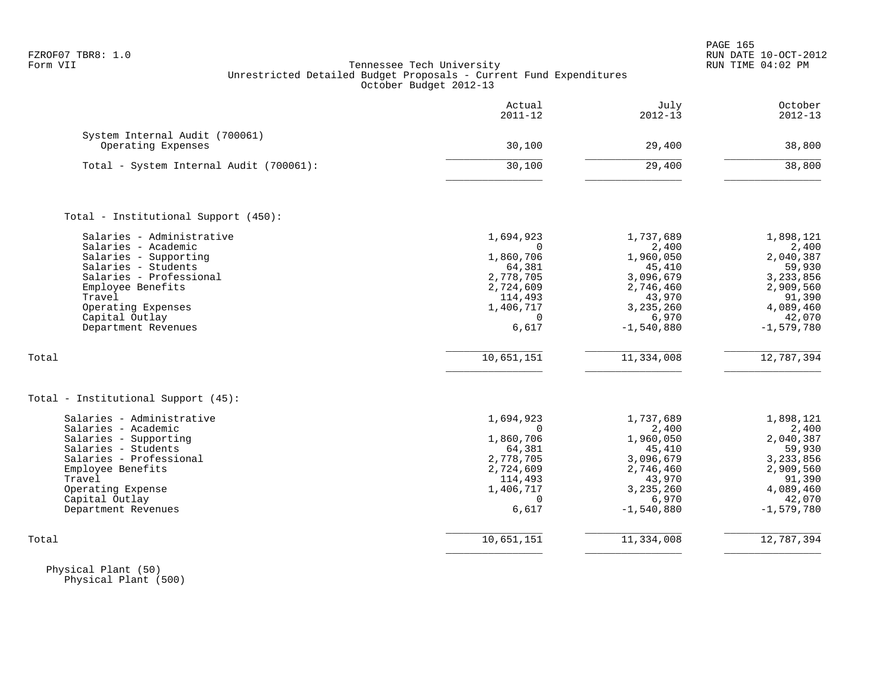|                                                                                                                                                                                                                                    | Actual<br>$2011 - 12$                                                                                                             | July<br>$2012 - 13$                                                                                                               | October<br>$2012 - 13$                                                                                                             |
|------------------------------------------------------------------------------------------------------------------------------------------------------------------------------------------------------------------------------------|-----------------------------------------------------------------------------------------------------------------------------------|-----------------------------------------------------------------------------------------------------------------------------------|------------------------------------------------------------------------------------------------------------------------------------|
| System Internal Audit (700061)<br>Operating Expenses                                                                                                                                                                               | 30,100                                                                                                                            | 29,400                                                                                                                            | 38,800                                                                                                                             |
| Total - System Internal Audit (700061):                                                                                                                                                                                            | 30,100                                                                                                                            | 29,400                                                                                                                            | 38,800                                                                                                                             |
| Total - Institutional Support (450):                                                                                                                                                                                               |                                                                                                                                   |                                                                                                                                   |                                                                                                                                    |
| Salaries - Administrative<br>Salaries - Academic<br>Salaries - Supporting<br>Salaries - Students<br>Salaries - Professional<br>Employee Benefits<br>Travel<br>Operating Expenses<br>Capital Outlay<br>Department Revenues<br>Total | 1,694,923<br>$\Omega$<br>1,860,706<br>64,381<br>2,778,705<br>2,724,609<br>114,493<br>1,406,717<br>$\Omega$<br>6,617<br>10,651,151 | 1,737,689<br>2,400<br>1,960,050<br>45,410<br>3,096,679<br>2,746,460<br>43,970<br>3,235,260<br>6,970<br>$-1,540,880$<br>11,334,008 | 1,898,121<br>2,400<br>2,040,387<br>59,930<br>3,233,856<br>2,909,560<br>91,390<br>4,089,460<br>42,070<br>$-1,579,780$<br>12,787,394 |
|                                                                                                                                                                                                                                    |                                                                                                                                   |                                                                                                                                   |                                                                                                                                    |
| Total - Institutional Support (45):<br>Salaries - Administrative<br>Salaries - Academic<br>Salaries - Supporting<br>Salaries - Students<br>Salaries - Professional                                                                 | 1,694,923<br>$\Omega$<br>1,860,706<br>64,381<br>2,778,705                                                                         | 1,737,689<br>2,400<br>1,960,050<br>45,410<br>3,096,679                                                                            | 1,898,121<br>2,400<br>2,040,387<br>59,930<br>3,233,856                                                                             |
| Employee Benefits<br>Travel<br>Operating Expense<br>Capital Outlay<br>Department Revenues                                                                                                                                          | 2,724,609<br>114,493<br>1,406,717<br>$\Omega$<br>6,617                                                                            | 2,746,460<br>43,970<br>3,235,260<br>6,970<br>$-1,540,880$                                                                         | 2,909,560<br>91,390<br>4,089,460<br>42,070<br>$-1,579,780$                                                                         |
| Total                                                                                                                                                                                                                              | 10,651,151                                                                                                                        | 11,334,008                                                                                                                        | 12,787,394                                                                                                                         |

 Physical Plant (50) Physical Plant (500)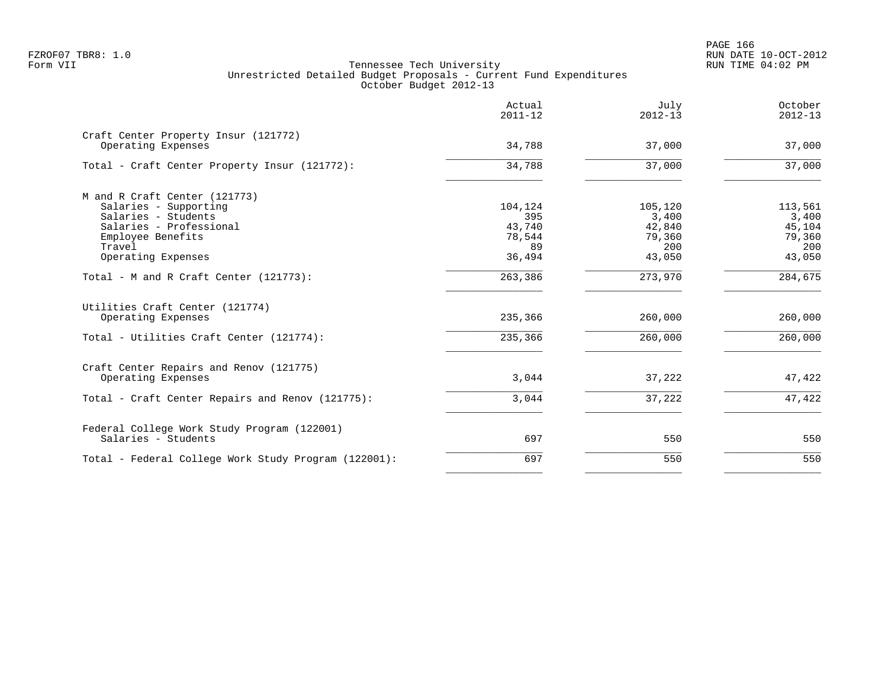|                                                            | Actual<br>$2011 - 12$ | July<br>$2012 - 13$ | October<br>$2012 - 13$ |
|------------------------------------------------------------|-----------------------|---------------------|------------------------|
| Craft Center Property Insur (121772)<br>Operating Expenses | 34,788                | 37,000              | 37,000                 |
| Total - Craft Center Property Insur (121772):              | 34,788                | 37,000              | 37,000                 |
| M and R Craft Center (121773)                              |                       |                     |                        |
| Salaries - Supporting                                      | 104,124               | 105,120             | 113,561                |
| Salaries - Students                                        | 395                   | 3,400               | 3,400                  |
| Salaries - Professional                                    | 43,740                | 42,840              | 45,104                 |
| Employee Benefits                                          | 78,544                | 79,360              | 79,360                 |
| Travel                                                     | 89                    | 200                 | 200                    |
| Operating Expenses                                         | 36,494                | 43,050              | 43,050                 |
| Total - M and R Craft Center (121773):                     | 263,386               | 273,970             | 284,675                |
| Utilities Craft Center (121774)                            |                       |                     |                        |
| Operating Expenses                                         | 235,366               | 260,000             | 260,000                |
| Total - Utilities Craft Center (121774):                   | 235,366               | 260,000             | 260,000                |
| Craft Center Repairs and Renov (121775)                    |                       |                     |                        |
| Operating Expenses                                         | 3,044                 | 37,222              | 47,422                 |
| Total - Craft Center Repairs and Renov (121775):           | 3,044                 | 37,222              | 47,422                 |
| Federal College Work Study Program (122001)                |                       |                     |                        |
| Salaries - Students                                        | 697                   | 550                 | 550                    |
| Total - Federal College Work Study Program (122001):       | 697                   | 550                 | 550                    |
|                                                            |                       |                     |                        |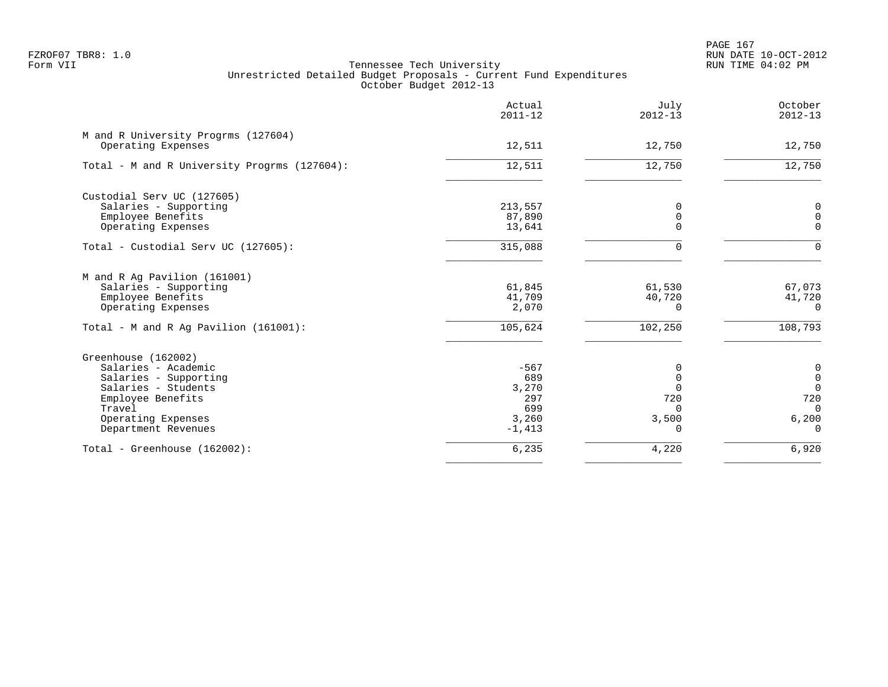PAGE 167 FZROF07 TBR8: 1.0 RUN DATE 10-OCT-2012

|                                                                                                                                                                        | Actual<br>$2011 - 12$                                     | July<br>$2012 - 13$                                                  | October<br>$2012 - 13$                                                                      |
|------------------------------------------------------------------------------------------------------------------------------------------------------------------------|-----------------------------------------------------------|----------------------------------------------------------------------|---------------------------------------------------------------------------------------------|
| M and R University Progrms (127604)<br>Operating Expenses                                                                                                              | 12,511                                                    | 12,750                                                               | 12,750                                                                                      |
| Total - M and R University Progrms (127604):                                                                                                                           | 12,511                                                    | 12,750                                                               | 12,750                                                                                      |
| Custodial Serv UC (127605)<br>Salaries - Supporting<br>Employee Benefits<br>Operating Expenses                                                                         | 213,557<br>87,890<br>13,641                               | 0<br>$\overline{0}$<br>$\Omega$                                      | 0<br>$\mathbf 0$<br>$\Omega$                                                                |
| Total - Custodial Serv UC (127605):                                                                                                                                    | 315,088                                                   | $\Omega$                                                             | $\Omega$                                                                                    |
| M and R Ag Pavilion (161001)<br>Salaries - Supporting<br>Employee Benefits<br>Operating Expenses                                                                       | 61,845<br>41,709<br>2,070                                 | 61,530<br>40,720<br>$\Omega$                                         | 67,073<br>41,720<br>$\Omega$                                                                |
| Total - M and R Aq Pavilion (161001):                                                                                                                                  | 105,624                                                   | 102,250                                                              | 108,793                                                                                     |
| Greenhouse (162002)<br>Salaries - Academic<br>Salaries - Supporting<br>Salaries - Students<br>Employee Benefits<br>Travel<br>Operating Expenses<br>Department Revenues | $-567$<br>689<br>3,270<br>297<br>699<br>3,260<br>$-1,413$ | 0<br>$\mathbf 0$<br>$\Omega$<br>720<br>$\Omega$<br>3,500<br>$\Omega$ | $\boldsymbol{0}$<br>$\boldsymbol{0}$<br>$\mathbf 0$<br>720<br>$\Omega$<br>6,200<br>$\Omega$ |
| Total - Greenhouse (162002):                                                                                                                                           | 6,235                                                     | 4,220                                                                | 6,920                                                                                       |
|                                                                                                                                                                        |                                                           |                                                                      |                                                                                             |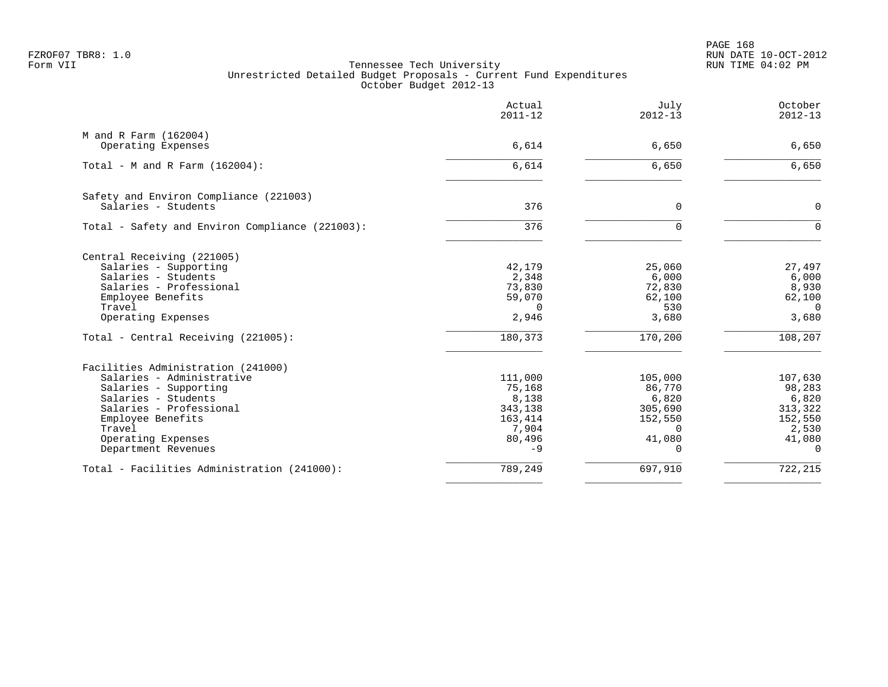PAGE 168 FZROF07 TBR8: 1.0 RUN DATE 10-OCT-2012

|                                                               | Actual<br>$2011 - 12$ | July<br>$2012 - 13$ | October<br>$2012 - 13$ |
|---------------------------------------------------------------|-----------------------|---------------------|------------------------|
| M and R Farm (162004)<br>Operating Expenses                   | 6,614                 | 6,650               | 6,650                  |
|                                                               |                       |                     |                        |
| Total - M and R Farm $(162004)$ :                             | 6,614                 | 6,650               | 6,650                  |
| Safety and Environ Compliance (221003)<br>Salaries - Students | 376                   | $\Omega$            | $\Omega$               |
| Total - Safety and Environ Compliance (221003):               | 376                   | U                   | $\Omega$               |
| Central Receiving (221005)                                    |                       |                     |                        |
| Salaries - Supporting                                         | 42,179                | 25,060              | 27,497                 |
| Salaries - Students                                           | 2,348                 | 6,000               | 6,000                  |
| Salaries - Professional                                       | 73,830                | 72,830              | 8,930                  |
| Employee Benefits                                             | 59,070                | 62,100              | 62,100                 |
| Travel                                                        | $\Omega$              | 530                 | $\Omega$               |
| Operating Expenses                                            | 2,946                 | 3,680               | 3,680                  |
| Total - Central Receiving (221005):                           | 180,373               | 170,200             | 108,207                |
| Facilities Administration (241000)                            |                       |                     |                        |
| Salaries - Administrative                                     | 111,000               | 105,000             | 107,630                |
| Salaries - Supporting                                         | 75,168                | 86,770              | 98,283                 |
| Salaries - Students                                           | 8,138                 | 6,820               | 6,820                  |
| Salaries - Professional                                       | 343,138               | 305,690             | 313,322                |
| Employee Benefits                                             | 163,414               | 152,550             | 152,550                |
| Travel                                                        | 7,904                 | $\Omega$            | 2,530                  |
| Operating Expenses                                            | 80,496                | 41,080              | 41,080                 |
| Department Revenues                                           | $-9$                  | $\Omega$            | $\Omega$               |
| Total - Facilities Administration (241000):                   | 789,249               | 697,910             | 722, 215               |
|                                                               |                       |                     |                        |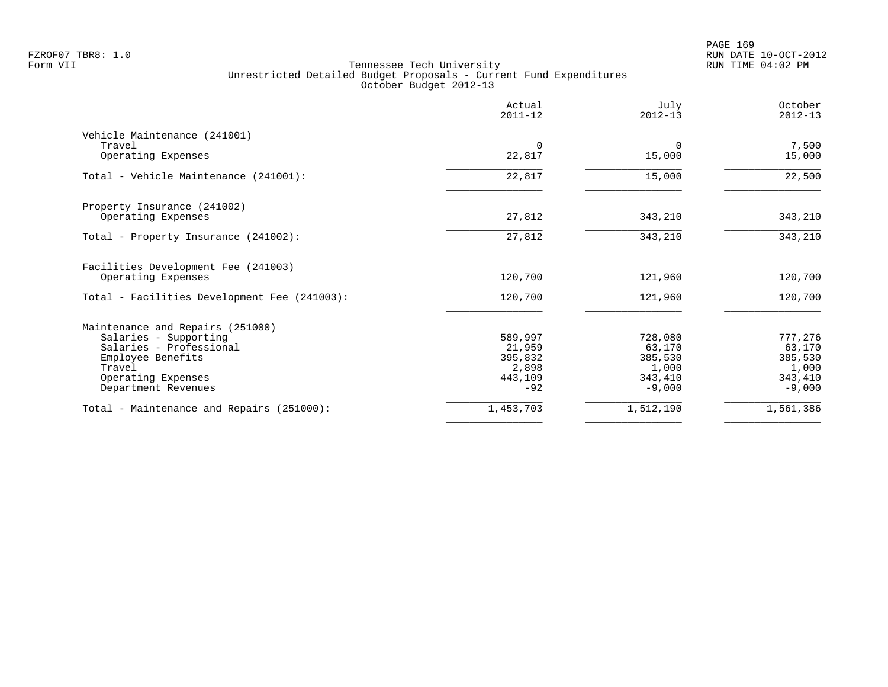|                                              | Actual<br>$2011 - 12$ | July<br>$2012 - 13$ | October<br>$2012 - 13$ |
|----------------------------------------------|-----------------------|---------------------|------------------------|
| Vehicle Maintenance (241001)                 |                       |                     |                        |
| Travel<br>Operating Expenses                 | $\Omega$<br>22,817    | $\Omega$<br>15,000  | 7,500<br>15,000        |
| Total - Vehicle Maintenance (241001):        | 22,817                | 15,000              | 22,500                 |
| Property Insurance (241002)                  |                       |                     |                        |
| Operating Expenses                           | 27,812                | 343,210             | 343,210                |
| Total - Property Insurance (241002):         | 27,812                | 343,210             | 343,210                |
| Facilities Development Fee (241003)          |                       |                     |                        |
| Operating Expenses                           | 120,700               | 121,960             | 120,700                |
| Total - Facilities Development Fee (241003): | 120,700               | 121,960             | 120,700                |
| Maintenance and Repairs (251000)             |                       |                     |                        |
| Salaries - Supporting                        | 589,997               | 728,080             | 777,276                |
| Salaries - Professional                      | 21,959                | 63,170              | 63,170                 |
| Employee Benefits<br>Travel                  | 395,832<br>2,898      | 385,530             | 385,530                |
| Operating Expenses                           | 443,109               | 1,000<br>343,410    | 1,000<br>343,410       |
| Department Revenues                          | $-92$                 | $-9,000$            | $-9,000$               |
| Total - Maintenance and Repairs (251000):    | 1,453,703             | 1,512,190           | 1,561,386              |
|                                              |                       |                     |                        |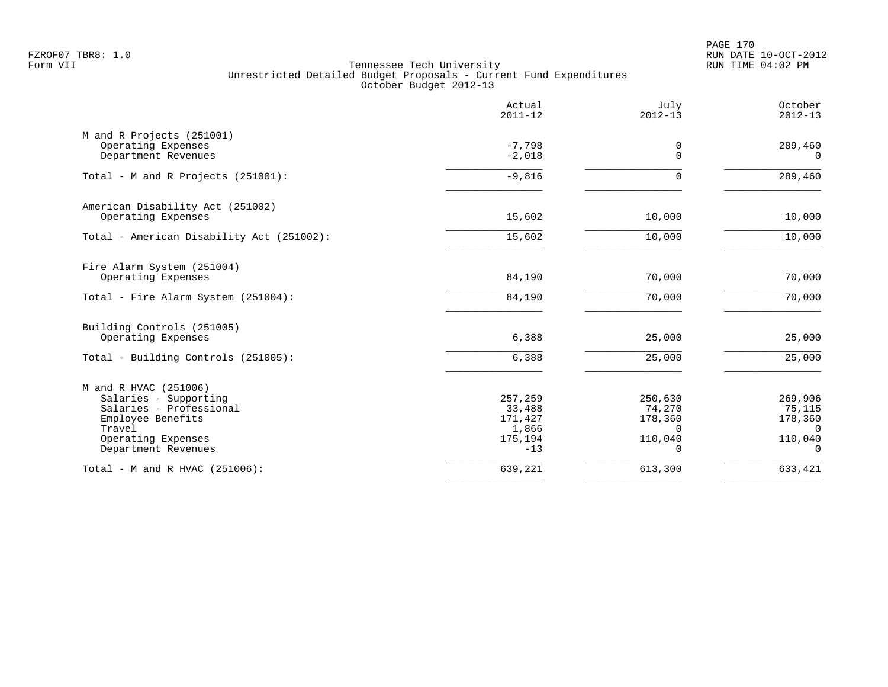PAGE 170 FZROF07 TBR8: 1.0 RUN DATE 10-OCT-2012

|                                                                                                                                                       | Actual<br>$2011 - 12$                                     | July<br>$2012 - 13$                                             | October<br>$2012 - 13$                                                |
|-------------------------------------------------------------------------------------------------------------------------------------------------------|-----------------------------------------------------------|-----------------------------------------------------------------|-----------------------------------------------------------------------|
| M and R Projects (251001)<br>Operating Expenses<br>Department Revenues                                                                                | $-7,798$<br>$-2,018$                                      | 0<br>$\Omega$                                                   | 289,460<br>$\Omega$                                                   |
| Total - M and R Projects (251001):                                                                                                                    | $-9,816$                                                  | $\Omega$                                                        | 289,460                                                               |
| American Disability Act (251002)<br>Operating Expenses                                                                                                | 15,602                                                    | 10,000                                                          | 10,000                                                                |
| Total - American Disability Act (251002):                                                                                                             | 15,602                                                    | 10,000                                                          | 10,000                                                                |
| Fire Alarm System (251004)<br>Operating Expenses<br>Total - Fire Alarm System (251004):                                                               | 84,190<br>84,190                                          | 70,000<br>70,000                                                | 70,000<br>70,000                                                      |
| Building Controls (251005)<br>Operating Expenses                                                                                                      | 6,388                                                     | 25,000                                                          | 25,000                                                                |
| Total - Building Controls (251005):                                                                                                                   | 6,388                                                     | 25,000                                                          | 25,000                                                                |
| M and R HVAC (251006)<br>Salaries - Supporting<br>Salaries - Professional<br>Employee Benefits<br>Travel<br>Operating Expenses<br>Department Revenues | 257,259<br>33,488<br>171,427<br>1,866<br>175,194<br>$-13$ | 250,630<br>74,270<br>178,360<br>$\Omega$<br>110,040<br>$\Omega$ | 269,906<br>75,115<br>178,360<br>$\overline{0}$<br>110,040<br>$\Omega$ |
| Total - M and R HVAC (251006):                                                                                                                        | 639,221                                                   | 613,300                                                         | 633,421                                                               |
|                                                                                                                                                       |                                                           |                                                                 |                                                                       |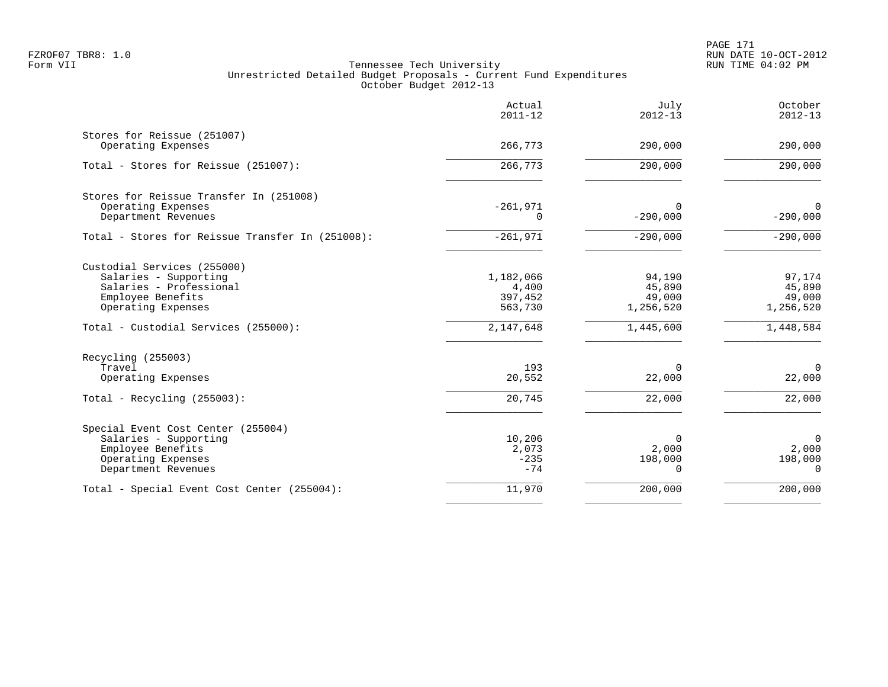PAGE 171 FZROF07 TBR8: 1.0 RUN DATE 10-OCT-2012

|                                                   | Actual<br>$2011 - 12$ | July<br>$2012 - 13$ | October<br>$2012 - 13$    |
|---------------------------------------------------|-----------------------|---------------------|---------------------------|
| Stores for Reissue (251007)<br>Operating Expenses | 266,773               | 290,000             | 290,000                   |
| Total - Stores for Reissue (251007):              | 266, 773              | 290,000             | 290,000                   |
| Stores for Reissue Transfer In (251008)           |                       |                     |                           |
| Operating Expenses<br>Department Revenues         | $-261,971$<br>0       | 0<br>$-290,000$     | $\mathbf 0$<br>$-290,000$ |
| Total - Stores for Reissue Transfer In (251008):  | $-261,971$            | $-290,000$          | $-290,000$                |
| Custodial Services (255000)                       |                       |                     |                           |
| Salaries - Supporting                             | 1,182,066             | 94,190              | 97,174                    |
| Salaries - Professional<br>Employee Benefits      | 4,400<br>397,452      | 45,890<br>49,000    | 45,890<br>49,000          |
| Operating Expenses                                | 563,730               | 1,256,520           | 1,256,520                 |
| Total - Custodial Services (255000):              | 2,147,648             | 1,445,600           | 1,448,584                 |
| Recycling (255003)                                |                       |                     |                           |
| Travel<br>Operating Expenses                      | 193<br>20,552         | $\Omega$<br>22,000  | $\Omega$<br>22,000        |
| Total - Recycling $(255003)$ :                    | 20,745                | 22,000              | 22,000                    |
| Special Event Cost Center (255004)                |                       |                     |                           |
| Salaries - Supporting                             | 10,206                | $\Omega$            | $\Omega$                  |
| Employee Benefits                                 | 2,073<br>$-235$       | 2,000               | 2,000                     |
| Operating Expenses<br>Department Revenues         | $-74$                 | 198,000<br>$\Omega$ | 198,000<br>$\Omega$       |
| Total - Special Event Cost Center (255004):       | 11,970                | 200,000             | 200,000                   |
|                                                   |                       |                     |                           |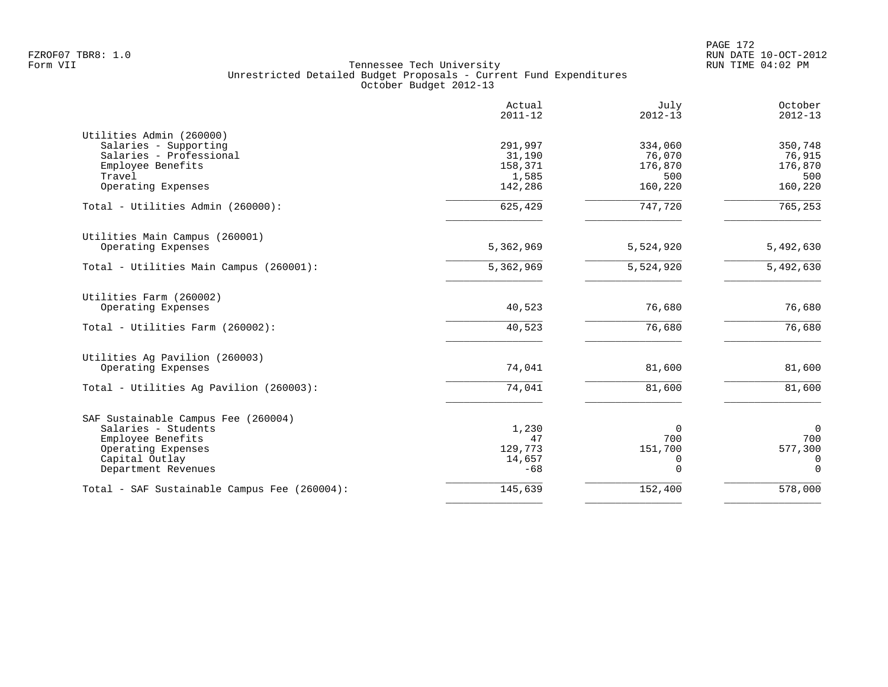PAGE 172 FZROF07 TBR8: 1.0 RUN DATE 10-OCT-2012

|                                              | Actual<br>$2011 - 12$ | July<br>$2012 - 13$ | October<br>$2012 - 13$ |
|----------------------------------------------|-----------------------|---------------------|------------------------|
| Utilities Admin (260000)                     |                       |                     |                        |
| Salaries - Supporting                        | 291,997               | 334,060             | 350,748                |
| Salaries - Professional                      | 31,190                | 76,070              | 76,915                 |
| Employee Benefits                            | 158,371               | 176,870             | 176,870                |
| Travel                                       | 1,585                 | 500                 | 500                    |
| Operating Expenses                           | 142,286               | 160,220             | 160,220                |
| Total - Utilities Admin (260000):            | 625,429               | 747,720             | 765, 253               |
| Utilities Main Campus (260001)               |                       |                     |                        |
| Operating Expenses                           | 5,362,969             | 5,524,920           | 5,492,630              |
| Total - Utilities Main Campus (260001):      | 5,362,969             | 5,524,920           | 5,492,630              |
| Utilities Farm (260002)                      |                       |                     |                        |
| Operating Expenses                           | 40,523                | 76,680              | 76,680                 |
| Total - Utilities Farm (260002):             | 40,523                | 76,680              | 76,680                 |
| Utilities Ag Pavilion (260003)               |                       |                     |                        |
| Operating Expenses                           | 74,041                | 81,600              | 81,600                 |
| Total - Utilities Aq Pavilion (260003):      | 74,041                | 81,600              | 81,600                 |
| SAF Sustainable Campus Fee (260004)          |                       |                     |                        |
| Salaries - Students                          | 1,230                 | $\overline{0}$      | $\mathbf 0$            |
| Employee Benefits                            | 47                    | 700                 | 700                    |
| Operating Expenses                           | 129,773               | 151,700             | 577,300                |
| Capital Outlay                               | 14,657                | 0                   | 0                      |
| Department Revenues                          | $-68$                 | $\Omega$            | $\Omega$               |
| Total - SAF Sustainable Campus Fee (260004): | 145,639               | 152,400             | 578,000                |
|                                              |                       |                     |                        |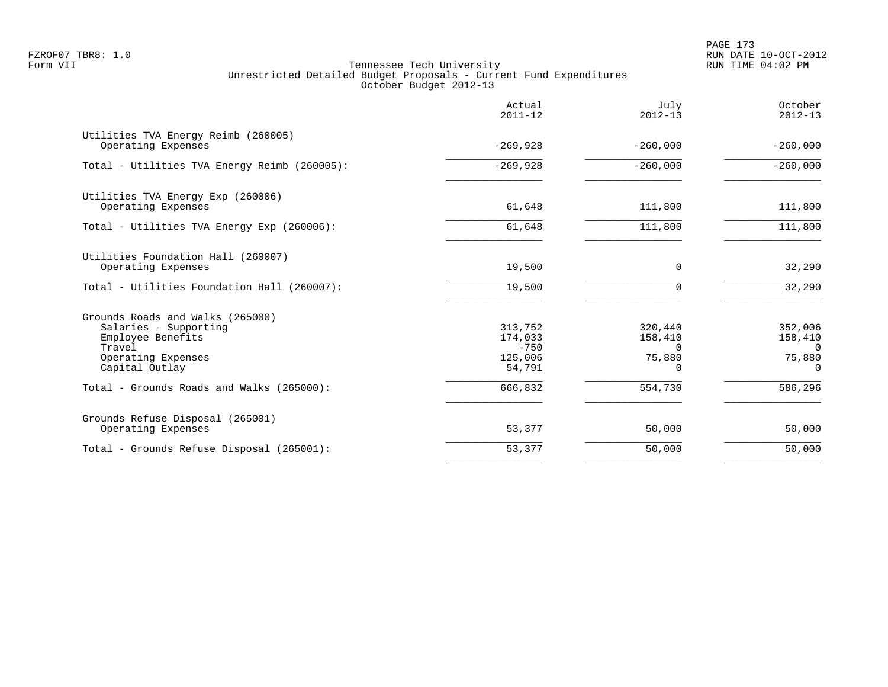|                                                                                                                                  | Actual<br>$2011 - 12$                             | July<br>$2012 - 13$                                  | October<br>$2012 - 13$                               |
|----------------------------------------------------------------------------------------------------------------------------------|---------------------------------------------------|------------------------------------------------------|------------------------------------------------------|
| Utilities TVA Energy Reimb (260005)<br>Operating Expenses                                                                        | $-269,928$                                        | $-260,000$                                           | $-260,000$                                           |
| Total - Utilities TVA Energy Reimb (260005):                                                                                     | $-269,928$                                        | $-260,000$                                           | $-260,000$                                           |
| Utilities TVA Energy Exp (260006)<br>Operating Expenses                                                                          | 61,648                                            | 111,800                                              | 111,800                                              |
| Total - Utilities TVA Energy Exp (260006):                                                                                       | 61,648                                            | 111,800                                              | 111,800                                              |
| Utilities Foundation Hall (260007)<br>Operating Expenses                                                                         | 19,500                                            | 0                                                    | 32,290                                               |
| Total - Utilities Foundation Hall (260007):                                                                                      | 19,500                                            | $\Omega$                                             | 32,290                                               |
| Grounds Roads and Walks (265000)<br>Salaries - Supporting<br>Employee Benefits<br>Travel<br>Operating Expenses<br>Capital Outlay | 313,752<br>174,033<br>$-750$<br>125,006<br>54,791 | 320,440<br>158,410<br>$\Omega$<br>75,880<br>$\Omega$ | 352,006<br>158,410<br>$\Omega$<br>75,880<br>$\Omega$ |
| Total - Grounds Roads and Walks (265000):                                                                                        | 666,832                                           | 554,730                                              | 586,296                                              |
| Grounds Refuse Disposal (265001)<br>Operating Expenses                                                                           | 53,377                                            | 50,000                                               | 50,000                                               |
| Total - Grounds Refuse Disposal (265001):                                                                                        | 53,377                                            | 50,000                                               | 50,000                                               |
|                                                                                                                                  |                                                   |                                                      |                                                      |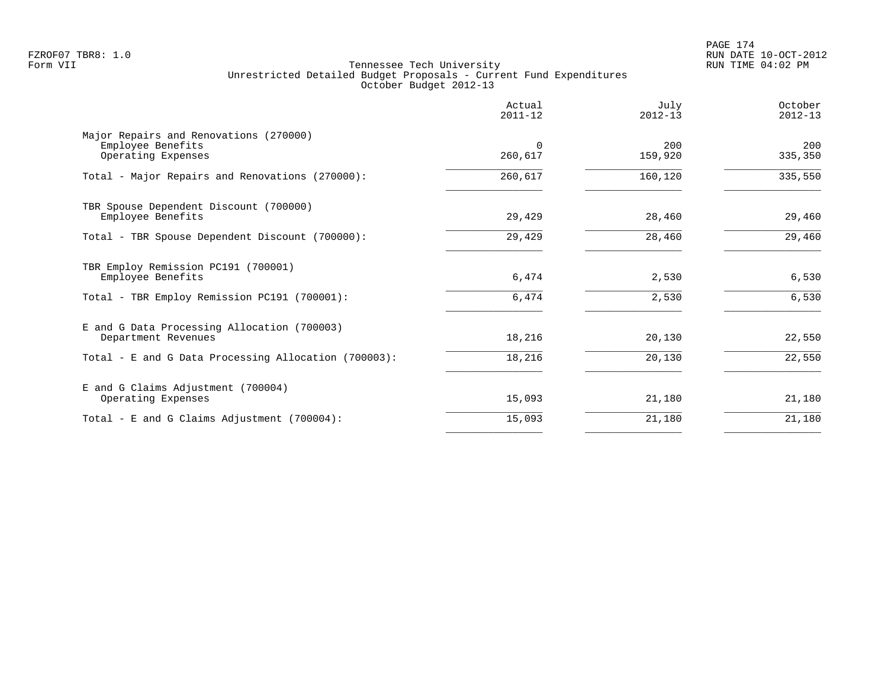PAGE 174 FZROF07 TBR8: 1.0 RUN DATE 10-OCT-2012

|                                                                                   | Actual<br>$2011 - 12$ | July<br>$2012 - 13$ | October<br>$2012 - 13$ |
|-----------------------------------------------------------------------------------|-----------------------|---------------------|------------------------|
| Major Repairs and Renovations (270000)<br>Employee Benefits<br>Operating Expenses | $\Omega$<br>260,617   | 200<br>159,920      | 200<br>335,350         |
| Total - Major Repairs and Renovations (270000):                                   | 260,617               | 160,120             | 335,550                |
| TBR Spouse Dependent Discount (700000)<br>Employee Benefits                       | 29,429                | 28,460              | 29,460                 |
| Total - TBR Spouse Dependent Discount (700000):                                   | 29,429                | 28,460              | 29,460                 |
| TBR Employ Remission PC191 (700001)<br>Employee Benefits                          | 6,474                 | 2,530               | 6,530                  |
| Total - TBR Employ Remission PC191 (700001):                                      | 6,474                 | 2,530               | 6,530                  |
| E and G Data Processing Allocation (700003)<br>Department Revenues                | 18,216                | 20,130              | 22,550                 |
| Total - E and G Data Processing Allocation (700003):                              | 18,216                | 20,130              | 22,550                 |
| E and G Claims Adjustment (700004)<br>Operating Expenses                          | 15,093                | 21,180              | 21,180                 |
| Total - E and G Claims Adjustment (700004):                                       | 15,093                | 21,180              | 21,180                 |
|                                                                                   |                       |                     |                        |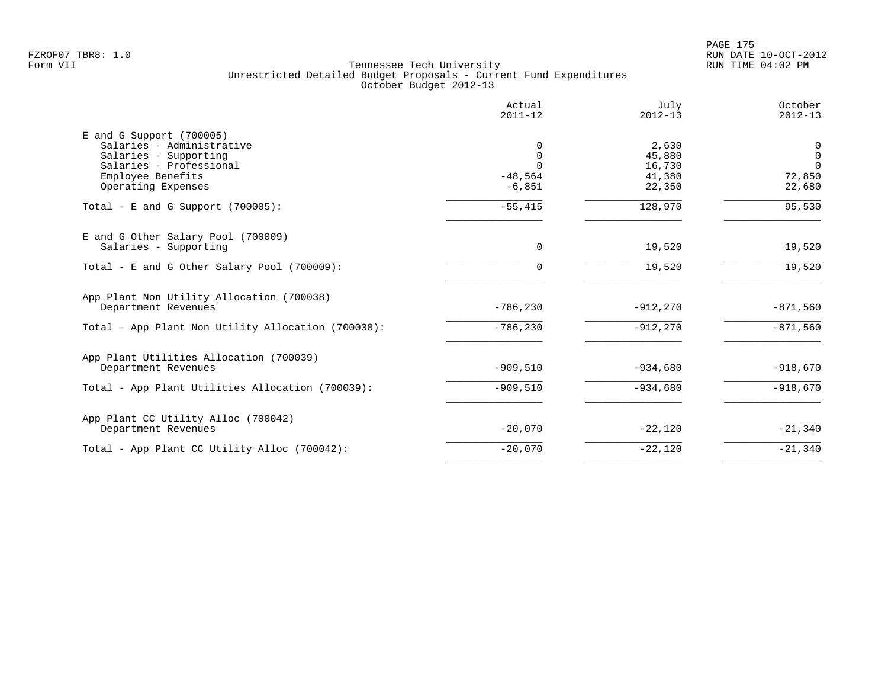PAGE 175 FZROF07 TBR8: 1.0 RUN DATE 10-OCT-2012

|                                                                                                                                                        | Actual<br>$2011 - 12$                       | July<br>$2012 - 13$                           | October<br>$2012 - 13$                           |
|--------------------------------------------------------------------------------------------------------------------------------------------------------|---------------------------------------------|-----------------------------------------------|--------------------------------------------------|
| $E$ and G Support (700005)<br>Salaries - Administrative<br>Salaries - Supporting<br>Salaries - Professional<br>Employee Benefits<br>Operating Expenses | 0<br>0<br>$\Omega$<br>$-48,564$<br>$-6,851$ | 2,630<br>45,880<br>16,730<br>41,380<br>22,350 | 0<br>$\mathbf 0$<br>$\Omega$<br>72,850<br>22,680 |
| Total - E and G Support $(700005)$ :                                                                                                                   | $-55,415$                                   | 128,970                                       | 95,530                                           |
| E and G Other Salary Pool (700009)<br>Salaries - Supporting                                                                                            | $\Omega$                                    | 19,520                                        | 19,520                                           |
| Total - E and G Other Salary Pool (700009):                                                                                                            | 0                                           | 19,520                                        | 19,520                                           |
| App Plant Non Utility Allocation (700038)<br>Department Revenues                                                                                       | $-786, 230$                                 | $-912,270$                                    | $-871,560$                                       |
| Total - App Plant Non Utility Allocation (700038):                                                                                                     | $-786, 230$                                 | $-912,270$                                    | $-871,560$                                       |
| App Plant Utilities Allocation (700039)<br>Department Revenues                                                                                         | $-909,510$                                  | $-934,680$                                    | $-918,670$                                       |
| Total - App Plant Utilities Allocation (700039):                                                                                                       | $-909,510$                                  | $-934,680$                                    | $-918,670$                                       |
| App Plant CC Utility Alloc (700042)<br>Department Revenues                                                                                             | $-20,070$                                   | $-22,120$                                     | $-21,340$                                        |
| Total - App Plant CC Utility Alloc (700042):                                                                                                           | $-20,070$                                   | $-22,120$                                     | $-21,340$                                        |
|                                                                                                                                                        |                                             |                                               |                                                  |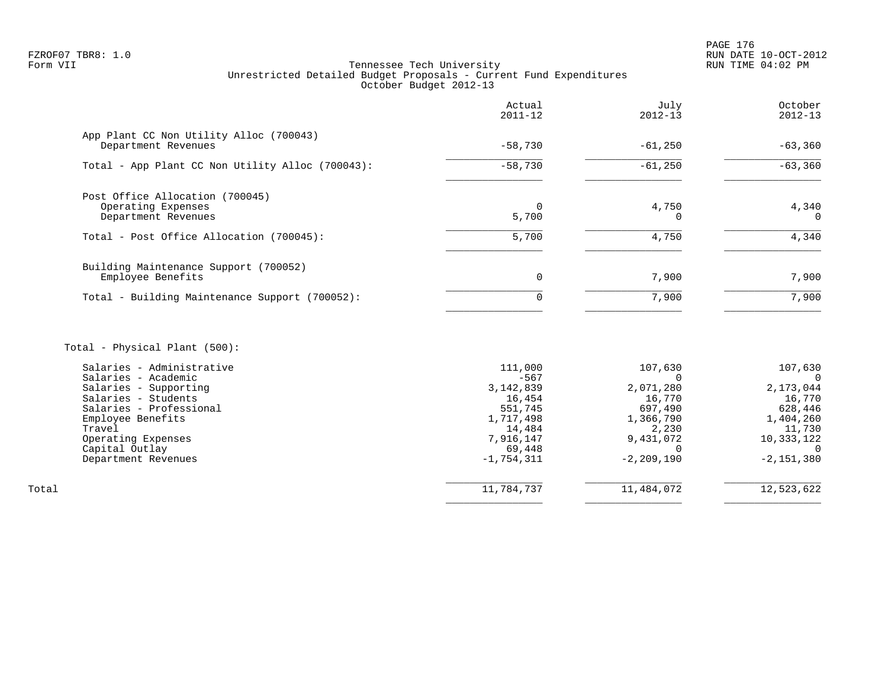PAGE 176 FZROF07 TBR8: 1.0 RUN DATE 10-OCT-2012

# Tennessee Tech University Unrestricted Detailed Budget Proposals - Current Fund Expenditures October Budget 2012-13

|                                                                              | Actual<br>$2011 - 12$ | July<br>$2012 - 13$ | October<br>$2012 - 13$ |
|------------------------------------------------------------------------------|-----------------------|---------------------|------------------------|
| App Plant CC Non Utility Alloc (700043)<br>Department Revenues               | $-58,730$             | $-61,250$           | $-63,360$              |
| Total - App Plant CC Non Utility Alloc (700043):                             | $-58,730$             | $-61,250$           | $-63,360$              |
| Post Office Allocation (700045)<br>Operating Expenses<br>Department Revenues | $\Omega$<br>5,700     | 4,750               | 4,340<br>$\Omega$      |
| Total - Post Office Allocation (700045):                                     | 5,700                 | 4,750               | 4,340                  |
| Building Maintenance Support (700052)<br>Employee Benefits                   | 0                     | 7,900               | 7,900                  |
| Total - Building Maintenance Support (700052):                               | 0                     | 7,900               | 7,900                  |
|                                                                              |                       |                     |                        |

# Total - Physical Plant (500):

|       | Salaries - Administrative | 111,000      | 107,630        | 107,630      |
|-------|---------------------------|--------------|----------------|--------------|
|       | Salaries - Academic       | $-567$       |                | $\Omega$     |
|       | Salaries - Supporting     | 3, 142, 839  | 2,071,280      | 2,173,044    |
|       | Salaries - Students       | 16,454       | 16,770         | 16,770       |
|       | Salaries - Professional   | 551,745      | 697,490        | 628,446      |
|       | Employee Benefits         | 1,717,498    | 1,366,790      | 1,404,260    |
|       | Travel                    | 14,484       | 2,230          | 11,730       |
|       | Operating Expenses        | 7,916,147    | 9,431,072      | 10,333,122   |
|       | Capital Outlay            | 69,448       |                |              |
|       | Department Revenues       | $-1,754,311$ | $-2, 209, 190$ | $-2,151,380$ |
|       |                           |              |                |              |
| Total |                           | 11,784,737   | 11,484,072     | 12,523,622   |
|       |                           |              |                |              |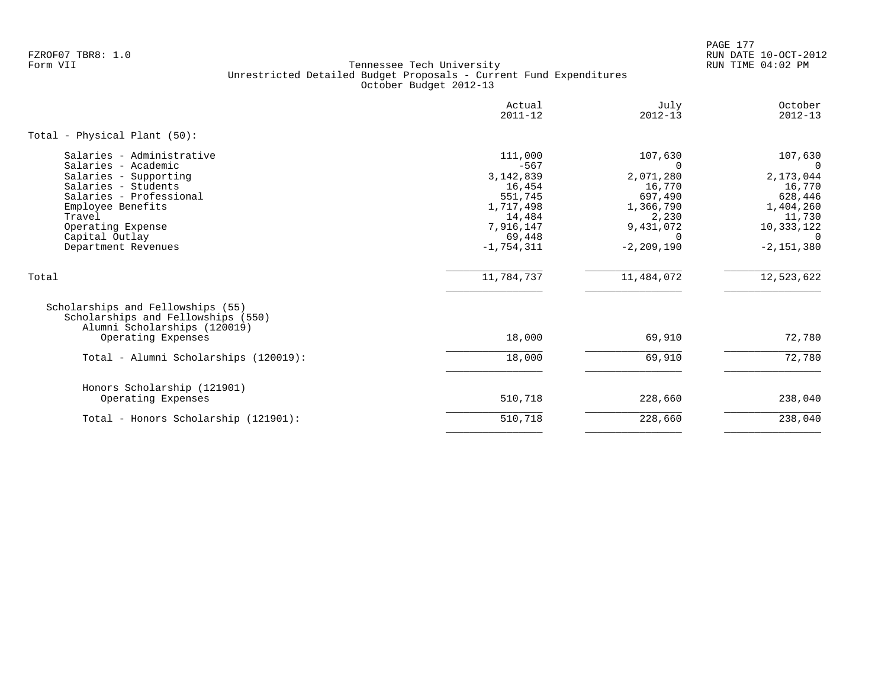PAGE 177 FZROF07 TBR8: 1.0 RUN DATE 10-OCT-2012

|                                                                                                                                                                                                                          | Actual<br>$2011 - 12$                                                                                               | July<br>$2012 - 13$                                                                                                    | October<br>$2012 - 13$                                                                                                   |
|--------------------------------------------------------------------------------------------------------------------------------------------------------------------------------------------------------------------------|---------------------------------------------------------------------------------------------------------------------|------------------------------------------------------------------------------------------------------------------------|--------------------------------------------------------------------------------------------------------------------------|
| Total - Physical Plant (50):                                                                                                                                                                                             |                                                                                                                     |                                                                                                                        |                                                                                                                          |
| Salaries - Administrative<br>Salaries - Academic<br>Salaries - Supporting<br>Salaries - Students<br>Salaries - Professional<br>Employee Benefits<br>Travel<br>Operating Expense<br>Capital Outlay<br>Department Revenues | 111,000<br>$-567$<br>3, 142, 839<br>16,454<br>551,745<br>1,717,498<br>14,484<br>7,916,147<br>69,448<br>$-1,754,311$ | 107,630<br>$\Omega$<br>2,071,280<br>16,770<br>697,490<br>1,366,790<br>2,230<br>9,431,072<br>$\Omega$<br>$-2, 209, 190$ | 107,630<br>$\Omega$<br>2,173,044<br>16,770<br>628,446<br>1,404,260<br>11,730<br>10,333,122<br>$\Omega$<br>$-2, 151, 380$ |
| Total                                                                                                                                                                                                                    | 11,784,737                                                                                                          | 11,484,072                                                                                                             | 12,523,622                                                                                                               |
| Scholarships and Fellowships (55)<br>Scholarships and Fellowships (550)<br>Alumni Scholarships (120019)<br>Operating Expenses                                                                                            | 18,000                                                                                                              | 69,910                                                                                                                 | 72,780                                                                                                                   |
| Total - Alumni Scholarships (120019):                                                                                                                                                                                    | 18,000                                                                                                              | 69,910                                                                                                                 | 72,780                                                                                                                   |
| Honors Scholarship (121901)<br>Operating Expenses                                                                                                                                                                        | 510,718                                                                                                             | 228,660                                                                                                                | 238,040                                                                                                                  |
| Total - Honors Scholarship (121901):                                                                                                                                                                                     | 510,718                                                                                                             | 228,660                                                                                                                | 238,040                                                                                                                  |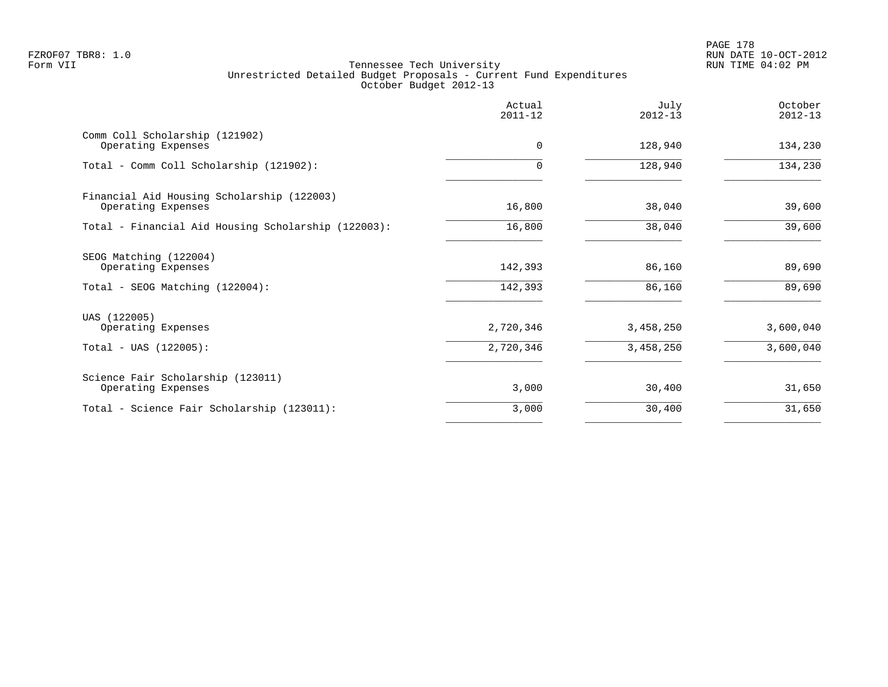PAGE 178 FZROF07 TBR8: 1.0 RUN DATE 10-OCT-2012

|                                                                                 | Actual<br>$2011 - 12$  | July<br>$2012 - 13$    | October<br>$2012 - 13$ |
|---------------------------------------------------------------------------------|------------------------|------------------------|------------------------|
| Comm Coll Scholarship (121902)<br>Operating Expenses                            | $\Omega$               | 128,940                | 134,230                |
| Total - Comm Coll Scholarship (121902):                                         | $\Omega$               | 128,940                | 134,230                |
| Financial Aid Housing Scholarship (122003)<br>Operating Expenses                | 16,800                 | 38,040                 | 39,600                 |
| Total - Financial Aid Housing Scholarship (122003):                             | 16,800                 | 38,040                 | 39,600                 |
| SEOG Matching (122004)<br>Operating Expenses<br>Total - SEOG Matching (122004): | 142,393<br>142,393     | 86,160<br>86,160       | 89,690<br>89,690       |
| UAS (122005)<br>Operating Expenses<br>$Total - UAS (122005):$                   | 2,720,346<br>2,720,346 | 3,458,250<br>3,458,250 | 3,600,040<br>3,600,040 |
| Science Fair Scholarship (123011)<br>Operating Expenses                         | 3,000                  | 30,400                 | 31,650                 |
| Total - Science Fair Scholarship (123011):                                      | 3,000                  | 30,400                 | 31,650                 |
|                                                                                 |                        |                        |                        |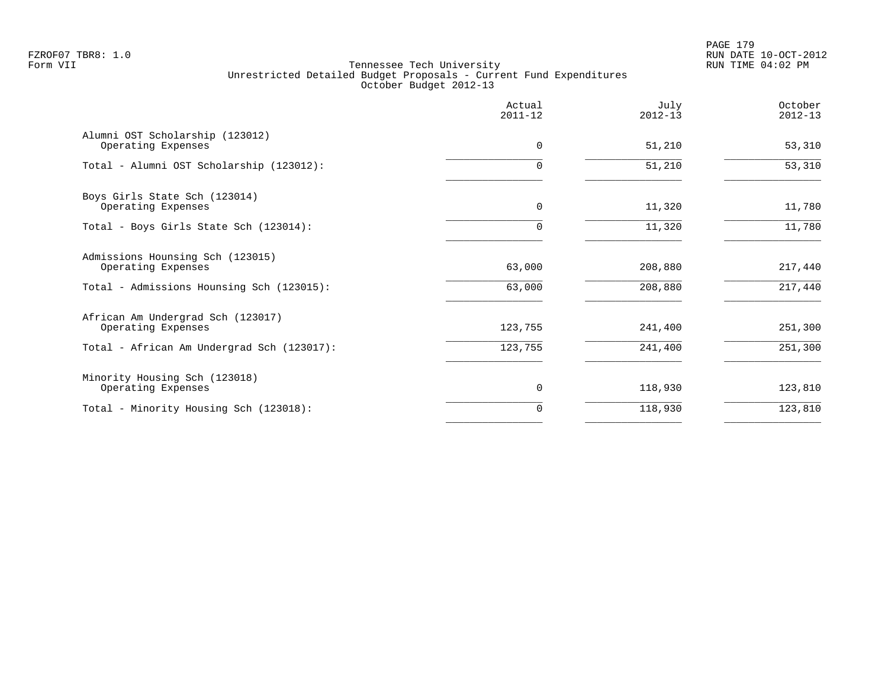PAGE 179 FZROF07 TBR8: 1.0 RUN DATE 10-OCT-2012

|                                                         | Actual<br>$2011 - 12$ | July<br>$2012 - 13$ | October<br>$2012 - 13$ |
|---------------------------------------------------------|-----------------------|---------------------|------------------------|
| Alumni OST Scholarship (123012)<br>Operating Expenses   | $\Omega$              | 51,210              | 53,310                 |
| Total - Alumni OST Scholarship (123012):                | $\Omega$              | 51,210              | 53,310                 |
| Boys Girls State Sch (123014)<br>Operating Expenses     | 0                     | 11,320              | 11,780                 |
| Total - Boys Girls State Sch (123014):                  | 0                     | 11,320              | 11,780                 |
| Admissions Hounsing Sch (123015)<br>Operating Expenses  | 63,000                | 208,880             | 217,440                |
| Total - Admissions Hounsing Sch (123015):               | 63,000                | 208,880             | 217,440                |
| African Am Undergrad Sch (123017)<br>Operating Expenses | 123,755               | 241,400             | 251,300                |
| Total - African Am Undergrad Sch (123017):              | 123,755               | 241,400             | 251,300                |
| Minority Housing Sch (123018)<br>Operating Expenses     | 0                     | 118,930             | 123,810                |
| Total - Minority Housing Sch (123018):                  | 0                     | 118,930             | 123,810                |
|                                                         |                       |                     |                        |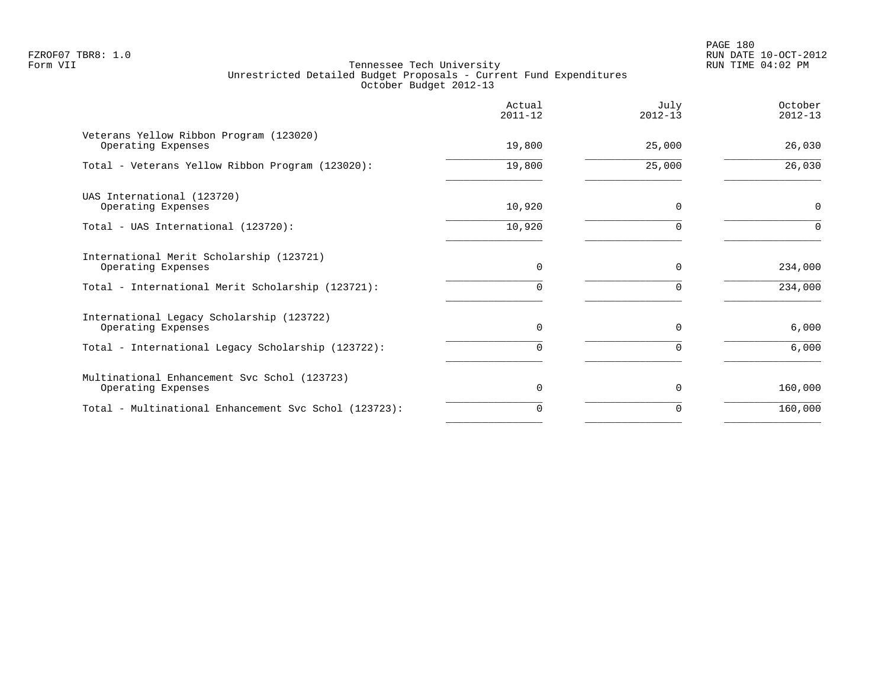PAGE 180 FZROF07 TBR8: 1.0 RUN DATE 10-OCT-2012

|                                                                    | Actual<br>$2011 - 12$ | July<br>$2012 - 13$ | October<br>$2012 - 13$ |
|--------------------------------------------------------------------|-----------------------|---------------------|------------------------|
| Veterans Yellow Ribbon Program (123020)<br>Operating Expenses      | 19,800                | 25,000              | 26,030                 |
| Total - Veterans Yellow Ribbon Program (123020):                   | 19,800                | 25,000              | 26,030                 |
| UAS International (123720)<br>Operating Expenses                   | 10,920                | $\Omega$            | $\mathbf 0$            |
| Total - UAS International (123720):                                | 10,920                |                     | $\Omega$               |
| International Merit Scholarship (123721)<br>Operating Expenses     | $\Omega$              | $\Omega$            | 234,000                |
| Total - International Merit Scholarship (123721):                  | $\Omega$              |                     | 234,000                |
| International Legacy Scholarship (123722)<br>Operating Expenses    | $\Omega$              | U                   | 6,000                  |
| Total - International Legacy Scholarship (123722):                 |                       |                     | 6,000                  |
| Multinational Enhancement Svc Schol (123723)<br>Operating Expenses | $\Omega$              | $\Omega$            | 160,000                |
| Total - Multinational Enhancement Svc Schol (123723):              | $\Omega$              |                     | 160,000                |
|                                                                    |                       |                     |                        |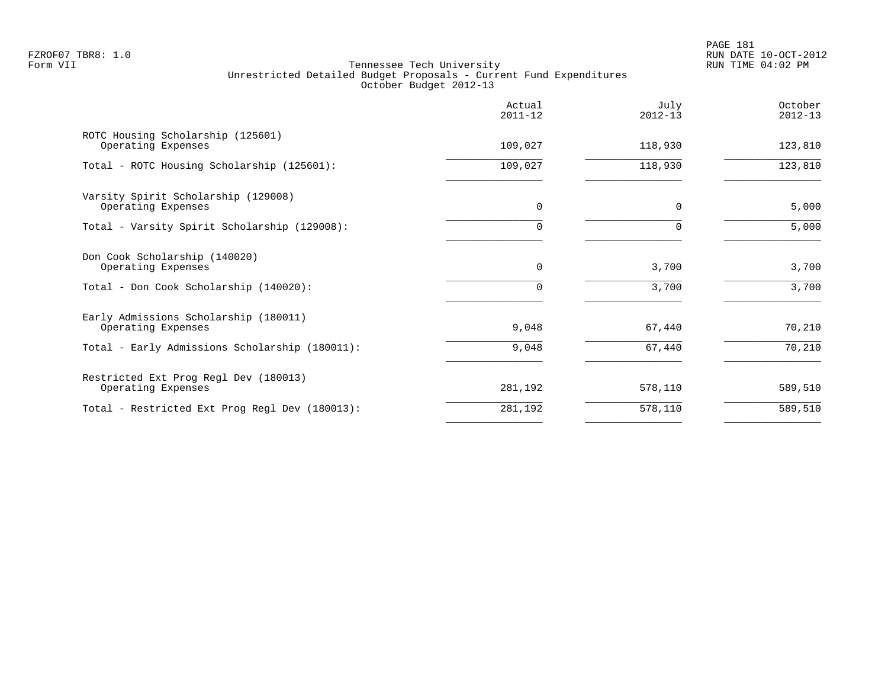|                                                             | Actual<br>$2011 - 12$ | July<br>$2012 - 13$ | October<br>$2012 - 13$ |
|-------------------------------------------------------------|-----------------------|---------------------|------------------------|
| ROTC Housing Scholarship (125601)<br>Operating Expenses     | 109,027               | 118,930             | 123,810                |
| Total - ROTC Housing Scholarship (125601):                  | 109,027               | 118,930             | 123,810                |
| Varsity Spirit Scholarship (129008)<br>Operating Expenses   | $\mathbf 0$           | $\Omega$            | 5,000                  |
| Total - Varsity Spirit Scholarship (129008):                | $\Omega$              |                     | 5,000                  |
| Don Cook Scholarship (140020)<br>Operating Expenses         | $\mathbf 0$           | 3,700               | 3,700                  |
| Total - Don Cook Scholarship (140020):                      | 0                     | 3,700               | 3,700                  |
| Early Admissions Scholarship (180011)<br>Operating Expenses | 9,048                 | 67,440              | 70,210                 |
| Total - Early Admissions Scholarship (180011):              | 9,048                 | 67,440              | 70,210                 |
| Restricted Ext Prog Regl Dev (180013)<br>Operating Expenses | 281,192               | 578,110             | 589,510                |
| Total - Restricted Ext Prog Regl Dev (180013):              | 281,192               | 578,110             | 589,510                |
|                                                             |                       |                     |                        |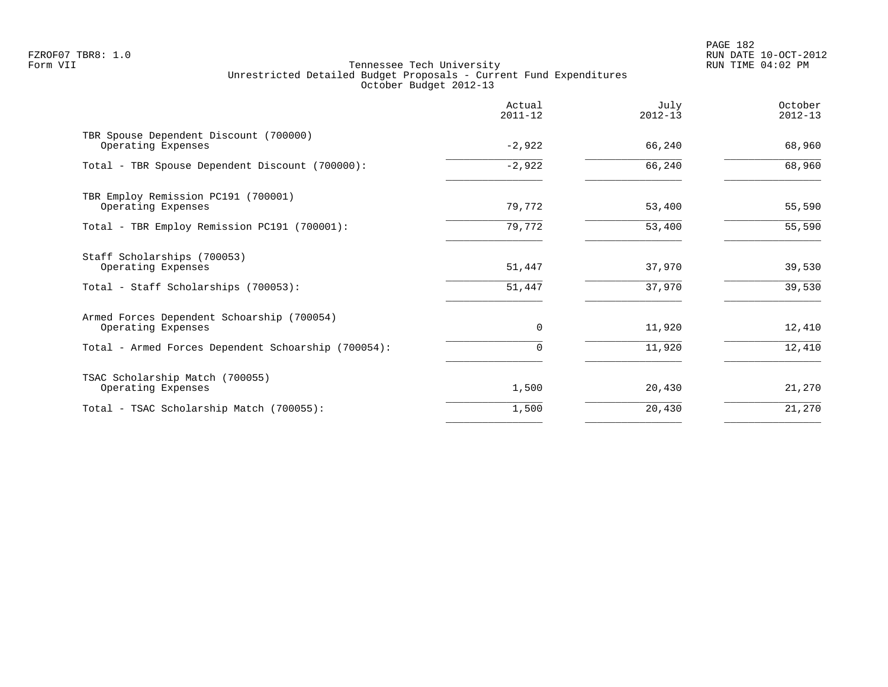|                                                                  | Actual<br>$2011 - 12$ | July<br>$2012 - 13$ | October<br>$2012 - 13$ |
|------------------------------------------------------------------|-----------------------|---------------------|------------------------|
| TBR Spouse Dependent Discount (700000)<br>Operating Expenses     | $-2,922$              | 66,240              | 68,960                 |
| Total - TBR Spouse Dependent Discount (700000):                  | $-2,922$              | 66,240              | 68,960                 |
| TBR Employ Remission PC191 (700001)<br>Operating Expenses        | 79,772                | 53,400              | 55,590                 |
| Total - TBR Employ Remission PC191 (700001):                     | 79,772                | 53,400              | 55,590                 |
| Staff Scholarships (700053)<br>Operating Expenses                | 51,447                | 37,970              | 39,530                 |
| Total - Staff Scholarships (700053):                             | 51,447                | 37,970              | 39,530                 |
| Armed Forces Dependent Schoarship (700054)<br>Operating Expenses | $\Omega$              | 11,920              | 12,410                 |
| Total - Armed Forces Dependent Schoarship (700054):              |                       | 11,920              | 12,410                 |
| TSAC Scholarship Match (700055)<br>Operating Expenses            | 1,500                 | 20,430              | 21,270                 |
| Total - TSAC Scholarship Match (700055):                         | 1,500                 | 20,430              | 21,270                 |
|                                                                  |                       |                     |                        |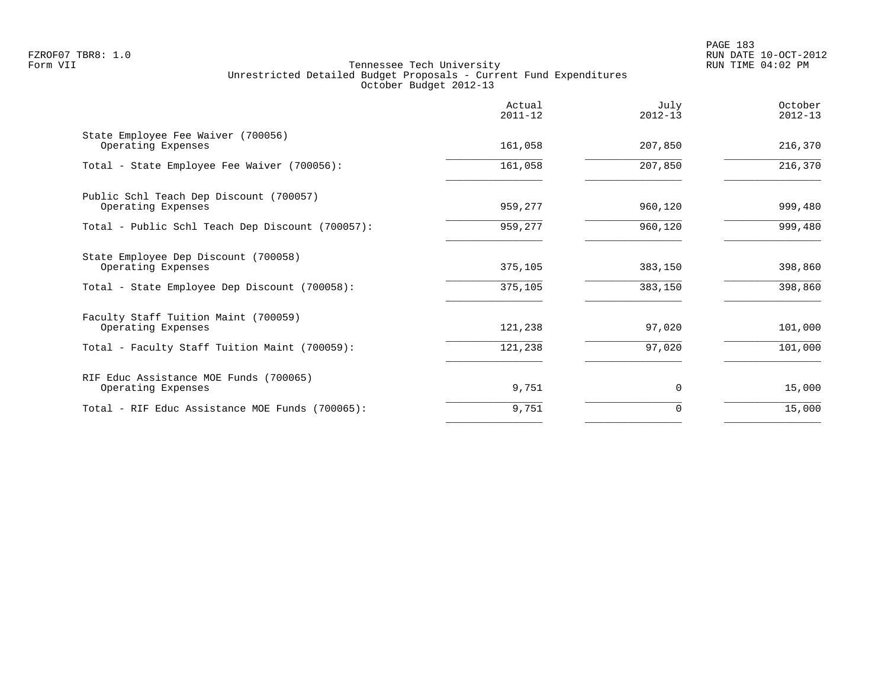PAGE 183 FZROF07 TBR8: 1.0 RUN DATE 10-OCT-2012

|                                                               | Actual<br>$2011 - 12$ | July<br>$2012 - 13$ | October<br>$2012 - 13$ |
|---------------------------------------------------------------|-----------------------|---------------------|------------------------|
| State Employee Fee Waiver (700056)<br>Operating Expenses      | 161,058               | 207,850             | 216,370                |
| Total - State Employee Fee Waiver (700056):                   | 161,058               | 207,850             | 216,370                |
| Public Schl Teach Dep Discount (700057)<br>Operating Expenses | 959,277               | 960,120             | 999,480                |
| Total - Public Schl Teach Dep Discount (700057):              | 959,277               | 960,120             | 999,480                |
| State Employee Dep Discount (700058)<br>Operating Expenses    | 375,105               | 383,150             | 398,860                |
| Total - State Employee Dep Discount (700058):                 | 375,105               | 383,150             | 398,860                |
| Faculty Staff Tuition Maint (700059)<br>Operating Expenses    | 121,238               | 97,020              | 101,000                |
| Total - Faculty Staff Tuition Maint (700059):                 | 121,238               | 97,020              | 101,000                |
| RIF Educ Assistance MOE Funds (700065)<br>Operating Expenses  | 9,751                 | $\Omega$            | 15,000                 |
| Total - RIF Educ Assistance MOE Funds (700065):               | 9,751                 | 0                   | 15,000                 |
|                                                               |                       |                     |                        |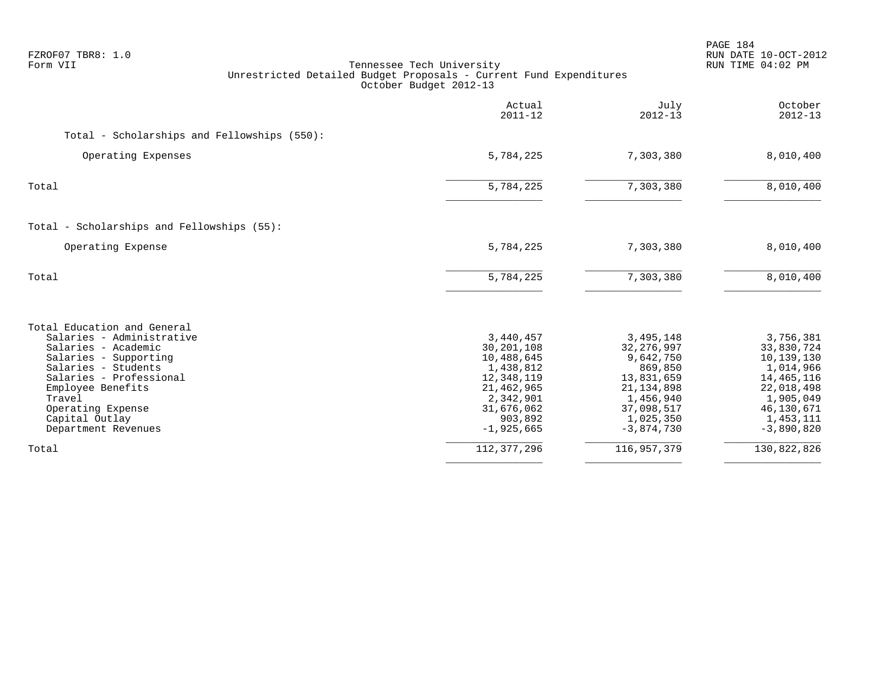| FZROF07 TBR8: 1.0<br>Form VII                                                                                                                                                                                                                           | Tennessee Tech University<br>Unrestricted Detailed Budget Proposals - Current Fund Expenditures<br>October Budget 2012-13            |                                                                                                                                         | PAGE 184<br>RUN DATE 10-OCT-2012<br>RUN TIME 04:02 PM                                                                                    |
|---------------------------------------------------------------------------------------------------------------------------------------------------------------------------------------------------------------------------------------------------------|--------------------------------------------------------------------------------------------------------------------------------------|-----------------------------------------------------------------------------------------------------------------------------------------|------------------------------------------------------------------------------------------------------------------------------------------|
|                                                                                                                                                                                                                                                         | Actual<br>$2011 - 12$                                                                                                                | July<br>$2012 - 13$                                                                                                                     | October<br>$2012 - 13$                                                                                                                   |
| Total - Scholarships and Fellowships (550):                                                                                                                                                                                                             |                                                                                                                                      |                                                                                                                                         |                                                                                                                                          |
| Operating Expenses                                                                                                                                                                                                                                      | 5,784,225                                                                                                                            | 7,303,380                                                                                                                               | 8,010,400                                                                                                                                |
| Total                                                                                                                                                                                                                                                   | 5,784,225                                                                                                                            | 7,303,380                                                                                                                               | 8,010,400                                                                                                                                |
| Total - Scholarships and Fellowships (55):                                                                                                                                                                                                              |                                                                                                                                      |                                                                                                                                         |                                                                                                                                          |
| Operating Expense                                                                                                                                                                                                                                       | 5,784,225                                                                                                                            | 7,303,380                                                                                                                               | 8,010,400                                                                                                                                |
| Total                                                                                                                                                                                                                                                   | 5,784,225                                                                                                                            | 7,303,380                                                                                                                               | 8,010,400                                                                                                                                |
| Total Education and General<br>Salaries - Administrative<br>Salaries - Academic<br>Salaries - Supporting<br>Salaries - Students<br>Salaries - Professional<br>Employee Benefits<br>Travel<br>Operating Expense<br>Capital Outlay<br>Department Revenues | 3,440,457<br>30,201,108<br>10,488,645<br>1,438,812<br>12,348,119<br>21,462,965<br>2,342,901<br>31,676,062<br>903,892<br>$-1,925,665$ | 3,495,148<br>32, 276, 997<br>9,642,750<br>869,850<br>13,831,659<br>21, 134, 898<br>1,456,940<br>37,098,517<br>1,025,350<br>$-3,874,730$ | 3,756,381<br>33,830,724<br>10,139,130<br>1,014,966<br>14, 465, 116<br>22,018,498<br>1,905,049<br>46,130,671<br>1,453,111<br>$-3,890,820$ |
| Total                                                                                                                                                                                                                                                   | 112, 377, 296                                                                                                                        | 116, 957, 379                                                                                                                           | 130,822,826                                                                                                                              |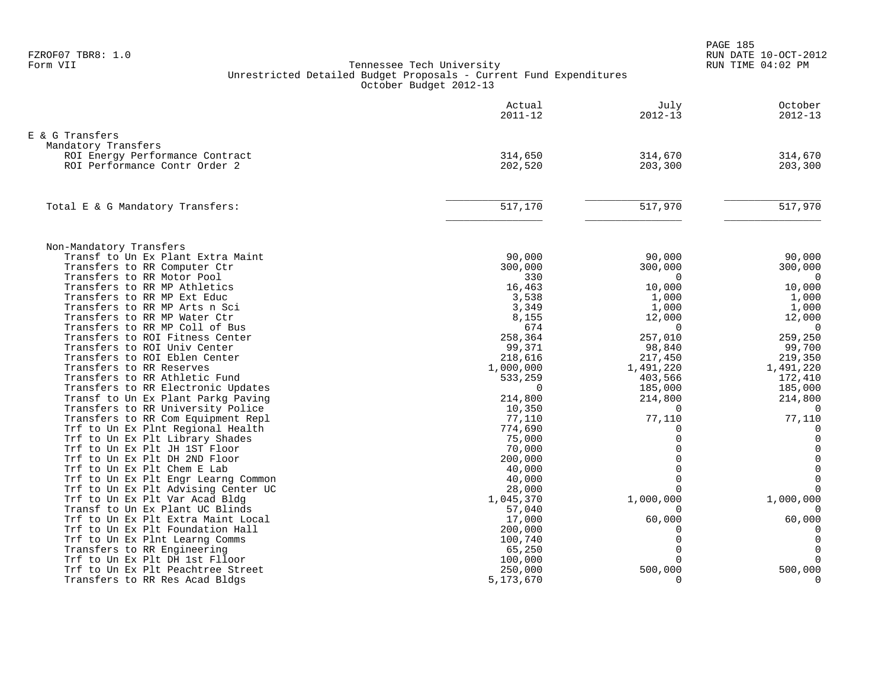|                                                                       | Actual<br>$2011 - 12$ | July<br>$2012 - 13$  | October<br>$2012 - 13$  |
|-----------------------------------------------------------------------|-----------------------|----------------------|-------------------------|
| E & G Transfers                                                       |                       |                      |                         |
| Mandatory Transfers                                                   |                       |                      |                         |
| ROI Energy Performance Contract                                       | 314,650               | 314,670              | 314,670                 |
| ROI Performance Contr Order 2                                         | 202,520               | 203,300              | 203,300                 |
|                                                                       |                       |                      |                         |
| Total E & G Mandatory Transfers:                                      | 517,170               | 517,970              | 517,970                 |
|                                                                       |                       |                      |                         |
| Non-Mandatory Transfers                                               |                       |                      |                         |
| Transf to Un Ex Plant Extra Maint                                     | 90,000                | 90,000               | 90,000                  |
| Transfers to RR Computer Ctr                                          | 300,000               | 300,000              | 300,000                 |
| Transfers to RR Motor Pool                                            | 330                   | $\Omega$             | $\overline{0}$          |
| Transfers to RR MP Athletics                                          | 16,463                | 10,000               | 10,000                  |
| Transfers to RR MP Ext Educ                                           | 3,538                 | 1,000                | 1,000                   |
| Transfers to RR MP Arts n Sci                                         | 3,349                 | 1,000                | 1,000                   |
| Transfers to RR MP Water Ctr                                          | 8,155                 | 12,000               | 12,000                  |
| Transfers to RR MP Coll of Bus                                        | 674                   | $\Omega$             | $\Omega$                |
| Transfers to ROI Fitness Center                                       | 258,364               | 257,010              | 259,250                 |
| Transfers to ROI Univ Center                                          | 99,371                | 98,840               | 99,700                  |
| Transfers to ROI Eblen Center                                         | 218,616               | 217,450              | 219,350                 |
| Transfers to RR Reserves                                              | 1,000,000             | 1,491,220            | 1,491,220               |
| Transfers to RR Athletic Fund                                         | 533,259               | 403,566              | 172,410                 |
| Transfers to RR Electronic Updates                                    | $\Omega$              | 185,000              | 185,000                 |
| Transf to Un Ex Plant Parkg Paving                                    | 214,800               | 214,800              | 214,800                 |
| Transfers to RR University Police                                     | 10,350                | $\Omega$             | $\overline{0}$          |
| Transfers to RR Com Equipment Repl                                    | 77,110                | 77,110               | 77,110                  |
| Trf to Un Ex Plnt Regional Health                                     | 774,690               | $\Omega$             | $\mathbf 0$             |
| Trf to Un Ex Plt Library Shades                                       | 75,000                | $\Omega$             | $\mathbf 0$             |
| Trf to Un Ex Plt JH 1ST Floor                                         | 70,000                | $\Omega$<br>$\Omega$ | $\mathsf{O}\xspace$     |
| Trf to Un Ex Plt DH 2ND Floor                                         | 200,000               | $\Omega$             | $\mathsf{O}\xspace$     |
| Trf to Un Ex Plt Chem E Lab                                           | 40,000                | $\Omega$             | $\mathbf 0$             |
| Trf to Un Ex Plt Engr Learng Common                                   | 40,000                | $\cap$               | $\mathbb O$<br>$\Omega$ |
| Trf to Un Ex Plt Advising Center UC                                   | 28,000                |                      |                         |
| Trf to Un Ex Plt Var Acad Bldg                                        | 1,045,370             | 1,000,000            | 1,000,000               |
| Transf to Un Ex Plant UC Blinds<br>Trf to Un Ex Plt Extra Maint Local | 57,040                |                      |                         |
| Trf to Un Ex Plt Foundation Hall                                      | 17,000<br>200,000     | 60,000               | 60,000                  |
| Trf to Un Ex Plnt Learng Comms                                        | 100,740               | $\Omega$             | $\mathbf 0$             |
| Transfers to RR Engineering                                           | 65,250                | $\Omega$             | $\mathbf 0$             |
| Trf to Un Ex Plt DH 1st Flloor                                        | 100,000               | $\Omega$             | $\Omega$                |
| Trf to Un Ex Plt Peachtree Street                                     | 250,000               | 500,000              | 500,000                 |
| Transfers to RR Res Acad Bldgs                                        | 5,173,670             | $\Omega$             | $\mathbf 0$             |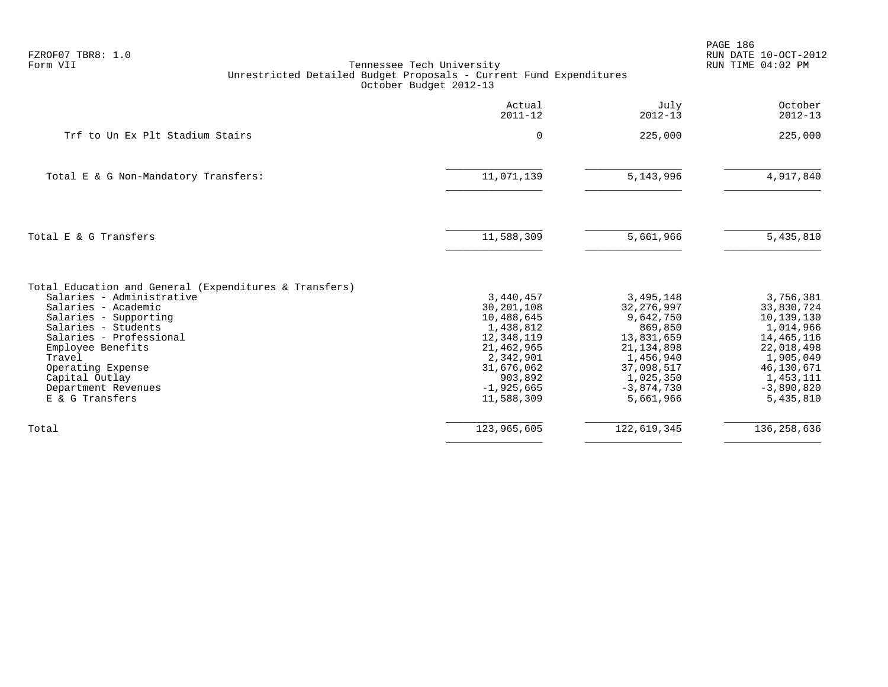| FZROF07 TBR8: 1.0<br>Form VII                                                                                                                                                                                                                                                                         | Tennessee Tech University<br>Unrestricted Detailed Budget Proposals - Current Fund Expenditures<br>October Budget 2012-13                          |                                                                                                                                                      | PAGE 186<br>RUN DATE 10-OCT-2012<br>RUN TIME 04:02 PM                                                                                               |
|-------------------------------------------------------------------------------------------------------------------------------------------------------------------------------------------------------------------------------------------------------------------------------------------------------|----------------------------------------------------------------------------------------------------------------------------------------------------|------------------------------------------------------------------------------------------------------------------------------------------------------|-----------------------------------------------------------------------------------------------------------------------------------------------------|
|                                                                                                                                                                                                                                                                                                       | Actual<br>$2011 - 12$                                                                                                                              | July<br>$2012 - 13$                                                                                                                                  | October<br>$2012 - 13$                                                                                                                              |
| Trf to Un Ex Plt Stadium Stairs                                                                                                                                                                                                                                                                       | 0                                                                                                                                                  | 225,000                                                                                                                                              | 225,000                                                                                                                                             |
| Total E & G Non-Mandatory Transfers:                                                                                                                                                                                                                                                                  | 11,071,139                                                                                                                                         | 5, 143, 996                                                                                                                                          | 4,917,840                                                                                                                                           |
| Total E & G Transfers                                                                                                                                                                                                                                                                                 | 11,588,309                                                                                                                                         | 5,661,966                                                                                                                                            | 5,435,810                                                                                                                                           |
| Total Education and General (Expenditures & Transfers)<br>Salaries - Administrative<br>Salaries - Academic<br>Salaries - Supporting<br>Salaries - Students<br>Salaries - Professional<br>Employee Benefits<br>Travel<br>Operating Expense<br>Capital Outlay<br>Department Revenues<br>E & G Transfers | 3,440,457<br>30,201,108<br>10,488,645<br>1,438,812<br>12,348,119<br>21,462,965<br>2,342,901<br>31,676,062<br>903,892<br>$-1,925,665$<br>11,588,309 | 3,495,148<br>32, 276, 997<br>9,642,750<br>869,850<br>13,831,659<br>21, 134, 898<br>1,456,940<br>37,098,517<br>1,025,350<br>$-3,874,730$<br>5,661,966 | 3,756,381<br>33,830,724<br>10,139,130<br>1,014,966<br>14,465,116<br>22,018,498<br>1,905,049<br>46,130,671<br>1,453,111<br>$-3,890,820$<br>5,435,810 |
| Total                                                                                                                                                                                                                                                                                                 | 123,965,605                                                                                                                                        | 122,619,345                                                                                                                                          | 136, 258, 636                                                                                                                                       |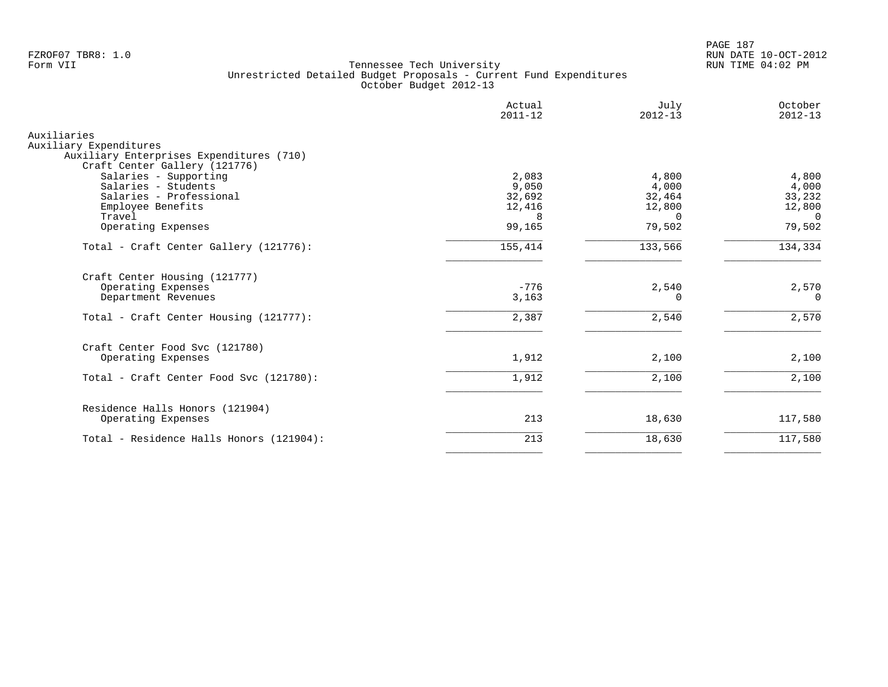PAGE 187 FZROF07 TBR8: 1.0 RUN DATE 10-OCT-2012

|                                                                                                                                                               | Actual<br>$2011 - 12$                             | July<br>$2012 - 13$                                      | October<br>$2012 - 13$                                   |
|---------------------------------------------------------------------------------------------------------------------------------------------------------------|---------------------------------------------------|----------------------------------------------------------|----------------------------------------------------------|
| Auxiliaries<br>Auxiliary Expenditures<br>Auxiliary Enterprises Expenditures (710)                                                                             |                                                   |                                                          |                                                          |
| Craft Center Gallery (121776)<br>Salaries - Supporting<br>Salaries - Students<br>Salaries - Professional<br>Employee Benefits<br>Travel<br>Operating Expenses | 2,083<br>9,050<br>32,692<br>12,416<br>8<br>99,165 | 4,800<br>4,000<br>32,464<br>12,800<br>$\Omega$<br>79,502 | 4,800<br>4,000<br>33,232<br>12,800<br>$\Omega$<br>79,502 |
|                                                                                                                                                               |                                                   |                                                          |                                                          |
| Total - Craft Center Gallery (121776):                                                                                                                        | 155,414                                           | 133,566                                                  | 134,334                                                  |
| Craft Center Housing (121777)<br>Operating Expenses<br>Department Revenues                                                                                    | $-776$<br>3,163                                   | 2,540<br>0                                               | 2,570<br>$\Omega$                                        |
| Total - Craft Center Housing (121777):                                                                                                                        | 2,387                                             | 2,540                                                    | 2,570                                                    |
| Craft Center Food Svc (121780)<br>Operating Expenses                                                                                                          | 1,912                                             | 2,100                                                    | 2,100                                                    |
| Total - Craft Center Food Svc (121780):                                                                                                                       | 1,912                                             | 2,100                                                    | 2,100                                                    |
| Residence Halls Honors (121904)<br>Operating Expenses                                                                                                         | 213                                               | 18,630                                                   | 117,580                                                  |
| Total - Residence Halls Honors (121904):                                                                                                                      | 213                                               | 18,630                                                   | 117,580                                                  |
|                                                                                                                                                               |                                                   |                                                          |                                                          |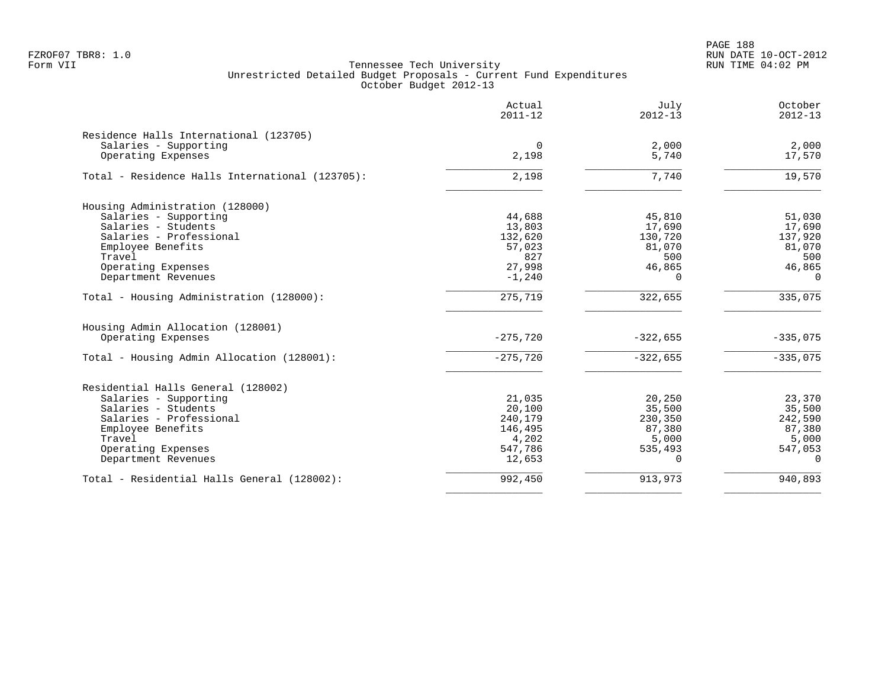PAGE 188 FZROF07 TBR8: 1.0 RUN DATE 10-OCT-2012

|                                                 | Actual<br>$2011 - 12$ | July<br>$2012 - 13$ | October<br>$2012 - 13$ |
|-------------------------------------------------|-----------------------|---------------------|------------------------|
| Residence Halls International (123705)          |                       |                     |                        |
| Salaries - Supporting                           | $\Omega$              | 2,000               | 2,000                  |
| Operating Expenses                              | 2,198                 | 5,740               | 17,570                 |
| Total - Residence Halls International (123705): | 2,198                 | 7,740               | 19,570                 |
| Housing Administration (128000)                 |                       |                     |                        |
| Salaries - Supporting                           | 44,688                | 45,810              | 51,030                 |
| Salaries - Students                             | 13,803                | 17,690              | 17,690                 |
| Salaries - Professional                         | 132,620               | 130,720             | 137,920                |
| Employee Benefits                               | 57,023                | 81,070              | 81,070                 |
| Travel                                          | 827                   | 500                 | 500                    |
| Operating Expenses                              | 27,998                | 46,865              | 46,865                 |
| Department Revenues                             | $-1,240$              | $\Omega$            | $\Omega$               |
| Total - Housing Administration (128000):        | 275, 719              | 322,655             | 335,075                |
| Housing Admin Allocation (128001)               |                       |                     |                        |
| Operating Expenses                              | $-275,720$            | $-322,655$          | $-335,075$             |
| Total - Housing Admin Allocation (128001):      | $-275,720$            | $-322,655$          | $-335,075$             |
| Residential Halls General (128002)              |                       |                     |                        |
| Salaries - Supporting                           | 21,035                | 20,250              | 23,370                 |
| Salaries - Students                             | 20,100                | 35,500              | 35,500                 |
| Salaries - Professional                         | 240,179               | 230,350             | 242,590                |
| Employee Benefits                               | 146,495               | 87,380              | 87,380                 |
| Travel                                          | 4,202                 | 5,000               | 5,000                  |
| Operating Expenses                              | 547,786               | 535,493             | 547,053                |
| Department Revenues                             | 12,653                | $\Omega$            | $\Omega$               |
| Total - Residential Halls General (128002):     | 992,450               | 913,973             | 940,893                |
|                                                 |                       |                     |                        |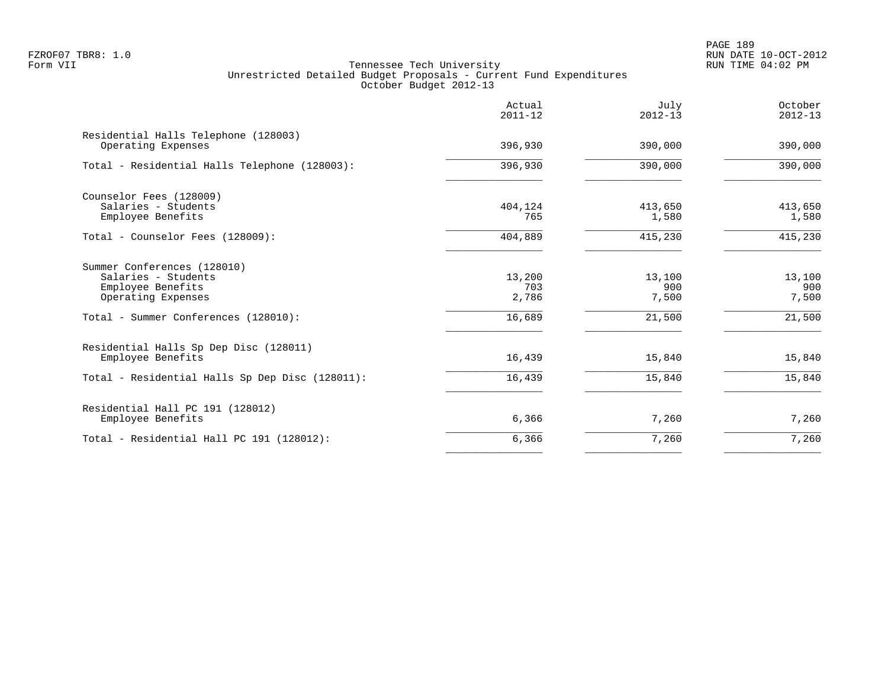PAGE 189 FZROF07 TBR8: 1.0 RUN DATE 10-OCT-2012

|                                                                                               | Actual<br>$2011 - 12$  | July<br>$2012 - 13$    | October<br>$2012 - 13$ |
|-----------------------------------------------------------------------------------------------|------------------------|------------------------|------------------------|
| Residential Halls Telephone (128003)<br>Operating Expenses                                    | 396,930                | 390,000                | 390,000                |
| Total - Residential Halls Telephone (128003):                                                 | 396,930                | 390,000                | 390,000                |
| Counselor Fees (128009)<br>Salaries - Students<br>Employee Benefits                           | 404,124<br>765         | 413,650<br>1,580       | 413,650<br>1,580       |
| Total - Counselor Fees (128009):                                                              | 404,889                | 415,230                | 415,230                |
| Summer Conferences (128010)<br>Salaries - Students<br>Employee Benefits<br>Operating Expenses | 13,200<br>703<br>2,786 | 13,100<br>900<br>7,500 | 13,100<br>900<br>7,500 |
| Total - Summer Conferences (128010):                                                          | 16,689                 | 21,500                 | 21,500                 |
| Residential Halls Sp Dep Disc (128011)<br>Employee Benefits                                   | 16,439                 | 15,840                 | 15,840                 |
| Total - Residential Halls Sp Dep Disc (128011):                                               | 16,439                 | 15,840                 | 15,840                 |
| Residential Hall PC 191 (128012)<br>Employee Benefits                                         | 6,366                  | 7,260                  | 7,260                  |
| Total - Residential Hall PC 191 (128012):                                                     | 6,366                  | 7,260                  | 7,260                  |
|                                                                                               |                        |                        |                        |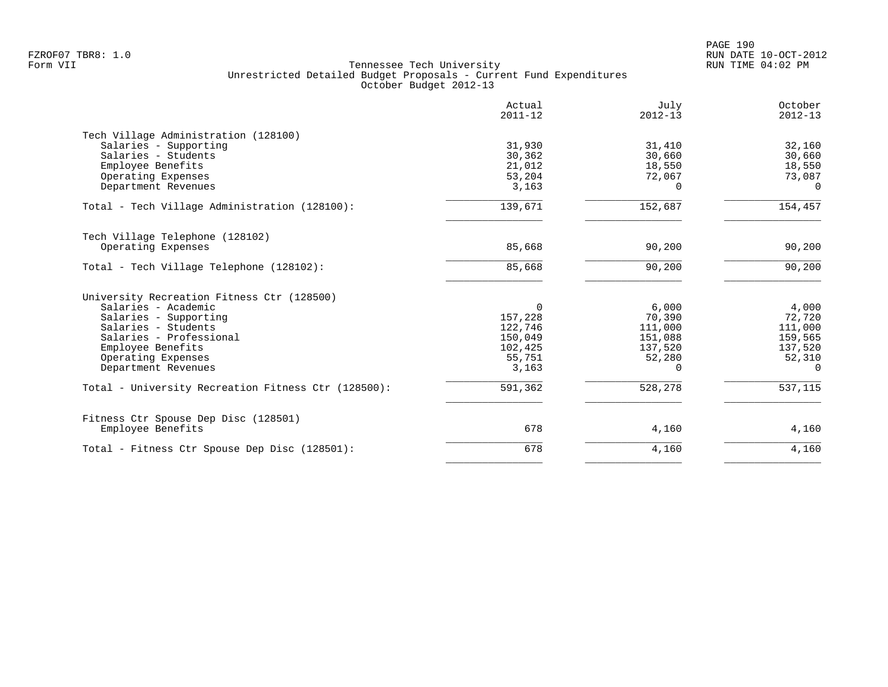|                                                     | Actual<br>$2011 - 12$ | July<br>$2012 - 13$ | October<br>$2012 - 13$ |
|-----------------------------------------------------|-----------------------|---------------------|------------------------|
| Tech Village Administration (128100)                |                       |                     |                        |
| Salaries - Supporting                               | 31,930                | 31,410              | 32,160                 |
| Salaries - Students                                 | 30,362                | 30,660              | 30,660                 |
| Employee Benefits                                   | 21,012                | 18,550              | 18,550                 |
| Operating Expenses                                  | 53,204                | 72,067              | 73,087                 |
| Department Revenues                                 | 3,163                 | 0                   | $\Omega$               |
| Total - Tech Village Administration (128100):       | 139,671               | 152,687             | 154,457                |
| Tech Village Telephone (128102)                     |                       |                     |                        |
| Operating Expenses                                  | 85,668                | 90,200              | 90,200                 |
| Total - Tech Village Telephone (128102):            | 85,668                | 90,200              | 90,200                 |
| University Recreation Fitness Ctr (128500)          |                       |                     |                        |
| Salaries - Academic                                 | $\Omega$              | 6,000               | 4,000                  |
| Salaries - Supporting                               | 157,228               | 70,390              | 72,720                 |
| Salaries - Students                                 | 122,746               | 111,000             | 111,000                |
| Salaries - Professional                             | 150,049               | 151,088             | 159,565                |
| Employee Benefits                                   | 102,425               | 137,520             | 137,520                |
| Operating Expenses                                  | 55,751                | 52,280              | 52,310                 |
| Department Revenues                                 | 3,163                 | 0                   | $\Omega$               |
| Total - University Recreation Fitness Ctr (128500): | 591,362               | 528,278             | 537,115                |
| Fitness Ctr Spouse Dep Disc (128501)                |                       |                     |                        |
| Employee Benefits                                   | 678                   | 4,160               | 4,160                  |
| Total - Fitness Ctr Spouse Dep Disc (128501):       | 678                   | 4,160               | 4,160                  |
|                                                     |                       |                     |                        |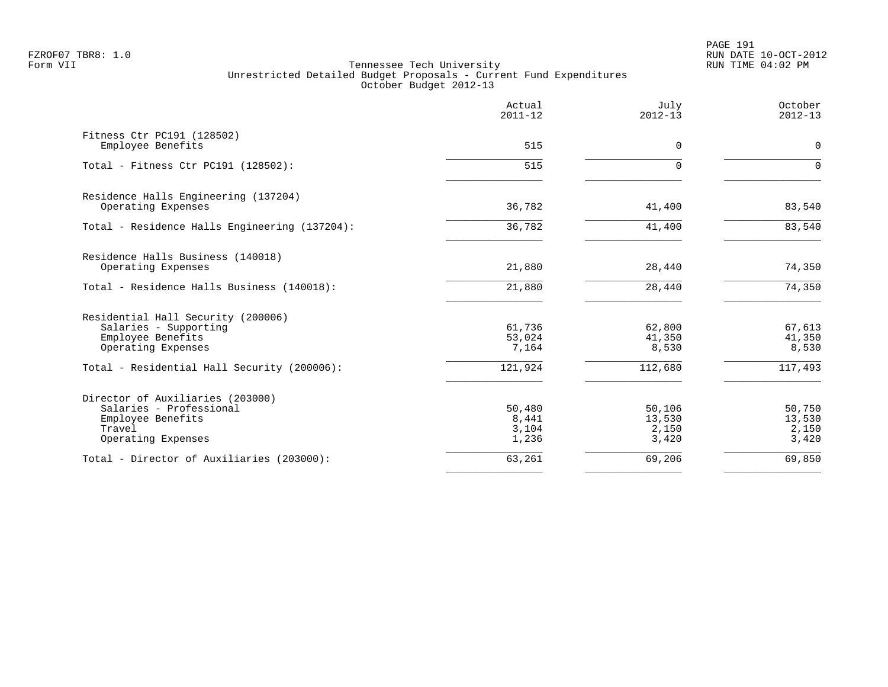PAGE 191 FZROF07 TBR8: 1.0 RUN DATE 10-OCT-2012

|                                                                                                                  | Actual<br>$2011 - 12$             | July<br>$2012 - 13$                | October<br>$2012 - 13$             |
|------------------------------------------------------------------------------------------------------------------|-----------------------------------|------------------------------------|------------------------------------|
| Fitness Ctr PC191 (128502)<br>Employee Benefits                                                                  | 515                               | 0                                  | 0                                  |
| Total - Fitness Ctr PC191 (128502):                                                                              | 515                               | $\Omega$                           | $\Omega$                           |
| Residence Halls Engineering (137204)<br>Operating Expenses                                                       | 36,782                            | 41,400                             | 83,540                             |
| Total - Residence Halls Engineering (137204):                                                                    | 36,782                            | 41,400                             | 83,540                             |
| Residence Halls Business (140018)<br>Operating Expenses<br>Total - Residence Halls Business (140018):            | 21,880<br>21,880                  | 28,440<br>28,440                   | 74,350<br>74,350                   |
| Residential Hall Security (200006)<br>Salaries - Supporting<br>Employee Benefits<br>Operating Expenses           | 61,736<br>53,024<br>7,164         | 62,800<br>41,350<br>8,530          | 67,613<br>41,350<br>8,530          |
| Total - Residential Hall Security (200006):                                                                      | 121,924                           | 112,680                            | 117,493                            |
| Director of Auxiliaries (203000)<br>Salaries - Professional<br>Employee Benefits<br>Travel<br>Operating Expenses | 50,480<br>8,441<br>3,104<br>1,236 | 50,106<br>13,530<br>2,150<br>3,420 | 50,750<br>13,530<br>2,150<br>3,420 |
| Total - Director of Auxiliaries (203000):                                                                        | 63,261                            | 69,206                             | 69,850                             |
|                                                                                                                  |                                   |                                    |                                    |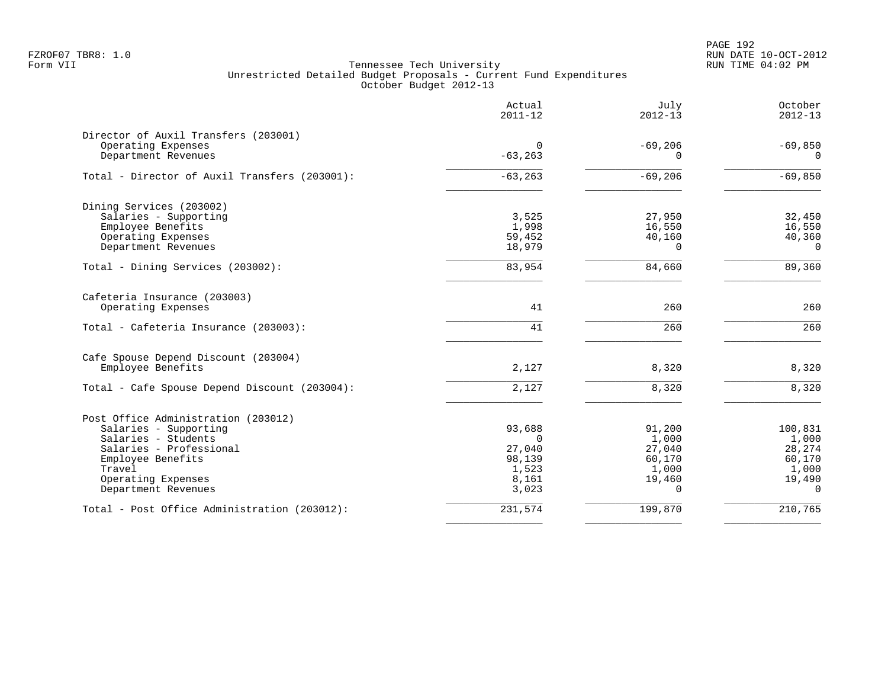PAGE 192 FZROF07 TBR8: 1.0 RUN DATE 10-OCT-2012

|                                               | Actual<br>$2011 - 12$  | July<br>$2012 - 13$   | October<br>$2012 - 13$ |
|-----------------------------------------------|------------------------|-----------------------|------------------------|
| Director of Auxil Transfers (203001)          |                        |                       |                        |
| Operating Expenses<br>Department Revenues     | $\Omega$<br>$-63, 263$ | $-69,206$<br>$\Omega$ | $-69,850$<br>$\Omega$  |
|                                               |                        |                       |                        |
| Total - Director of Auxil Transfers (203001): | $-63, 263$             | $-69,206$             | $-69,850$              |
| Dining Services (203002)                      |                        |                       |                        |
| Salaries - Supporting                         | 3,525                  | 27,950                | 32,450                 |
| Employee Benefits<br>Operating Expenses       | 1,998<br>59,452        | 16,550<br>40,160      | 16,550<br>40,360       |
| Department Revenues                           | 18,979                 | $\mathbf 0$           | $\overline{0}$         |
| Total - Dining Services (203002):             | 83,954                 | 84,660                | 89,360                 |
| Cafeteria Insurance (203003)                  |                        |                       |                        |
| Operating Expenses                            | 41                     | 260                   | 260                    |
| Total - Cafeteria Insurance (203003):         | 41                     | 260                   | 260                    |
| Cafe Spouse Depend Discount (203004)          |                        |                       |                        |
| Employee Benefits                             | 2,127                  | 8,320                 | 8,320                  |
| Total - Cafe Spouse Depend Discount (203004): | 2,127                  | 8,320                 | 8,320                  |
| Post Office Administration (203012)           |                        |                       |                        |
| Salaries - Supporting                         | 93,688                 | 91,200                | 100,831                |
| Salaries - Students                           | $\Omega$               | 1,000                 | 1,000                  |
| Salaries - Professional                       | 27,040                 | 27,040                | 28,274                 |
| Employee Benefits<br>Travel                   | 98,139<br>1,523        | 60,170<br>1,000       | 60,170<br>1,000        |
| Operating Expenses                            | 8,161                  | 19,460                | 19,490                 |
| Department Revenues                           | 3,023                  | $\Omega$              | $\Omega$               |
| Total - Post Office Administration (203012):  | 231,574                | 199,870               | 210,765                |
|                                               |                        |                       |                        |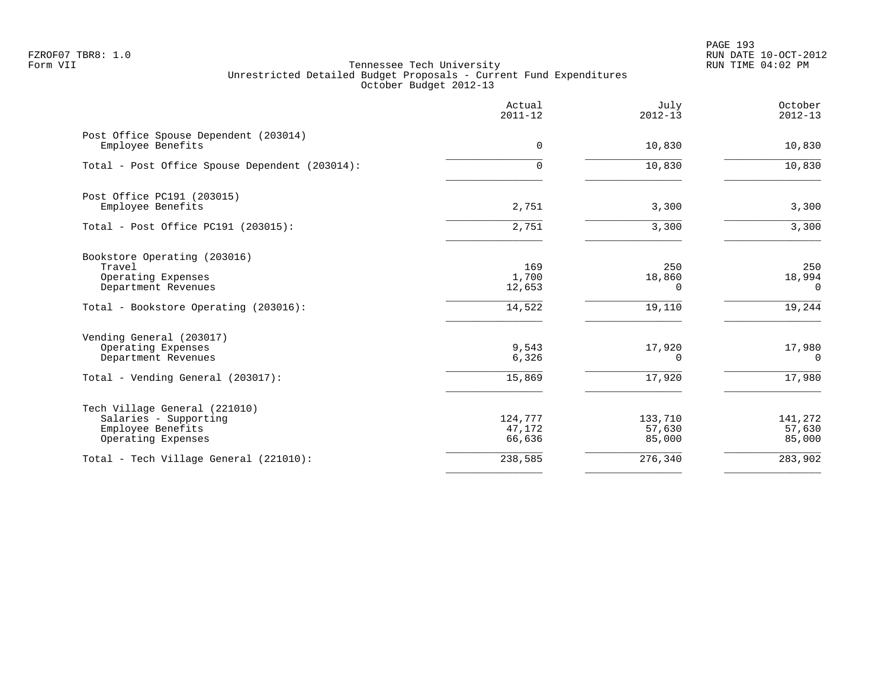PAGE 193 FZROF07 TBR8: 1.0 RUN DATE 10-OCT-2012

|                                                                                                            | Actual<br>$2011 - 12$       | July<br>$2012 - 13$         | October<br>$2012 - 13$      |
|------------------------------------------------------------------------------------------------------------|-----------------------------|-----------------------------|-----------------------------|
| Post Office Spouse Dependent (203014)<br>Employee Benefits                                                 | $\mathbf 0$                 | 10,830                      | 10,830                      |
| Total - Post Office Spouse Dependent (203014):                                                             | 0                           | 10,830                      | 10,830                      |
| Post Office PC191 (203015)<br>Employee Benefits                                                            | 2,751                       | 3,300                       | 3,300                       |
| Total - Post Office PC191 (203015):                                                                        | 2,751                       | 3,300                       | 3,300                       |
| Bookstore Operating (203016)<br>Travel<br>Operating Expenses<br>Department Revenues                        | 169<br>1,700<br>12,653      | 250<br>18,860<br>0          | 250<br>18,994<br>0          |
| Total - Bookstore Operating (203016):                                                                      | 14,522                      | 19,110                      | 19,244                      |
| Vending General (203017)<br>Operating Expenses<br>Department Revenues<br>Total - Vending General (203017): | 9,543<br>6,326<br>15,869    | 17,920<br>0<br>17,920       | 17,980<br>0<br>17,980       |
| Tech Village General (221010)<br>Salaries - Supporting<br>Employee Benefits<br>Operating Expenses          | 124,777<br>47,172<br>66,636 | 133,710<br>57,630<br>85,000 | 141,272<br>57,630<br>85,000 |
| Total - Tech Village General (221010):                                                                     | 238,585                     | 276,340                     | 283,902                     |
|                                                                                                            |                             |                             |                             |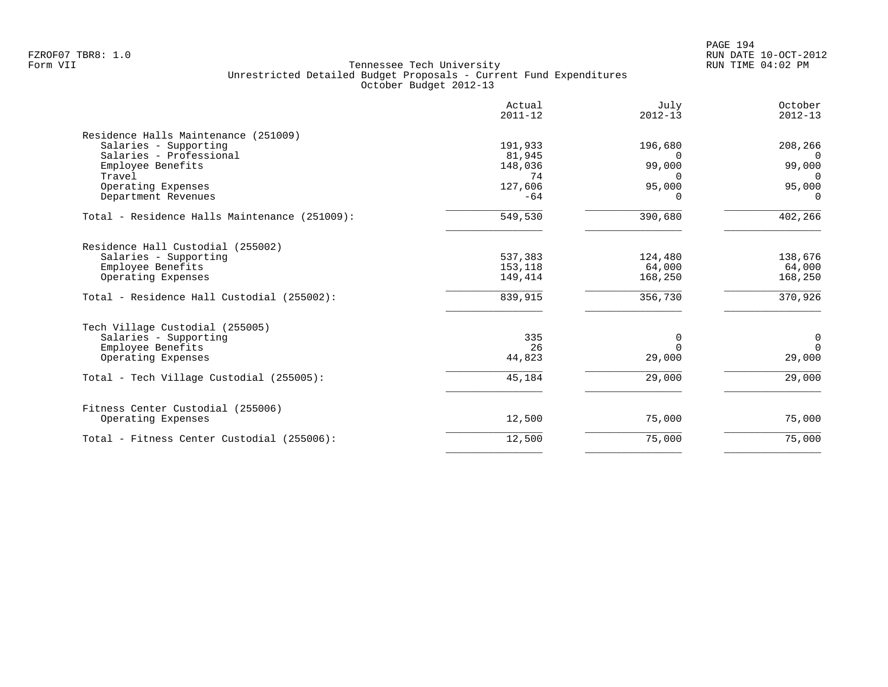|                                               | Actual<br>$2011 - 12$ | July<br>$2012 - 13$ | October<br>$2012 - 13$ |
|-----------------------------------------------|-----------------------|---------------------|------------------------|
| Residence Halls Maintenance (251009)          |                       |                     |                        |
| Salaries - Supporting                         | 191,933               | 196,680             | 208,266                |
| Salaries - Professional                       | 81,945                | $\Omega$            | $\Omega$               |
| Employee Benefits                             | 148,036               | 99,000              | 99,000                 |
| Travel                                        | 74                    | <sup>n</sup>        | $\Omega$               |
| Operating Expenses                            | 127,606               | 95,000              | 95,000                 |
| Department Revenues                           | $-64$                 | <sup>n</sup>        | $\Omega$               |
| Total - Residence Halls Maintenance (251009): | 549,530               | 390,680             | 402,266                |
| Residence Hall Custodial (255002)             |                       |                     |                        |
| Salaries - Supporting                         | 537,383               | 124,480             | 138,676                |
| Employee Benefits                             | 153,118               | 64,000              | 64,000                 |
| Operating Expenses                            | 149,414               | 168,250             | 168,250                |
| Total - Residence Hall Custodial (255002):    | 839,915               | 356,730             | 370,926                |
| Tech Village Custodial (255005)               |                       |                     |                        |
| Salaries - Supporting                         | 335                   | $\Omega$            | 0                      |
| Employee Benefits                             | 26                    | $\Omega$            | $\Omega$               |
| Operating Expenses                            | 44,823                | 29,000              | 29,000                 |
| Total - Tech Village Custodial (255005):      | 45,184                | 29,000              | 29,000                 |
| Fitness Center Custodial (255006)             |                       |                     |                        |
| Operating Expenses                            | 12,500                | 75,000              | 75,000                 |
| Total - Fitness Center Custodial (255006):    | 12,500                | 75,000              | 75,000                 |
|                                               |                       |                     |                        |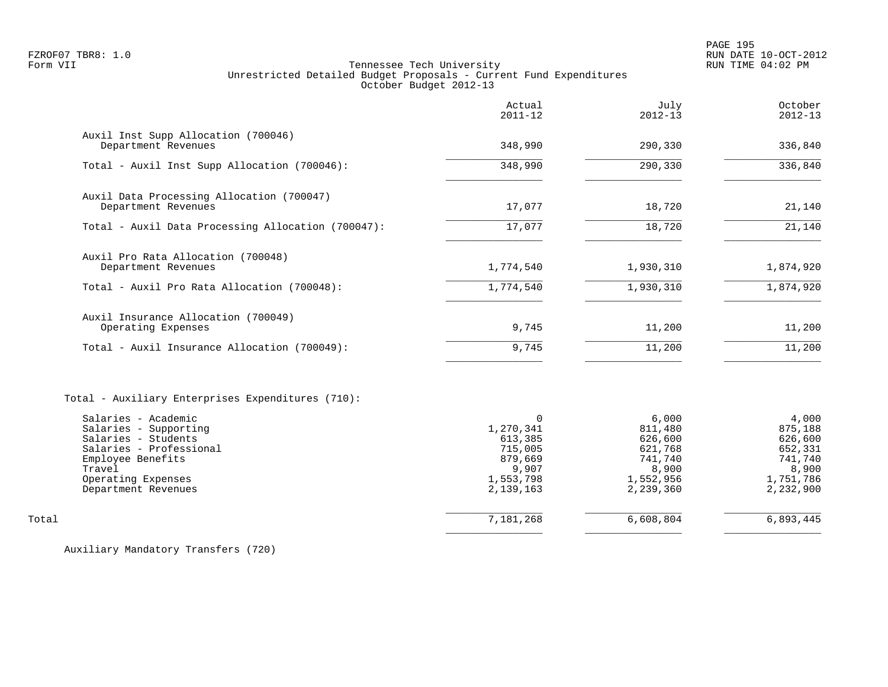PAGE 195 FZROF07 TBR8: 1.0 RUN DATE 10-OCT-2012

# Form VII Tennessee Tech University RUN TIME 04:02 PM Unrestricted Detailed Budget Proposals - Current Fund Expenditures October Budget 2012-13

|                                                                                                                                                                                                                                 | Actual<br>$2011 - 12$                                                                     | July<br>$2012 - 13$                                                                  | October<br>$2012 - 13$                                                               |
|---------------------------------------------------------------------------------------------------------------------------------------------------------------------------------------------------------------------------------|-------------------------------------------------------------------------------------------|--------------------------------------------------------------------------------------|--------------------------------------------------------------------------------------|
| Auxil Inst Supp Allocation (700046)<br>Department Revenues                                                                                                                                                                      | 348,990                                                                                   | 290,330                                                                              | 336,840                                                                              |
| Total - Auxil Inst Supp Allocation (700046):                                                                                                                                                                                    | 348,990                                                                                   | 290,330                                                                              | 336,840                                                                              |
| Auxil Data Processing Allocation (700047)<br>Department Revenues                                                                                                                                                                | 17,077                                                                                    | 18,720                                                                               | 21,140                                                                               |
| Total - Auxil Data Processing Allocation (700047):                                                                                                                                                                              | 17,077                                                                                    | 18,720                                                                               | 21,140                                                                               |
| Auxil Pro Rata Allocation (700048)<br>Department Revenues                                                                                                                                                                       | 1,774,540                                                                                 | 1,930,310                                                                            | 1,874,920                                                                            |
| Total - Auxil Pro Rata Allocation (700048):                                                                                                                                                                                     | 1,774,540                                                                                 | 1,930,310                                                                            | 1,874,920                                                                            |
| Auxil Insurance Allocation (700049)<br>Operating Expenses                                                                                                                                                                       | 9,745                                                                                     | 11,200                                                                               | 11,200                                                                               |
| Total - Auxil Insurance Allocation (700049):                                                                                                                                                                                    | 9,745                                                                                     | 11,200                                                                               | 11,200                                                                               |
| Total - Auxiliary Enterprises Expenditures (710):<br>Salaries - Academic<br>Salaries - Supporting<br>Salaries - Students<br>Salaries - Professional<br>Employee Benefits<br>Travel<br>Operating Expenses<br>Department Revenues | $\Omega$<br>1,270,341<br>613,385<br>715,005<br>879,669<br>9,907<br>1,553,798<br>2,139,163 | 6,000<br>811,480<br>626,600<br>621,768<br>741,740<br>8,900<br>1,552,956<br>2,239,360 | 4,000<br>875,188<br>626,600<br>652,331<br>741,740<br>8,900<br>1,751,786<br>2,232,900 |
| Total                                                                                                                                                                                                                           | 7,181,268                                                                                 | 6,608,804                                                                            | 6,893,445                                                                            |
|                                                                                                                                                                                                                                 |                                                                                           |                                                                                      |                                                                                      |

Auxiliary Mandatory Transfers (720)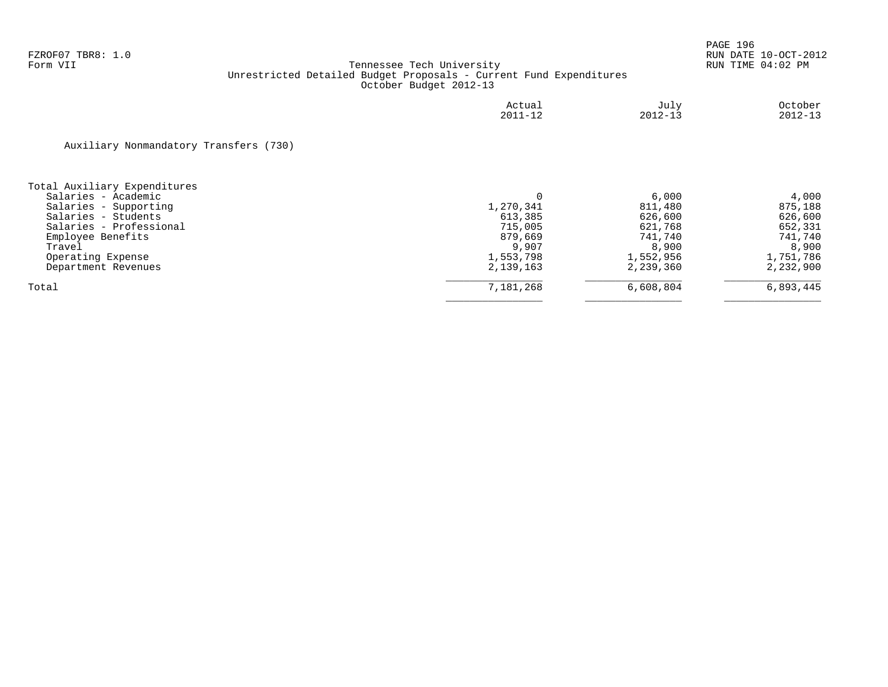|                                        | Actual<br>$2011 - 12$ | July<br>$2012 - 13$ | October<br>$2012 - 13$ |
|----------------------------------------|-----------------------|---------------------|------------------------|
| Auxiliary Nonmandatory Transfers (730) |                       |                     |                        |
| Total Auxiliary Expenditures           |                       |                     |                        |
| Salaries - Academic                    |                       | 6,000               | 4,000                  |
| Salaries - Supporting                  | 1,270,341             | 811,480             | 875,188                |
| Salaries - Students                    | 613,385               | 626,600             | 626,600                |
| Salaries - Professional                | 715,005               | 621,768             | 652,331                |
| Employee Benefits                      | 879,669               | 741,740             | 741,740                |
| Travel                                 | 9,907                 | 8,900               | 8,900                  |
| Operating Expense                      | 1,553,798             | 1,552,956           | 1,751,786              |
| Department Revenues                    | 2,139,163             | 2,239,360           | 2,232,900              |
| Total                                  | 7,181,268             | 6,608,804           | 6,893,445              |
|                                        |                       |                     |                        |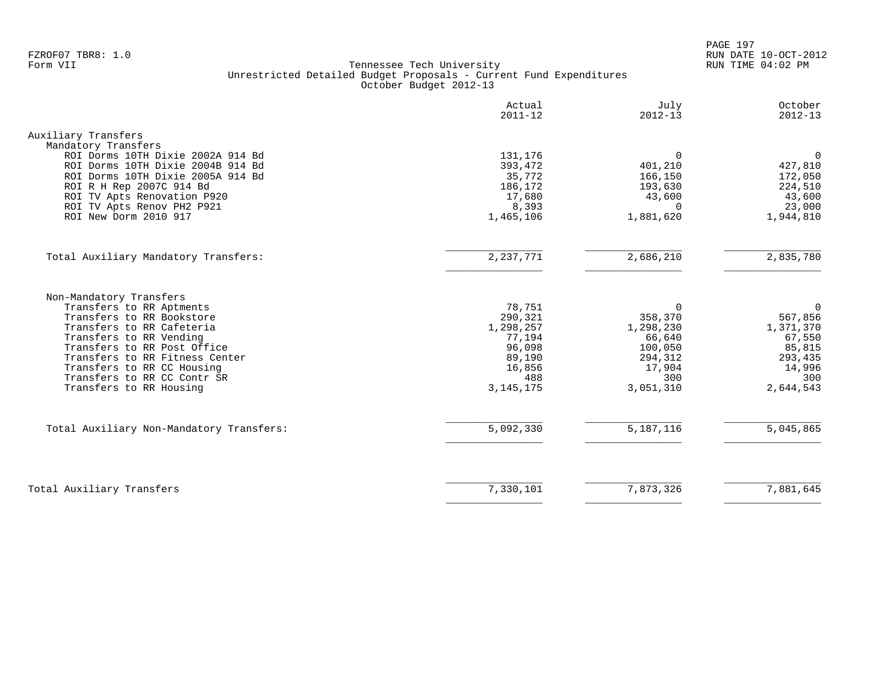PAGE 197 FZROF07 TBR8: 1.0 RUN DATE 10-OCT-2012

|                                                                                                                                                                                                                                                                                                   | Actual<br>$2011 - 12$                                                                        | July<br>$2012 - 13$                                                                            | October<br>$2012 - 13$                                                                        |
|---------------------------------------------------------------------------------------------------------------------------------------------------------------------------------------------------------------------------------------------------------------------------------------------------|----------------------------------------------------------------------------------------------|------------------------------------------------------------------------------------------------|-----------------------------------------------------------------------------------------------|
| Auxiliary Transfers                                                                                                                                                                                                                                                                               |                                                                                              |                                                                                                |                                                                                               |
| Mandatory Transfers<br>ROI Dorms 10TH Dixie 2002A 914 Bd<br>ROI Dorms 10TH Dixie 2004B 914 Bd<br>ROI Dorms 10TH Dixie 2005A 914 Bd<br>ROI R H Rep 2007C 914 Bd<br>ROI TV Apts Renovation P920<br>ROI TV Apts Renov PH2 P921<br>ROI New Dorm 2010 917                                              | 131,176<br>393,472<br>35,772<br>186,172<br>17,680<br>8,393<br>1,465,106                      | $\Omega$<br>401,210<br>166,150<br>193,630<br>43,600<br>$\Omega$<br>1,881,620                   | $\mathbf 0$<br>427,810<br>172,050<br>224,510<br>43,600<br>23,000<br>1,944,810                 |
| Total Auxiliary Mandatory Transfers:                                                                                                                                                                                                                                                              | 2, 237, 771                                                                                  | 2,686,210                                                                                      | 2,835,780                                                                                     |
| Non-Mandatory Transfers<br>Transfers to RR Aptments<br>Transfers to RR Bookstore<br>Transfers to RR Cafeteria<br>Transfers to RR Vending<br>Transfers to RR Post Office<br>Transfers to RR Fitness Center<br>Transfers to RR CC Housing<br>Transfers to RR CC Contr SR<br>Transfers to RR Housing | 78,751<br>290,321<br>1,298,257<br>77,194<br>96,098<br>89,190<br>16,856<br>488<br>3, 145, 175 | $\Omega$<br>358,370<br>1,298,230<br>66,640<br>100,050<br>294,312<br>17,904<br>300<br>3,051,310 | $\Omega$<br>567,856<br>1,371,370<br>67,550<br>85,815<br>293,435<br>14,996<br>300<br>2,644,543 |
| Total Auxiliary Non-Mandatory Transfers:                                                                                                                                                                                                                                                          | 5,092,330                                                                                    | 5, 187, 116                                                                                    | 5,045,865                                                                                     |
| Total Auxiliary Transfers                                                                                                                                                                                                                                                                         | 7,330,101                                                                                    | 7,873,326                                                                                      | 7,881,645                                                                                     |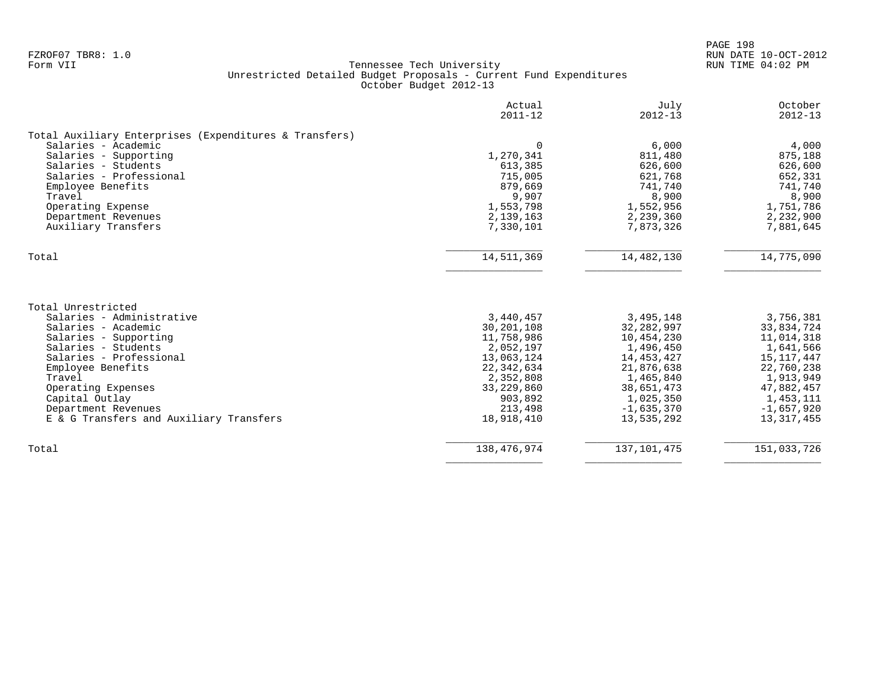PAGE 198 FZROF07 TBR8: 1.0 RUN DATE 10-OCT-2012

|                                                                                                                                                                                                                                                                                            | Actual<br>$2011 - 12$                                                                                                                           | July<br>$2012 - 13$                                                                                                                                    | October<br>$2012 - 13$                                                                                                                               |
|--------------------------------------------------------------------------------------------------------------------------------------------------------------------------------------------------------------------------------------------------------------------------------------------|-------------------------------------------------------------------------------------------------------------------------------------------------|--------------------------------------------------------------------------------------------------------------------------------------------------------|------------------------------------------------------------------------------------------------------------------------------------------------------|
| Total Auxiliary Enterprises (Expenditures & Transfers)<br>Salaries - Academic<br>Salaries - Supporting<br>Salaries - Students<br>Salaries - Professional<br>Employee Benefits<br>Travel<br>Operating Expense<br>Department Revenues<br>Auxiliary Transfers                                 | $\Omega$<br>1,270,341<br>613,385<br>715,005<br>879,669<br>9,907<br>1,553,798<br>2,139,163<br>7,330,101                                          | 6,000<br>811,480<br>626,600<br>621,768<br>741,740<br>8,900<br>1,552,956<br>2,239,360<br>7,873,326                                                      | 4,000<br>875,188<br>626,600<br>652,331<br>741,740<br>8,900<br>1,751,786<br>2,232,900<br>7,881,645                                                    |
| Total                                                                                                                                                                                                                                                                                      | 14,511,369                                                                                                                                      | 14,482,130                                                                                                                                             | 14,775,090                                                                                                                                           |
| Total Unrestricted<br>Salaries - Administrative<br>Salaries - Academic<br>Salaries - Supporting<br>Salaries - Students<br>Salaries - Professional<br>Employee Benefits<br>Travel<br>Operating Expenses<br>Capital Outlay<br>Department Revenues<br>E & G Transfers and Auxiliary Transfers | 3,440,457<br>30,201,108<br>11,758,986<br>2,052,197<br>13,063,124<br>22,342,634<br>2,352,808<br>33, 229, 860<br>903,892<br>213,498<br>18,918,410 | 3,495,148<br>32, 282, 997<br>10,454,230<br>1,496,450<br>14,453,427<br>21,876,638<br>1,465,840<br>38,651,473<br>1,025,350<br>$-1,635,370$<br>13,535,292 | 3,756,381<br>33,834,724<br>11,014,318<br>1,641,566<br>15,117,447<br>22,760,238<br>1,913,949<br>47,882,457<br>1,453,111<br>$-1,657,920$<br>13,317,455 |
| Total                                                                                                                                                                                                                                                                                      | 138, 476, 974                                                                                                                                   | 137, 101, 475                                                                                                                                          | 151,033,726                                                                                                                                          |